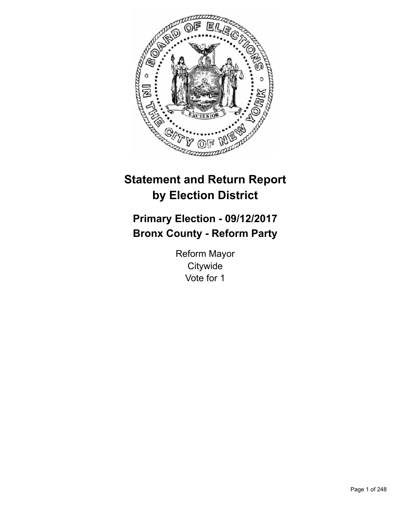

# **Statement and Return Report by Election District**

# **Primary Election - 09/12/2017 Bronx County - Reform Party**

Reform Mayor **Citywide** Vote for 1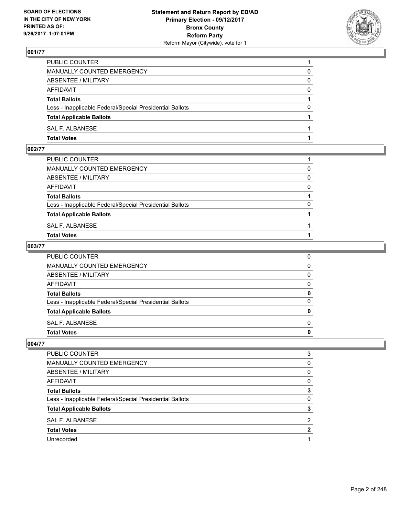

| PUBLIC COUNTER                                           |          |
|----------------------------------------------------------|----------|
| MANUALLY COUNTED EMERGENCY                               | 0        |
| ABSENTEE / MILITARY                                      | 0        |
| AFFIDAVIT                                                | $\Omega$ |
| <b>Total Ballots</b>                                     |          |
| Less - Inapplicable Federal/Special Presidential Ballots | $\Omega$ |
| <b>Total Applicable Ballots</b>                          |          |
| SAL F. ALBANESE                                          |          |
| <b>Total Votes</b>                                       |          |

# **002/77**

| PUBLIC COUNTER                                           |          |
|----------------------------------------------------------|----------|
|                                                          |          |
| MANUALLY COUNTED EMERGENCY                               | 0        |
| ABSENTEE / MILITARY                                      | 0        |
| AFFIDAVIT                                                | $\Omega$ |
| <b>Total Ballots</b>                                     |          |
| Less - Inapplicable Federal/Special Presidential Ballots | 0        |
| <b>Total Applicable Ballots</b>                          |          |
| SAL F. ALBANESE                                          |          |
| <b>Total Votes</b>                                       |          |
|                                                          |          |

#### **003/77**

| PUBLIC COUNTER                                           | 0            |
|----------------------------------------------------------|--------------|
| MANUALLY COUNTED EMERGENCY                               | $\mathbf{0}$ |
| ABSENTEE / MILITARY                                      | $\mathbf{0}$ |
| AFFIDAVIT                                                | $\mathbf{0}$ |
| <b>Total Ballots</b>                                     | 0            |
| Less - Inapplicable Federal/Special Presidential Ballots | $\mathbf{0}$ |
| <b>Total Applicable Ballots</b>                          | 0            |
| SAL F. ALBANESE                                          | $\Omega$     |
| Total Votes                                              | $\mathbf{0}$ |
|                                                          |              |

| <b>PUBLIC COUNTER</b>                                    | 3 |
|----------------------------------------------------------|---|
| MANUALLY COUNTED EMERGENCY                               | 0 |
| ABSENTEE / MILITARY                                      | 0 |
| AFFIDAVIT                                                | 0 |
| <b>Total Ballots</b>                                     | 3 |
| Less - Inapplicable Federal/Special Presidential Ballots | 0 |
| <b>Total Applicable Ballots</b>                          |   |
| <b>SAL F. ALBANESE</b>                                   | 2 |
| <b>Total Votes</b>                                       | 2 |
| Unrecorded                                               |   |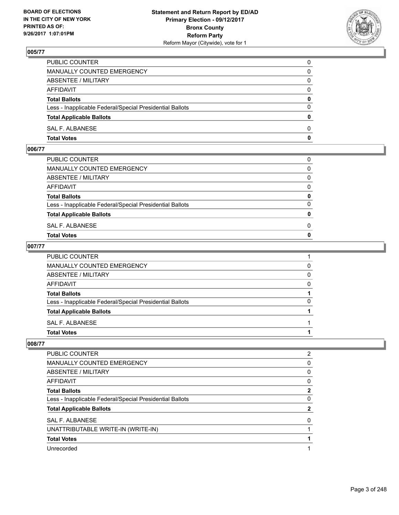

| PUBLIC COUNTER                                           | 0            |
|----------------------------------------------------------|--------------|
| MANUALLY COUNTED EMERGENCY                               | $\Omega$     |
| ABSENTEE / MILITARY                                      | $\mathbf{0}$ |
| AFFIDAVIT                                                | 0            |
| <b>Total Ballots</b>                                     | $\mathbf{0}$ |
| Less - Inapplicable Federal/Special Presidential Ballots | $\Omega$     |
| <b>Total Applicable Ballots</b>                          | $\mathbf{0}$ |
| SAL F. ALBANESE                                          | $\Omega$     |
| <b>Total Votes</b>                                       | $\mathbf{0}$ |

#### **006/77**

| PUBLIC COUNTER                                           | 0            |
|----------------------------------------------------------|--------------|
| MANUALLY COUNTED EMERGENCY                               | $\mathbf{0}$ |
| ABSENTEE / MILITARY                                      | $\Omega$     |
| AFFIDAVIT                                                | $\Omega$     |
| <b>Total Ballots</b>                                     | 0            |
| Less - Inapplicable Federal/Special Presidential Ballots | $\Omega$     |
| <b>Total Applicable Ballots</b>                          | $\mathbf{0}$ |
| SAL F. ALBANESE                                          | 0            |
| Total Votes                                              | $\Omega$     |
|                                                          |              |

#### **007/77**

| PUBLIC COUNTER                                           |              |
|----------------------------------------------------------|--------------|
| MANUALLY COUNTED EMERGENCY                               | 0            |
| ABSENTEE / MILITARY                                      | $\mathbf{0}$ |
| AFFIDAVIT                                                | $\mathbf{0}$ |
| <b>Total Ballots</b>                                     |              |
| Less - Inapplicable Federal/Special Presidential Ballots | $\mathbf{0}$ |
| <b>Total Applicable Ballots</b>                          |              |
| SAL F. ALBANESE                                          |              |
| <b>Total Votes</b>                                       |              |
|                                                          |              |

| <b>PUBLIC COUNTER</b>                                    | $\overline{2}$ |
|----------------------------------------------------------|----------------|
| <b>MANUALLY COUNTED EMERGENCY</b>                        | 0              |
| ABSENTEE / MILITARY                                      | 0              |
| <b>AFFIDAVIT</b>                                         | 0              |
| <b>Total Ballots</b>                                     | 2              |
| Less - Inapplicable Federal/Special Presidential Ballots | 0              |
| <b>Total Applicable Ballots</b>                          | 2              |
| <b>SAL F. ALBANESE</b>                                   | 0              |
| UNATTRIBUTABLE WRITE-IN (WRITE-IN)                       |                |
| <b>Total Votes</b>                                       |                |
| Unrecorded                                               |                |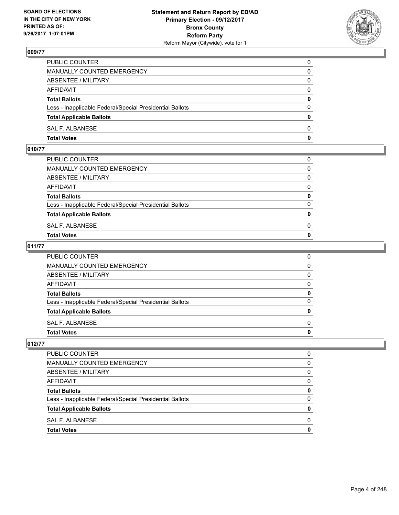

| PUBLIC COUNTER                                           | 0            |
|----------------------------------------------------------|--------------|
| MANUALLY COUNTED EMERGENCY                               | $\Omega$     |
| ABSENTEE / MILITARY                                      | $\mathbf{0}$ |
| AFFIDAVIT                                                | 0            |
| <b>Total Ballots</b>                                     | $\mathbf{0}$ |
| Less - Inapplicable Federal/Special Presidential Ballots | $\Omega$     |
| <b>Total Applicable Ballots</b>                          | $\mathbf{0}$ |
| SAL F. ALBANESE                                          | $\Omega$     |
| <b>Total Votes</b>                                       | $\mathbf{0}$ |

# **010/77**

| PUBLIC COUNTER                                           | 0            |
|----------------------------------------------------------|--------------|
| MANUALLY COUNTED EMERGENCY                               | $\mathbf{0}$ |
| ABSENTEE / MILITARY                                      | $\Omega$     |
| AFFIDAVIT                                                | $\Omega$     |
| <b>Total Ballots</b>                                     | 0            |
| Less - Inapplicable Federal/Special Presidential Ballots | $\Omega$     |
| <b>Total Applicable Ballots</b>                          | $\mathbf{0}$ |
| SAL F. ALBANESE                                          | 0            |
| Total Votes                                              | $\Omega$     |
|                                                          |              |

#### **011/77**

| <b>Total Votes</b>                                       | 0        |
|----------------------------------------------------------|----------|
| SAL F. ALBANESE                                          | $\Omega$ |
| <b>Total Applicable Ballots</b>                          | 0        |
| Less - Inapplicable Federal/Special Presidential Ballots | 0        |
| <b>Total Ballots</b>                                     | 0        |
| AFFIDAVIT                                                | $\Omega$ |
| <b>ABSENTEE / MILITARY</b>                               | $\Omega$ |
| <b>MANUALLY COUNTED EMERGENCY</b>                        | 0        |
| PUBLIC COUNTER                                           | 0        |

| PUBLIC COUNTER                                           | O |
|----------------------------------------------------------|---|
| <b>MANUALLY COUNTED EMERGENCY</b>                        | 0 |
| <b>ABSENTEE / MILITARY</b>                               | 0 |
| <b>AFFIDAVIT</b>                                         | 0 |
| <b>Total Ballots</b>                                     | 0 |
| Less - Inapplicable Federal/Special Presidential Ballots | 0 |
| <b>Total Applicable Ballots</b>                          | 0 |
| SAL F. ALBANESE                                          | O |
| <b>Total Votes</b>                                       |   |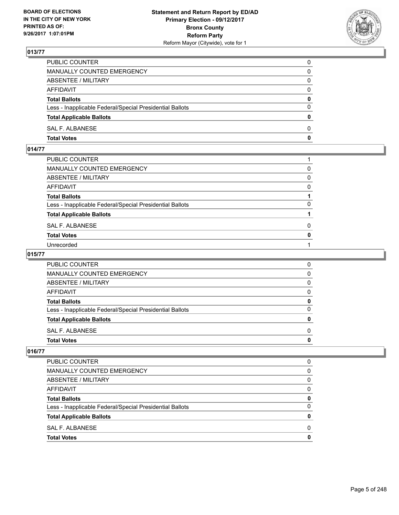

| PUBLIC COUNTER                                           | 0            |
|----------------------------------------------------------|--------------|
| MANUALLY COUNTED EMERGENCY                               | 0            |
| ABSENTEE / MILITARY                                      | 0            |
| AFFIDAVIT                                                | 0            |
| <b>Total Ballots</b>                                     | 0            |
| Less - Inapplicable Federal/Special Presidential Ballots | $\Omega$     |
| <b>Total Applicable Ballots</b>                          | $\mathbf{0}$ |
| SAL F. ALBANESE                                          | $\Omega$     |
| <b>Total Votes</b>                                       | $\mathbf{0}$ |

# **014/77**

| PUBLIC COUNTER                                           |              |
|----------------------------------------------------------|--------------|
| MANUALLY COUNTED EMERGENCY                               | 0            |
| ABSENTEE / MILITARY                                      | 0            |
| AFFIDAVIT                                                | 0            |
| Total Ballots                                            |              |
| Less - Inapplicable Federal/Special Presidential Ballots | 0            |
| <b>Total Applicable Ballots</b>                          |              |
| SAL F. ALBANESE                                          | 0            |
| <b>Total Votes</b>                                       | $\mathbf{0}$ |
| Unrecorded                                               |              |
|                                                          |              |

#### **015/77**

| PUBLIC COUNTER                                           | 0 |
|----------------------------------------------------------|---|
| <b>MANUALLY COUNTED EMERGENCY</b>                        | 0 |
| <b>ABSENTEE / MILITARY</b>                               | 0 |
| <b>AFFIDAVIT</b>                                         | O |
| <b>Total Ballots</b>                                     |   |
| Less - Inapplicable Federal/Special Presidential Ballots | 0 |
| <b>Total Applicable Ballots</b>                          |   |
| SAL F. ALBANESE                                          | O |
| <b>Total Votes</b>                                       |   |

| PUBLIC COUNTER                                           | 0 |
|----------------------------------------------------------|---|
| MANUALLY COUNTED EMERGENCY                               | 0 |
| ABSENTEE / MILITARY                                      | 0 |
| AFFIDAVIT                                                | ∩ |
| <b>Total Ballots</b>                                     | 0 |
| Less - Inapplicable Federal/Special Presidential Ballots | 0 |
| <b>Total Applicable Ballots</b>                          | 0 |
| SAL F. ALBANESE                                          | O |
| <b>Total Votes</b>                                       | O |
|                                                          |   |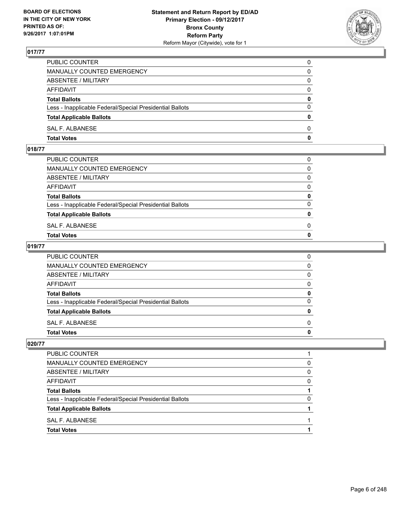

| PUBLIC COUNTER                                           | 0            |
|----------------------------------------------------------|--------------|
| MANUALLY COUNTED EMERGENCY                               | 0            |
| ABSENTEE / MILITARY                                      | 0            |
| AFFIDAVIT                                                | 0            |
| <b>Total Ballots</b>                                     | 0            |
| Less - Inapplicable Federal/Special Presidential Ballots | $\Omega$     |
| <b>Total Applicable Ballots</b>                          | $\mathbf{0}$ |
| SAL F. ALBANESE                                          | $\Omega$     |
| <b>Total Votes</b>                                       | $\mathbf{0}$ |

# **018/77**

| PUBLIC COUNTER                                           | 0            |
|----------------------------------------------------------|--------------|
| MANUALLY COUNTED EMERGENCY                               | $\Omega$     |
| ABSENTEE / MILITARY                                      | $\Omega$     |
| AFFIDAVIT                                                | $\Omega$     |
| <b>Total Ballots</b>                                     | 0            |
| Less - Inapplicable Federal/Special Presidential Ballots | $\Omega$     |
| <b>Total Applicable Ballots</b>                          | $\mathbf{0}$ |
| SAL F. ALBANESE                                          | 0            |
| <b>Total Votes</b>                                       | $\Omega$     |
|                                                          |              |

#### **019/77**

| <b>Total Votes</b>                                       | 0            |
|----------------------------------------------------------|--------------|
| SAL F. ALBANESE                                          | $\Omega$     |
| <b>Total Applicable Ballots</b>                          | 0            |
| Less - Inapplicable Federal/Special Presidential Ballots | $\mathbf{0}$ |
| <b>Total Ballots</b>                                     | 0            |
| <b>AFFIDAVIT</b>                                         | $\mathbf{0}$ |
| <b>ABSENTEE / MILITARY</b>                               | $\mathbf{0}$ |
| <b>MANUALLY COUNTED EMERGENCY</b>                        | $\mathbf{0}$ |
| PUBLIC COUNTER                                           | 0            |

| PUBLIC COUNTER                                           |   |
|----------------------------------------------------------|---|
| <b>MANUALLY COUNTED EMERGENCY</b>                        | 0 |
| <b>ABSENTEE / MILITARY</b>                               | 0 |
| <b>AFFIDAVIT</b>                                         | 0 |
| <b>Total Ballots</b>                                     |   |
| Less - Inapplicable Federal/Special Presidential Ballots | 0 |
| <b>Total Applicable Ballots</b>                          |   |
| SAL F. ALBANESE                                          |   |
| <b>Total Votes</b>                                       |   |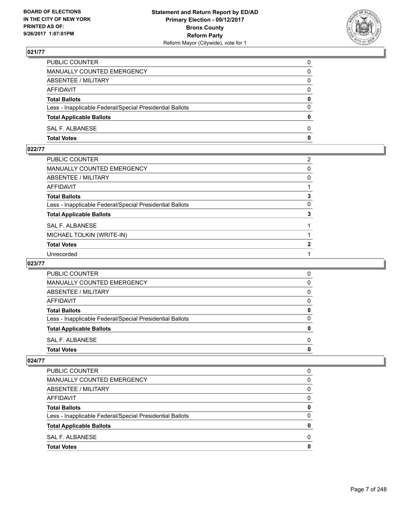

| PUBLIC COUNTER                                           | 0            |
|----------------------------------------------------------|--------------|
| MANUALLY COUNTED EMERGENCY                               | 0            |
| ABSENTEE / MILITARY                                      | $\Omega$     |
| AFFIDAVIT                                                | $\Omega$     |
| <b>Total Ballots</b>                                     | $\mathbf{0}$ |
| Less - Inapplicable Federal/Special Presidential Ballots | $\Omega$     |
| <b>Total Applicable Ballots</b>                          | $\bf{0}$     |
| SAL F. ALBANESE                                          | $\Omega$     |
| <b>Total Votes</b>                                       | 0            |

# **022/77**

| PUBLIC COUNTER                                           | $\overline{2}$ |
|----------------------------------------------------------|----------------|
| MANUALLY COUNTED EMERGENCY                               | 0              |
| ABSENTEE / MILITARY                                      | 0              |
| AFFIDAVIT                                                |                |
| <b>Total Ballots</b>                                     | 3              |
| Less - Inapplicable Federal/Special Presidential Ballots | 0              |
| <b>Total Applicable Ballots</b>                          | 3              |
| <b>SAL F. ALBANESE</b>                                   |                |
| MICHAEL TOLKIN (WRITE-IN)                                |                |
| <b>Total Votes</b>                                       | 2              |
| Unrecorded                                               |                |

#### **023/77**

| <b>PUBLIC COUNTER</b>                                    | 0 |
|----------------------------------------------------------|---|
| MANUALLY COUNTED EMERGENCY                               | 0 |
| ABSENTEE / MILITARY                                      | 0 |
| AFFIDAVIT                                                | O |
| <b>Total Ballots</b>                                     | o |
| Less - Inapplicable Federal/Special Presidential Ballots | 0 |
| <b>Total Applicable Ballots</b>                          | 0 |
| SAL F. ALBANESE                                          | O |
| <b>Total Votes</b>                                       |   |

| <b>Total Votes</b>                                       | 0 |
|----------------------------------------------------------|---|
| SAL F. ALBANESE                                          | 0 |
| <b>Total Applicable Ballots</b>                          | 0 |
| Less - Inapplicable Federal/Special Presidential Ballots | 0 |
| <b>Total Ballots</b>                                     | 0 |
| AFFIDAVIT                                                | 0 |
| ABSENTEE / MILITARY                                      | 0 |
| <b>MANUALLY COUNTED EMERGENCY</b>                        | 0 |
| PUBLIC COUNTER                                           | 0 |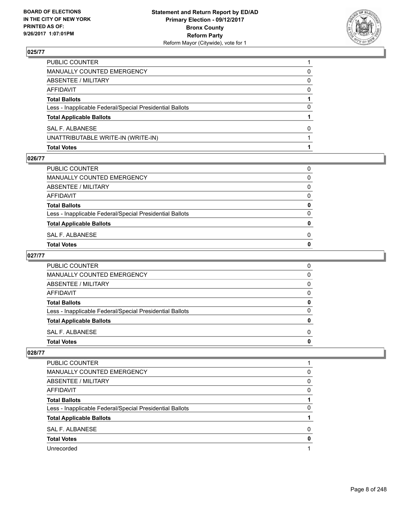

| <b>Total Votes</b>                                       |              |
|----------------------------------------------------------|--------------|
| UNATTRIBUTABLE WRITE-IN (WRITE-IN)                       |              |
| <b>SAL F. ALBANESE</b>                                   | <sup>0</sup> |
| <b>Total Applicable Ballots</b>                          |              |
| Less - Inapplicable Federal/Special Presidential Ballots | 0            |
| <b>Total Ballots</b>                                     |              |
| AFFIDAVIT                                                | <sup>0</sup> |
| <b>ABSENTEE / MILITARY</b>                               | 0            |
| MANUALLY COUNTED EMERGENCY                               | 0            |
| PUBLIC COUNTER                                           |              |

#### **026/77**

| PUBLIC COUNTER                                           | 0 |
|----------------------------------------------------------|---|
| MANUALLY COUNTED EMERGENCY                               | 0 |
| ABSENTEE / MILITARY                                      | 0 |
| AFFIDAVIT                                                | 0 |
| <b>Total Ballots</b>                                     | 0 |
| Less - Inapplicable Federal/Special Presidential Ballots | 0 |
| <b>Total Applicable Ballots</b>                          | 0 |
| SAL F. ALBANESE                                          | 0 |
| Total Votes                                              | 0 |

# **027/77**

| <b>PUBLIC COUNTER</b>                                    | O |
|----------------------------------------------------------|---|
| <b>MANUALLY COUNTED EMERGENCY</b>                        | O |
| ABSENTEE / MILITARY                                      | 0 |
| AFFIDAVIT                                                | O |
| <b>Total Ballots</b>                                     |   |
| Less - Inapplicable Federal/Special Presidential Ballots | n |
| <b>Total Applicable Ballots</b>                          |   |
| SAL F. ALBANESE                                          | O |
| <b>Total Votes</b>                                       |   |

| <b>PUBLIC COUNTER</b>                                    |   |
|----------------------------------------------------------|---|
| <b>MANUALLY COUNTED EMERGENCY</b>                        | 0 |
| ABSENTEE / MILITARY                                      | 0 |
| AFFIDAVIT                                                | 0 |
| <b>Total Ballots</b>                                     |   |
| Less - Inapplicable Federal/Special Presidential Ballots | 0 |
| <b>Total Applicable Ballots</b>                          |   |
| SAL F. ALBANESE                                          | 0 |
| <b>Total Votes</b>                                       | 0 |
| Unrecorded                                               |   |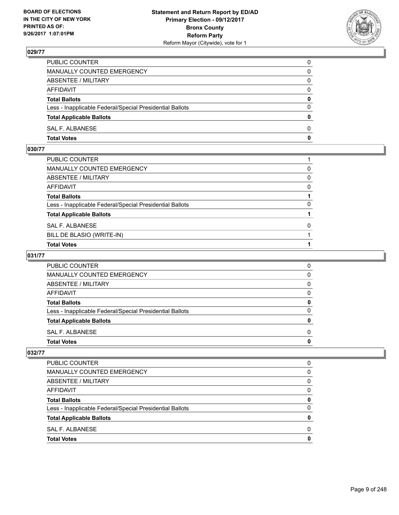

| PUBLIC COUNTER                                           | 0            |
|----------------------------------------------------------|--------------|
| MANUALLY COUNTED EMERGENCY                               | 0            |
| ABSENTEE / MILITARY                                      | 0            |
| AFFIDAVIT                                                | $\mathbf{0}$ |
| <b>Total Ballots</b>                                     | $\mathbf{0}$ |
| Less - Inapplicable Federal/Special Presidential Ballots | $\Omega$     |
| <b>Total Applicable Ballots</b>                          | $\mathbf{0}$ |
| SAL F. ALBANESE                                          | $\Omega$     |
| <b>Total Votes</b>                                       | 0            |

# **030/77**

| PUBLIC COUNTER                                           |   |
|----------------------------------------------------------|---|
| MANUALLY COUNTED EMERGENCY                               | 0 |
| ABSENTEE / MILITARY                                      | 0 |
| AFFIDAVIT                                                | 0 |
| Total Ballots                                            |   |
| Less - Inapplicable Federal/Special Presidential Ballots | 0 |
| <b>Total Applicable Ballots</b>                          |   |
| SAL F. ALBANESE                                          | 0 |
| BILL DE BLASIO (WRITE-IN)                                |   |
| <b>Total Votes</b>                                       |   |

# **031/77**

| <b>PUBLIC COUNTER</b>                                    |  |
|----------------------------------------------------------|--|
| <b>MANUALLY COUNTED EMERGENCY</b>                        |  |
| ABSENTEE / MILITARY                                      |  |
| AFFIDAVIT                                                |  |
| <b>Total Ballots</b>                                     |  |
| Less - Inapplicable Federal/Special Presidential Ballots |  |
| <b>Total Applicable Ballots</b>                          |  |
| SAL F. ALBANESE                                          |  |
| <b>Total Votes</b>                                       |  |

| <b>Total Votes</b>                                       | 0 |
|----------------------------------------------------------|---|
| SAL F. ALBANESE                                          | 0 |
| <b>Total Applicable Ballots</b>                          | 0 |
| Less - Inapplicable Federal/Special Presidential Ballots | 0 |
| <b>Total Ballots</b>                                     | 0 |
| AFFIDAVIT                                                | 0 |
| ABSENTEE / MILITARY                                      | 0 |
| MANUALLY COUNTED EMERGENCY                               | 0 |
| <b>PUBLIC COUNTER</b>                                    | 0 |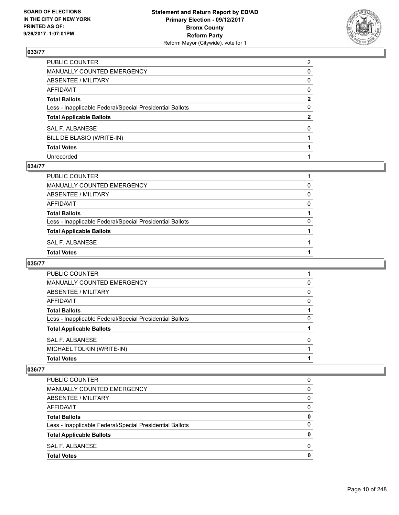

| PUBLIC COUNTER                                           | $\overline{2}$ |
|----------------------------------------------------------|----------------|
| MANUALLY COUNTED EMERGENCY                               | 0              |
| ABSENTEE / MILITARY                                      | 0              |
| AFFIDAVIT                                                | $\mathbf{0}$   |
| Total Ballots                                            | $\mathbf{2}$   |
| Less - Inapplicable Federal/Special Presidential Ballots | $\mathbf{0}$   |
| <b>Total Applicable Ballots</b>                          | $\mathbf{2}$   |
| SAL F. ALBANESE                                          | $\Omega$       |
| BILL DE BLASIO (WRITE-IN)                                |                |
| <b>Total Votes</b>                                       |                |
| Unrecorded                                               |                |

#### **034/77**

| PUBLIC COUNTER                                           |   |
|----------------------------------------------------------|---|
| <b>MANUALLY COUNTED EMERGENCY</b>                        | 0 |
| ABSENTEE / MILITARY                                      | 0 |
| <b>AFFIDAVIT</b>                                         | 0 |
| <b>Total Ballots</b>                                     |   |
| Less - Inapplicable Federal/Special Presidential Ballots | 0 |
| <b>Total Applicable Ballots</b>                          |   |
| SAL F. ALBANESE                                          |   |
| <b>Total Votes</b>                                       |   |

## **035/77**

| PUBLIC COUNTER                                           |   |
|----------------------------------------------------------|---|
| MANUALLY COUNTED EMERGENCY                               | 0 |
| ABSENTEE / MILITARY                                      | 0 |
| AFFIDAVIT                                                | 0 |
| <b>Total Ballots</b>                                     |   |
| Less - Inapplicable Federal/Special Presidential Ballots | 0 |
| <b>Total Applicable Ballots</b>                          |   |
| SAL F. ALBANESE                                          | 0 |
| MICHAEL TOLKIN (WRITE-IN)                                |   |
| <b>Total Votes</b>                                       |   |

| PUBLIC COUNTER                                           | 0 |
|----------------------------------------------------------|---|
| <b>MANUALLY COUNTED EMERGENCY</b>                        | 0 |
| ABSENTEE / MILITARY                                      | 0 |
| AFFIDAVIT                                                | 0 |
| <b>Total Ballots</b>                                     | 0 |
| Less - Inapplicable Federal/Special Presidential Ballots | 0 |
| <b>Total Applicable Ballots</b>                          | 0 |
| SAL F. ALBANESE                                          | 0 |
| <b>Total Votes</b>                                       | 0 |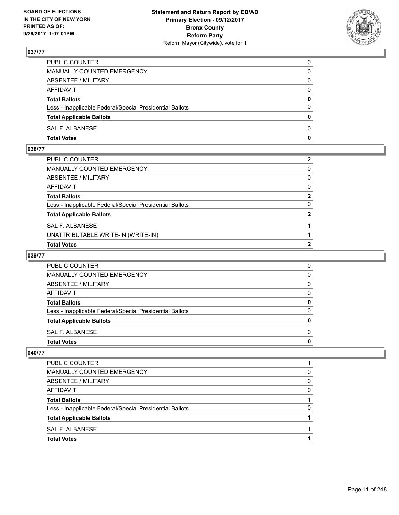

| PUBLIC COUNTER                                           | 0            |
|----------------------------------------------------------|--------------|
| MANUALLY COUNTED EMERGENCY                               | 0            |
| ABSENTEE / MILITARY                                      | 0            |
| AFFIDAVIT                                                | $\Omega$     |
| <b>Total Ballots</b>                                     | 0            |
| Less - Inapplicable Federal/Special Presidential Ballots | $\Omega$     |
| <b>Total Applicable Ballots</b>                          | $\bf{0}$     |
| SAL F. ALBANESE                                          | $\Omega$     |
| <b>Total Votes</b>                                       | $\mathbf{0}$ |

# **038/77**

| <b>Total Votes</b>                                       | 2              |
|----------------------------------------------------------|----------------|
| UNATTRIBUTABLE WRITE-IN (WRITE-IN)                       |                |
| SAL F. ALBANESE                                          |                |
| <b>Total Applicable Ballots</b>                          | $\overline{2}$ |
| Less - Inapplicable Federal/Special Presidential Ballots | $\Omega$       |
| Total Ballots                                            | $\mathbf{2}$   |
| AFFIDAVIT                                                | $\mathbf{0}$   |
| ABSENTEE / MILITARY                                      | $\mathbf{0}$   |
| MANUALLY COUNTED EMERGENCY                               | $\mathbf{0}$   |
| PUBLIC COUNTER                                           | 2              |

# **039/77**

| <b>PUBLIC COUNTER</b>                                    | O |
|----------------------------------------------------------|---|
| MANUALLY COUNTED EMERGENCY                               | 0 |
| ABSENTEE / MILITARY                                      | 0 |
| AFFIDAVIT                                                | 0 |
| <b>Total Ballots</b>                                     |   |
| Less - Inapplicable Federal/Special Presidential Ballots | O |
| <b>Total Applicable Ballots</b>                          |   |
| SAL F. ALBANESE                                          | O |
| <b>Total Votes</b>                                       |   |

| <b>Total Applicable Ballots</b><br>SAL F. ALBANESE       |   |
|----------------------------------------------------------|---|
|                                                          |   |
| Less - Inapplicable Federal/Special Presidential Ballots | 0 |
| <b>Total Ballots</b>                                     |   |
| AFFIDAVIT                                                | 0 |
| ABSENTEE / MILITARY                                      | 0 |
| MANUALLY COUNTED EMERGENCY                               | 0 |
| <b>PUBLIC COUNTER</b>                                    |   |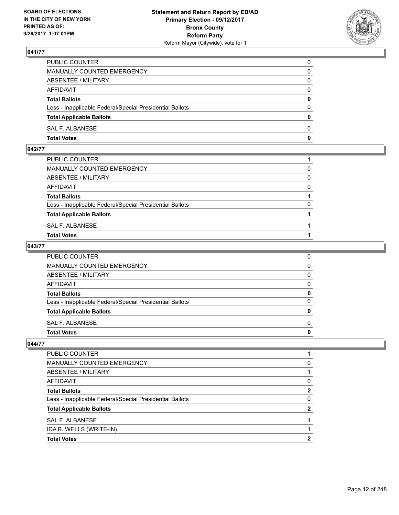

| PUBLIC COUNTER                                           | 0            |
|----------------------------------------------------------|--------------|
| MANUALLY COUNTED EMERGENCY                               | $\Omega$     |
| ABSENTEE / MILITARY                                      | $\mathbf{0}$ |
| AFFIDAVIT                                                | 0            |
| <b>Total Ballots</b>                                     | $\mathbf{0}$ |
| Less - Inapplicable Federal/Special Presidential Ballots | $\Omega$     |
| <b>Total Applicable Ballots</b>                          | $\mathbf{0}$ |
| SAL F. ALBANESE                                          | $\Omega$     |
| <b>Total Votes</b>                                       | $\mathbf{0}$ |

# **042/77**

| PUBLIC COUNTER                                           |          |
|----------------------------------------------------------|----------|
| MANUALLY COUNTED EMERGENCY                               | 0        |
| ABSENTEE / MILITARY                                      | $\Omega$ |
| AFFIDAVIT                                                | $\Omega$ |
| <b>Total Ballots</b>                                     |          |
| Less - Inapplicable Federal/Special Presidential Ballots | $\Omega$ |
| <b>Total Applicable Ballots</b>                          |          |
| SAL F. ALBANESE                                          |          |
| <b>Total Votes</b>                                       |          |
|                                                          |          |

#### **043/77**

| <b>Total Votes</b>                                       |              |
|----------------------------------------------------------|--------------|
|                                                          | $\mathbf{0}$ |
| SAL F. ALBANESE                                          | $\Omega$     |
| <b>Total Applicable Ballots</b>                          | 0            |
| Less - Inapplicable Federal/Special Presidential Ballots | $\Omega$     |
| <b>Total Ballots</b>                                     | 0            |
| <b>AFFIDAVIT</b>                                         | $\Omega$     |
| <b>ABSENTEE / MILITARY</b>                               | $\Omega$     |
| <b>MANUALLY COUNTED EMERGENCY</b>                        | $\mathbf{0}$ |
| PUBLIC COUNTER                                           | 0            |

| <b>Total Votes</b>                                       |          |
|----------------------------------------------------------|----------|
| IDA B. WELLS (WRITE-IN)                                  |          |
| SAL F. ALBANESE                                          |          |
| <b>Total Applicable Ballots</b>                          | 2        |
| Less - Inapplicable Federal/Special Presidential Ballots | 0        |
| <b>Total Ballots</b>                                     | 2        |
| AFFIDAVIT                                                | 0        |
| ABSENTEE / MILITARY                                      |          |
| MANUALLY COUNTED EMERGENCY                               | $\Omega$ |
| PUBLIC COUNTER                                           |          |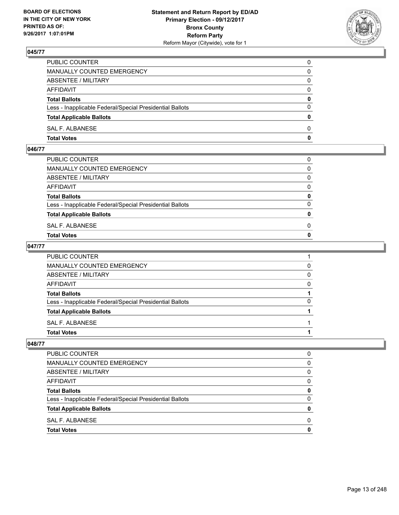

| PUBLIC COUNTER                                           | 0            |
|----------------------------------------------------------|--------------|
| MANUALLY COUNTED EMERGENCY                               | $\Omega$     |
| ABSENTEE / MILITARY                                      | $\mathbf{0}$ |
| AFFIDAVIT                                                | 0            |
| <b>Total Ballots</b>                                     | $\mathbf{0}$ |
| Less - Inapplicable Federal/Special Presidential Ballots | $\Omega$     |
| <b>Total Applicable Ballots</b>                          | $\mathbf{0}$ |
| SAL F. ALBANESE                                          | $\Omega$     |
| <b>Total Votes</b>                                       | $\mathbf{0}$ |

# **046/77**

| <b>Total Votes</b>                                       | $\mathbf{0}$ |
|----------------------------------------------------------|--------------|
| SAL F. ALBANESE                                          | 0            |
| <b>Total Applicable Ballots</b>                          | $\mathbf{0}$ |
| Less - Inapplicable Federal/Special Presidential Ballots | $\Omega$     |
| <b>Total Ballots</b>                                     | 0            |
| AFFIDAVIT                                                | $\Omega$     |
| ABSENTEE / MILITARY                                      | $\Omega$     |
| MANUALLY COUNTED EMERGENCY                               | $\Omega$     |
| PUBLIC COUNTER                                           | 0            |
|                                                          |              |

#### **047/77**

| PUBLIC COUNTER                                           |   |
|----------------------------------------------------------|---|
| MANUALLY COUNTED EMERGENCY                               | 0 |
| ABSENTEE / MILITARY                                      | 0 |
| AFFIDAVIT                                                | 0 |
| <b>Total Ballots</b>                                     |   |
| Less - Inapplicable Federal/Special Presidential Ballots | 0 |
| <b>Total Applicable Ballots</b>                          |   |
| SAL F. ALBANESE                                          |   |
| <b>Total Votes</b>                                       |   |
|                                                          |   |

| PUBLIC COUNTER                                           | O |
|----------------------------------------------------------|---|
| <b>MANUALLY COUNTED EMERGENCY</b>                        | 0 |
| <b>ABSENTEE / MILITARY</b>                               | 0 |
| <b>AFFIDAVIT</b>                                         | 0 |
| <b>Total Ballots</b>                                     | 0 |
| Less - Inapplicable Federal/Special Presidential Ballots | 0 |
| <b>Total Applicable Ballots</b>                          | 0 |
| <b>SAL F. ALBANESE</b>                                   | O |
| <b>Total Votes</b>                                       |   |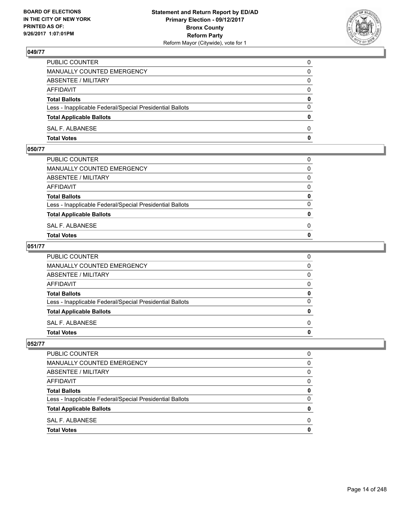

| PUBLIC COUNTER                                           | 0            |
|----------------------------------------------------------|--------------|
| MANUALLY COUNTED EMERGENCY                               | $\Omega$     |
| ABSENTEE / MILITARY                                      | $\mathbf{0}$ |
| AFFIDAVIT                                                | 0            |
| <b>Total Ballots</b>                                     | $\mathbf{0}$ |
| Less - Inapplicable Federal/Special Presidential Ballots | $\Omega$     |
| <b>Total Applicable Ballots</b>                          | $\mathbf{0}$ |
| SAL F. ALBANESE                                          | $\Omega$     |
| <b>Total Votes</b>                                       | $\mathbf{0}$ |

## **050/77**

| <b>Total Votes</b>                                       | $\mathbf{0}$ |
|----------------------------------------------------------|--------------|
| SAL F. ALBANESE                                          | 0            |
| <b>Total Applicable Ballots</b>                          | $\mathbf{0}$ |
| Less - Inapplicable Federal/Special Presidential Ballots | $\Omega$     |
| <b>Total Ballots</b>                                     | 0            |
| AFFIDAVIT                                                | $\Omega$     |
| ABSENTEE / MILITARY                                      | $\Omega$     |
| MANUALLY COUNTED EMERGENCY                               | $\Omega$     |
| PUBLIC COUNTER                                           | 0            |
|                                                          |              |

#### **051/77**

| PUBLIC COUNTER                                           | 0            |
|----------------------------------------------------------|--------------|
| MANUALLY COUNTED EMERGENCY                               | $\mathbf{0}$ |
| ABSENTEE / MILITARY                                      | $\mathbf{0}$ |
| AFFIDAVIT                                                | $\mathbf{0}$ |
| <b>Total Ballots</b>                                     | 0            |
| Less - Inapplicable Federal/Special Presidential Ballots | $\mathbf{0}$ |
| <b>Total Applicable Ballots</b>                          | 0            |
| SAL F. ALBANESE                                          | $\Omega$     |
| <b>Total Votes</b>                                       | 0            |
|                                                          |              |

| PUBLIC COUNTER                                           | n            |
|----------------------------------------------------------|--------------|
| <b>MANUALLY COUNTED EMERGENCY</b>                        | 0            |
| ABSENTEE / MILITARY                                      | 0            |
| <b>AFFIDAVIT</b>                                         | <sup>0</sup> |
| <b>Total Ballots</b>                                     |              |
| Less - Inapplicable Federal/Special Presidential Ballots | n            |
| <b>Total Applicable Ballots</b>                          |              |
| SAL F. ALBANESE                                          | n            |
| <b>Total Votes</b>                                       |              |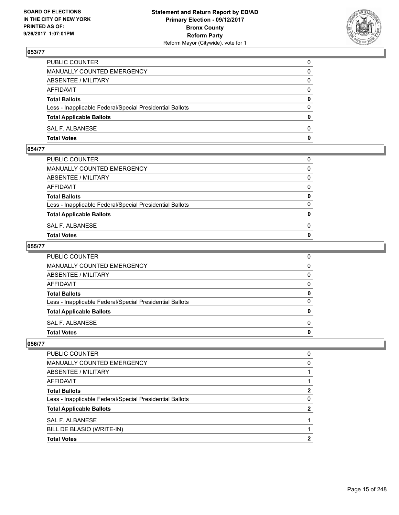

| PUBLIC COUNTER                                           | 0            |
|----------------------------------------------------------|--------------|
| MANUALLY COUNTED EMERGENCY                               | 0            |
| ABSENTEE / MILITARY                                      | 0            |
| AFFIDAVIT                                                | $\Omega$     |
| <b>Total Ballots</b>                                     | 0            |
| Less - Inapplicable Federal/Special Presidential Ballots | $\Omega$     |
| <b>Total Applicable Ballots</b>                          | $\mathbf{0}$ |
| SAL F. ALBANESE                                          | $\Omega$     |
| <b>Total Votes</b>                                       | $\mathbf 0$  |

## **054/77**

| <b>Total Votes</b>                                       | $\mathbf{0}$ |
|----------------------------------------------------------|--------------|
| SAL F. ALBANESE                                          | 0            |
| <b>Total Applicable Ballots</b>                          | $\mathbf{0}$ |
| Less - Inapplicable Federal/Special Presidential Ballots | $\Omega$     |
| <b>Total Ballots</b>                                     | 0            |
| AFFIDAVIT                                                | $\Omega$     |
| ABSENTEE / MILITARY                                      | $\Omega$     |
| MANUALLY COUNTED EMERGENCY                               | $\Omega$     |
| PUBLIC COUNTER                                           | 0            |
|                                                          |              |

#### **055/77**

| PUBLIC COUNTER                                           | 0            |
|----------------------------------------------------------|--------------|
| MANUALLY COUNTED EMERGENCY                               | $\mathbf{0}$ |
| ABSENTEE / MILITARY                                      | $\mathbf{0}$ |
| AFFIDAVIT                                                | $\mathbf{0}$ |
| <b>Total Ballots</b>                                     | 0            |
| Less - Inapplicable Federal/Special Presidential Ballots | $\mathbf{0}$ |
| <b>Total Applicable Ballots</b>                          | 0            |
| SAL F. ALBANESE                                          | $\Omega$     |
| Total Votes                                              | $\mathbf{0}$ |
|                                                          |              |

| <b>Total Votes</b>                                       |   |
|----------------------------------------------------------|---|
| BILL DE BLASIO (WRITE-IN)                                |   |
| SAL F. ALBANESE                                          |   |
| <b>Total Applicable Ballots</b>                          | 2 |
| Less - Inapplicable Federal/Special Presidential Ballots | 0 |
| <b>Total Ballots</b>                                     | 2 |
| AFFIDAVIT                                                |   |
| ABSENTEE / MILITARY                                      |   |
| MANUALLY COUNTED EMERGENCY                               | 0 |
| PUBLIC COUNTER                                           | 0 |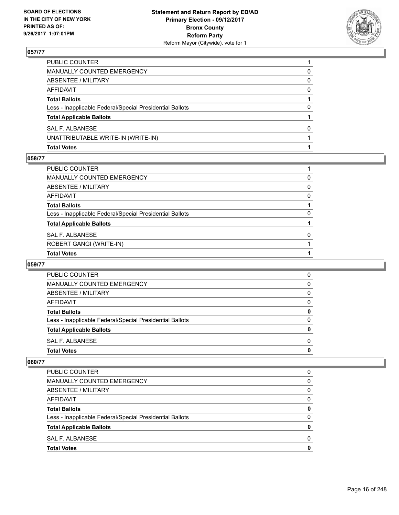

| <b>Total Votes</b>                                       |   |
|----------------------------------------------------------|---|
| UNATTRIBUTABLE WRITE-IN (WRITE-IN)                       |   |
| <b>SAL F. ALBANESE</b>                                   | 0 |
| <b>Total Applicable Ballots</b>                          |   |
| Less - Inapplicable Federal/Special Presidential Ballots | 0 |
| <b>Total Ballots</b>                                     |   |
| AFFIDAVIT                                                | 0 |
| <b>ABSENTEE / MILITARY</b>                               | 0 |
| <b>MANUALLY COUNTED EMERGENCY</b>                        | 0 |
| PUBLIC COUNTER                                           |   |

#### **058/77**

| PUBLIC COUNTER                                           |          |
|----------------------------------------------------------|----------|
| MANUALLY COUNTED EMERGENCY                               | 0        |
| ABSENTEE / MILITARY                                      | $\Omega$ |
| AFFIDAVIT                                                | $\Omega$ |
| Total Ballots                                            |          |
| Less - Inapplicable Federal/Special Presidential Ballots | 0        |
| <b>Total Applicable Ballots</b>                          |          |
| SAL F. ALBANESE                                          | $\Omega$ |
| ROBERT GANGI (WRITE-IN)                                  |          |
| <b>Total Votes</b>                                       |          |

#### **059/77**

| 0 |
|---|
|   |
| 0 |
| 0 |
| 0 |
| 0 |
| 0 |
| 0 |
| 0 |
| 0 |
|   |

| PUBLIC COUNTER                                           | 0 |
|----------------------------------------------------------|---|
| <b>MANUALLY COUNTED EMERGENCY</b>                        | 0 |
| ABSENTEE / MILITARY                                      | 0 |
| AFFIDAVIT                                                | 0 |
| <b>Total Ballots</b>                                     | 0 |
| Less - Inapplicable Federal/Special Presidential Ballots | 0 |
| <b>Total Applicable Ballots</b>                          | Ω |
| SAL F. ALBANESE                                          | 0 |
| <b>Total Votes</b>                                       | O |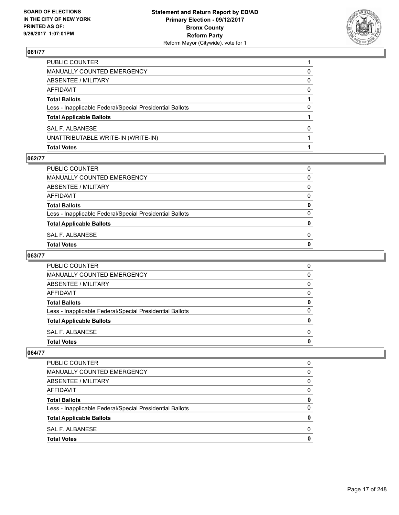

| <b>Total Votes</b>                                       |          |
|----------------------------------------------------------|----------|
| UNATTRIBUTABLE WRITE-IN (WRITE-IN)                       |          |
| SAL F. ALBANESE                                          | 0        |
| <b>Total Applicable Ballots</b>                          |          |
| Less - Inapplicable Federal/Special Presidential Ballots | 0        |
| <b>Total Ballots</b>                                     |          |
| AFFIDAVIT                                                | $\Omega$ |
| <b>ABSENTEE / MILITARY</b>                               | 0        |
| <b>MANUALLY COUNTED EMERGENCY</b>                        | 0        |
| PUBLIC COUNTER                                           |          |

#### **062/77**

| PUBLIC COUNTER                                           | 0            |
|----------------------------------------------------------|--------------|
| MANUALLY COUNTED EMERGENCY                               | 0            |
| ABSENTEE / MILITARY                                      | 0            |
| AFFIDAVIT                                                | 0            |
| <b>Total Ballots</b>                                     | 0            |
| Less - Inapplicable Federal/Special Presidential Ballots | 0            |
| <b>Total Applicable Ballots</b>                          | $\mathbf{0}$ |
| SAL F. ALBANESE                                          | 0            |
| Total Votes                                              | 0            |
|                                                          |              |

# **063/77**

| PUBLIC COUNTER                                           | 0 |
|----------------------------------------------------------|---|
| <b>MANUALLY COUNTED EMERGENCY</b>                        | O |
| ABSENTEE / MILITARY                                      | 0 |
| AFFIDAVIT                                                | O |
| <b>Total Ballots</b>                                     |   |
| Less - Inapplicable Federal/Special Presidential Ballots | n |
| <b>Total Applicable Ballots</b>                          |   |
| SAL F. ALBANESE                                          | O |
| <b>Total Votes</b>                                       |   |

| <b>Total Votes</b>                                       | 0        |
|----------------------------------------------------------|----------|
| SAL F. ALBANESE                                          | 0        |
| <b>Total Applicable Ballots</b>                          | 0        |
| Less - Inapplicable Federal/Special Presidential Ballots | $\Omega$ |
| <b>Total Ballots</b>                                     | 0        |
| AFFIDAVIT                                                | 0        |
| ABSENTEE / MILITARY                                      | 0        |
| MANUALLY COUNTED EMERGENCY                               | 0        |
| <b>PUBLIC COUNTER</b>                                    | 0        |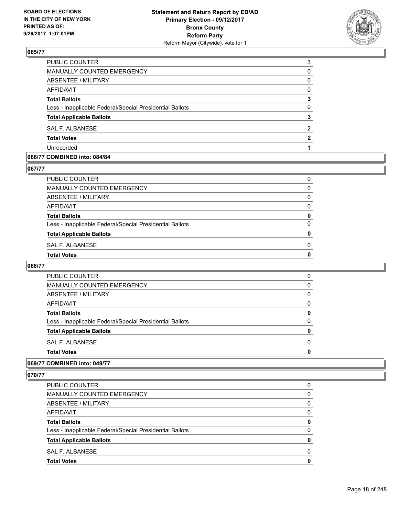

| PUBLIC COUNTER                                           | 3 |
|----------------------------------------------------------|---|
| MANUALLY COUNTED EMERGENCY                               | 0 |
| ABSENTEE / MILITARY                                      | 0 |
| AFFIDAVIT                                                | 0 |
| <b>Total Ballots</b>                                     | 3 |
| Less - Inapplicable Federal/Special Presidential Ballots | 0 |
| <b>Total Applicable Ballots</b>                          | 3 |
| SAL F. ALBANESE                                          | 2 |
| <b>Total Votes</b>                                       | 2 |
| Unrecorded                                               |   |
|                                                          |   |

#### **066/77 COMBINED into: 084/84**

#### **067/77**

| PUBLIC COUNTER                                           | 0        |
|----------------------------------------------------------|----------|
| MANUALLY COUNTED EMERGENCY                               | $\Omega$ |
| ABSENTEE / MILITARY                                      | 0        |
| AFFIDAVIT                                                | 0        |
| <b>Total Ballots</b>                                     | 0        |
| Less - Inapplicable Federal/Special Presidential Ballots | 0        |
| <b>Total Applicable Ballots</b>                          | n        |
| SAL F. ALBANESE                                          | 0        |
| Total Votes                                              | 0        |
|                                                          |          |

#### **068/77**

| <b>PUBLIC COUNTER</b>                                    | 0 |
|----------------------------------------------------------|---|
| <b>MANUALLY COUNTED EMERGENCY</b>                        | 0 |
| ABSENTEE / MILITARY                                      | 0 |
| AFFIDAVIT                                                | 0 |
| <b>Total Ballots</b>                                     | 0 |
| Less - Inapplicable Federal/Special Presidential Ballots | 0 |
| <b>Total Applicable Ballots</b>                          | 0 |
| SAL F. ALBANESE                                          | 0 |
| <b>Total Votes</b>                                       | O |
|                                                          |   |

#### **069/77 COMBINED into: 049/77**

| <b>Total Votes</b>                                       | 0            |
|----------------------------------------------------------|--------------|
| SAL F. ALBANESE                                          | <sup>0</sup> |
| <b>Total Applicable Ballots</b>                          | 0            |
| Less - Inapplicable Federal/Special Presidential Ballots | 0            |
| <b>Total Ballots</b>                                     | 0            |
| AFFIDAVIT                                                | $\Omega$     |
| ABSENTEE / MILITARY                                      | $\Omega$     |
| MANUALLY COUNTED EMERGENCY                               | 0            |
| PUBLIC COUNTER                                           | 0            |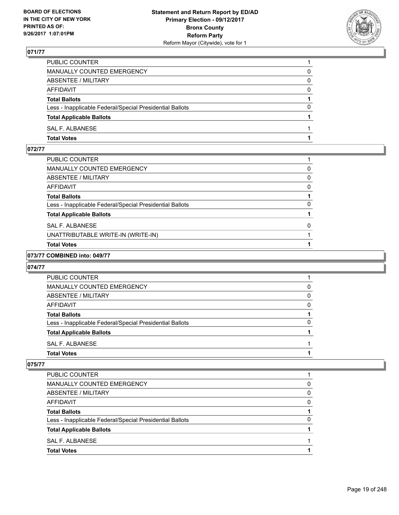

| PUBLIC COUNTER                                           |          |
|----------------------------------------------------------|----------|
| MANUALLY COUNTED EMERGENCY                               | 0        |
| ABSENTEE / MILITARY                                      | 0        |
| AFFIDAVIT                                                | $\Omega$ |
| <b>Total Ballots</b>                                     |          |
| Less - Inapplicable Federal/Special Presidential Ballots | $\Omega$ |
| <b>Total Applicable Ballots</b>                          |          |
| SAL F. ALBANESE                                          |          |
| <b>Total Votes</b>                                       |          |

#### **072/77**

| PUBLIC COUNTER                                           |   |
|----------------------------------------------------------|---|
| MANUALLY COUNTED EMERGENCY                               | 0 |
| ABSENTEE / MILITARY                                      | 0 |
| AFFIDAVIT                                                | 0 |
| <b>Total Ballots</b>                                     |   |
| Less - Inapplicable Federal/Special Presidential Ballots | 0 |
| <b>Total Applicable Ballots</b>                          |   |
| SAL F. ALBANESE                                          | 0 |
| UNATTRIBUTABLE WRITE-IN (WRITE-IN)                       |   |
| <b>Total Votes</b>                                       |   |

#### **073/77 COMBINED into: 049/77**

#### **074/77**

| <b>PUBLIC COUNTER</b>                                    |   |
|----------------------------------------------------------|---|
|                                                          |   |
| MANUALLY COUNTED EMERGENCY                               | 0 |
| ABSENTEE / MILITARY                                      | 0 |
| AFFIDAVIT                                                | 0 |
| <b>Total Ballots</b>                                     |   |
| Less - Inapplicable Federal/Special Presidential Ballots | 0 |
| <b>Total Applicable Ballots</b>                          |   |
| SAL F. ALBANESE                                          |   |
| <b>Total Votes</b>                                       |   |

| <b>Total Votes</b>                                       |   |
|----------------------------------------------------------|---|
| SAL F. ALBANESE                                          |   |
| <b>Total Applicable Ballots</b>                          |   |
| Less - Inapplicable Federal/Special Presidential Ballots | O |
| <b>Total Ballots</b>                                     |   |
| AFFIDAVIT                                                | 0 |
| ABSENTEE / MILITARY                                      | 0 |
| MANUALLY COUNTED EMERGENCY                               | 0 |
| PUBLIC COUNTER                                           |   |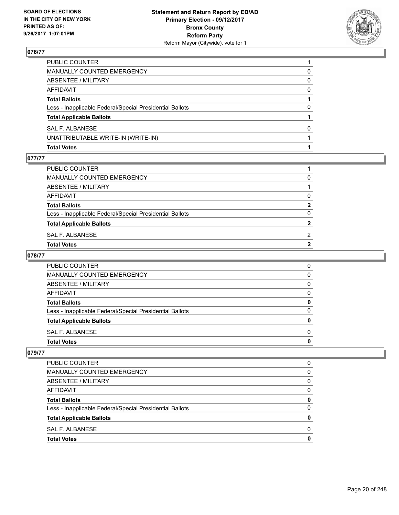

| <b>Total Votes</b>                                       |              |
|----------------------------------------------------------|--------------|
| UNATTRIBUTABLE WRITE-IN (WRITE-IN)                       |              |
| <b>SAL F. ALBANESE</b>                                   | <sup>0</sup> |
| <b>Total Applicable Ballots</b>                          |              |
| Less - Inapplicable Federal/Special Presidential Ballots | 0            |
| <b>Total Ballots</b>                                     |              |
| AFFIDAVIT                                                | 0            |
| <b>ABSENTEE / MILITARY</b>                               | 0            |
| <b>MANUALLY COUNTED EMERGENCY</b>                        | 0            |
| PUBLIC COUNTER                                           |              |

#### **077/77**

| PUBLIC COUNTER                                           |              |
|----------------------------------------------------------|--------------|
| MANUALLY COUNTED EMERGENCY                               | 0            |
| ABSENTEE / MILITARY                                      |              |
| AFFIDAVIT                                                | 0            |
| <b>Total Ballots</b>                                     | $\mathbf{2}$ |
| Less - Inapplicable Federal/Special Presidential Ballots | 0            |
| <b>Total Applicable Ballots</b>                          | 2            |
| SAL F. ALBANESE                                          | 2            |
| Total Votes                                              |              |
|                                                          |              |

# **078/77**

| PUBLIC COUNTER                                           | 0 |
|----------------------------------------------------------|---|
| MANUALLY COUNTED EMERGENCY                               | 0 |
| ABSENTEE / MILITARY                                      | 0 |
| AFFIDAVIT                                                | O |
| <b>Total Ballots</b>                                     |   |
| Less - Inapplicable Federal/Special Presidential Ballots | ŋ |
| <b>Total Applicable Ballots</b>                          |   |
| SAL F. ALBANESE                                          | O |
| <b>Total Votes</b>                                       |   |

| <b>Total Votes</b>                                       | 0 |
|----------------------------------------------------------|---|
| SAL F. ALBANESE                                          | 0 |
| <b>Total Applicable Ballots</b>                          | 0 |
| Less - Inapplicable Federal/Special Presidential Ballots | 0 |
| <b>Total Ballots</b>                                     | 0 |
| AFFIDAVIT                                                | 0 |
| ABSENTEE / MILITARY                                      | 0 |
| MANUALLY COUNTED EMERGENCY                               | 0 |
| <b>PUBLIC COUNTER</b>                                    | 0 |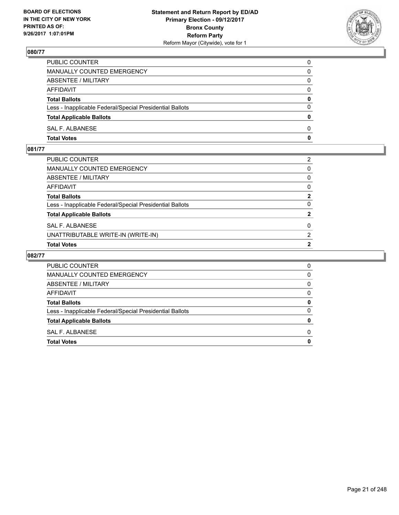

| PUBLIC COUNTER                                           | 0            |
|----------------------------------------------------------|--------------|
| MANUALLY COUNTED EMERGENCY                               | $\Omega$     |
| ABSENTEE / MILITARY                                      | $\mathbf{0}$ |
| AFFIDAVIT                                                | 0            |
| <b>Total Ballots</b>                                     | $\mathbf{0}$ |
| Less - Inapplicable Federal/Special Presidential Ballots | $\Omega$     |
| <b>Total Applicable Ballots</b>                          | $\mathbf{0}$ |
| SAL F. ALBANESE                                          | $\Omega$     |
| <b>Total Votes</b>                                       | $\mathbf{0}$ |

# **081/77**

| 0<br>2         |
|----------------|
|                |
|                |
| $\overline{2}$ |
| $\Omega$       |
| $\mathbf{2}$   |
| $\mathbf{0}$   |
| $\mathbf{0}$   |
| $\mathbf{0}$   |
| 2              |
|                |

| PUBLIC COUNTER                                           | 0 |
|----------------------------------------------------------|---|
| <b>MANUALLY COUNTED EMERGENCY</b>                        | 0 |
| ABSENTEE / MILITARY                                      | 0 |
| AFFIDAVIT                                                | 0 |
| <b>Total Ballots</b>                                     |   |
| Less - Inapplicable Federal/Special Presidential Ballots | O |
| <b>Total Applicable Ballots</b>                          |   |
| SAL F. ALBANESE                                          | O |
| <b>Total Votes</b>                                       |   |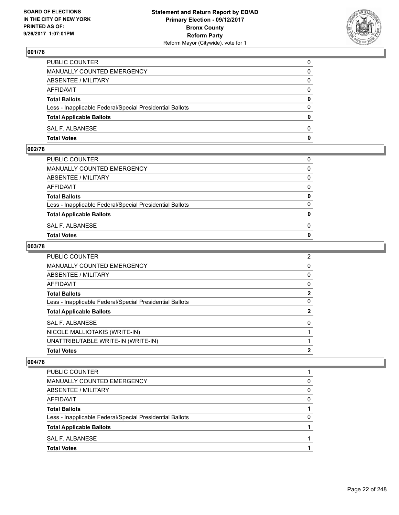

| PUBLIC COUNTER                                           | 0            |
|----------------------------------------------------------|--------------|
| MANUALLY COUNTED EMERGENCY                               | $\Omega$     |
| ABSENTEE / MILITARY                                      | $\mathbf{0}$ |
| AFFIDAVIT                                                | 0            |
| <b>Total Ballots</b>                                     | $\mathbf{0}$ |
| Less - Inapplicable Federal/Special Presidential Ballots | $\Omega$     |
| <b>Total Applicable Ballots</b>                          | $\mathbf{0}$ |
| SAL F. ALBANESE                                          | $\Omega$     |
| <b>Total Votes</b>                                       | $\mathbf{0}$ |

## **002/78**

| <b>Total Votes</b>                                       | $\mathbf{0}$ |
|----------------------------------------------------------|--------------|
| SAL F. ALBANESE                                          | 0            |
| <b>Total Applicable Ballots</b>                          | $\mathbf{0}$ |
| Less - Inapplicable Federal/Special Presidential Ballots | $\Omega$     |
| <b>Total Ballots</b>                                     | 0            |
| AFFIDAVIT                                                | $\Omega$     |
| ABSENTEE / MILITARY                                      | $\Omega$     |
| MANUALLY COUNTED EMERGENCY                               | $\Omega$     |
| PUBLIC COUNTER                                           | 0            |
|                                                          |              |

#### **003/78**

| PUBLIC COUNTER                                           | $\overline{2}$ |
|----------------------------------------------------------|----------------|
| <b>MANUALLY COUNTED EMERGENCY</b>                        | 0              |
| <b>ABSENTEE / MILITARY</b>                               | 0              |
| <b>AFFIDAVIT</b>                                         | 0              |
| <b>Total Ballots</b>                                     | $\mathbf{2}$   |
| Less - Inapplicable Federal/Special Presidential Ballots | 0              |
| <b>Total Applicable Ballots</b>                          | 2              |
| <b>SAL F. ALBANESE</b>                                   | $\Omega$       |
| NICOLE MALLIOTAKIS (WRITE-IN)                            |                |
| UNATTRIBUTABLE WRITE-IN (WRITE-IN)                       |                |
| <b>Total Votes</b>                                       | $\mathbf{2}$   |

| PUBLIC COUNTER                                           |   |
|----------------------------------------------------------|---|
| MANUALLY COUNTED EMERGENCY                               | 0 |
| ABSENTEE / MILITARY                                      | 0 |
| AFFIDAVIT                                                | 0 |
| <b>Total Ballots</b>                                     |   |
| Less - Inapplicable Federal/Special Presidential Ballots | 0 |
| <b>Total Applicable Ballots</b>                          |   |
| SAL F. ALBANESE                                          |   |
| <b>Total Votes</b>                                       |   |
|                                                          |   |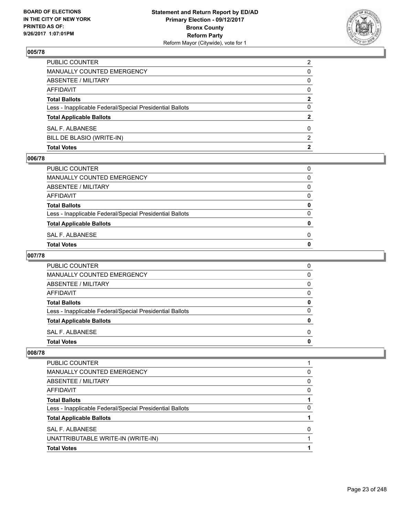

| <b>Total Votes</b>                                       | 2              |
|----------------------------------------------------------|----------------|
| BILL DE BLASIO (WRITE-IN)                                | 2              |
| SAL F. ALBANESE                                          | 0              |
| <b>Total Applicable Ballots</b>                          | 2              |
| Less - Inapplicable Federal/Special Presidential Ballots | 0              |
| <b>Total Ballots</b>                                     | 2              |
| <b>AFFIDAVIT</b>                                         | $\Omega$       |
| <b>ABSENTEE / MILITARY</b>                               | 0              |
| <b>MANUALLY COUNTED EMERGENCY</b>                        | 0              |
| PUBLIC COUNTER                                           | $\overline{2}$ |

#### **006/78**

| PUBLIC COUNTER                                           | 0 |
|----------------------------------------------------------|---|
| MANUALLY COUNTED EMERGENCY                               | 0 |
| ABSENTEE / MILITARY                                      | 0 |
| AFFIDAVIT                                                | 0 |
| <b>Total Ballots</b>                                     | 0 |
| Less - Inapplicable Federal/Special Presidential Ballots | 0 |
| <b>Total Applicable Ballots</b>                          | 0 |
| SAL F. ALBANESE                                          | 0 |
| Total Votes                                              | o |

# **007/78**

| <b>PUBLIC COUNTER</b>                                    | 0 |
|----------------------------------------------------------|---|
| MANUALLY COUNTED EMERGENCY                               | 0 |
| ABSENTEE / MILITARY                                      | 0 |
| AFFIDAVIT                                                | 0 |
| <b>Total Ballots</b>                                     | 0 |
| Less - Inapplicable Federal/Special Presidential Ballots | O |
| <b>Total Applicable Ballots</b>                          | n |
| SAL F. ALBANESE                                          | 0 |
| <b>Total Votes</b>                                       |   |

| <b>Total Votes</b>                                       |   |
|----------------------------------------------------------|---|
| UNATTRIBUTABLE WRITE-IN (WRITE-IN)                       |   |
| SAL F. ALBANESE                                          | 0 |
| <b>Total Applicable Ballots</b>                          |   |
| Less - Inapplicable Federal/Special Presidential Ballots | 0 |
| <b>Total Ballots</b>                                     |   |
| AFFIDAVIT                                                | 0 |
| ABSENTEE / MILITARY                                      | 0 |
| <b>MANUALLY COUNTED EMERGENCY</b>                        | 0 |
| <b>PUBLIC COUNTER</b>                                    |   |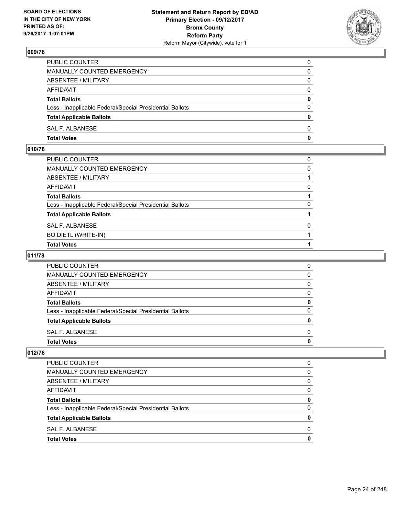

| PUBLIC COUNTER                                           | 0            |
|----------------------------------------------------------|--------------|
| MANUALLY COUNTED EMERGENCY                               | 0            |
| ABSENTEE / MILITARY                                      | 0            |
| AFFIDAVIT                                                | $\Omega$     |
| <b>Total Ballots</b>                                     | $\mathbf{0}$ |
| Less - Inapplicable Federal/Special Presidential Ballots | $\Omega$     |
| <b>Total Applicable Ballots</b>                          | $\mathbf{0}$ |
| <b>SAL F. ALBANESE</b>                                   | 0            |
| <b>Total Votes</b>                                       | 0            |

## **010/78**

| PUBLIC COUNTER                                           | 0 |
|----------------------------------------------------------|---|
| MANUALLY COUNTED EMERGENCY                               | 0 |
| ABSENTEE / MILITARY                                      |   |
| AFFIDAVIT                                                | 0 |
| Total Ballots                                            |   |
| Less - Inapplicable Federal/Special Presidential Ballots | 0 |
| <b>Total Applicable Ballots</b>                          |   |
| SAL F. ALBANESE                                          | 0 |
| <b>BO DIETL (WRITE-IN)</b>                               |   |
| <b>Total Votes</b>                                       |   |

# **011/78**

| <b>PUBLIC COUNTER</b>                                    |   |
|----------------------------------------------------------|---|
| MANUALLY COUNTED EMERGENCY                               | O |
| ABSENTEE / MILITARY                                      |   |
| AFFIDAVIT                                                |   |
| <b>Total Ballots</b>                                     | o |
| Less - Inapplicable Federal/Special Presidential Ballots |   |
| <b>Total Applicable Ballots</b>                          |   |
| SAL F. ALBANESE                                          |   |
| <b>Total Votes</b>                                       |   |

| <b>Total Votes</b>                                       | 0 |
|----------------------------------------------------------|---|
| SAL F. ALBANESE                                          | 0 |
| <b>Total Applicable Ballots</b>                          | 0 |
| Less - Inapplicable Federal/Special Presidential Ballots | 0 |
| <b>Total Ballots</b>                                     | 0 |
| AFFIDAVIT                                                | 0 |
| ABSENTEE / MILITARY                                      | 0 |
| MANUALLY COUNTED EMERGENCY                               | 0 |
| PUBLIC COUNTER                                           | 0 |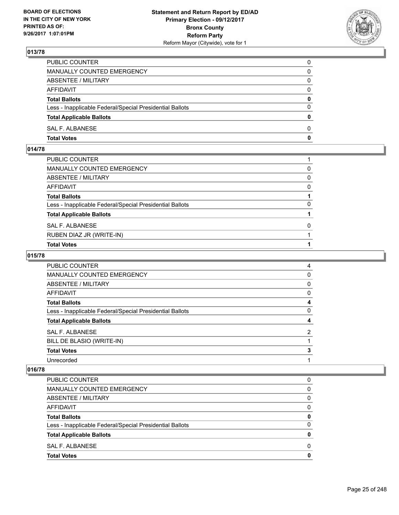

| PUBLIC COUNTER                                           | 0            |
|----------------------------------------------------------|--------------|
| MANUALLY COUNTED EMERGENCY                               | 0            |
| ABSENTEE / MILITARY                                      | 0            |
| AFFIDAVIT                                                | $\Omega$     |
| <b>Total Ballots</b>                                     | 0            |
| Less - Inapplicable Federal/Special Presidential Ballots | $\Omega$     |
| <b>Total Applicable Ballots</b>                          | $\mathbf{0}$ |
| SAL F. ALBANESE                                          | $\Omega$     |
| <b>Total Votes</b>                                       | $\mathbf 0$  |

# **014/78**

| PUBLIC COUNTER                                           |          |
|----------------------------------------------------------|----------|
| MANUALLY COUNTED EMERGENCY                               | 0        |
| ABSENTEE / MILITARY                                      | 0        |
| AFFIDAVIT                                                | 0        |
| <b>Total Ballots</b>                                     |          |
| Less - Inapplicable Federal/Special Presidential Ballots | 0        |
| <b>Total Applicable Ballots</b>                          |          |
| SAL F. ALBANESE                                          | $\Omega$ |
| RUBEN DIAZ JR (WRITE-IN)                                 |          |
| <b>Total Votes</b>                                       |          |

# **015/78**

| <b>PUBLIC COUNTER</b>                                    | 4              |
|----------------------------------------------------------|----------------|
| <b>MANUALLY COUNTED EMERGENCY</b>                        | 0              |
| ABSENTEE / MILITARY                                      | 0              |
| AFFIDAVIT                                                | 0              |
| <b>Total Ballots</b>                                     | 4              |
| Less - Inapplicable Federal/Special Presidential Ballots | 0              |
| <b>Total Applicable Ballots</b>                          | 4              |
| SAL F. ALBANESE                                          | $\overline{2}$ |
| BILL DE BLASIO (WRITE-IN)                                |                |
| <b>Total Votes</b>                                       | 3              |
| Unrecorded                                               |                |

| PUBLIC COUNTER                                           | 0 |
|----------------------------------------------------------|---|
| MANUALLY COUNTED EMERGENCY                               | 0 |
| ABSENTEE / MILITARY                                      | 0 |
| AFFIDAVIT                                                | 0 |
| <b>Total Ballots</b>                                     | 0 |
| Less - Inapplicable Federal/Special Presidential Ballots | O |
| <b>Total Applicable Ballots</b>                          | 0 |
| SAL F. ALBANESE                                          | 0 |
| <b>Total Votes</b>                                       | 0 |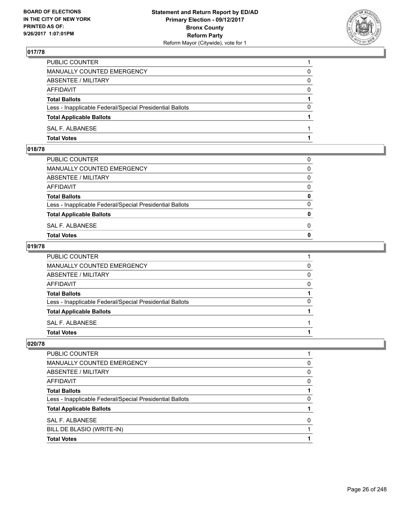

| PUBLIC COUNTER                                           |          |
|----------------------------------------------------------|----------|
| MANUALLY COUNTED EMERGENCY                               | 0        |
| ABSENTEE / MILITARY                                      | 0        |
| AFFIDAVIT                                                | $\Omega$ |
| <b>Total Ballots</b>                                     |          |
| Less - Inapplicable Federal/Special Presidential Ballots | $\Omega$ |
| <b>Total Applicable Ballots</b>                          |          |
| SAL F. ALBANESE                                          |          |
| <b>Total Votes</b>                                       |          |

# **018/78**

| MANUALLY COUNTED EMERGENCY                               |              |
|----------------------------------------------------------|--------------|
| ABSENTEE / MILITARY                                      | $\Omega$     |
| AFFIDAVIT                                                | $\mathbf{0}$ |
| <b>Total Ballots</b>                                     | $\mathbf{0}$ |
| Less - Inapplicable Federal/Special Presidential Ballots | $\Omega$     |
| <b>Total Applicable Ballots</b>                          | $\mathbf{0}$ |
| SAL F. ALBANESE                                          | 0            |
| <b>Total Votes</b>                                       | $\mathbf{0}$ |
|                                                          |              |

#### **019/78**

| <b>Total Votes</b>                                       |          |
|----------------------------------------------------------|----------|
| <b>SAL F. ALBANESE</b>                                   |          |
| <b>Total Applicable Ballots</b>                          |          |
| Less - Inapplicable Federal/Special Presidential Ballots | 0        |
| <b>Total Ballots</b>                                     |          |
| <b>AFFIDAVIT</b>                                         | $\Omega$ |
| <b>ABSENTEE / MILITARY</b>                               | $\Omega$ |
| <b>MANUALLY COUNTED EMERGENCY</b>                        | 0        |
| PUBLIC COUNTER                                           |          |

| <b>Total Votes</b>                                       |   |
|----------------------------------------------------------|---|
| BILL DE BLASIO (WRITE-IN)                                |   |
| SAL F. ALBANESE                                          | 0 |
| <b>Total Applicable Ballots</b>                          |   |
| Less - Inapplicable Federal/Special Presidential Ballots | 0 |
| <b>Total Ballots</b>                                     |   |
| AFFIDAVIT                                                | 0 |
| ABSENTEE / MILITARY                                      | 0 |
| <b>MANUALLY COUNTED EMERGENCY</b>                        | 0 |
| PUBLIC COUNTER                                           |   |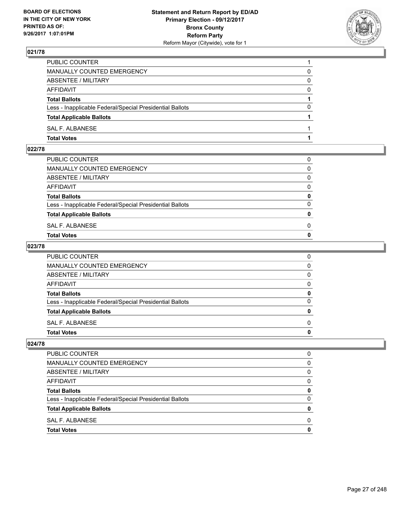

| PUBLIC COUNTER                                           |          |
|----------------------------------------------------------|----------|
| MANUALLY COUNTED EMERGENCY                               | 0        |
| ABSENTEE / MILITARY                                      | 0        |
| AFFIDAVIT                                                | 0        |
| <b>Total Ballots</b>                                     |          |
| Less - Inapplicable Federal/Special Presidential Ballots | $\Omega$ |
| <b>Total Applicable Ballots</b>                          |          |
| SAL F. ALBANESE                                          |          |
| <b>Total Votes</b>                                       |          |

# **022/78**

| <b>Total Votes</b>                                       | $\mathbf{0}$ |
|----------------------------------------------------------|--------------|
| SAL F. ALBANESE                                          | 0            |
| <b>Total Applicable Ballots</b>                          | $\mathbf{0}$ |
| Less - Inapplicable Federal/Special Presidential Ballots | $\Omega$     |
| <b>Total Ballots</b>                                     | 0            |
| AFFIDAVIT                                                | $\Omega$     |
| ABSENTEE / MILITARY                                      | $\Omega$     |
| MANUALLY COUNTED EMERGENCY                               | $\Omega$     |
| PUBLIC COUNTER                                           | 0            |
|                                                          |              |

#### **023/78**

| PUBLIC COUNTER                                           | 0            |
|----------------------------------------------------------|--------------|
| MANUALLY COUNTED EMERGENCY                               | $\mathbf{0}$ |
| ABSENTEE / MILITARY                                      | $\mathbf{0}$ |
| AFFIDAVIT                                                | $\Omega$     |
| <b>Total Ballots</b>                                     | 0            |
| Less - Inapplicable Federal/Special Presidential Ballots | $\mathbf{0}$ |
| <b>Total Applicable Ballots</b>                          | 0            |
| SAL F. ALBANESE                                          | $\Omega$     |
| Total Votes                                              | $\mathbf{0}$ |
|                                                          |              |

| PUBLIC COUNTER                                           | n            |
|----------------------------------------------------------|--------------|
| <b>MANUALLY COUNTED EMERGENCY</b>                        | 0            |
| ABSENTEE / MILITARY                                      | 0            |
| <b>AFFIDAVIT</b>                                         | <sup>0</sup> |
| <b>Total Ballots</b>                                     |              |
| Less - Inapplicable Federal/Special Presidential Ballots | n            |
| <b>Total Applicable Ballots</b>                          |              |
| SAL F. ALBANESE                                          | n            |
| <b>Total Votes</b>                                       |              |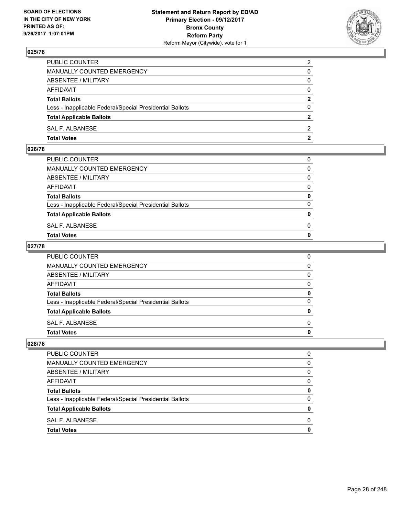

| PUBLIC COUNTER                                           | $\overline{2}$ |
|----------------------------------------------------------|----------------|
| MANUALLY COUNTED EMERGENCY                               | 0              |
| ABSENTEE / MILITARY                                      | $\mathbf{0}$   |
| AFFIDAVIT                                                | $\mathbf{0}$   |
| <b>Total Ballots</b>                                     | $\mathbf{2}$   |
| Less - Inapplicable Federal/Special Presidential Ballots | $\mathbf{0}$   |
| <b>Total Applicable Ballots</b>                          | $\mathbf{2}$   |
| SAL F. ALBANESE                                          | 2              |
| <b>Total Votes</b>                                       | $\mathbf{2}$   |

#### **026/78**

| MANUALLY COUNTED EMERGENCY                               |              |
|----------------------------------------------------------|--------------|
| ABSENTEE / MILITARY                                      | $\Omega$     |
| AFFIDAVIT                                                | $\mathbf{0}$ |
| <b>Total Ballots</b>                                     | $\mathbf{0}$ |
| Less - Inapplicable Federal/Special Presidential Ballots | $\Omega$     |
| <b>Total Applicable Ballots</b>                          | $\mathbf{0}$ |
| SAL F. ALBANESE                                          | 0            |
| <b>Total Votes</b>                                       | $\mathbf{0}$ |
|                                                          |              |

#### **027/78**

| PUBLIC COUNTER                                           | 0            |
|----------------------------------------------------------|--------------|
| MANUALLY COUNTED EMERGENCY                               | $\mathbf{0}$ |
| ABSENTEE / MILITARY                                      | $\mathbf{0}$ |
| AFFIDAVIT                                                | $\mathbf{0}$ |
| <b>Total Ballots</b>                                     | 0            |
| Less - Inapplicable Federal/Special Presidential Ballots | $\mathbf{0}$ |
| <b>Total Applicable Ballots</b>                          | $\mathbf{0}$ |
| SAL F. ALBANESE                                          | $\Omega$     |
| <b>Total Votes</b>                                       | 0            |
|                                                          |              |

| PUBLIC COUNTER                                           |   |
|----------------------------------------------------------|---|
| MANUALLY COUNTED EMERGENCY                               | 0 |
| ABSENTEE / MILITARY                                      | 0 |
| <b>AFFIDAVIT</b>                                         | 0 |
| <b>Total Ballots</b>                                     | o |
| Less - Inapplicable Federal/Special Presidential Ballots | 0 |
| <b>Total Applicable Ballots</b>                          |   |
| SAL F. ALBANESE                                          | n |
| <b>Total Votes</b>                                       |   |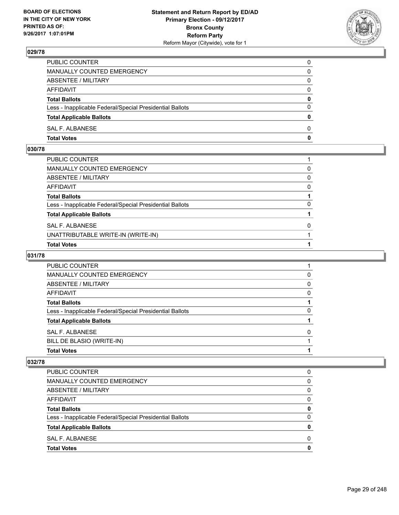

| PUBLIC COUNTER                                           | 0            |
|----------------------------------------------------------|--------------|
| MANUALLY COUNTED EMERGENCY                               | $\Omega$     |
| ABSENTEE / MILITARY                                      | $\mathbf{0}$ |
| AFFIDAVIT                                                | 0            |
| <b>Total Ballots</b>                                     | 0            |
| Less - Inapplicable Federal/Special Presidential Ballots | $\mathbf{0}$ |
| <b>Total Applicable Ballots</b>                          | $\bf{0}$     |
| SAL F. ALBANESE                                          | $\Omega$     |
| <b>Total Votes</b>                                       | $\mathbf{0}$ |

# **030/78**

| PUBLIC COUNTER                                           |   |
|----------------------------------------------------------|---|
| MANUALLY COUNTED EMERGENCY                               | 0 |
| ABSENTEE / MILITARY                                      | 0 |
| AFFIDAVIT                                                | 0 |
| Total Ballots                                            |   |
| Less - Inapplicable Federal/Special Presidential Ballots | 0 |
| <b>Total Applicable Ballots</b>                          |   |
| SAL F. ALBANESE                                          | 0 |
| UNATTRIBUTABLE WRITE-IN (WRITE-IN)                       |   |
| Total Votes                                              |   |

# **031/78**

| PUBLIC COUNTER                                           |              |
|----------------------------------------------------------|--------------|
| <b>MANUALLY COUNTED EMERGENCY</b>                        | 0            |
| ABSENTEE / MILITARY                                      | <sup>0</sup> |
| AFFIDAVIT                                                | <sup>0</sup> |
| <b>Total Ballots</b>                                     |              |
| Less - Inapplicable Federal/Special Presidential Ballots | $\mathbf{0}$ |
| <b>Total Applicable Ballots</b>                          |              |
| SAL F. ALBANESE                                          |              |
| BILL DE BLASIO (WRITE-IN)                                |              |
| <b>Total Votes</b>                                       |              |

| PUBLIC COUNTER                                           |   |
|----------------------------------------------------------|---|
| <b>MANUALLY COUNTED EMERGENCY</b>                        | O |
| ABSENTEE / MILITARY                                      | 0 |
| AFFIDAVIT                                                | 0 |
| <b>Total Ballots</b>                                     | 0 |
| Less - Inapplicable Federal/Special Presidential Ballots | 0 |
| <b>Total Applicable Ballots</b>                          | o |
| SAL F. ALBANESE                                          |   |
| <b>Total Votes</b>                                       |   |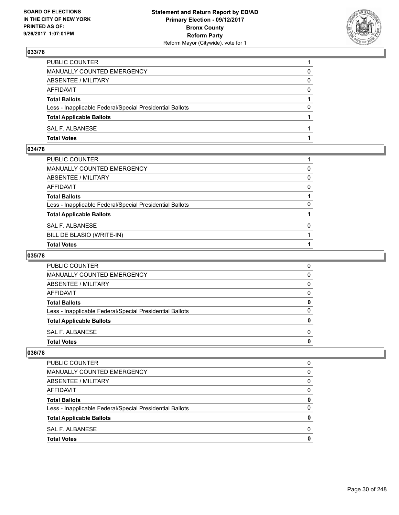

| PUBLIC COUNTER                                           |          |
|----------------------------------------------------------|----------|
| MANUALLY COUNTED EMERGENCY                               | 0        |
| ABSENTEE / MILITARY                                      | 0        |
| AFFIDAVIT                                                | $\Omega$ |
| <b>Total Ballots</b>                                     |          |
| Less - Inapplicable Federal/Special Presidential Ballots | $\Omega$ |
| <b>Total Applicable Ballots</b>                          |          |
| SAL F. ALBANESE                                          |          |
| <b>Total Votes</b>                                       |          |

# **034/78**

| PUBLIC COUNTER                                           |              |
|----------------------------------------------------------|--------------|
| MANUALLY COUNTED EMERGENCY                               | 0            |
| ABSENTEE / MILITARY                                      | 0            |
| AFFIDAVIT                                                | $\mathbf{0}$ |
| Total Ballots                                            |              |
| Less - Inapplicable Federal/Special Presidential Ballots | $\Omega$     |
| <b>Total Applicable Ballots</b>                          |              |
| SAL F. ALBANESE                                          | $\mathbf{0}$ |
| BILL DE BLASIO (WRITE-IN)                                |              |
| <b>Total Votes</b>                                       |              |

# **035/78**

| PUBLIC COUNTER                                           | 0 |
|----------------------------------------------------------|---|
| <b>MANUALLY COUNTED EMERGENCY</b>                        | 0 |
| ABSENTEE / MILITARY                                      | 0 |
| AFFIDAVIT                                                | 0 |
| <b>Total Ballots</b>                                     |   |
| Less - Inapplicable Federal/Special Presidential Ballots | O |
| <b>Total Applicable Ballots</b>                          |   |
| SAL F. ALBANESE                                          | O |
| <b>Total Votes</b>                                       |   |

| <b>Total Votes</b>                                       | 0 |
|----------------------------------------------------------|---|
| SAL F. ALBANESE                                          | 0 |
| <b>Total Applicable Ballots</b>                          | 0 |
| Less - Inapplicable Federal/Special Presidential Ballots | 0 |
| <b>Total Ballots</b>                                     | 0 |
| AFFIDAVIT                                                | 0 |
| ABSENTEE / MILITARY                                      | 0 |
| MANUALLY COUNTED EMERGENCY                               | 0 |
| PUBLIC COUNTER                                           | 0 |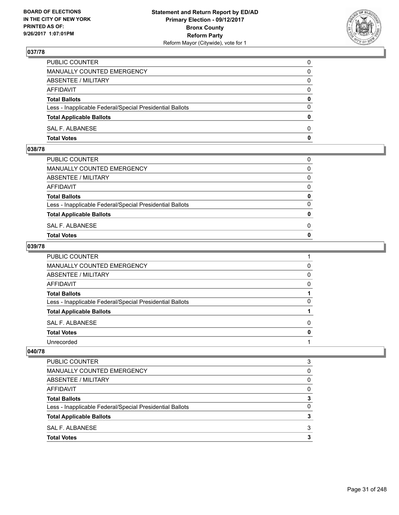

| PUBLIC COUNTER                                           | 0            |
|----------------------------------------------------------|--------------|
| MANUALLY COUNTED EMERGENCY                               | $\mathbf{0}$ |
| ABSENTEE / MILITARY                                      | 0            |
| AFFIDAVIT                                                | 0            |
| <b>Total Ballots</b>                                     | 0            |
| Less - Inapplicable Federal/Special Presidential Ballots | $\mathbf{0}$ |
| <b>Total Applicable Ballots</b>                          | $\mathbf{0}$ |
| SAL F. ALBANESE                                          | $\Omega$     |
| <b>Total Votes</b>                                       | $\mathbf{0}$ |

#### **038/78**

| MANUALLY COUNTED EMERGENCY                               |              |
|----------------------------------------------------------|--------------|
| ABSENTEE / MILITARY                                      | $\Omega$     |
| AFFIDAVIT                                                | $\mathbf{0}$ |
| <b>Total Ballots</b>                                     | $\mathbf{0}$ |
| Less - Inapplicable Federal/Special Presidential Ballots | $\Omega$     |
| <b>Total Applicable Ballots</b>                          | $\mathbf{0}$ |
| SAL F. ALBANESE                                          | 0            |
| <b>Total Votes</b>                                       | $\mathbf{0}$ |
|                                                          |              |

#### **039/78**

| PUBLIC COUNTER                                           |   |
|----------------------------------------------------------|---|
| MANUALLY COUNTED EMERGENCY                               | 0 |
| ABSENTEE / MILITARY                                      | 0 |
| <b>AFFIDAVIT</b>                                         | 0 |
| <b>Total Ballots</b>                                     |   |
| Less - Inapplicable Federal/Special Presidential Ballots | 0 |
| <b>Total Applicable Ballots</b>                          |   |
| SAL F. ALBANESE                                          | 0 |
| <b>Total Votes</b>                                       | 0 |
| Unrecorded                                               |   |

| PUBLIC COUNTER                                           | 3        |
|----------------------------------------------------------|----------|
| MANUALLY COUNTED EMERGENCY                               | $\Omega$ |
| ABSENTEE / MILITARY                                      | 0        |
| AFFIDAVIT                                                | 0        |
| <b>Total Ballots</b>                                     |          |
| Less - Inapplicable Federal/Special Presidential Ballots | 0        |
| <b>Total Applicable Ballots</b>                          |          |
| SAL F. ALBANESE                                          | 3        |
| <b>Total Votes</b>                                       |          |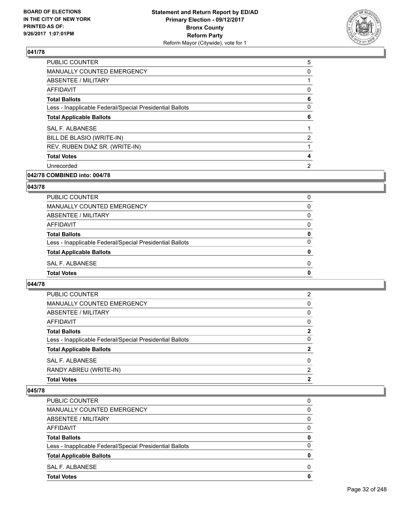

| <b>PUBLIC COUNTER</b>                                    | 5 |
|----------------------------------------------------------|---|
| MANUALLY COUNTED EMERGENCY                               | 0 |
| ABSENTEE / MILITARY                                      |   |
| AFFIDAVIT                                                | 0 |
| <b>Total Ballots</b>                                     | 6 |
| Less - Inapplicable Federal/Special Presidential Ballots | 0 |
| <b>Total Applicable Ballots</b>                          | 6 |
| <b>SAL F. ALBANESE</b>                                   |   |
| BILL DE BLASIO (WRITE-IN)                                | 2 |
| REV. RUBEN DIAZ SR. (WRITE-IN)                           |   |
| <b>Total Votes</b>                                       | 4 |
| Unrecorded                                               | 2 |
|                                                          |   |

# **042/78 COMBINED into: 004/78**

#### **043/78**

| <b>PUBLIC COUNTER</b>                                    | 0        |
|----------------------------------------------------------|----------|
| MANUALLY COUNTED EMERGENCY                               | 0        |
| ABSENTEE / MILITARY                                      | $\Omega$ |
| <b>AFFIDAVIT</b>                                         | 0        |
| <b>Total Ballots</b>                                     | 0        |
| Less - Inapplicable Federal/Special Presidential Ballots | $\Omega$ |
| <b>Total Applicable Ballots</b>                          | 0        |
| SAL F. ALBANESE                                          | 0        |
| <b>Total Votes</b>                                       | 0        |

#### **044/78**

| 2            |
|--------------|
| 0            |
| 0            |
| 0            |
| $\mathbf{2}$ |
| 0            |
| 2            |
| 0            |
| 2            |
| 2            |
|              |

| <b>PUBLIC COUNTER</b>                                    | 0        |
|----------------------------------------------------------|----------|
| MANUALLY COUNTED EMERGENCY                               | 0        |
| ABSENTEE / MILITARY                                      | 0        |
| AFFIDAVIT                                                | 0        |
| <b>Total Ballots</b>                                     | 0        |
| Less - Inapplicable Federal/Special Presidential Ballots | $\Omega$ |
| <b>Total Applicable Ballots</b>                          | 0        |
| SAL F. ALBANESE                                          | 0        |
| <b>Total Votes</b>                                       | 0        |
|                                                          |          |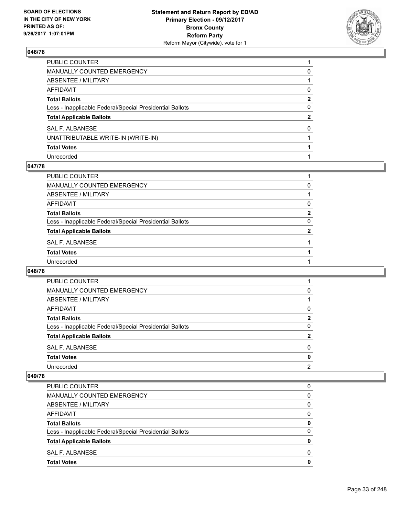

| PUBLIC COUNTER                                           |              |
|----------------------------------------------------------|--------------|
| MANUALLY COUNTED EMERGENCY                               | 0            |
| ABSENTEE / MILITARY                                      |              |
| AFFIDAVIT                                                | 0            |
| Total Ballots                                            | $\mathbf{2}$ |
| Less - Inapplicable Federal/Special Presidential Ballots | $\mathbf{0}$ |
| <b>Total Applicable Ballots</b>                          | $\mathbf{2}$ |
| SAL F. ALBANESE                                          | $\Omega$     |
| UNATTRIBUTABLE WRITE-IN (WRITE-IN)                       |              |
| <b>Total Votes</b>                                       |              |
| Unrecorded                                               |              |

#### **047/78**

| PUBLIC COUNTER                                           |              |
|----------------------------------------------------------|--------------|
| MANUALLY COUNTED EMERGENCY                               | 0            |
| ABSENTEE / MILITARY                                      |              |
| AFFIDAVIT                                                | 0            |
| <b>Total Ballots</b>                                     | 2            |
| Less - Inapplicable Federal/Special Presidential Ballots | 0            |
| <b>Total Applicable Ballots</b>                          | $\mathbf{2}$ |
| SAL F. ALBANESE                                          |              |
| <b>Total Votes</b>                                       |              |
| Unrecorded                                               |              |
|                                                          |              |

#### **048/78**

| <b>PUBLIC COUNTER</b>                                    |                |
|----------------------------------------------------------|----------------|
| <b>MANUALLY COUNTED EMERGENCY</b>                        | 0              |
| ABSENTEE / MILITARY                                      |                |
| AFFIDAVIT                                                | 0              |
| <b>Total Ballots</b>                                     | $\mathbf{2}$   |
| Less - Inapplicable Federal/Special Presidential Ballots | 0              |
| <b>Total Applicable Ballots</b>                          | 2              |
| SAL F. ALBANESE                                          | 0              |
| <b>Total Votes</b>                                       | 0              |
| Unrecorded                                               | $\overline{2}$ |

| <b>Total Votes</b>                                       | 0        |
|----------------------------------------------------------|----------|
| SAL F. ALBANESE                                          | 0        |
| <b>Total Applicable Ballots</b>                          | 0        |
| Less - Inapplicable Federal/Special Presidential Ballots | $\Omega$ |
| <b>Total Ballots</b>                                     | 0        |
| AFFIDAVIT                                                | 0        |
| ABSENTEE / MILITARY                                      | $\Omega$ |
| MANUALLY COUNTED EMERGENCY                               | 0        |
| PUBLIC COUNTER                                           | 0        |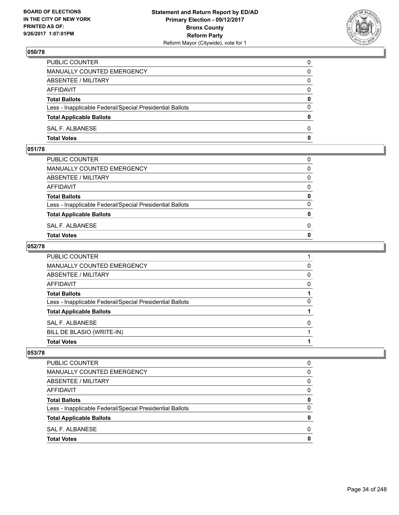

| PUBLIC COUNTER                                           | 0            |
|----------------------------------------------------------|--------------|
| MANUALLY COUNTED EMERGENCY                               | $\Omega$     |
| ABSENTEE / MILITARY                                      | $\mathbf{0}$ |
| AFFIDAVIT                                                | 0            |
| <b>Total Ballots</b>                                     | 0            |
| Less - Inapplicable Federal/Special Presidential Ballots | $\mathbf{0}$ |
| <b>Total Applicable Ballots</b>                          | $\bf{0}$     |
| SAL F. ALBANESE                                          | $\Omega$     |
| <b>Total Votes</b>                                       | $\mathbf{0}$ |

## **051/78**

| MANUALLY COUNTED EMERGENCY                               |              |
|----------------------------------------------------------|--------------|
| ABSENTEE / MILITARY                                      | $\Omega$     |
| AFFIDAVIT                                                | $\mathbf{0}$ |
| <b>Total Ballots</b>                                     | $\mathbf{0}$ |
| Less - Inapplicable Federal/Special Presidential Ballots | $\Omega$     |
| <b>Total Applicable Ballots</b>                          | $\mathbf{0}$ |
| SAL F. ALBANESE                                          | 0            |
| <b>Total Votes</b>                                       | $\mathbf{0}$ |
|                                                          |              |

#### **052/78**

| PUBLIC COUNTER                                           |   |
|----------------------------------------------------------|---|
| <b>MANUALLY COUNTED EMERGENCY</b>                        | 0 |
| <b>ABSENTEE / MILITARY</b>                               | 0 |
| AFFIDAVIT                                                | 0 |
| <b>Total Ballots</b>                                     |   |
| Less - Inapplicable Federal/Special Presidential Ballots | 0 |
| <b>Total Applicable Ballots</b>                          |   |
| <b>SAL F. ALBANESE</b>                                   | 0 |
| BILL DE BLASIO (WRITE-IN)                                |   |
| <b>Total Votes</b>                                       |   |

| <b>Total Votes</b>                                       | 0 |
|----------------------------------------------------------|---|
| SAL F. ALBANESE                                          | 0 |
| <b>Total Applicable Ballots</b>                          | 0 |
| Less - Inapplicable Federal/Special Presidential Ballots | 0 |
| <b>Total Ballots</b>                                     | 0 |
| AFFIDAVIT                                                | 0 |
| ABSENTEE / MILITARY                                      | 0 |
| MANUALLY COUNTED EMERGENCY                               | 0 |
| <b>PUBLIC COUNTER</b>                                    | 0 |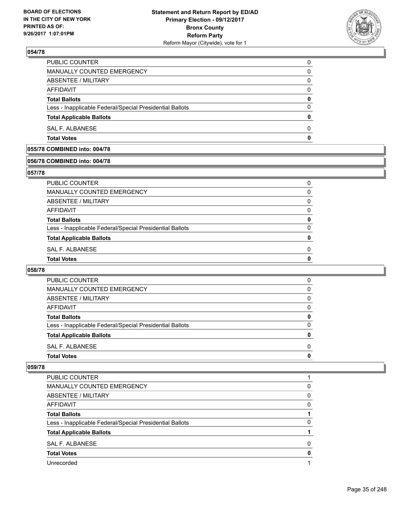

| <b>Total Votes</b>                                       | O        |
|----------------------------------------------------------|----------|
| SAL F. ALBANESE                                          | 0        |
| <b>Total Applicable Ballots</b>                          | 0        |
| Less - Inapplicable Federal/Special Presidential Ballots | 0        |
| <b>Total Ballots</b>                                     | 0        |
| AFFIDAVIT                                                | 0        |
| ABSENTEE / MILITARY                                      | 0        |
| MANUALLY COUNTED EMERGENCY                               | 0        |
| <b>PUBLIC COUNTER</b>                                    | $\Omega$ |

# **055/78 COMBINED into: 004/78**

# **056/78 COMBINED into: 004/78**

#### **057/78**

| PUBLIC COUNTER                                           | 0        |
|----------------------------------------------------------|----------|
| <b>MANUALLY COUNTED EMERGENCY</b>                        | 0        |
| ABSENTEE / MILITARY                                      | 0        |
| AFFIDAVIT                                                | $\Omega$ |
| <b>Total Ballots</b>                                     | 0        |
| Less - Inapplicable Federal/Special Presidential Ballots | 0        |
| <b>Total Applicable Ballots</b>                          | 0        |
| SAL F. ALBANESE                                          | O        |
| <b>Total Votes</b>                                       | 0        |
|                                                          |          |

#### **058/78**

| SAL F. ALBANESE                                          | 0            |
|----------------------------------------------------------|--------------|
| <b>Total Applicable Ballots</b>                          | 0            |
| Less - Inapplicable Federal/Special Presidential Ballots | <sup>0</sup> |
| <b>Total Ballots</b>                                     | 0            |
| AFFIDAVIT                                                | 0            |
| ABSENTEE / MILITARY                                      | $\Omega$     |
| MANUALLY COUNTED EMERGENCY                               | 0            |
| PUBLIC COUNTER                                           | 0            |

| <b>PUBLIC COUNTER</b>                                    |   |
|----------------------------------------------------------|---|
| MANUALLY COUNTED EMERGENCY                               | 0 |
| ABSENTEE / MILITARY                                      | 0 |
| AFFIDAVIT                                                | 0 |
| <b>Total Ballots</b>                                     |   |
| Less - Inapplicable Federal/Special Presidential Ballots | 0 |
| <b>Total Applicable Ballots</b>                          |   |
| SAL F. ALBANESE                                          | O |
| <b>Total Votes</b>                                       | o |
| Unrecorded                                               |   |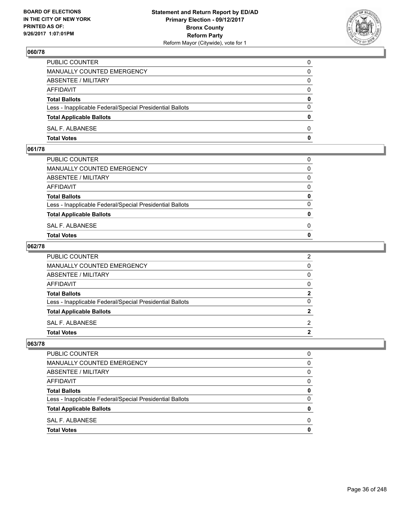

| PUBLIC COUNTER                                           | 0            |
|----------------------------------------------------------|--------------|
| MANUALLY COUNTED EMERGENCY                               | $\Omega$     |
| ABSENTEE / MILITARY                                      | $\mathbf{0}$ |
| AFFIDAVIT                                                | 0            |
| <b>Total Ballots</b>                                     | 0            |
| Less - Inapplicable Federal/Special Presidential Ballots | $\mathbf{0}$ |
| <b>Total Applicable Ballots</b>                          | $\bf{0}$     |
| SAL F. ALBANESE                                          | $\Omega$     |
| <b>Total Votes</b>                                       | $\mathbf{0}$ |

#### **061/78**

| <b>Total Votes</b>                                       | $\mathbf{0}$ |
|----------------------------------------------------------|--------------|
| SAL F. ALBANESE                                          | 0            |
| <b>Total Applicable Ballots</b>                          | $\mathbf{0}$ |
| Less - Inapplicable Federal/Special Presidential Ballots | $\Omega$     |
| <b>Total Ballots</b>                                     | 0            |
| AFFIDAVIT                                                | $\Omega$     |
| ABSENTEE / MILITARY                                      | $\Omega$     |
| MANUALLY COUNTED EMERGENCY                               | $\Omega$     |
| PUBLIC COUNTER                                           | 0            |
|                                                          |              |

#### **062/78**

| PUBLIC COUNTER                                           | 2            |
|----------------------------------------------------------|--------------|
| MANUALLY COUNTED EMERGENCY                               | $\mathbf{0}$ |
| ABSENTEE / MILITARY                                      | $\mathbf{0}$ |
| AFFIDAVIT                                                | $\mathbf{0}$ |
| <b>Total Ballots</b>                                     | $\mathbf{2}$ |
| Less - Inapplicable Federal/Special Presidential Ballots | $\mathbf{0}$ |
| <b>Total Applicable Ballots</b>                          | $\mathbf{2}$ |
| SAL F. ALBANESE                                          | 2            |
| Total Votes                                              | $\mathbf{2}$ |
|                                                          |              |

| PUBLIC COUNTER                                           |   |
|----------------------------------------------------------|---|
| MANUALLY COUNTED EMERGENCY                               | 0 |
| ABSENTEE / MILITARY                                      | 0 |
| <b>AFFIDAVIT</b>                                         | 0 |
| <b>Total Ballots</b>                                     | o |
| Less - Inapplicable Federal/Special Presidential Ballots | 0 |
| <b>Total Applicable Ballots</b>                          |   |
| SAL F. ALBANESE                                          | n |
| <b>Total Votes</b>                                       |   |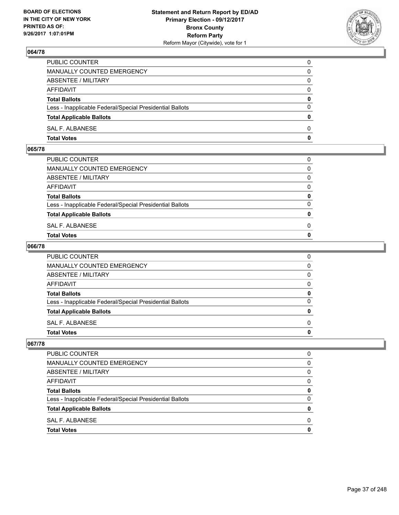

| PUBLIC COUNTER                                           | 0            |
|----------------------------------------------------------|--------------|
| MANUALLY COUNTED EMERGENCY                               | 0            |
| ABSENTEE / MILITARY                                      | 0            |
| AFFIDAVIT                                                | $\mathbf{0}$ |
| <b>Total Ballots</b>                                     | $\mathbf{0}$ |
| Less - Inapplicable Federal/Special Presidential Ballots | $\Omega$     |
| <b>Total Applicable Ballots</b>                          | $\mathbf{0}$ |
| SAL F. ALBANESE                                          | $\Omega$     |
| <b>Total Votes</b>                                       | 0            |

### **065/78**

| <b>Total Votes</b>                                       | $\mathbf{0}$ |
|----------------------------------------------------------|--------------|
| SAL F. ALBANESE                                          | 0            |
| <b>Total Applicable Ballots</b>                          | $\mathbf{0}$ |
| Less - Inapplicable Federal/Special Presidential Ballots | $\Omega$     |
| <b>Total Ballots</b>                                     | 0            |
| AFFIDAVIT                                                | $\Omega$     |
| ABSENTEE / MILITARY                                      | $\Omega$     |
| MANUALLY COUNTED EMERGENCY                               | $\Omega$     |
| PUBLIC COUNTER                                           | 0            |
|                                                          |              |

## **066/78**

| PUBLIC COUNTER                                           | 0            |
|----------------------------------------------------------|--------------|
| MANUALLY COUNTED EMERGENCY                               | $\mathbf{0}$ |
| ABSENTEE / MILITARY                                      | $\mathbf{0}$ |
| AFFIDAVIT                                                | $\Omega$     |
| <b>Total Ballots</b>                                     | 0            |
| Less - Inapplicable Federal/Special Presidential Ballots | $\mathbf{0}$ |
| <b>Total Applicable Ballots</b>                          | 0            |
| SAL F. ALBANESE                                          | $\Omega$     |
| Total Votes                                              | $\mathbf{0}$ |
|                                                          |              |

| <b>PUBLIC COUNTER</b>                                    |   |
|----------------------------------------------------------|---|
| MANUALLY COUNTED EMERGENCY                               | 0 |
| ABSENTEE / MILITARY                                      | 0 |
| <b>AFFIDAVIT</b>                                         | 0 |
| <b>Total Ballots</b>                                     | o |
| Less - Inapplicable Federal/Special Presidential Ballots | 0 |
| <b>Total Applicable Ballots</b>                          |   |
| SAL F. ALBANESE                                          | n |
| <b>Total Votes</b>                                       |   |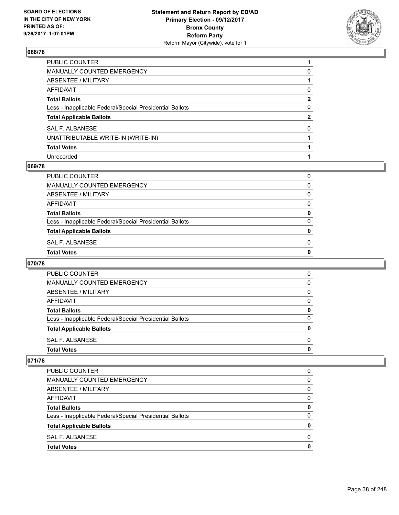

| PUBLIC COUNTER                                           |              |
|----------------------------------------------------------|--------------|
| MANUALLY COUNTED EMERGENCY                               | 0            |
| ABSENTEE / MILITARY                                      |              |
| AFFIDAVIT                                                | 0            |
| <b>Total Ballots</b>                                     | $\mathbf{2}$ |
| Less - Inapplicable Federal/Special Presidential Ballots | 0            |
| <b>Total Applicable Ballots</b>                          | $\mathbf{2}$ |
| SAL F. ALBANESE                                          | $\Omega$     |
| UNATTRIBUTABLE WRITE-IN (WRITE-IN)                       |              |
| <b>Total Votes</b>                                       |              |
| Unrecorded                                               |              |

## **069/78**

| PUBLIC COUNTER                                           | 0            |
|----------------------------------------------------------|--------------|
| <b>MANUALLY COUNTED EMERGENCY</b>                        | 0            |
| ABSENTEE / MILITARY                                      | $\Omega$     |
| <b>AFFIDAVIT</b>                                         | 0            |
| <b>Total Ballots</b>                                     | 0            |
| Less - Inapplicable Federal/Special Presidential Ballots | $\Omega$     |
| <b>Total Applicable Ballots</b>                          | $\mathbf{0}$ |
| SAL F. ALBANESE                                          | $\Omega$     |
| <b>Total Votes</b>                                       | $\mathbf 0$  |

## **070/78**

| <b>Total Votes</b>                                       | 0 |
|----------------------------------------------------------|---|
| SAL F. ALBANESE                                          | 0 |
| <b>Total Applicable Ballots</b>                          | 0 |
| Less - Inapplicable Federal/Special Presidential Ballots | 0 |
| <b>Total Ballots</b>                                     | 0 |
| AFFIDAVIT                                                | 0 |
| ABSENTEE / MILITARY                                      | 0 |
| <b>MANUALLY COUNTED EMERGENCY</b>                        | 0 |
| PUBLIC COUNTER                                           | 0 |

| <b>Total Votes</b>                                       | 0 |
|----------------------------------------------------------|---|
| SAL F. ALBANESE                                          | O |
| <b>Total Applicable Ballots</b>                          | 0 |
| Less - Inapplicable Federal/Special Presidential Ballots | 0 |
| <b>Total Ballots</b>                                     | 0 |
| <b>AFFIDAVIT</b>                                         | 0 |
| ABSENTEE / MILITARY                                      | 0 |
| MANUALLY COUNTED EMERGENCY                               | 0 |
| PUBLIC COUNTER                                           | 0 |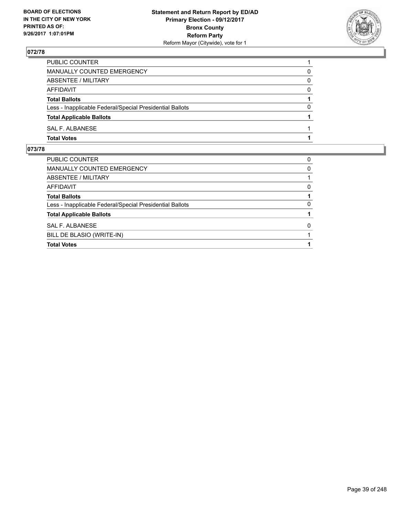

| PUBLIC COUNTER                                           |          |
|----------------------------------------------------------|----------|
| <b>MANUALLY COUNTED EMERGENCY</b>                        | 0        |
| ABSENTEE / MILITARY                                      | 0        |
| AFFIDAVIT                                                | $\Omega$ |
| <b>Total Ballots</b>                                     |          |
| Less - Inapplicable Federal/Special Presidential Ballots | 0        |
| <b>Total Applicable Ballots</b>                          |          |
| SAL F. ALBANESE                                          |          |
| <b>Total Votes</b>                                       |          |

| BILL DE BLASIO (WRITE-IN)                                |   |
|----------------------------------------------------------|---|
| SAL F. ALBANESE                                          | 0 |
| <b>Total Applicable Ballots</b>                          |   |
| Less - Inapplicable Federal/Special Presidential Ballots | 0 |
| <b>Total Ballots</b>                                     |   |
| <b>AFFIDAVIT</b>                                         | 0 |
| ABSENTEE / MILITARY                                      |   |
| MANUALLY COUNTED EMERGENCY                               | 0 |
| PUBLIC COUNTER                                           | 0 |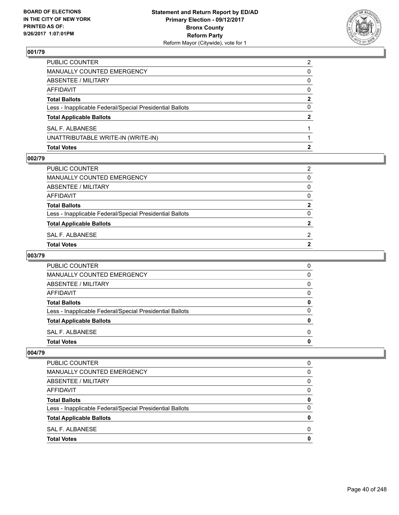

| <b>Total Votes</b>                                                                                                                                                                                  |              |
|-----------------------------------------------------------------------------------------------------------------------------------------------------------------------------------------------------|--------------|
| UNATTRIBUTABLE WRITE-IN (WRITE-IN)                                                                                                                                                                  |              |
| SAL F. ALBANESE                                                                                                                                                                                     |              |
| <b>MANUALLY COUNTED EMERGENCY</b><br><b>ABSENTEE / MILITARY</b><br>AFFIDAVIT<br><b>Total Ballots</b><br>Less - Inapplicable Federal/Special Presidential Ballots<br><b>Total Applicable Ballots</b> | $\mathbf{2}$ |
|                                                                                                                                                                                                     | 0            |
|                                                                                                                                                                                                     | 2            |
|                                                                                                                                                                                                     | $\Omega$     |
|                                                                                                                                                                                                     | 0            |
|                                                                                                                                                                                                     | 0            |
| PUBLIC COUNTER                                                                                                                                                                                      | 2            |

### **002/79**

| Total Votes                                              | 2            |
|----------------------------------------------------------|--------------|
| SAL F. ALBANESE                                          | 2            |
| <b>Total Applicable Ballots</b>                          | $\mathbf{2}$ |
| Less - Inapplicable Federal/Special Presidential Ballots | 0            |
| <b>Total Ballots</b>                                     | $\mathbf{2}$ |
| AFFIDAVIT                                                | 0            |
| ABSENTEE / MILITARY                                      | 0            |
| MANUALLY COUNTED EMERGENCY                               | 0            |
| PUBLIC COUNTER                                           | 2            |
|                                                          |              |

# **003/79**

| <b>PUBLIC COUNTER</b>                                    | 0 |
|----------------------------------------------------------|---|
| MANUALLY COUNTED EMERGENCY                               | 0 |
| ABSENTEE / MILITARY                                      | 0 |
| AFFIDAVIT                                                | 0 |
| <b>Total Ballots</b>                                     | 0 |
| Less - Inapplicable Federal/Special Presidential Ballots | O |
| <b>Total Applicable Ballots</b>                          | n |
| SAL F. ALBANESE                                          | 0 |
| <b>Total Votes</b>                                       |   |

| <b>Total Votes</b>                                       | 0 |
|----------------------------------------------------------|---|
| SAL F. ALBANESE                                          | 0 |
| <b>Total Applicable Ballots</b>                          | 0 |
| Less - Inapplicable Federal/Special Presidential Ballots | 0 |
| <b>Total Ballots</b>                                     | 0 |
| AFFIDAVIT                                                | 0 |
| ABSENTEE / MILITARY                                      | 0 |
| MANUALLY COUNTED EMERGENCY                               | 0 |
| PUBLIC COUNTER                                           | 0 |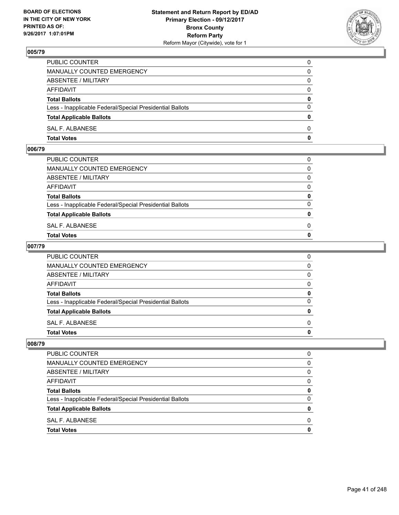

| PUBLIC COUNTER                                           | 0            |
|----------------------------------------------------------|--------------|
| MANUALLY COUNTED EMERGENCY                               | $\Omega$     |
| ABSENTEE / MILITARY                                      | $\mathbf{0}$ |
| AFFIDAVIT                                                | 0            |
| <b>Total Ballots</b>                                     | 0            |
| Less - Inapplicable Federal/Special Presidential Ballots | $\mathbf{0}$ |
| <b>Total Applicable Ballots</b>                          | $\bf{0}$     |
| SAL F. ALBANESE                                          | $\Omega$     |
| <b>Total Votes</b>                                       | $\mathbf{0}$ |

## **006/79**

| <b>Total Votes</b>                                       | $\mathbf{0}$ |
|----------------------------------------------------------|--------------|
| SAL F. ALBANESE                                          | 0            |
| <b>Total Applicable Ballots</b>                          | $\mathbf{0}$ |
| Less - Inapplicable Federal/Special Presidential Ballots | $\Omega$     |
| <b>Total Ballots</b>                                     | 0            |
| AFFIDAVIT                                                | $\Omega$     |
| ABSENTEE / MILITARY                                      | $\Omega$     |
| MANUALLY COUNTED EMERGENCY                               | $\Omega$     |
| PUBLIC COUNTER                                           | 0            |
|                                                          |              |

## **007/79**

| PUBLIC COUNTER                                           | 0            |
|----------------------------------------------------------|--------------|
| MANUALLY COUNTED EMERGENCY                               | $\mathbf{0}$ |
| ABSENTEE / MILITARY                                      | $\mathbf{0}$ |
| AFFIDAVIT                                                | $\Omega$     |
| <b>Total Ballots</b>                                     | 0            |
| Less - Inapplicable Federal/Special Presidential Ballots | $\mathbf{0}$ |
| <b>Total Applicable Ballots</b>                          | 0            |
| SAL F. ALBANESE                                          | $\Omega$     |
| Total Votes                                              | $\mathbf{0}$ |
|                                                          |              |

| <b>PUBLIC COUNTER</b>                                    |   |
|----------------------------------------------------------|---|
| MANUALLY COUNTED EMERGENCY                               | 0 |
| ABSENTEE / MILITARY                                      | 0 |
| <b>AFFIDAVIT</b>                                         | 0 |
| <b>Total Ballots</b>                                     | o |
| Less - Inapplicable Federal/Special Presidential Ballots | 0 |
| <b>Total Applicable Ballots</b>                          |   |
| SAL F. ALBANESE                                          | n |
| <b>Total Votes</b>                                       |   |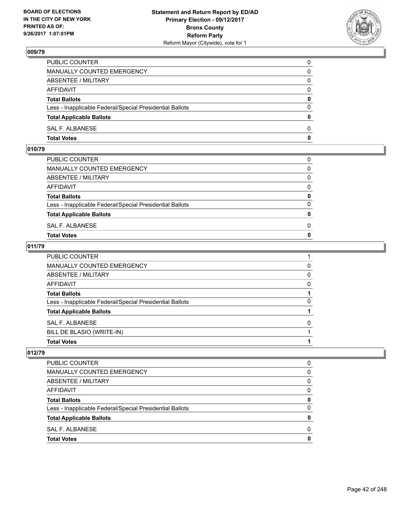

| PUBLIC COUNTER                                           | 0            |
|----------------------------------------------------------|--------------|
| MANUALLY COUNTED EMERGENCY                               | $\Omega$     |
| ABSENTEE / MILITARY                                      | $\mathbf{0}$ |
| AFFIDAVIT                                                | 0            |
| <b>Total Ballots</b>                                     | $\mathbf{0}$ |
| Less - Inapplicable Federal/Special Presidential Ballots | $\Omega$     |
| <b>Total Applicable Ballots</b>                          | $\mathbf{0}$ |
| SAL F. ALBANESE                                          | $\Omega$     |
| <b>Total Votes</b>                                       | $\mathbf{0}$ |

## **010/79**

| PUBLIC COUNTER                                           | 0            |
|----------------------------------------------------------|--------------|
| MANUALLY COUNTED EMERGENCY                               | $\mathbf{0}$ |
| ABSENTEE / MILITARY                                      | $\Omega$     |
| AFFIDAVIT                                                | $\Omega$     |
| <b>Total Ballots</b>                                     | 0            |
| Less - Inapplicable Federal/Special Presidential Ballots | $\Omega$     |
| <b>Total Applicable Ballots</b>                          | $\mathbf{0}$ |
| SAL F. ALBANESE                                          | 0            |
| Total Votes                                              | $\Omega$     |
|                                                          |              |

## **011/79**

| <b>Total Votes</b>                                       |   |
|----------------------------------------------------------|---|
| BILL DE BLASIO (WRITE-IN)                                |   |
| SAL F. ALBANESE                                          | 0 |
| <b>Total Applicable Ballots</b>                          |   |
| Less - Inapplicable Federal/Special Presidential Ballots | 0 |
| <b>Total Ballots</b>                                     |   |
| <b>AFFIDAVIT</b>                                         | 0 |
| ABSENTEE / MILITARY                                      | 0 |
| MANUALLY COUNTED EMERGENCY                               | 0 |
| PUBLIC COUNTER                                           |   |

| <b>Total Votes</b>                                       | 0 |
|----------------------------------------------------------|---|
| SAL F. ALBANESE                                          | 0 |
| <b>Total Applicable Ballots</b>                          | 0 |
| Less - Inapplicable Federal/Special Presidential Ballots | 0 |
| <b>Total Ballots</b>                                     | 0 |
| AFFIDAVIT                                                | 0 |
| ABSENTEE / MILITARY                                      | 0 |
| MANUALLY COUNTED EMERGENCY                               | 0 |
| <b>PUBLIC COUNTER</b>                                    | 0 |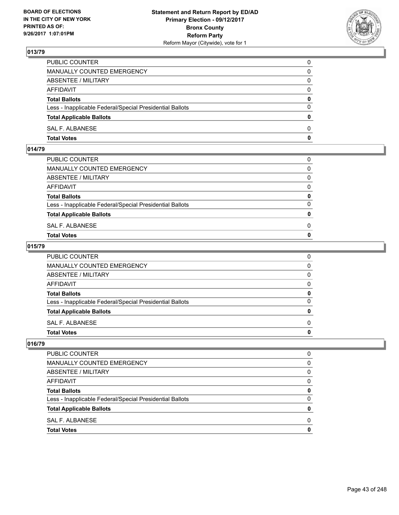

| PUBLIC COUNTER                                           | 0            |
|----------------------------------------------------------|--------------|
| MANUALLY COUNTED EMERGENCY                               | 0            |
| ABSENTEE / MILITARY                                      | 0            |
| AFFIDAVIT                                                | $\mathbf{0}$ |
| <b>Total Ballots</b>                                     | $\mathbf{0}$ |
| Less - Inapplicable Federal/Special Presidential Ballots | $\Omega$     |
| <b>Total Applicable Ballots</b>                          | $\mathbf{0}$ |
| SAL F. ALBANESE                                          | $\Omega$     |
| <b>Total Votes</b>                                       | 0            |

# **014/79**

| PUBLIC COUNTER                                           | 0            |
|----------------------------------------------------------|--------------|
| MANUALLY COUNTED EMERGENCY                               | $\mathbf{0}$ |
| ABSENTEE / MILITARY                                      | $\Omega$     |
| AFFIDAVIT                                                | $\Omega$     |
| <b>Total Ballots</b>                                     | 0            |
| Less - Inapplicable Federal/Special Presidential Ballots | $\Omega$     |
| <b>Total Applicable Ballots</b>                          | $\mathbf{0}$ |
| SAL F. ALBANESE                                          | 0            |
| Total Votes                                              | $\Omega$     |
|                                                          |              |

## **015/79**

| <b>Total Votes</b>                                       | 0 |
|----------------------------------------------------------|---|
| SAL F. ALBANESE                                          | 0 |
| <b>Total Applicable Ballots</b>                          | 0 |
| Less - Inapplicable Federal/Special Presidential Ballots | 0 |
| <b>Total Ballots</b>                                     | 0 |
| AFFIDAVIT                                                | 0 |
| ABSENTEE / MILITARY                                      | 0 |
| <b>MANUALLY COUNTED EMERGENCY</b>                        | 0 |
| PUBLIC COUNTER                                           | 0 |

| PUBLIC COUNTER                                           | O |
|----------------------------------------------------------|---|
| <b>MANUALLY COUNTED EMERGENCY</b>                        | 0 |
| ABSENTEE / MILITARY                                      | 0 |
| <b>AFFIDAVIT</b>                                         | 0 |
| <b>Total Ballots</b>                                     | 0 |
| Less - Inapplicable Federal/Special Presidential Ballots | 0 |
| <b>Total Applicable Ballots</b>                          | n |
| SAL F. ALBANESE                                          | 0 |
| <b>Total Votes</b>                                       | n |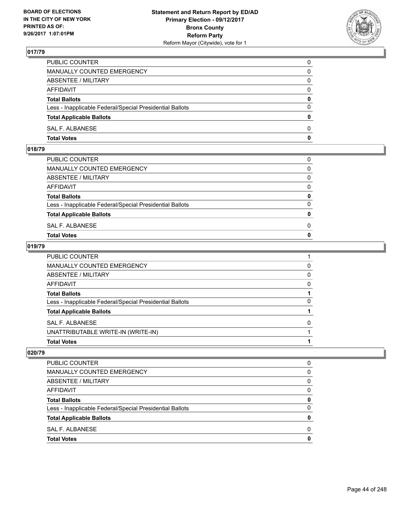

| PUBLIC COUNTER                                           | 0            |
|----------------------------------------------------------|--------------|
| MANUALLY COUNTED EMERGENCY                               | $\Omega$     |
| ABSENTEE / MILITARY                                      | $\mathbf{0}$ |
| AFFIDAVIT                                                | 0            |
| <b>Total Ballots</b>                                     | $\mathbf{0}$ |
| Less - Inapplicable Federal/Special Presidential Ballots | $\Omega$     |
| <b>Total Applicable Ballots</b>                          | $\mathbf{0}$ |
| SAL F. ALBANESE                                          | $\Omega$     |
| <b>Total Votes</b>                                       | $\mathbf{0}$ |

## **018/79**

| PUBLIC COUNTER                                           | 0            |
|----------------------------------------------------------|--------------|
| MANUALLY COUNTED EMERGENCY                               | $\mathbf{0}$ |
| ABSENTEE / MILITARY                                      | $\Omega$     |
| AFFIDAVIT                                                | $\Omega$     |
| <b>Total Ballots</b>                                     | 0            |
| Less - Inapplicable Federal/Special Presidential Ballots | $\Omega$     |
| <b>Total Applicable Ballots</b>                          | $\mathbf{0}$ |
| SAL F. ALBANESE                                          | 0            |
| Total Votes                                              | $\Omega$     |
|                                                          |              |

### **019/79**

| <b>Total Votes</b>                                       |          |
|----------------------------------------------------------|----------|
| UNATTRIBUTABLE WRITE-IN (WRITE-IN)                       |          |
| <b>SAL F. ALBANESE</b>                                   | 0        |
| <b>Total Applicable Ballots</b>                          |          |
| Less - Inapplicable Federal/Special Presidential Ballots | 0        |
| <b>Total Ballots</b>                                     |          |
| AFFIDAVIT                                                | 0        |
| ABSENTEE / MILITARY                                      | $\Omega$ |
| MANUALLY COUNTED EMERGENCY                               | 0        |
| PUBLIC COUNTER                                           |          |

| <b>PUBLIC COUNTER</b>                                    | 0 |
|----------------------------------------------------------|---|
| MANUALLY COUNTED EMERGENCY                               | 0 |
| ABSENTEE / MILITARY                                      | 0 |
| AFFIDAVIT                                                | 0 |
| <b>Total Ballots</b>                                     | 0 |
| Less - Inapplicable Federal/Special Presidential Ballots | 0 |
| <b>Total Applicable Ballots</b>                          | 0 |
| SAL F. ALBANESE                                          | 0 |
| <b>Total Votes</b>                                       | 0 |
|                                                          |   |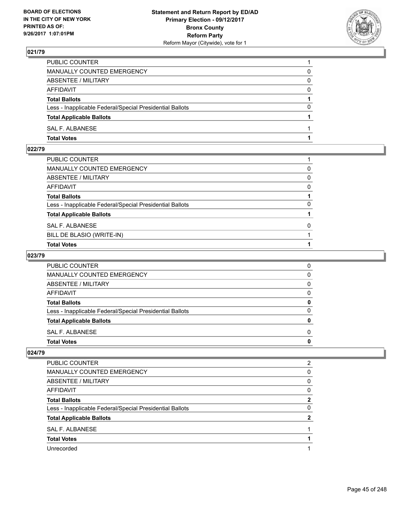

| PUBLIC COUNTER                                           |          |
|----------------------------------------------------------|----------|
| MANUALLY COUNTED EMERGENCY                               | 0        |
| ABSENTEE / MILITARY                                      | 0        |
| AFFIDAVIT                                                | $\Omega$ |
| <b>Total Ballots</b>                                     |          |
| Less - Inapplicable Federal/Special Presidential Ballots | $\Omega$ |
| <b>Total Applicable Ballots</b>                          |          |
| SAL F. ALBANESE                                          |          |
| <b>Total Votes</b>                                       |          |

# **022/79**

| PUBLIC COUNTER                                           |          |
|----------------------------------------------------------|----------|
| MANUALLY COUNTED EMERGENCY                               | 0        |
| ABSENTEE / MILITARY                                      | 0        |
| AFFIDAVIT                                                | 0        |
| <b>Total Ballots</b>                                     |          |
| Less - Inapplicable Federal/Special Presidential Ballots | 0        |
| <b>Total Applicable Ballots</b>                          |          |
| SAL F. ALBANESE                                          | $\Omega$ |
| BILL DE BLASIO (WRITE-IN)                                |          |
| <b>Total Votes</b>                                       |          |

## **023/79**

| <b>PUBLIC COUNTER</b>                                    | 0 |
|----------------------------------------------------------|---|
| MANUALLY COUNTED EMERGENCY                               | 0 |
| ABSENTEE / MILITARY                                      | 0 |
| AFFIDAVIT                                                | O |
| <b>Total Ballots</b>                                     |   |
| Less - Inapplicable Federal/Special Presidential Ballots | ŋ |
| <b>Total Applicable Ballots</b>                          |   |
| SAL F. ALBANESE                                          | O |
| <b>Total Votes</b>                                       |   |

| <b>PUBLIC COUNTER</b>                                    | 2 |
|----------------------------------------------------------|---|
| MANUALLY COUNTED EMERGENCY                               | 0 |
| ABSENTEE / MILITARY                                      | 0 |
| AFFIDAVIT                                                | 0 |
| <b>Total Ballots</b>                                     | 2 |
| Less - Inapplicable Federal/Special Presidential Ballots | 0 |
| <b>Total Applicable Ballots</b>                          | 2 |
| SAL F. ALBANESE                                          |   |
| <b>Total Votes</b>                                       |   |
| Unrecorded                                               |   |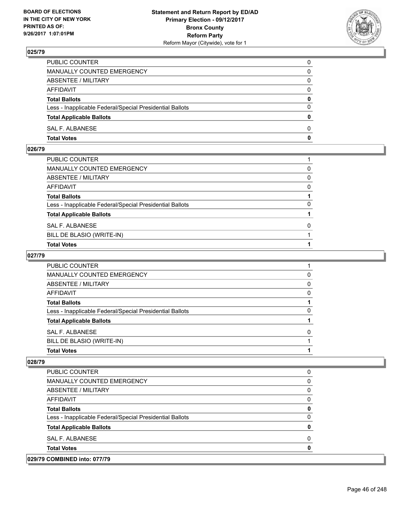

| PUBLIC COUNTER                                           | 0            |
|----------------------------------------------------------|--------------|
| MANUALLY COUNTED EMERGENCY                               | $\Omega$     |
| ABSENTEE / MILITARY                                      | $\mathbf{0}$ |
| AFFIDAVIT                                                | 0            |
| <b>Total Ballots</b>                                     | 0            |
| Less - Inapplicable Federal/Special Presidential Ballots | $\mathbf{0}$ |
| <b>Total Applicable Ballots</b>                          | $\mathbf{0}$ |
| SAL F. ALBANESE                                          | $\Omega$     |
| <b>Total Votes</b>                                       | $\mathbf{0}$ |

## **026/79**

| PUBLIC COUNTER                                           |          |
|----------------------------------------------------------|----------|
| MANUALLY COUNTED EMERGENCY                               | 0        |
| ABSENTEE / MILITARY                                      | 0        |
| AFFIDAVIT                                                | 0        |
| <b>Total Ballots</b>                                     |          |
| Less - Inapplicable Federal/Special Presidential Ballots | 0        |
| <b>Total Applicable Ballots</b>                          |          |
| SAL F. ALBANESE                                          | $\Omega$ |
| BILL DE BLASIO (WRITE-IN)                                |          |
| <b>Total Votes</b>                                       |          |

## **027/79**

| <b>PUBLIC COUNTER</b>                                    |              |
|----------------------------------------------------------|--------------|
| <b>MANUALLY COUNTED EMERGENCY</b>                        |              |
| ABSENTEE / MILITARY                                      | <sup>0</sup> |
| AFFIDAVIT                                                | O            |
| <b>Total Ballots</b>                                     |              |
| Less - Inapplicable Federal/Special Presidential Ballots |              |
| <b>Total Applicable Ballots</b>                          |              |
| SAL F. ALBANESE                                          | n            |
| BILL DE BLASIO (WRITE-IN)                                |              |
| <b>Total Votes</b>                                       |              |

| <b>PUBLIC COUNTER</b>                                    |   |
|----------------------------------------------------------|---|
| <b>MANUALLY COUNTED EMERGENCY</b>                        |   |
| ABSENTEE / MILITARY                                      | 0 |
| AFFIDAVIT                                                | O |
| <b>Total Ballots</b>                                     | O |
| Less - Inapplicable Federal/Special Presidential Ballots | 0 |
| <b>Total Applicable Ballots</b>                          | Ω |
| SAL F. ALBANESE                                          | O |
| <b>Total Votes</b>                                       |   |
| 029/79 COMBINED into: 077/79                             |   |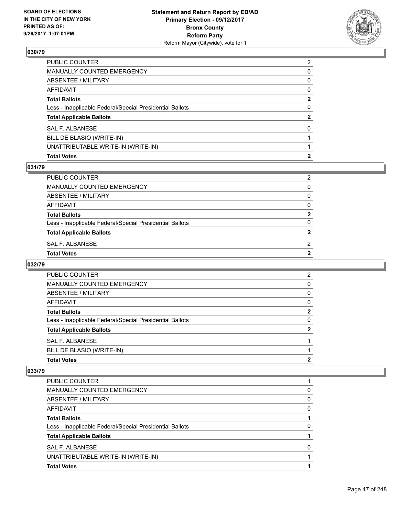

| PUBLIC COUNTER                                           | 2            |
|----------------------------------------------------------|--------------|
| MANUALLY COUNTED EMERGENCY                               | 0            |
| <b>ABSENTEE / MILITARY</b>                               | $\mathbf{0}$ |
| AFFIDAVIT                                                | $\mathbf{0}$ |
| Total Ballots                                            | $\mathbf{2}$ |
| Less - Inapplicable Federal/Special Presidential Ballots | 0            |
| <b>Total Applicable Ballots</b>                          | $\mathbf{2}$ |
| <b>SAL F. ALBANESE</b>                                   | $\Omega$     |
| BILL DE BLASIO (WRITE-IN)                                |              |
| UNATTRIBUTABLE WRITE-IN (WRITE-IN)                       |              |
| <b>Total Votes</b>                                       | 2            |

## **031/79**

| PUBLIC COUNTER                                           | 2        |
|----------------------------------------------------------|----------|
| MANUALLY COUNTED EMERGENCY                               | 0        |
| ABSENTEE / MILITARY                                      | $\Omega$ |
| AFFIDAVIT                                                | 0        |
| <b>Total Ballots</b>                                     | 2        |
| Less - Inapplicable Federal/Special Presidential Ballots | 0        |
| <b>Total Applicable Ballots</b>                          | 2        |
| SAL F. ALBANESE                                          | 2        |
| Total Votes                                              | 2        |
|                                                          |          |

## **032/79**

| PUBLIC COUNTER                                           | $\overline{2}$ |
|----------------------------------------------------------|----------------|
| MANUALLY COUNTED EMERGENCY                               | 0              |
| ABSENTEE / MILITARY                                      | 0              |
| AFFIDAVIT                                                | 0              |
| <b>Total Ballots</b>                                     | 2              |
| Less - Inapplicable Federal/Special Presidential Ballots | 0              |
| <b>Total Applicable Ballots</b>                          | 2              |
| SAL F. ALBANESE                                          |                |
| BILL DE BLASIO (WRITE-IN)                                |                |
| <b>Total Votes</b>                                       | 2              |
|                                                          |                |

| PUBLIC COUNTER                                           |   |
|----------------------------------------------------------|---|
| <b>MANUALLY COUNTED EMERGENCY</b>                        | 0 |
| ABSENTEE / MILITARY                                      | 0 |
| AFFIDAVIT                                                | 0 |
| <b>Total Ballots</b>                                     |   |
| Less - Inapplicable Federal/Special Presidential Ballots | 0 |
| <b>Total Applicable Ballots</b>                          |   |
| SAL F. ALBANESE                                          | O |
| UNATTRIBUTABLE WRITE-IN (WRITE-IN)                       |   |
| <b>Total Votes</b>                                       |   |
|                                                          |   |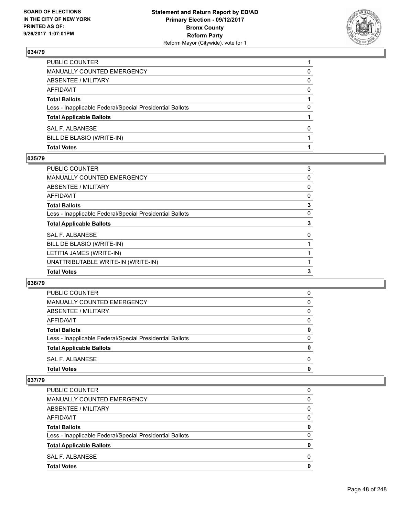

| <b>Total Votes</b>                                       |   |
|----------------------------------------------------------|---|
| BILL DE BLASIO (WRITE-IN)                                |   |
| SAL F. ALBANESE                                          | 0 |
| <b>Total Applicable Ballots</b>                          |   |
| Less - Inapplicable Federal/Special Presidential Ballots | 0 |
| <b>Total Ballots</b>                                     |   |
| AFFIDAVIT                                                | 0 |
| <b>ABSENTEE / MILITARY</b>                               | 0 |
| MANUALLY COUNTED EMERGENCY                               | 0 |
| PUBLIC COUNTER                                           |   |

### **035/79**

| <b>PUBLIC COUNTER</b>                                    | 3 |
|----------------------------------------------------------|---|
| <b>MANUALLY COUNTED EMERGENCY</b>                        | 0 |
| <b>ABSENTEE / MILITARY</b>                               | 0 |
| <b>AFFIDAVIT</b>                                         | 0 |
| <b>Total Ballots</b>                                     | 3 |
| Less - Inapplicable Federal/Special Presidential Ballots | 0 |
| <b>Total Applicable Ballots</b>                          | 3 |
| <b>SAL F. ALBANESE</b>                                   | 0 |
| BILL DE BLASIO (WRITE-IN)                                |   |
| LETITIA JAMES (WRITE-IN)                                 |   |
| UNATTRIBUTABLE WRITE-IN (WRITE-IN)                       |   |
| <b>Total Votes</b>                                       | 3 |

#### **036/79**

| <b>Total Votes</b>                                       | 0 |
|----------------------------------------------------------|---|
| SAL F. ALBANESE                                          | 0 |
| <b>Total Applicable Ballots</b>                          | 0 |
| Less - Inapplicable Federal/Special Presidential Ballots | 0 |
| <b>Total Ballots</b>                                     | 0 |
| AFFIDAVIT                                                | 0 |
| ABSENTEE / MILITARY                                      | 0 |
| MANUALLY COUNTED EMERGENCY                               | 0 |
| PUBLIC COUNTER                                           | 0 |

| <b>Total Votes</b>                                       | 0            |
|----------------------------------------------------------|--------------|
| SAL F. ALBANESE                                          | <sup>0</sup> |
| <b>Total Applicable Ballots</b>                          | 0            |
| Less - Inapplicable Federal/Special Presidential Ballots | $\Omega$     |
| <b>Total Ballots</b>                                     | 0            |
| AFFIDAVIT                                                | 0            |
| ABSENTEE / MILITARY                                      | 0            |
| <b>MANUALLY COUNTED EMERGENCY</b>                        | 0            |
| <b>PUBLIC COUNTER</b>                                    | 0            |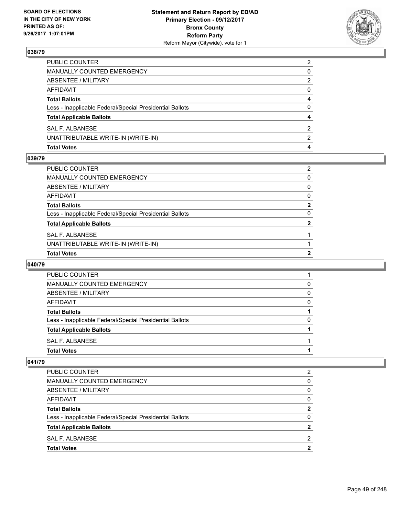

| <b>Total Votes</b>                                       | 4              |
|----------------------------------------------------------|----------------|
| UNATTRIBUTABLE WRITE-IN (WRITE-IN)                       | $\mathcal{P}$  |
| SAL F. ALBANESE                                          | 2              |
| <b>Total Applicable Ballots</b>                          | 4              |
| Less - Inapplicable Federal/Special Presidential Ballots | 0              |
| <b>Total Ballots</b>                                     | 4              |
| <b>AFFIDAVIT</b>                                         | $\Omega$       |
| <b>ABSENTEE / MILITARY</b>                               | 2              |
| <b>MANUALLY COUNTED EMERGENCY</b>                        | 0              |
| PUBLIC COUNTER                                           | $\overline{2}$ |

#### **039/79**

| <b>Total Votes</b>                                       | 2            |
|----------------------------------------------------------|--------------|
| UNATTRIBUTABLE WRITE-IN (WRITE-IN)                       |              |
| SAL F. ALBANESE                                          |              |
| <b>Total Applicable Ballots</b>                          | $\mathbf{2}$ |
| Less - Inapplicable Federal/Special Presidential Ballots | $\Omega$     |
| Total Ballots                                            | $\mathbf{2}$ |
| AFFIDAVIT                                                | 0            |
| ABSENTEE / MILITARY                                      | 0            |
| MANUALLY COUNTED EMERGENCY                               | 0            |
| PUBLIC COUNTER                                           | 2            |
|                                                          |              |

## **040/79**

| MANUALLY COUNTED EMERGENCY                               | 0 |
|----------------------------------------------------------|---|
| ABSENTEE / MILITARY                                      | 0 |
| AFFIDAVIT                                                | 0 |
| <b>Total Ballots</b>                                     |   |
| Less - Inapplicable Federal/Special Presidential Ballots | 0 |
| <b>Total Applicable Ballots</b>                          |   |
| SAL F. ALBANESE                                          |   |
| <b>Total Votes</b>                                       |   |

| PUBLIC COUNTER                                           | 2 |
|----------------------------------------------------------|---|
| MANUALLY COUNTED EMERGENCY                               | 0 |
| ABSENTEE / MILITARY                                      | 0 |
| AFFIDAVIT                                                | 0 |
| <b>Total Ballots</b>                                     | 2 |
| Less - Inapplicable Federal/Special Presidential Ballots | 0 |
| <b>Total Applicable Ballots</b>                          |   |
| SAL F. ALBANESE                                          | 2 |
| <b>Total Votes</b>                                       | 2 |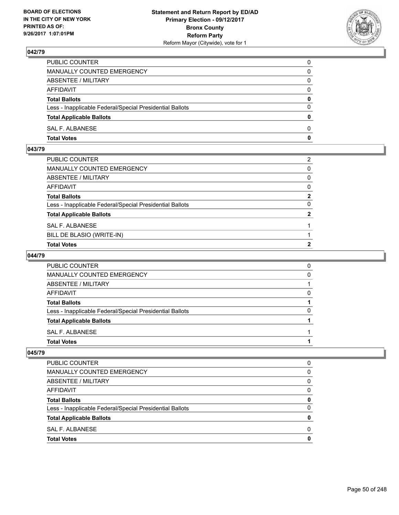

| PUBLIC COUNTER                                           | 0            |
|----------------------------------------------------------|--------------|
| MANUALLY COUNTED EMERGENCY                               | 0            |
| ABSENTEE / MILITARY                                      | 0            |
| AFFIDAVIT                                                | $\mathbf{0}$ |
| <b>Total Ballots</b>                                     | $\mathbf{0}$ |
| Less - Inapplicable Federal/Special Presidential Ballots | $\Omega$     |
| <b>Total Applicable Ballots</b>                          | $\mathbf{0}$ |
| SAL F. ALBANESE                                          | $\Omega$     |
| <b>Total Votes</b>                                       | 0            |

# **043/79**

| PUBLIC COUNTER                                           | 2              |
|----------------------------------------------------------|----------------|
| MANUALLY COUNTED EMERGENCY                               | $\mathbf{0}$   |
| <b>ABSENTEE / MILITARY</b>                               | $\mathbf{0}$   |
| AFFIDAVIT                                                | $\mathbf{0}$   |
| Total Ballots                                            | $\mathbf{2}$   |
| Less - Inapplicable Federal/Special Presidential Ballots | $\Omega$       |
| <b>Total Applicable Ballots</b>                          | $\overline{2}$ |
| SAL F. ALBANESE                                          |                |
| BILL DE BLASIO (WRITE-IN)                                |                |
| <b>Total Votes</b>                                       | 2              |

## **044/79**

| PUBLIC COUNTER                                           | 0            |
|----------------------------------------------------------|--------------|
| <b>MANUALLY COUNTED EMERGENCY</b>                        | 0            |
| ABSENTEE / MILITARY                                      |              |
| AFFIDAVIT                                                | $\mathbf{0}$ |
| <b>Total Ballots</b>                                     |              |
| Less - Inapplicable Federal/Special Presidential Ballots |              |
| <b>Total Applicable Ballots</b>                          |              |
| SAL F. ALBANESE                                          |              |
| <b>Total Votes</b>                                       |              |

| <b>Total Votes</b>                                       | 0        |
|----------------------------------------------------------|----------|
| SAL F. ALBANESE                                          | 0        |
| <b>Total Applicable Ballots</b>                          | 0        |
| Less - Inapplicable Federal/Special Presidential Ballots | 0        |
| <b>Total Ballots</b>                                     | 0        |
| AFFIDAVIT                                                | $\Omega$ |
| ABSENTEE / MILITARY                                      | 0        |
| MANUALLY COUNTED EMERGENCY                               | 0        |
| <b>PUBLIC COUNTER</b>                                    | 0        |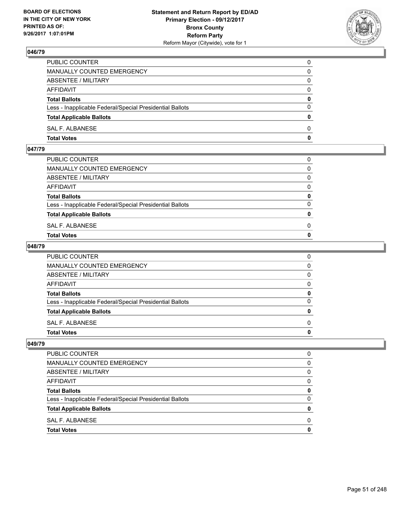

| PUBLIC COUNTER                                           | 0            |
|----------------------------------------------------------|--------------|
| MANUALLY COUNTED EMERGENCY                               | $\Omega$     |
| ABSENTEE / MILITARY                                      | $\mathbf{0}$ |
| AFFIDAVIT                                                | 0            |
| <b>Total Ballots</b>                                     | 0            |
| Less - Inapplicable Federal/Special Presidential Ballots | $\mathbf{0}$ |
| <b>Total Applicable Ballots</b>                          | $\bf{0}$     |
| SAL F. ALBANESE                                          | $\Omega$     |
| <b>Total Votes</b>                                       | $\mathbf{0}$ |

### **047/79**

| MANUALLY COUNTED EMERGENCY                               |              |
|----------------------------------------------------------|--------------|
| ABSENTEE / MILITARY                                      | $\Omega$     |
| AFFIDAVIT                                                | $\mathbf{0}$ |
| <b>Total Ballots</b>                                     | $\mathbf{0}$ |
| Less - Inapplicable Federal/Special Presidential Ballots | $\Omega$     |
| <b>Total Applicable Ballots</b>                          | $\mathbf{0}$ |
| SAL F. ALBANESE                                          | 0            |
| <b>Total Votes</b>                                       | $\mathbf{0}$ |
|                                                          |              |

## **048/79**

| PUBLIC COUNTER                                           | 0            |
|----------------------------------------------------------|--------------|
| MANUALLY COUNTED EMERGENCY                               | $\mathbf{0}$ |
| ABSENTEE / MILITARY                                      | $\mathbf{0}$ |
| AFFIDAVIT                                                | $\Omega$     |
| <b>Total Ballots</b>                                     | 0            |
| Less - Inapplicable Federal/Special Presidential Ballots | $\mathbf{0}$ |
| <b>Total Applicable Ballots</b>                          | 0            |
| SAL F. ALBANESE                                          | $\Omega$     |
| Total Votes                                              | $\mathbf{0}$ |
|                                                          |              |

| <b>PUBLIC COUNTER</b>                                    |   |
|----------------------------------------------------------|---|
| MANUALLY COUNTED EMERGENCY                               | 0 |
| ABSENTEE / MILITARY                                      | 0 |
| <b>AFFIDAVIT</b>                                         | 0 |
| <b>Total Ballots</b>                                     | o |
| Less - Inapplicable Federal/Special Presidential Ballots | 0 |
| <b>Total Applicable Ballots</b>                          |   |
| SAL F. ALBANESE                                          | n |
| <b>Total Votes</b>                                       |   |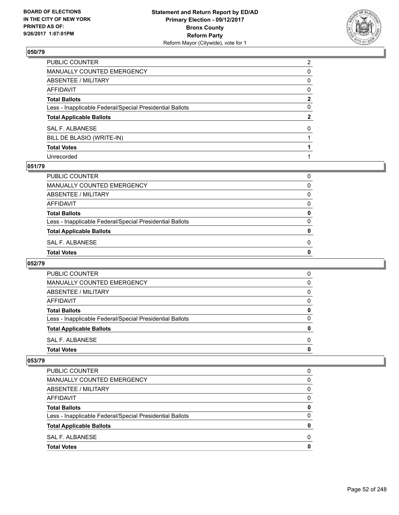

| PUBLIC COUNTER                                           | $\overline{2}$ |
|----------------------------------------------------------|----------------|
| MANUALLY COUNTED EMERGENCY                               | 0              |
| ABSENTEE / MILITARY                                      | 0              |
| AFFIDAVIT                                                | $\mathbf{0}$   |
| <b>Total Ballots</b>                                     | $\mathbf{2}$   |
| Less - Inapplicable Federal/Special Presidential Ballots | $\mathbf{0}$   |
| <b>Total Applicable Ballots</b>                          | $\mathbf{2}$   |
| SAL F. ALBANESE                                          | 0              |
| BILL DE BLASIO (WRITE-IN)                                |                |
| <b>Total Votes</b>                                       |                |
| Unrecorded                                               |                |

#### **051/79**

| PUBLIC COUNTER                                           | 0            |
|----------------------------------------------------------|--------------|
| <b>MANUALLY COUNTED EMERGENCY</b>                        | 0            |
| ABSENTEE / MILITARY                                      | $\Omega$     |
| <b>AFFIDAVIT</b>                                         | 0            |
| <b>Total Ballots</b>                                     | 0            |
| Less - Inapplicable Federal/Special Presidential Ballots | $\Omega$     |
| <b>Total Applicable Ballots</b>                          | $\mathbf{0}$ |
| SAL F. ALBANESE                                          | $\Omega$     |
| <b>Total Votes</b>                                       | $\mathbf 0$  |

## **052/79**

| <b>Total Votes</b>                                       | O            |
|----------------------------------------------------------|--------------|
| SAL F. ALBANESE                                          | 0            |
| <b>Total Applicable Ballots</b>                          | 0            |
| Less - Inapplicable Federal/Special Presidential Ballots | ŋ            |
| <b>Total Ballots</b>                                     | 0            |
| AFFIDAVIT                                                | 0            |
| ABSENTEE / MILITARY                                      | 0            |
| MANUALLY COUNTED EMERGENCY                               | <sup>0</sup> |
| PUBLIC COUNTER                                           | 0            |
|                                                          |              |

| <b>Total Votes</b>                                       | 0 |
|----------------------------------------------------------|---|
| SAL F. ALBANESE                                          | O |
| <b>Total Applicable Ballots</b>                          | 0 |
| Less - Inapplicable Federal/Special Presidential Ballots | 0 |
| <b>Total Ballots</b>                                     | 0 |
| <b>AFFIDAVIT</b>                                         | 0 |
| ABSENTEE / MILITARY                                      | 0 |
| MANUALLY COUNTED EMERGENCY                               | 0 |
| PUBLIC COUNTER                                           | 0 |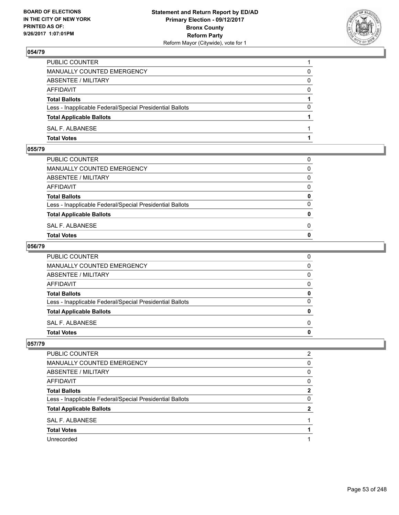

| PUBLIC COUNTER                                           |          |
|----------------------------------------------------------|----------|
| <b>MANUALLY COUNTED EMERGENCY</b>                        | 0        |
| ABSENTEE / MILITARY                                      | 0        |
| AFFIDAVIT                                                | $\Omega$ |
| <b>Total Ballots</b>                                     |          |
| Less - Inapplicable Federal/Special Presidential Ballots | $\Omega$ |
| <b>Total Applicable Ballots</b>                          |          |
| <b>SAL F. ALBANESE</b>                                   |          |
| <b>Total Votes</b>                                       |          |

## **055/79**

| MANUALLY COUNTED EMERGENCY                               |              |
|----------------------------------------------------------|--------------|
| ABSENTEE / MILITARY                                      | $\Omega$     |
| AFFIDAVIT                                                | $\mathbf{0}$ |
| <b>Total Ballots</b>                                     | $\mathbf{0}$ |
| Less - Inapplicable Federal/Special Presidential Ballots | $\Omega$     |
| <b>Total Applicable Ballots</b>                          | $\mathbf{0}$ |
| SAL F. ALBANESE                                          | 0            |
| <b>Total Votes</b>                                       | $\mathbf{0}$ |
|                                                          |              |

## **056/79**

| PUBLIC COUNTER                                           | 0            |
|----------------------------------------------------------|--------------|
| MANUALLY COUNTED EMERGENCY                               | $\mathbf{0}$ |
| ABSENTEE / MILITARY                                      | $\mathbf{0}$ |
| AFFIDAVIT                                                | $\Omega$     |
| <b>Total Ballots</b>                                     | 0            |
| Less - Inapplicable Federal/Special Presidential Ballots | $\mathbf{0}$ |
| <b>Total Applicable Ballots</b>                          | 0            |
| SAL F. ALBANESE                                          | $\Omega$     |
| Total Votes                                              | $\mathbf{0}$ |
|                                                          |              |

| PUBLIC COUNTER                                           | 2 |
|----------------------------------------------------------|---|
| MANUALLY COUNTED EMERGENCY                               | 0 |
| ABSENTEE / MILITARY                                      | 0 |
| AFFIDAVIT                                                | 0 |
| <b>Total Ballots</b>                                     | 2 |
| Less - Inapplicable Federal/Special Presidential Ballots | 0 |
| <b>Total Applicable Ballots</b>                          | 2 |
| SAL F. ALBANESE                                          |   |
| <b>Total Votes</b>                                       |   |
| Unrecorded                                               |   |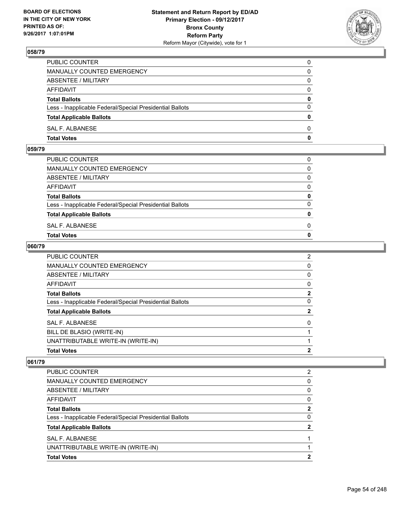

| PUBLIC COUNTER                                           | 0            |
|----------------------------------------------------------|--------------|
| MANUALLY COUNTED EMERGENCY                               | 0            |
| ABSENTEE / MILITARY                                      | $\Omega$     |
| AFFIDAVIT                                                | $\Omega$     |
| <b>Total Ballots</b>                                     | $\mathbf{0}$ |
| Less - Inapplicable Federal/Special Presidential Ballots | $\Omega$     |
| <b>Total Applicable Ballots</b>                          | $\mathbf{0}$ |
| SAL F. ALBANESE                                          | $\Omega$     |
| <b>Total Votes</b>                                       | $\mathbf{0}$ |

## **059/79**

| PUBLIC COUNTER                                           | 0            |
|----------------------------------------------------------|--------------|
| MANUALLY COUNTED EMERGENCY                               | $\Omega$     |
| ABSENTEE / MILITARY                                      | $\Omega$     |
| AFFIDAVIT                                                | $\Omega$     |
| <b>Total Ballots</b>                                     | 0            |
| Less - Inapplicable Federal/Special Presidential Ballots | $\Omega$     |
| <b>Total Applicable Ballots</b>                          | $\mathbf{0}$ |
| SAL F. ALBANESE                                          | 0            |
| <b>Total Votes</b>                                       | $\Omega$     |
|                                                          |              |

## **060/79**

| PUBLIC COUNTER                                           | $\overline{2}$ |
|----------------------------------------------------------|----------------|
| <b>MANUALLY COUNTED EMERGENCY</b>                        | 0              |
| ABSENTEE / MILITARY                                      | 0              |
| <b>AFFIDAVIT</b>                                         | 0              |
| <b>Total Ballots</b>                                     | $\overline{2}$ |
| Less - Inapplicable Federal/Special Presidential Ballots | 0              |
| <b>Total Applicable Ballots</b>                          | 2              |
| <b>SAL F. ALBANESE</b>                                   | 0              |
| BILL DE BLASIO (WRITE-IN)                                |                |
| UNATTRIBUTABLE WRITE-IN (WRITE-IN)                       |                |
| <b>Total Votes</b>                                       | $\mathbf{2}$   |

| PUBLIC COUNTER                                           | 2 |
|----------------------------------------------------------|---|
| MANUALLY COUNTED EMERGENCY                               | 0 |
| ABSENTEE / MILITARY                                      | 0 |
| AFFIDAVIT                                                | 0 |
| <b>Total Ballots</b>                                     | 2 |
| Less - Inapplicable Federal/Special Presidential Ballots | 0 |
| <b>Total Applicable Ballots</b>                          |   |
| SAL F. ALBANESE                                          |   |
| UNATTRIBUTABLE WRITE-IN (WRITE-IN)                       |   |
| <b>Total Votes</b>                                       | າ |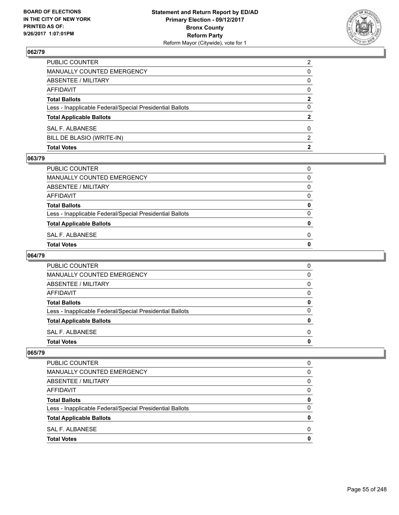

| <b>Total Votes</b>                                       | 2              |
|----------------------------------------------------------|----------------|
| BILL DE BLASIO (WRITE-IN)                                | 2              |
| SAL F. ALBANESE                                          | 0              |
| <b>Total Applicable Ballots</b>                          | 2              |
| Less - Inapplicable Federal/Special Presidential Ballots | 0              |
| <b>Total Ballots</b>                                     | 2              |
| <b>AFFIDAVIT</b>                                         | $\Omega$       |
| <b>ABSENTEE / MILITARY</b>                               | 0              |
| <b>MANUALLY COUNTED EMERGENCY</b>                        | 0              |
| PUBLIC COUNTER                                           | $\overline{2}$ |

#### **063/79**

| PUBLIC COUNTER                                           | 0 |
|----------------------------------------------------------|---|
| MANUALLY COUNTED EMERGENCY                               | 0 |
| ABSENTEE / MILITARY                                      | 0 |
| AFFIDAVIT                                                | 0 |
| <b>Total Ballots</b>                                     | 0 |
| Less - Inapplicable Federal/Special Presidential Ballots | 0 |
| <b>Total Applicable Ballots</b>                          | 0 |
| SAL F. ALBANESE                                          | 0 |
| Total Votes                                              | o |

## **064/79**

| <b>PUBLIC COUNTER</b>                                    | 0 |
|----------------------------------------------------------|---|
| MANUALLY COUNTED EMERGENCY                               | 0 |
| ABSENTEE / MILITARY                                      | 0 |
| AFFIDAVIT                                                | 0 |
| <b>Total Ballots</b>                                     | 0 |
| Less - Inapplicable Federal/Special Presidential Ballots | O |
| <b>Total Applicable Ballots</b>                          | n |
| SAL F. ALBANESE                                          | 0 |
| <b>Total Votes</b>                                       |   |

| <b>Total Votes</b>                                       | 0 |
|----------------------------------------------------------|---|
| SAL F. ALBANESE                                          | 0 |
| <b>Total Applicable Ballots</b>                          | 0 |
| Less - Inapplicable Federal/Special Presidential Ballots | 0 |
| <b>Total Ballots</b>                                     | 0 |
| AFFIDAVIT                                                | 0 |
| ABSENTEE / MILITARY                                      | 0 |
| MANUALLY COUNTED EMERGENCY                               | 0 |
| PUBLIC COUNTER                                           | 0 |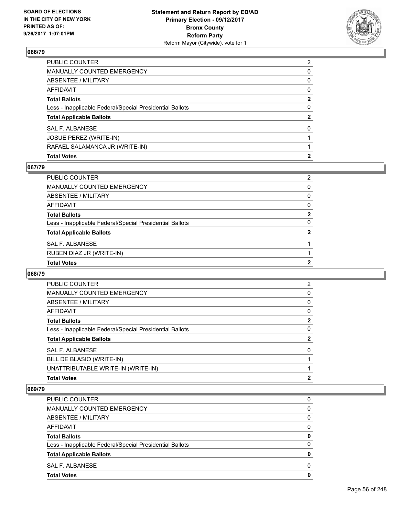

| PUBLIC COUNTER                                           | $\overline{2}$ |
|----------------------------------------------------------|----------------|
| MANUALLY COUNTED EMERGENCY                               | 0              |
| ABSENTEE / MILITARY                                      | $\mathbf{0}$   |
| AFFIDAVIT                                                | $\mathbf{0}$   |
| Total Ballots                                            | $\mathbf{2}$   |
| Less - Inapplicable Federal/Special Presidential Ballots | $\mathbf{0}$   |
| <b>Total Applicable Ballots</b>                          | $\mathbf{2}$   |
| SAL F. ALBANESE                                          | $\mathbf{0}$   |
| JOSUE PEREZ (WRITE-IN)                                   |                |
| RAFAEL SALAMANCA JR (WRITE-IN)                           |                |
| <b>Total Votes</b>                                       | $\mathbf{2}$   |

## **067/79**

| PUBLIC COUNTER                                           | 2            |
|----------------------------------------------------------|--------------|
| <b>MANUALLY COUNTED EMERGENCY</b>                        | 0            |
| <b>ABSENTEE / MILITARY</b>                               | 0            |
| AFFIDAVIT                                                | 0            |
| <b>Total Ballots</b>                                     | $\mathbf{2}$ |
| Less - Inapplicable Federal/Special Presidential Ballots | 0            |
| <b>Total Applicable Ballots</b>                          | $\mathbf{2}$ |
| SAL F. ALBANESE                                          |              |
| RUBEN DIAZ JR (WRITE-IN)                                 |              |
| <b>Total Votes</b>                                       | 2            |
|                                                          |              |

### **068/79**

| <b>PUBLIC COUNTER</b>                                    | 2            |
|----------------------------------------------------------|--------------|
| <b>MANUALLY COUNTED EMERGENCY</b>                        | 0            |
| ABSENTEE / MILITARY                                      | 0            |
| AFFIDAVIT                                                | 0            |
| <b>Total Ballots</b>                                     | $\mathbf{2}$ |
| Less - Inapplicable Federal/Special Presidential Ballots | 0            |
| <b>Total Applicable Ballots</b>                          | $\mathbf{2}$ |
| SAL F. ALBANESE                                          | $\Omega$     |
| BILL DE BLASIO (WRITE-IN)                                |              |
| UNATTRIBUTABLE WRITE-IN (WRITE-IN)                       |              |
| <b>Total Votes</b>                                       | $\mathbf{2}$ |

| <b>PUBLIC COUNTER</b>                                    | 0        |
|----------------------------------------------------------|----------|
| MANUALLY COUNTED EMERGENCY                               | 0        |
| ABSENTEE / MILITARY                                      | 0        |
| AFFIDAVIT                                                | 0        |
| <b>Total Ballots</b>                                     | 0        |
| Less - Inapplicable Federal/Special Presidential Ballots | $\Omega$ |
| <b>Total Applicable Ballots</b>                          | 0        |
| SAL F. ALBANESE                                          | 0        |
| <b>Total Votes</b>                                       | 0        |
|                                                          |          |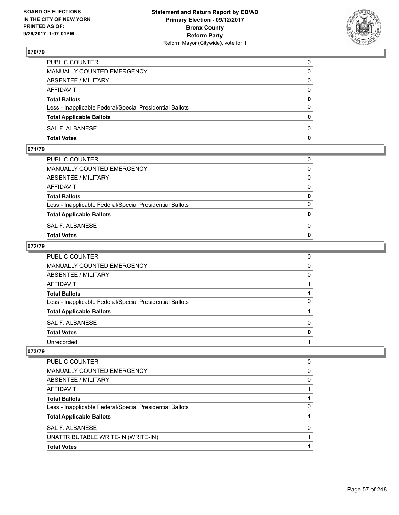

| <b>Total Votes</b>                                       | 0            |
|----------------------------------------------------------|--------------|
| SAL F. ALBANESE                                          | $\Omega$     |
| <b>Total Applicable Ballots</b>                          | $\mathbf{0}$ |
| Less - Inapplicable Federal/Special Presidential Ballots | $\Omega$     |
| <b>Total Ballots</b>                                     | 0            |
| <b>AFFIDAVIT</b>                                         | $\Omega$     |
| ABSENTEE / MILITARY                                      | $\Omega$     |
| MANUALLY COUNTED EMERGENCY                               | 0            |
| PUBLIC COUNTER                                           | 0            |

## **071/79**

| <b>Total Votes</b>                                       | $\mathbf{0}$ |
|----------------------------------------------------------|--------------|
| SAL F. ALBANESE                                          | 0            |
| <b>Total Applicable Ballots</b>                          | $\mathbf{0}$ |
| Less - Inapplicable Federal/Special Presidential Ballots | $\Omega$     |
| <b>Total Ballots</b>                                     | 0            |
| AFFIDAVIT                                                | $\Omega$     |
| ABSENTEE / MILITARY                                      | $\Omega$     |
| MANUALLY COUNTED EMERGENCY                               | $\Omega$     |
| PUBLIC COUNTER                                           | 0            |
|                                                          |              |

## **072/79**

| PUBLIC COUNTER                                           | 0 |
|----------------------------------------------------------|---|
| MANUALLY COUNTED EMERGENCY                               | 0 |
| ABSENTEE / MILITARY                                      | 0 |
| AFFIDAVIT                                                |   |
| <b>Total Ballots</b>                                     |   |
| Less - Inapplicable Federal/Special Presidential Ballots | 0 |
| <b>Total Applicable Ballots</b>                          |   |
| SAL F. ALBANESE                                          | 0 |
| <b>Total Votes</b>                                       | 0 |
| Unrecorded                                               |   |

| AFFIDAVIT                                                |   |
|----------------------------------------------------------|---|
| <b>Total Ballots</b>                                     |   |
| Less - Inapplicable Federal/Special Presidential Ballots | 0 |
| <b>Total Applicable Ballots</b>                          |   |
| SAL F. ALBANESE                                          | 0 |
| UNATTRIBUTABLE WRITE-IN (WRITE-IN)                       |   |
| <b>Total Votes</b>                                       |   |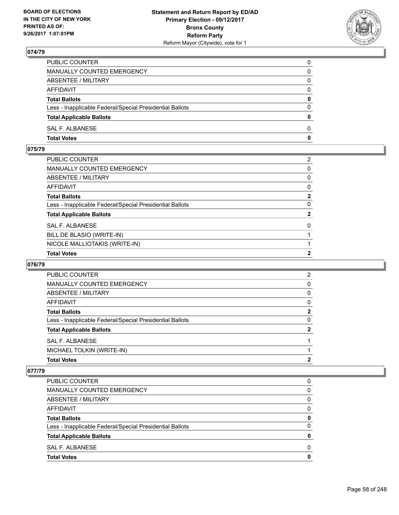

| PUBLIC COUNTER                                           | 0            |
|----------------------------------------------------------|--------------|
| MANUALLY COUNTED EMERGENCY                               | $\Omega$     |
| ABSENTEE / MILITARY                                      | $\mathbf{0}$ |
| AFFIDAVIT                                                | 0            |
| <b>Total Ballots</b>                                     | $\mathbf{0}$ |
| Less - Inapplicable Federal/Special Presidential Ballots | $\Omega$     |
| <b>Total Applicable Ballots</b>                          | $\mathbf{0}$ |
| SAL F. ALBANESE                                          | $\Omega$     |
| <b>Total Votes</b>                                       | $\mathbf{0}$ |

# **075/79**

| PUBLIC COUNTER                                           | $\mathbf{2}^{\prime}$ |
|----------------------------------------------------------|-----------------------|
| MANUALLY COUNTED EMERGENCY                               | 0                     |
| ABSENTEE / MILITARY                                      | 0                     |
| AFFIDAVIT                                                | 0                     |
| Total Ballots                                            | $\mathbf{2}$          |
| Less - Inapplicable Federal/Special Presidential Ballots | 0                     |
| <b>Total Applicable Ballots</b>                          | $\mathbf{2}$          |
| <b>SAL F. ALBANESE</b>                                   | $\mathbf{0}$          |
| BILL DE BLASIO (WRITE-IN)                                |                       |
| NICOLE MALLIOTAKIS (WRITE-IN)                            |                       |
| <b>Total Votes</b>                                       | $\mathbf{2}$          |

## **076/79**

| <b>Total Votes</b>                                       | 2 |
|----------------------------------------------------------|---|
| MICHAEL TOLKIN (WRITE-IN)                                |   |
| SAL F. ALBANESE                                          |   |
| <b>Total Applicable Ballots</b>                          | 2 |
| Less - Inapplicable Federal/Special Presidential Ballots | 0 |
| <b>Total Ballots</b>                                     | 2 |
| AFFIDAVIT                                                | 0 |
| ABSENTEE / MILITARY                                      | 0 |
| MANUALLY COUNTED EMERGENCY                               | 0 |
| PUBLIC COUNTER                                           | 2 |

| <b>PUBLIC COUNTER</b>                                    | 0 |
|----------------------------------------------------------|---|
| <b>MANUALLY COUNTED EMERGENCY</b>                        | 0 |
| ABSENTEE / MILITARY                                      | 0 |
| AFFIDAVIT                                                | 0 |
| <b>Total Ballots</b>                                     | 0 |
| Less - Inapplicable Federal/Special Presidential Ballots | 0 |
| <b>Total Applicable Ballots</b>                          | O |
| SAL F. ALBANESE                                          | ŋ |
| <b>Total Votes</b>                                       | Ω |
|                                                          |   |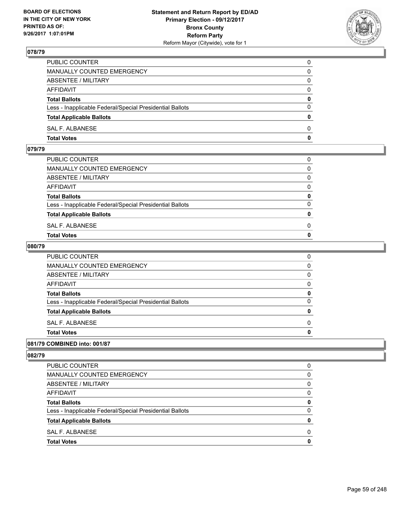

| PUBLIC COUNTER                                           | 0            |
|----------------------------------------------------------|--------------|
| MANUALLY COUNTED EMERGENCY                               | $\mathbf{0}$ |
| ABSENTEE / MILITARY                                      | 0            |
| AFFIDAVIT                                                | 0            |
| <b>Total Ballots</b>                                     | 0            |
| Less - Inapplicable Federal/Special Presidential Ballots | $\mathbf{0}$ |
| <b>Total Applicable Ballots</b>                          | $\mathbf{0}$ |
| SAL F. ALBANESE                                          | $\Omega$     |
| <b>Total Votes</b>                                       | $\mathbf{0}$ |

### **079/79**

| MANUALLY COUNTED EMERGENCY                               |              |
|----------------------------------------------------------|--------------|
| ABSENTEE / MILITARY                                      | $\Omega$     |
| AFFIDAVIT                                                | $\mathbf{0}$ |
| <b>Total Ballots</b>                                     | $\mathbf{0}$ |
| Less - Inapplicable Federal/Special Presidential Ballots | $\Omega$     |
| <b>Total Applicable Ballots</b>                          | $\mathbf{0}$ |
| SAL F. ALBANESE                                          | 0            |
| <b>Total Votes</b>                                       | $\mathbf{0}$ |
|                                                          |              |

### **080/79**

| <b>Total Votes</b>                                       | 0 |
|----------------------------------------------------------|---|
|                                                          |   |
| SAL F. ALBANESE                                          | 0 |
| <b>Total Applicable Ballots</b>                          | 0 |
| Less - Inapplicable Federal/Special Presidential Ballots | 0 |
| <b>Total Ballots</b>                                     | 0 |
| <b>AFFIDAVIT</b>                                         | 0 |
| <b>ABSENTEE / MILITARY</b>                               | 0 |
| <b>MANUALLY COUNTED EMERGENCY</b>                        | 0 |
| PUBLIC COUNTER                                           | 0 |

## **081/79 COMBINED into: 001/87**

| <b>Total Votes</b>                                       | 0        |
|----------------------------------------------------------|----------|
| SAL F. ALBANESE                                          | 0        |
| <b>Total Applicable Ballots</b>                          | 0        |
| Less - Inapplicable Federal/Special Presidential Ballots | 0        |
| <b>Total Ballots</b>                                     | 0        |
| AFFIDAVIT                                                | 0        |
| ABSENTEE / MILITARY                                      | $\Omega$ |
| MANUALLY COUNTED EMERGENCY                               | 0        |
| <b>PUBLIC COUNTER</b>                                    | 0        |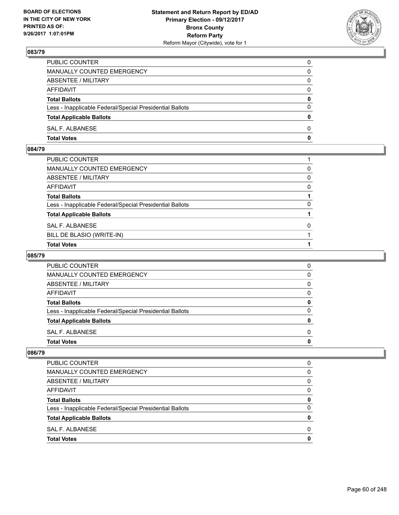

| PUBLIC COUNTER                                           | 0            |
|----------------------------------------------------------|--------------|
| MANUALLY COUNTED EMERGENCY                               | 0            |
| ABSENTEE / MILITARY                                      | 0            |
| AFFIDAVIT                                                | $\mathbf{0}$ |
| <b>Total Ballots</b>                                     | $\mathbf{0}$ |
| Less - Inapplicable Federal/Special Presidential Ballots | $\Omega$     |
| <b>Total Applicable Ballots</b>                          | $\mathbf{0}$ |
| SAL F. ALBANESE                                          | $\Omega$     |
| <b>Total Votes</b>                                       | 0            |

## **084/79**

| PUBLIC COUNTER                                           |          |
|----------------------------------------------------------|----------|
| MANUALLY COUNTED EMERGENCY                               | 0        |
| ABSENTEE / MILITARY                                      | 0        |
| AFFIDAVIT                                                | 0        |
| <b>Total Ballots</b>                                     |          |
| Less - Inapplicable Federal/Special Presidential Ballots | 0        |
| <b>Total Applicable Ballots</b>                          |          |
| SAL F. ALBANESE                                          | $\Omega$ |
| BILL DE BLASIO (WRITE-IN)                                |          |
| <b>Total Votes</b>                                       |          |

# **085/79**

| <b>PUBLIC COUNTER</b>                                    |   |
|----------------------------------------------------------|---|
| <b>MANUALLY COUNTED EMERGENCY</b>                        |   |
| ABSENTEE / MILITARY                                      |   |
| AFFIDAVIT                                                |   |
| <b>Total Ballots</b>                                     | o |
| Less - Inapplicable Federal/Special Presidential Ballots | n |
| <b>Total Applicable Ballots</b>                          |   |
| SAL F. ALBANESE                                          | n |
| <b>Total Votes</b>                                       |   |

| <b>Total Votes</b>                                       | 0 |
|----------------------------------------------------------|---|
| SAL F. ALBANESE                                          | 0 |
| <b>Total Applicable Ballots</b>                          | 0 |
| Less - Inapplicable Federal/Special Presidential Ballots | 0 |
| <b>Total Ballots</b>                                     | 0 |
| AFFIDAVIT                                                | 0 |
| ABSENTEE / MILITARY                                      | 0 |
| MANUALLY COUNTED EMERGENCY                               | 0 |
| PUBLIC COUNTER                                           | 0 |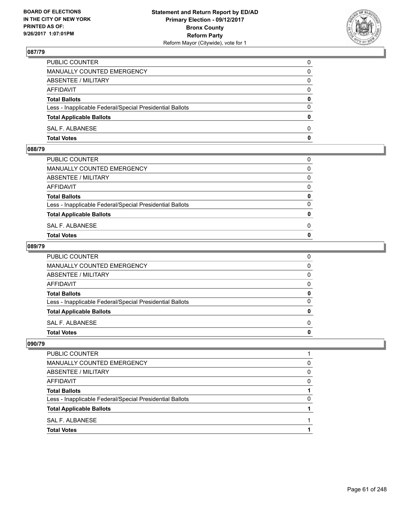

| PUBLIC COUNTER                                           | 0            |
|----------------------------------------------------------|--------------|
| MANUALLY COUNTED EMERGENCY                               | $\mathbf{0}$ |
| ABSENTEE / MILITARY                                      | 0            |
| AFFIDAVIT                                                | 0            |
| <b>Total Ballots</b>                                     | 0            |
| Less - Inapplicable Federal/Special Presidential Ballots | $\mathbf{0}$ |
| <b>Total Applicable Ballots</b>                          | $\mathbf{0}$ |
| SAL F. ALBANESE                                          | $\Omega$     |
| <b>Total Votes</b>                                       | $\mathbf{0}$ |

### **088/79**

| MANUALLY COUNTED EMERGENCY                               |              |
|----------------------------------------------------------|--------------|
| ABSENTEE / MILITARY                                      | $\Omega$     |
| AFFIDAVIT                                                | $\mathbf{0}$ |
| <b>Total Ballots</b>                                     | $\mathbf{0}$ |
| Less - Inapplicable Federal/Special Presidential Ballots | $\Omega$     |
| <b>Total Applicable Ballots</b>                          | $\mathbf{0}$ |
| SAL F. ALBANESE                                          | 0            |
| <b>Total Votes</b>                                       | $\mathbf{0}$ |
|                                                          |              |

### **089/79**

| PUBLIC COUNTER                                           | 0            |
|----------------------------------------------------------|--------------|
| MANUALLY COUNTED EMERGENCY                               | $\mathbf{0}$ |
| ABSENTEE / MILITARY                                      | $\mathbf{0}$ |
| AFFIDAVIT                                                | $\mathbf{0}$ |
| <b>Total Ballots</b>                                     | 0            |
| Less - Inapplicable Federal/Special Presidential Ballots | $\mathbf{0}$ |
| <b>Total Applicable Ballots</b>                          | $\mathbf{0}$ |
| SAL F. ALBANESE                                          | $\Omega$     |
| <b>Total Votes</b>                                       | 0            |
|                                                          |              |

| <b>PUBLIC COUNTER</b>                                    |   |
|----------------------------------------------------------|---|
| MANUALLY COUNTED EMERGENCY                               | 0 |
| ABSENTEE / MILITARY                                      | 0 |
| <b>AFFIDAVIT</b>                                         | O |
| <b>Total Ballots</b>                                     |   |
| Less - Inapplicable Federal/Special Presidential Ballots |   |
| <b>Total Applicable Ballots</b>                          |   |
| SAL F. ALBANESE                                          |   |
| <b>Total Votes</b>                                       |   |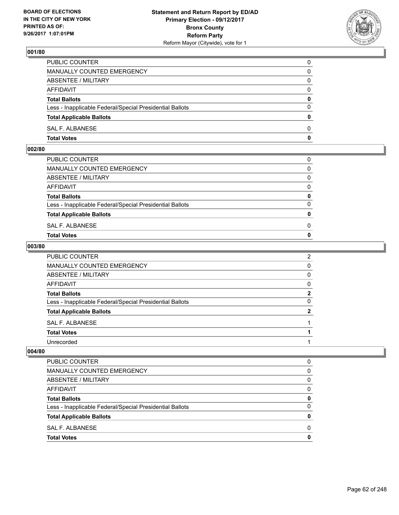

| <b>Total Votes</b>                                       | 0            |
|----------------------------------------------------------|--------------|
| SAL F. ALBANESE                                          | $\Omega$     |
| <b>Total Applicable Ballots</b>                          | $\mathbf{0}$ |
| Less - Inapplicable Federal/Special Presidential Ballots | $\Omega$     |
| <b>Total Ballots</b>                                     | 0            |
| <b>AFFIDAVIT</b>                                         | $\Omega$     |
| ABSENTEE / MILITARY                                      | $\Omega$     |
| MANUALLY COUNTED EMERGENCY                               | 0            |
| PUBLIC COUNTER                                           | 0            |

## **002/80**

| <b>Total Votes</b>                                       | $\mathbf{0}$ |
|----------------------------------------------------------|--------------|
| SAL F. ALBANESE                                          | 0            |
| <b>Total Applicable Ballots</b>                          | $\mathbf{0}$ |
| Less - Inapplicable Federal/Special Presidential Ballots | $\Omega$     |
| <b>Total Ballots</b>                                     | 0            |
| AFFIDAVIT                                                | $\Omega$     |
| ABSENTEE / MILITARY                                      | $\Omega$     |
| MANUALLY COUNTED EMERGENCY                               | $\Omega$     |
| PUBLIC COUNTER                                           | 0            |
|                                                          |              |

## **003/80**

| PUBLIC COUNTER                                           | $\overline{2}$ |
|----------------------------------------------------------|----------------|
| MANUALLY COUNTED EMERGENCY                               | $\Omega$       |
| ABSENTEE / MILITARY                                      | 0              |
| <b>AFFIDAVIT</b>                                         | 0              |
| <b>Total Ballots</b>                                     | $\overline{2}$ |
| Less - Inapplicable Federal/Special Presidential Ballots | 0              |
| <b>Total Applicable Ballots</b>                          | $\mathbf{2}$   |
| SAL F. ALBANESE                                          |                |
| <b>Total Votes</b>                                       |                |
| Unrecorded                                               |                |

| PUBLIC COUNTER                                           | O |
|----------------------------------------------------------|---|
| MANUALLY COUNTED EMERGENCY                               | 0 |
| ABSENTEE / MILITARY                                      | 0 |
| AFFIDAVIT                                                | 0 |
| <b>Total Ballots</b>                                     | 0 |
| Less - Inapplicable Federal/Special Presidential Ballots | 0 |
| <b>Total Applicable Ballots</b>                          | 0 |
| SAL F. ALBANESE                                          | O |
| <b>Total Votes</b>                                       |   |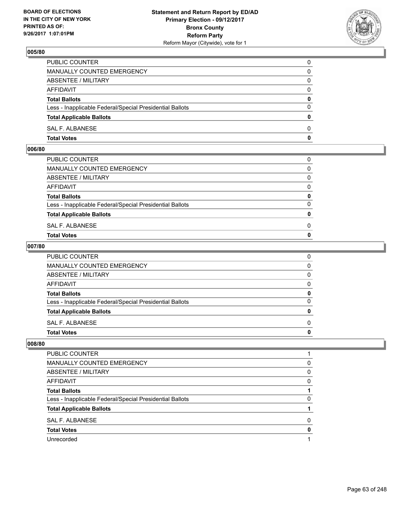

| <b>Total Votes</b>                                       | 0            |
|----------------------------------------------------------|--------------|
| SAL F. ALBANESE                                          | $\Omega$     |
| <b>Total Applicable Ballots</b>                          | $\mathbf{0}$ |
| Less - Inapplicable Federal/Special Presidential Ballots | $\Omega$     |
| <b>Total Ballots</b>                                     | 0            |
| <b>AFFIDAVIT</b>                                         | $\Omega$     |
| ABSENTEE / MILITARY                                      | $\Omega$     |
| MANUALLY COUNTED EMERGENCY                               | 0            |
| PUBLIC COUNTER                                           | 0            |

### **006/80**

| <b>Total Votes</b>                                       | $\mathbf{0}$ |
|----------------------------------------------------------|--------------|
| SAL F. ALBANESE                                          | 0            |
| <b>Total Applicable Ballots</b>                          | $\mathbf{0}$ |
| Less - Inapplicable Federal/Special Presidential Ballots | $\Omega$     |
| <b>Total Ballots</b>                                     | 0            |
| AFFIDAVIT                                                | $\Omega$     |
| ABSENTEE / MILITARY                                      | $\Omega$     |
| MANUALLY COUNTED EMERGENCY                               | $\Omega$     |
| PUBLIC COUNTER                                           | 0            |
|                                                          |              |

### **007/80**

| PUBLIC COUNTER                                           | 0            |
|----------------------------------------------------------|--------------|
| MANUALLY COUNTED EMERGENCY                               | $\mathbf{0}$ |
| ABSENTEE / MILITARY                                      | $\mathbf{0}$ |
| AFFIDAVIT                                                | $\Omega$     |
| <b>Total Ballots</b>                                     | 0            |
| Less - Inapplicable Federal/Special Presidential Ballots | $\mathbf{0}$ |
| <b>Total Applicable Ballots</b>                          | 0            |
| SAL F. ALBANESE                                          | $\Omega$     |
| Total Votes                                              | $\mathbf{0}$ |
|                                                          |              |

| PUBLIC COUNTER                                           |   |
|----------------------------------------------------------|---|
| <b>MANUALLY COUNTED EMERGENCY</b>                        | 0 |
| ABSENTEE / MILITARY                                      | 0 |
| AFFIDAVIT                                                | 0 |
| <b>Total Ballots</b>                                     |   |
| Less - Inapplicable Federal/Special Presidential Ballots | 0 |
| <b>Total Applicable Ballots</b>                          |   |
| SAL F. ALBANESE                                          | 0 |
| <b>Total Votes</b>                                       | 0 |
| Unrecorded                                               |   |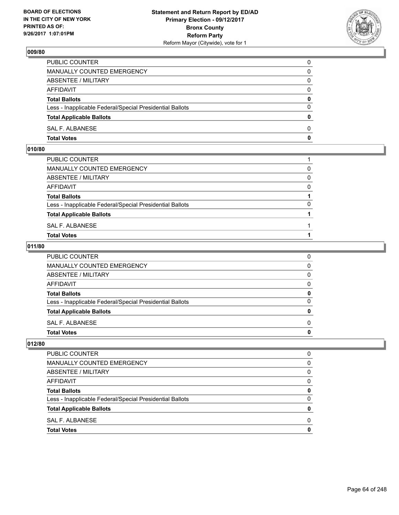

| <b>Total Votes</b>                                       | 0            |
|----------------------------------------------------------|--------------|
| SAL F. ALBANESE                                          | $\Omega$     |
| <b>Total Applicable Ballots</b>                          | $\mathbf{0}$ |
| Less - Inapplicable Federal/Special Presidential Ballots | $\Omega$     |
| <b>Total Ballots</b>                                     | 0            |
| <b>AFFIDAVIT</b>                                         | $\Omega$     |
| ABSENTEE / MILITARY                                      | $\Omega$     |
| MANUALLY COUNTED EMERGENCY                               | 0            |
| PUBLIC COUNTER                                           | 0            |

## **010/80**

| PUBLIC COUNTER                                           |          |
|----------------------------------------------------------|----------|
| MANUALLY COUNTED EMERGENCY                               | 0        |
| ABSENTEE / MILITARY                                      | $\Omega$ |
| AFFIDAVIT                                                | $\Omega$ |
| <b>Total Ballots</b>                                     |          |
| Less - Inapplicable Federal/Special Presidential Ballots | 0        |
| <b>Total Applicable Ballots</b>                          |          |
| SAL F. ALBANESE                                          |          |
| <b>Total Votes</b>                                       |          |
|                                                          |          |

## **011/80**

| PUBLIC COUNTER                                           | 0            |
|----------------------------------------------------------|--------------|
| MANUALLY COUNTED EMERGENCY                               | $\mathbf{0}$ |
| ABSENTEE / MILITARY                                      | $\mathbf{0}$ |
| AFFIDAVIT                                                | $\mathbf{0}$ |
| <b>Total Ballots</b>                                     | 0            |
| Less - Inapplicable Federal/Special Presidential Ballots | $\mathbf{0}$ |
| <b>Total Applicable Ballots</b>                          | 0            |
| SAL F. ALBANESE                                          | $\Omega$     |
| <b>Total Votes</b>                                       | 0            |
|                                                          |              |

| <b>PUBLIC COUNTER</b>                                    | O |
|----------------------------------------------------------|---|
| <b>MANUALLY COUNTED EMERGENCY</b>                        | 0 |
| ABSENTEE / MILITARY                                      | 0 |
| <b>AFFIDAVIT</b>                                         | 0 |
| <b>Total Ballots</b>                                     | 0 |
| Less - Inapplicable Federal/Special Presidential Ballots | 0 |
| <b>Total Applicable Ballots</b>                          | 0 |
| SAL F. ALBANESE                                          | 0 |
| <b>Total Votes</b>                                       | O |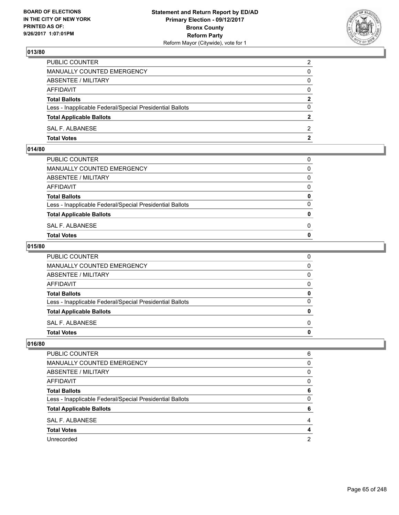

| PUBLIC COUNTER                                           | $\overline{2}$ |
|----------------------------------------------------------|----------------|
| MANUALLY COUNTED EMERGENCY                               | 0              |
| ABSENTEE / MILITARY                                      | $\Omega$       |
| AFFIDAVIT                                                | 0              |
| <b>Total Ballots</b>                                     | $\mathbf{2}$   |
| Less - Inapplicable Federal/Special Presidential Ballots | $\Omega$       |
| <b>Total Applicable Ballots</b>                          | $\overline{2}$ |
| SAL F. ALBANESE                                          | 2              |
| <b>Total Votes</b>                                       | $\mathbf{2}$   |

## **014/80**

| PUBLIC COUNTER                                           | 0            |
|----------------------------------------------------------|--------------|
| MANUALLY COUNTED EMERGENCY                               | $\mathbf{0}$ |
| ABSENTEE / MILITARY                                      | $\Omega$     |
| AFFIDAVIT                                                | $\Omega$     |
| <b>Total Ballots</b>                                     | 0            |
| Less - Inapplicable Federal/Special Presidential Ballots | $\Omega$     |
| <b>Total Applicable Ballots</b>                          | $\mathbf{0}$ |
| SAL F. ALBANESE                                          | 0            |
| Total Votes                                              | $\Omega$     |
|                                                          |              |

## **015/80**

| <b>Total Votes</b>                                       | 0            |
|----------------------------------------------------------|--------------|
| SAL F. ALBANESE                                          | $\Omega$     |
| <b>Total Applicable Ballots</b>                          | 0            |
| Less - Inapplicable Federal/Special Presidential Ballots | $\Omega$     |
| <b>Total Ballots</b>                                     | 0            |
| <b>AFFIDAVIT</b>                                         | 0            |
| <b>ABSENTEE / MILITARY</b>                               | $\mathbf{0}$ |
| MANUALLY COUNTED EMERGENCY                               | $\mathbf{0}$ |
| PUBLIC COUNTER                                           | 0            |

| <b>PUBLIC COUNTER</b>                                    | 6 |
|----------------------------------------------------------|---|
| MANUALLY COUNTED EMERGENCY                               | 0 |
| ABSENTEE / MILITARY                                      | 0 |
| AFFIDAVIT                                                | 0 |
| <b>Total Ballots</b>                                     | 6 |
| Less - Inapplicable Federal/Special Presidential Ballots | 0 |
| <b>Total Applicable Ballots</b>                          | 6 |
| SAL F. ALBANESE                                          | 4 |
| <b>Total Votes</b>                                       | 4 |
| Unrecorded                                               | 2 |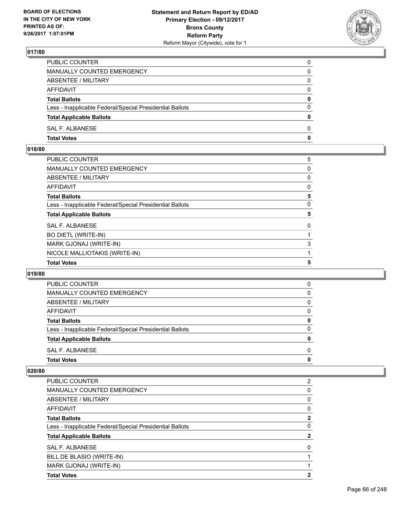

| PUBLIC COUNTER                                           | 0        |
|----------------------------------------------------------|----------|
| <b>MANUALLY COUNTED EMERGENCY</b>                        | 0        |
| ABSENTEE / MILITARY                                      | 0        |
| AFFIDAVIT                                                | $\Omega$ |
| <b>Total Ballots</b>                                     | 0        |
| Less - Inapplicable Federal/Special Presidential Ballots | $\Omega$ |
| <b>Total Applicable Ballots</b>                          | 0        |
| SAL F. ALBANESE                                          | $\Omega$ |
| <b>Total Votes</b>                                       | 0        |

## **018/80**

| <b>Total Votes</b>                                       | 5 |
|----------------------------------------------------------|---|
| NICOLE MALLIOTAKIS (WRITE-IN)                            |   |
| MARK GJONAJ (WRITE-IN)                                   | 3 |
| <b>BO DIETL (WRITE-IN)</b>                               |   |
| <b>SAL F. ALBANESE</b>                                   | 0 |
| <b>Total Applicable Ballots</b>                          | 5 |
| Less - Inapplicable Federal/Special Presidential Ballots | 0 |
| <b>Total Ballots</b>                                     | 5 |
| <b>AFFIDAVIT</b>                                         | 0 |
| <b>ABSENTEE / MILITARY</b>                               | 0 |
| <b>MANUALLY COUNTED EMERGENCY</b>                        | 0 |
| PUBLIC COUNTER                                           | 5 |

#### **019/80**

| <b>Total Votes</b>                                       | 0        |
|----------------------------------------------------------|----------|
| SAL F. ALBANESE                                          | 0        |
| <b>Total Applicable Ballots</b>                          | 0        |
| Less - Inapplicable Federal/Special Presidential Ballots | $\Omega$ |
| <b>Total Ballots</b>                                     | 0        |
| AFFIDAVIT                                                | 0        |
| ABSENTEE / MILITARY                                      | 0        |
| MANUALLY COUNTED EMERGENCY                               | 0        |
| <b>PUBLIC COUNTER</b>                                    | 0        |

| <b>Total Votes</b>                                       | 2              |
|----------------------------------------------------------|----------------|
| MARK GJONAJ (WRITE-IN)                                   |                |
| BILL DE BLASIO (WRITE-IN)                                |                |
| SAL F. ALBANESE                                          | 0              |
| <b>Total Applicable Ballots</b>                          | 2              |
| Less - Inapplicable Federal/Special Presidential Ballots | 0              |
| <b>Total Ballots</b>                                     | 2              |
| AFFIDAVIT                                                | 0              |
| ABSENTEE / MILITARY                                      | 0              |
| <b>MANUALLY COUNTED EMERGENCY</b>                        | 0              |
| PUBLIC COUNTER                                           | $\overline{2}$ |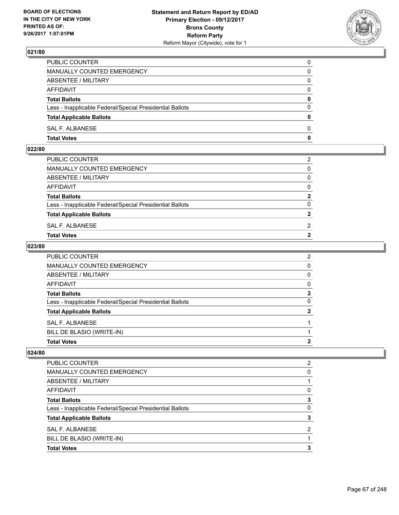

| <b>Total Votes</b>                                       | 0            |
|----------------------------------------------------------|--------------|
| SAL F. ALBANESE                                          | $\Omega$     |
| <b>Total Applicable Ballots</b>                          | $\mathbf{0}$ |
| Less - Inapplicable Federal/Special Presidential Ballots | $\Omega$     |
| <b>Total Ballots</b>                                     | 0            |
| <b>AFFIDAVIT</b>                                         | $\Omega$     |
| ABSENTEE / MILITARY                                      | $\Omega$     |
| MANUALLY COUNTED EMERGENCY                               | 0            |
| PUBLIC COUNTER                                           | 0            |

## **022/80**

|                                                          | 2              |
|----------------------------------------------------------|----------------|
| PUBLIC COUNTER                                           |                |
| MANUALLY COUNTED EMERGENCY                               | $\Omega$       |
| ABSENTEE / MILITARY                                      | $\Omega$       |
| AFFIDAVIT                                                | $\Omega$       |
| <b>Total Ballots</b>                                     | $\mathbf{2}$   |
| Less - Inapplicable Federal/Special Presidential Ballots | 0              |
| <b>Total Applicable Ballots</b>                          | $\overline{2}$ |
| SAL F. ALBANESE                                          | $\overline{2}$ |
| <b>Total Votes</b>                                       | 2              |
|                                                          |                |

#### **023/80**

| <b>PUBLIC COUNTER</b>                                    | $\overline{2}$ |
|----------------------------------------------------------|----------------|
| MANUALLY COUNTED EMERGENCY                               | 0              |
| <b>ABSENTEE / MILITARY</b>                               | 0              |
| AFFIDAVIT                                                | 0              |
| <b>Total Ballots</b>                                     | $\mathbf{2}$   |
| Less - Inapplicable Federal/Special Presidential Ballots | 0              |
| <b>Total Applicable Ballots</b>                          | $\mathbf{2}$   |
| SAL F. ALBANESE                                          |                |
| BILL DE BLASIO (WRITE-IN)                                |                |
| <b>Total Votes</b>                                       | 2              |

| PUBLIC COUNTER                                           | 2 |
|----------------------------------------------------------|---|
| <b>MANUALLY COUNTED EMERGENCY</b>                        | 0 |
| ABSENTEE / MILITARY                                      |   |
| AFFIDAVIT                                                | 0 |
| <b>Total Ballots</b>                                     | 3 |
| Less - Inapplicable Federal/Special Presidential Ballots | 0 |
| <b>Total Applicable Ballots</b>                          | 3 |
| SAL F. ALBANESE                                          | 2 |
| BILL DE BLASIO (WRITE-IN)                                |   |
| <b>Total Votes</b>                                       | 3 |
|                                                          |   |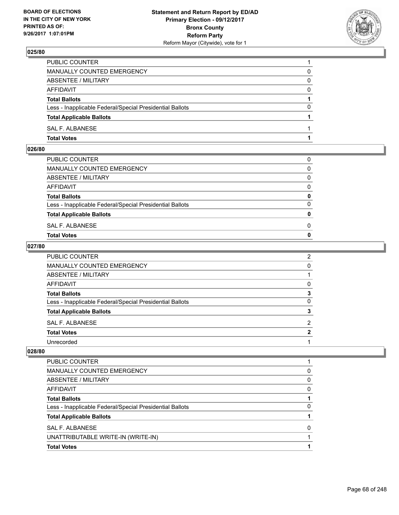

| <b>Total Votes</b>                                       |          |
|----------------------------------------------------------|----------|
| SAL F. ALBANESE                                          |          |
| <b>Total Applicable Ballots</b>                          |          |
| Less - Inapplicable Federal/Special Presidential Ballots | $\Omega$ |
| <b>Total Ballots</b>                                     |          |
| AFFIDAVIT                                                | $\Omega$ |
| ABSENTEE / MILITARY                                      | 0        |
| <b>MANUALLY COUNTED EMERGENCY</b>                        | 0        |
| PUBLIC COUNTER                                           |          |

### **026/80**

| <b>Total Votes</b>                                       | $\mathbf{0}$ |
|----------------------------------------------------------|--------------|
| SAL F. ALBANESE                                          | 0            |
| <b>Total Applicable Ballots</b>                          | $\mathbf{0}$ |
| Less - Inapplicable Federal/Special Presidential Ballots | $\Omega$     |
| <b>Total Ballots</b>                                     | 0            |
| AFFIDAVIT                                                | $\Omega$     |
| ABSENTEE / MILITARY                                      | $\Omega$     |
| MANUALLY COUNTED EMERGENCY                               | $\Omega$     |
| PUBLIC COUNTER                                           | 0            |
|                                                          |              |

## **027/80**

| PUBLIC COUNTER                                           | 2            |
|----------------------------------------------------------|--------------|
| MANUALLY COUNTED EMERGENCY                               | 0            |
| ABSENTEE / MILITARY                                      |              |
| AFFIDAVIT                                                | 0            |
| <b>Total Ballots</b>                                     | 3            |
| Less - Inapplicable Federal/Special Presidential Ballots | 0            |
| <b>Total Applicable Ballots</b>                          | 3            |
| SAL F. ALBANESE                                          | 2            |
| <b>Total Votes</b>                                       | $\mathbf{2}$ |
| Unrecorded                                               |              |

| PUBLIC COUNTER                                           |   |
|----------------------------------------------------------|---|
| MANUALLY COUNTED EMERGENCY                               | 0 |
| ABSENTEE / MILITARY                                      | 0 |
| AFFIDAVIT                                                | 0 |
| <b>Total Ballots</b>                                     |   |
| Less - Inapplicable Federal/Special Presidential Ballots | 0 |
| <b>Total Applicable Ballots</b>                          |   |
| SAL F. ALBANESE                                          | O |
| UNATTRIBUTABLE WRITE-IN (WRITE-IN)                       |   |
| <b>Total Votes</b>                                       |   |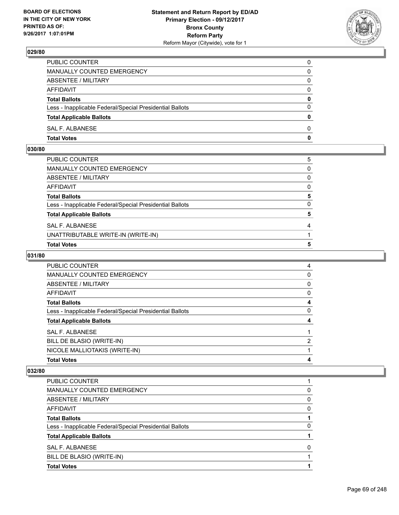

| PUBLIC COUNTER                                           | 0            |
|----------------------------------------------------------|--------------|
| MANUALLY COUNTED EMERGENCY                               | $\Omega$     |
| ABSENTEE / MILITARY                                      | $\mathbf{0}$ |
| AFFIDAVIT                                                | 0            |
| <b>Total Ballots</b>                                     | 0            |
| Less - Inapplicable Federal/Special Presidential Ballots | $\mathbf{0}$ |
| <b>Total Applicable Ballots</b>                          | $\bf{0}$     |
| SAL F. ALBANESE                                          | $\Omega$     |
| <b>Total Votes</b>                                       | $\mathbf{0}$ |

## **030/80**

| <b>Total Votes</b>                                       | 5            |
|----------------------------------------------------------|--------------|
| UNATTRIBUTABLE WRITE-IN (WRITE-IN)                       |              |
| SAL F. ALBANESE                                          | 4            |
| <b>Total Applicable Ballots</b>                          | 5            |
| Less - Inapplicable Federal/Special Presidential Ballots | $\Omega$     |
| Total Ballots                                            | 5            |
| AFFIDAVIT                                                | $\mathbf{0}$ |
| ABSENTEE / MILITARY                                      | 0            |
| MANUALLY COUNTED EMERGENCY                               | 0            |
| PUBLIC COUNTER                                           | 5            |
|                                                          |              |

# **031/80**

| PUBLIC COUNTER                                           | 4 |
|----------------------------------------------------------|---|
| MANUALLY COUNTED EMERGENCY                               | 0 |
| ABSENTEE / MILITARY                                      | 0 |
| AFFIDAVIT                                                | 0 |
| <b>Total Ballots</b>                                     | 4 |
| Less - Inapplicable Federal/Special Presidential Ballots | 0 |
| <b>Total Applicable Ballots</b>                          | 4 |
| SAL F. ALBANESE                                          |   |
| BILL DE BLASIO (WRITE-IN)                                | 2 |
| NICOLE MALLIOTAKIS (WRITE-IN)                            |   |
| <b>Total Votes</b>                                       | 4 |

| PUBLIC COUNTER                                           |   |
|----------------------------------------------------------|---|
| MANUALLY COUNTED EMERGENCY                               | 0 |
| <b>ABSENTEE / MILITARY</b>                               | 0 |
| AFFIDAVIT                                                | 0 |
| <b>Total Ballots</b>                                     |   |
| Less - Inapplicable Federal/Special Presidential Ballots | 0 |
| <b>Total Applicable Ballots</b>                          |   |
| SAL F. ALBANESE                                          | 0 |
| BILL DE BLASIO (WRITE-IN)                                |   |
| <b>Total Votes</b>                                       |   |
|                                                          |   |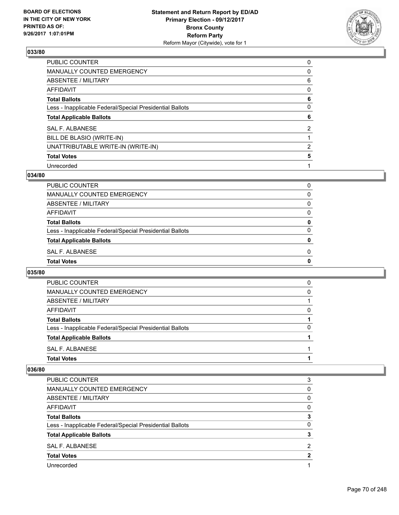

| PUBLIC COUNTER                                           | 0              |
|----------------------------------------------------------|----------------|
| MANUALLY COUNTED EMERGENCY                               | 0              |
| <b>ABSENTEE / MILITARY</b>                               | 6              |
| <b>AFFIDAVIT</b>                                         | 0              |
| <b>Total Ballots</b>                                     | 6              |
| Less - Inapplicable Federal/Special Presidential Ballots | 0              |
| <b>Total Applicable Ballots</b>                          | 6              |
| <b>SAL F. ALBANESE</b>                                   | $\overline{2}$ |
| BILL DE BLASIO (WRITE-IN)                                |                |
| UNATTRIBUTABLE WRITE-IN (WRITE-IN)                       | 2              |
| <b>Total Votes</b>                                       | 5              |
| Unrecorded                                               |                |

#### **034/80**

| <b>Total Votes</b>                                       | 0        |
|----------------------------------------------------------|----------|
| SAL F. ALBANESE                                          | 0        |
| <b>Total Applicable Ballots</b>                          | 0        |
| Less - Inapplicable Federal/Special Presidential Ballots | 0        |
| <b>Total Ballots</b>                                     | 0        |
| <b>AFFIDAVIT</b>                                         | 0        |
| ABSENTEE / MILITARY                                      | $\Omega$ |
| MANUALLY COUNTED EMERGENCY                               | 0        |
| PUBLIC COUNTER                                           | 0        |

## **035/80**

| PUBLIC COUNTER                                           | 0            |
|----------------------------------------------------------|--------------|
| <b>MANUALLY COUNTED EMERGENCY</b>                        | 0            |
| ABSENTEE / MILITARY                                      |              |
| AFFIDAVIT                                                | O            |
| <b>Total Ballots</b>                                     |              |
| Less - Inapplicable Federal/Special Presidential Ballots | <sup>0</sup> |
| <b>Total Applicable Ballots</b>                          |              |
| SAL F. ALBANESE                                          |              |
| <b>Total Votes</b>                                       |              |

| <b>PUBLIC COUNTER</b>                                    | 3 |
|----------------------------------------------------------|---|
| <b>MANUALLY COUNTED EMERGENCY</b>                        | 0 |
| ABSENTEE / MILITARY                                      | 0 |
| AFFIDAVIT                                                | 0 |
| <b>Total Ballots</b>                                     |   |
| Less - Inapplicable Federal/Special Presidential Ballots | 0 |
| <b>Total Applicable Ballots</b>                          |   |
| SAL F. ALBANESE                                          | 2 |
| <b>Total Votes</b>                                       | 2 |
| Unrecorded                                               |   |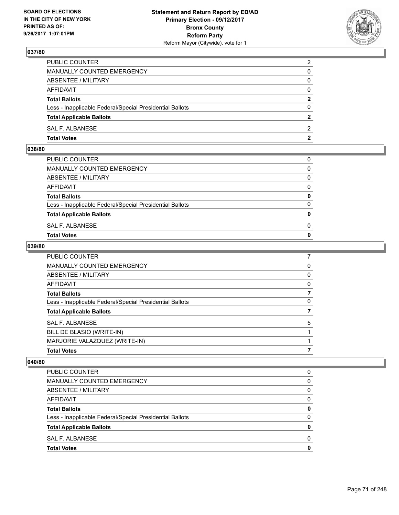

| <b>Total Votes</b>                                       | $\mathbf{2}$   |
|----------------------------------------------------------|----------------|
| SAL F. ALBANESE                                          | 2              |
| <b>Total Applicable Ballots</b>                          | $\overline{2}$ |
| Less - Inapplicable Federal/Special Presidential Ballots | $\Omega$       |
| <b>Total Ballots</b>                                     | $\mathbf{2}$   |
| <b>AFFIDAVIT</b>                                         | $\Omega$       |
| ABSENTEE / MILITARY                                      | $\Omega$       |
| <b>MANUALLY COUNTED EMERGENCY</b>                        | 0              |
| PUBLIC COUNTER                                           | 2              |

### **038/80**

| PUBLIC COUNTER                                           | 0            |
|----------------------------------------------------------|--------------|
| MANUALLY COUNTED EMERGENCY                               | $\Omega$     |
| ABSENTEE / MILITARY                                      | $\Omega$     |
| AFFIDAVIT                                                | $\Omega$     |
| <b>Total Ballots</b>                                     | 0            |
| Less - Inapplicable Federal/Special Presidential Ballots | $\Omega$     |
| <b>Total Applicable Ballots</b>                          | $\mathbf{0}$ |
| SAL F. ALBANESE                                          | 0            |
| <b>Total Votes</b>                                       | $\Omega$     |
|                                                          |              |

#### **039/80**

| PUBLIC COUNTER                                           |   |
|----------------------------------------------------------|---|
| <b>MANUALLY COUNTED EMERGENCY</b>                        | 0 |
| <b>ABSENTEE / MILITARY</b>                               | 0 |
| <b>AFFIDAVIT</b>                                         | 0 |
| <b>Total Ballots</b>                                     | 7 |
| Less - Inapplicable Federal/Special Presidential Ballots | 0 |
| <b>Total Applicable Ballots</b>                          |   |
| <b>SAL F. ALBANESE</b>                                   | 5 |
| BILL DE BLASIO (WRITE-IN)                                |   |
| MARJORIE VALAZQUEZ (WRITE-IN)                            |   |
| <b>Total Votes</b>                                       | 7 |

| PUBLIC COUNTER                                           | 0 |
|----------------------------------------------------------|---|
| <b>MANUALLY COUNTED EMERGENCY</b>                        | 0 |
| ABSENTEE / MILITARY                                      | 0 |
| AFFIDAVIT                                                | 0 |
| <b>Total Ballots</b>                                     | 0 |
| Less - Inapplicable Federal/Special Presidential Ballots | 0 |
| <b>Total Applicable Ballots</b>                          | Ω |
| SAL F. ALBANESE                                          | 0 |
| <b>Total Votes</b>                                       | O |
|                                                          |   |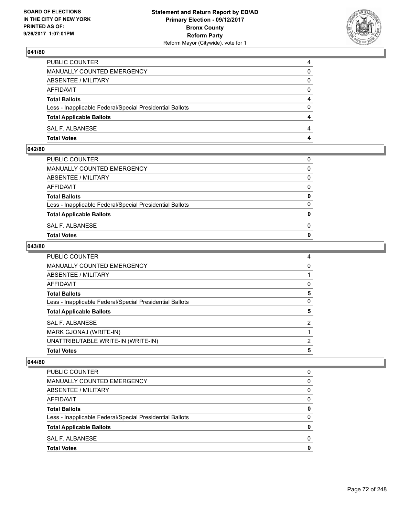

| PUBLIC COUNTER                                           |   |
|----------------------------------------------------------|---|
| <b>MANUALLY COUNTED EMERGENCY</b>                        | 0 |
| <b>ABSENTEE / MILITARY</b>                               | 0 |
| AFFIDAVIT                                                | 0 |
| <b>Total Ballots</b>                                     |   |
| Less - Inapplicable Federal/Special Presidential Ballots | 0 |
| <b>Total Applicable Ballots</b>                          |   |
| SAL F. ALBANESE                                          |   |
| <b>Total Votes</b>                                       |   |

## **042/80**

| PUBLIC COUNTER                                           | 0            |
|----------------------------------------------------------|--------------|
| MANUALLY COUNTED EMERGENCY                               | $\Omega$     |
| ABSENTEE / MILITARY                                      | $\Omega$     |
| AFFIDAVIT                                                | $\Omega$     |
| <b>Total Ballots</b>                                     | 0            |
| Less - Inapplicable Federal/Special Presidential Ballots | $\Omega$     |
| <b>Total Applicable Ballots</b>                          | $\mathbf{0}$ |
| SAL F. ALBANESE                                          | 0            |
| <b>Total Votes</b>                                       | $\Omega$     |
|                                                          |              |

## **043/80**

| PUBLIC COUNTER                                           | 4 |
|----------------------------------------------------------|---|
| <b>MANUALLY COUNTED EMERGENCY</b>                        | 0 |
| <b>ABSENTEE / MILITARY</b>                               |   |
| <b>AFFIDAVIT</b>                                         | 0 |
| <b>Total Ballots</b>                                     | 5 |
| Less - Inapplicable Federal/Special Presidential Ballots | 0 |
| <b>Total Applicable Ballots</b>                          | 5 |
| <b>SAL F. ALBANESE</b>                                   | 2 |
| MARK GJONAJ (WRITE-IN)                                   |   |
| UNATTRIBUTABLE WRITE-IN (WRITE-IN)                       | 2 |
| <b>Total Votes</b>                                       | 5 |

| PUBLIC COUNTER                                           | 0 |
|----------------------------------------------------------|---|
| <b>MANUALLY COUNTED EMERGENCY</b>                        | 0 |
| ABSENTEE / MILITARY                                      | 0 |
| AFFIDAVIT                                                | 0 |
| <b>Total Ballots</b>                                     | 0 |
| Less - Inapplicable Federal/Special Presidential Ballots | 0 |
| <b>Total Applicable Ballots</b>                          | 0 |
| SAL F. ALBANESE                                          | 0 |
| <b>Total Votes</b>                                       | O |
|                                                          |   |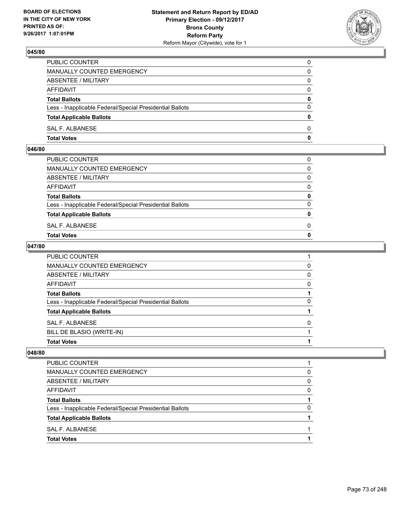

| <b>Total Votes</b>                                       | 0            |
|----------------------------------------------------------|--------------|
| SAL F. ALBANESE                                          | $\Omega$     |
| <b>Total Applicable Ballots</b>                          | $\mathbf{0}$ |
| Less - Inapplicable Federal/Special Presidential Ballots | $\Omega$     |
| <b>Total Ballots</b>                                     | 0            |
| <b>AFFIDAVIT</b>                                         | $\Omega$     |
| ABSENTEE / MILITARY                                      | $\Omega$     |
| MANUALLY COUNTED EMERGENCY                               | 0            |
| PUBLIC COUNTER                                           | 0            |

#### **046/80**

| PUBLIC COUNTER                                           | 0            |
|----------------------------------------------------------|--------------|
| MANUALLY COUNTED EMERGENCY                               | $\mathbf{0}$ |
| ABSENTEE / MILITARY                                      | $\Omega$     |
| AFFIDAVIT                                                | $\Omega$     |
| <b>Total Ballots</b>                                     | 0            |
| Less - Inapplicable Federal/Special Presidential Ballots | $\Omega$     |
| <b>Total Applicable Ballots</b>                          | $\mathbf{0}$ |
| SAL F. ALBANESE                                          | 0            |
| Total Votes                                              | $\Omega$     |
|                                                          |              |

#### **047/80**

| PUBLIC COUNTER                                           |   |
|----------------------------------------------------------|---|
| <b>MANUALLY COUNTED EMERGENCY</b>                        | 0 |
| <b>ABSENTEE / MILITARY</b>                               | 0 |
| AFFIDAVIT                                                | 0 |
| <b>Total Ballots</b>                                     |   |
| Less - Inapplicable Federal/Special Presidential Ballots | 0 |
| <b>Total Applicable Ballots</b>                          |   |
| SAL F. ALBANESE                                          | 0 |
| BILL DE BLASIO (WRITE-IN)                                |   |
| <b>Total Votes</b>                                       |   |

| <b>Total Votes</b>                                       |   |
|----------------------------------------------------------|---|
| SAL F. ALBANESE                                          |   |
| <b>Total Applicable Ballots</b>                          |   |
| Less - Inapplicable Federal/Special Presidential Ballots | 0 |
| <b>Total Ballots</b>                                     |   |
| AFFIDAVIT                                                | 0 |
| ABSENTEE / MILITARY                                      | 0 |
| MANUALLY COUNTED EMERGENCY                               | 0 |
| PUBLIC COUNTER                                           |   |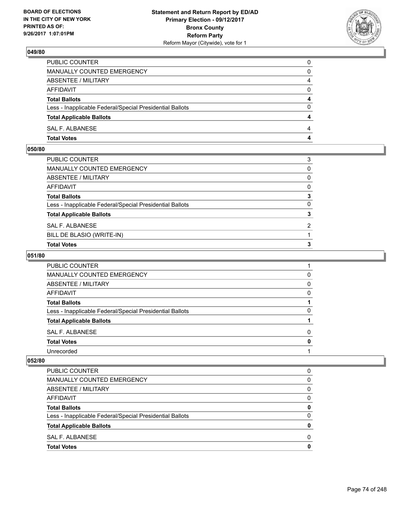

| <b>Total Votes</b>                                       | 4        |
|----------------------------------------------------------|----------|
| SAL F. ALBANESE                                          | 4        |
| <b>Total Applicable Ballots</b>                          | 4        |
| Less - Inapplicable Federal/Special Presidential Ballots | $\Omega$ |
| <b>Total Ballots</b>                                     | 4        |
| AFFIDAVIT                                                | $\Omega$ |
| <b>ABSENTEE / MILITARY</b>                               | 4        |
| MANUALLY COUNTED EMERGENCY                               | 0        |
| PUBLIC COUNTER                                           | 0        |

## **050/80**

| PUBLIC COUNTER                                           | 3              |
|----------------------------------------------------------|----------------|
| MANUALLY COUNTED EMERGENCY                               | $\mathbf{0}$   |
| <b>ABSENTEE / MILITARY</b>                               | 0              |
| AFFIDAVIT                                                | 0              |
| Total Ballots                                            | 3              |
| Less - Inapplicable Federal/Special Presidential Ballots | $\Omega$       |
| <b>Total Applicable Ballots</b>                          |                |
| SAL F. ALBANESE                                          | $\overline{2}$ |
| BILL DE BLASIO (WRITE-IN)                                |                |
| <b>Total Votes</b>                                       | 3              |

## **051/80**

| <b>PUBLIC COUNTER</b>                                    |              |
|----------------------------------------------------------|--------------|
| <b>MANUALLY COUNTED EMERGENCY</b>                        | O            |
| ABSENTEE / MILITARY                                      | 0            |
| AFFIDAVIT                                                | $\mathbf{0}$ |
| <b>Total Ballots</b>                                     |              |
| Less - Inapplicable Federal/Special Presidential Ballots | n            |
| <b>Total Applicable Ballots</b>                          |              |
| SAL F. ALBANESE                                          | O            |
| <b>Total Votes</b>                                       |              |
| Unrecorded                                               |              |

| <b>PUBLIC COUNTER</b>                                    | 0 |
|----------------------------------------------------------|---|
| <b>MANUALLY COUNTED EMERGENCY</b>                        | 0 |
| ABSENTEE / MILITARY                                      | 0 |
| AFFIDAVIT                                                | 0 |
| <b>Total Ballots</b>                                     | 0 |
| Less - Inapplicable Federal/Special Presidential Ballots | 0 |
| <b>Total Applicable Ballots</b>                          | 0 |
| SAL F. ALBANESE                                          | O |
| <b>Total Votes</b>                                       | 0 |
|                                                          |   |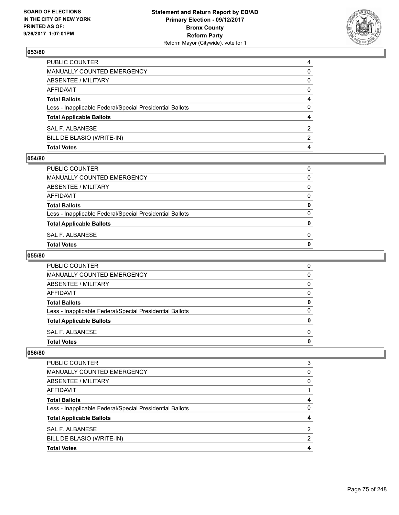

| <b>Total Votes</b>                                       | 4             |
|----------------------------------------------------------|---------------|
| BILL DE BLASIO (WRITE-IN)                                | $\mathcal{P}$ |
| SAL F. ALBANESE                                          | 2             |
| <b>Total Applicable Ballots</b>                          | 4             |
| Less - Inapplicable Federal/Special Presidential Ballots | 0             |
| <b>Total Ballots</b>                                     | 4             |
| <b>AFFIDAVIT</b>                                         | $\Omega$      |
| ABSENTEE / MILITARY                                      | 0             |
| MANUALLY COUNTED EMERGENCY                               | 0             |
| PUBLIC COUNTER                                           | 4             |

#### **054/80**

| Total Votes                                              | 0 |
|----------------------------------------------------------|---|
| SAL F. ALBANESE                                          | 0 |
| <b>Total Applicable Ballots</b>                          | 0 |
| Less - Inapplicable Federal/Special Presidential Ballots | 0 |
| <b>Total Ballots</b>                                     | 0 |
| AFFIDAVIT                                                | 0 |
| ABSENTEE / MILITARY                                      | 0 |
| MANUALLY COUNTED EMERGENCY                               | 0 |
| PUBLIC COUNTER                                           | 0 |
|                                                          |   |

# **055/80**

| PUBLIC COUNTER                                           | 0 |
|----------------------------------------------------------|---|
| MANUALLY COUNTED EMERGENCY                               | 0 |
| ABSENTEE / MILITARY                                      | 0 |
| AFFIDAVIT                                                | 0 |
| <b>Total Ballots</b>                                     | O |
| Less - Inapplicable Federal/Special Presidential Ballots | O |
| <b>Total Applicable Ballots</b>                          | o |
| SAL F. ALBANESE                                          | 0 |
| <b>Total Votes</b>                                       | o |

| <b>Total Votes</b>                                       | 4              |
|----------------------------------------------------------|----------------|
| BILL DE BLASIO (WRITE-IN)                                | 2              |
| SAL F. ALBANESE                                          | $\overline{2}$ |
| <b>Total Applicable Ballots</b>                          | 4              |
| Less - Inapplicable Federal/Special Presidential Ballots | 0              |
| <b>Total Ballots</b>                                     | 4              |
| AFFIDAVIT                                                |                |
| ABSENTEE / MILITARY                                      | 0              |
| MANUALLY COUNTED EMERGENCY                               | 0              |
| <b>PUBLIC COUNTER</b>                                    | 3              |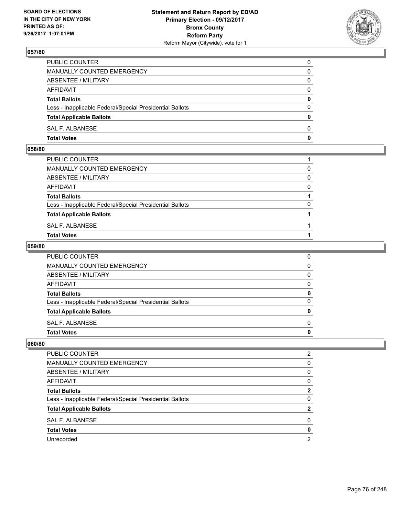

| PUBLIC COUNTER                                           | 0            |
|----------------------------------------------------------|--------------|
| <b>MANUALLY COUNTED EMERGENCY</b>                        | 0            |
| ABSENTEE / MILITARY                                      | 0            |
| AFFIDAVIT                                                | $\Omega$     |
| <b>Total Ballots</b>                                     | $\mathbf{0}$ |
| Less - Inapplicable Federal/Special Presidential Ballots | $\Omega$     |
| <b>Total Applicable Ballots</b>                          | $\Omega$     |
| SAL F. ALBANESE                                          | $\Omega$     |
| <b>Total Votes</b>                                       | 0            |

#### **058/80**

| PUBLIC COUNTER                                           |          |
|----------------------------------------------------------|----------|
| MANUALLY COUNTED EMERGENCY                               | 0        |
| ABSENTEE / MILITARY                                      | $\Omega$ |
| AFFIDAVIT                                                | $\Omega$ |
| <b>Total Ballots</b>                                     |          |
| Less - Inapplicable Federal/Special Presidential Ballots | $\Omega$ |
| <b>Total Applicable Ballots</b>                          |          |
| SAL F. ALBANESE                                          |          |
| <b>Total Votes</b>                                       |          |
|                                                          |          |

#### **059/80**

| <b>Total Votes</b>                                       | 0            |
|----------------------------------------------------------|--------------|
| SAL F. ALBANESE                                          | $\Omega$     |
| <b>Total Applicable Ballots</b>                          | 0            |
| Less - Inapplicable Federal/Special Presidential Ballots | $\Omega$     |
| <b>Total Ballots</b>                                     | 0            |
| <b>AFFIDAVIT</b>                                         | 0            |
| <b>ABSENTEE / MILITARY</b>                               | $\mathbf{0}$ |
| MANUALLY COUNTED EMERGENCY                               | $\mathbf{0}$ |
| PUBLIC COUNTER                                           | 0            |

| PUBLIC COUNTER                                           | 2 |
|----------------------------------------------------------|---|
| MANUALLY COUNTED EMERGENCY                               | 0 |
| ABSENTEE / MILITARY                                      | 0 |
| AFFIDAVIT                                                | 0 |
| <b>Total Ballots</b>                                     | 2 |
| Less - Inapplicable Federal/Special Presidential Ballots | 0 |
| <b>Total Applicable Ballots</b>                          | 2 |
| <b>SAL F. ALBANESE</b>                                   | 0 |
| <b>Total Votes</b>                                       | o |
| Unrecorded                                               | 2 |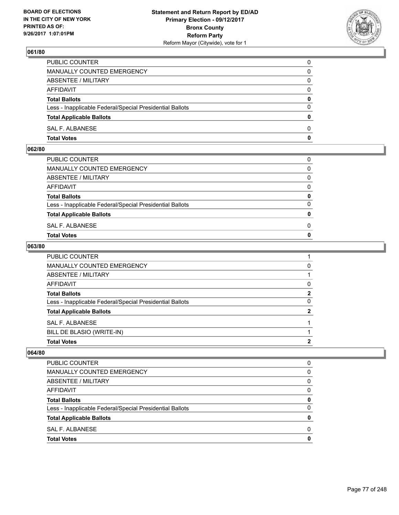

| <b>Total Votes</b>                                       | 0            |
|----------------------------------------------------------|--------------|
| SAL F. ALBANESE                                          | $\Omega$     |
| <b>Total Applicable Ballots</b>                          | $\mathbf{0}$ |
| Less - Inapplicable Federal/Special Presidential Ballots | $\Omega$     |
| <b>Total Ballots</b>                                     | 0            |
| <b>AFFIDAVIT</b>                                         | $\Omega$     |
| ABSENTEE / MILITARY                                      | $\Omega$     |
| MANUALLY COUNTED EMERGENCY                               | 0            |
| PUBLIC COUNTER                                           | 0            |

#### **062/80**

| <b>Total Votes</b>                                       | $\mathbf{0}$ |
|----------------------------------------------------------|--------------|
| SAL F. ALBANESE                                          | 0            |
| <b>Total Applicable Ballots</b>                          | $\mathbf{0}$ |
| Less - Inapplicable Federal/Special Presidential Ballots | $\Omega$     |
| <b>Total Ballots</b>                                     | 0            |
| AFFIDAVIT                                                | $\Omega$     |
| ABSENTEE / MILITARY                                      | $\Omega$     |
| MANUALLY COUNTED EMERGENCY                               | $\Omega$     |
| PUBLIC COUNTER                                           | 0            |
|                                                          |              |

#### **063/80**

| SAL F. ALBANESE<br>BILL DE BLASIO (WRITE-IN)             |              |
|----------------------------------------------------------|--------------|
| <b>Total Applicable Ballots</b>                          | $\mathbf{2}$ |
| Less - Inapplicable Federal/Special Presidential Ballots | 0            |
| <b>Total Ballots</b>                                     | $\mathbf{2}$ |
| AFFIDAVIT                                                | 0            |
| ABSENTEE / MILITARY                                      |              |
| MANUALLY COUNTED EMERGENCY                               | 0            |
| PUBLIC COUNTER                                           |              |

| <b>Total Votes</b>                                       | 0 |
|----------------------------------------------------------|---|
| SAL F. ALBANESE                                          | 0 |
| <b>Total Applicable Ballots</b>                          | 0 |
| Less - Inapplicable Federal/Special Presidential Ballots | 0 |
| <b>Total Ballots</b>                                     | 0 |
| AFFIDAVIT                                                | 0 |
| ABSENTEE / MILITARY                                      | 0 |
| MANUALLY COUNTED EMERGENCY                               | 0 |
| <b>PUBLIC COUNTER</b>                                    | 0 |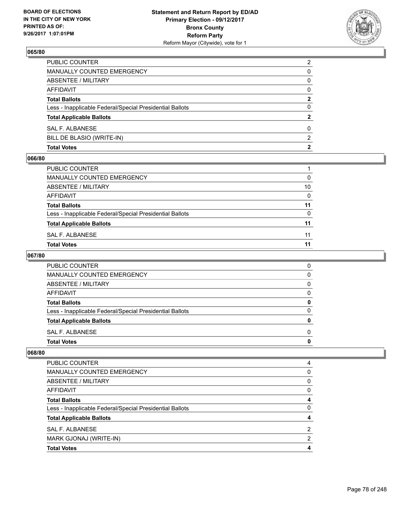

| <b>Total Votes</b>                                       | 2              |
|----------------------------------------------------------|----------------|
| BILL DE BLASIO (WRITE-IN)                                | 2              |
| SAL F. ALBANESE                                          | 0              |
| <b>Total Applicable Ballots</b>                          | $\mathbf{2}$   |
| Less - Inapplicable Federal/Special Presidential Ballots | 0              |
| <b>Total Ballots</b>                                     | $\mathbf{2}$   |
| <b>AFFIDAVIT</b>                                         | $\Omega$       |
| <b>ABSENTEE / MILITARY</b>                               | 0              |
| MANUALLY COUNTED EMERGENCY                               | 0              |
| <b>PUBLIC COUNTER</b>                                    | $\overline{2}$ |

#### **066/80**

| PUBLIC COUNTER                                           |          |
|----------------------------------------------------------|----------|
| <b>MANUALLY COUNTED EMERGENCY</b>                        | 0        |
| ABSENTEE / MILITARY                                      | 10       |
| AFFIDAVIT                                                | $\Omega$ |
| <b>Total Ballots</b>                                     | 11       |
| Less - Inapplicable Federal/Special Presidential Ballots | 0        |
| <b>Total Applicable Ballots</b>                          | 11       |
| SAL F. ALBANESE                                          | 11       |
| <b>Total Votes</b>                                       | 11       |

# **067/80**

| PUBLIC COUNTER                                           | 0 |
|----------------------------------------------------------|---|
| <b>MANUALLY COUNTED EMERGENCY</b>                        | 0 |
| ABSENTEE / MILITARY                                      | 0 |
| AFFIDAVIT                                                | 0 |
| <b>Total Ballots</b>                                     | 0 |
| Less - Inapplicable Federal/Special Presidential Ballots | O |
| <b>Total Applicable Ballots</b>                          |   |
| SAL F. ALBANESE                                          | 0 |
| <b>Total Votes</b>                                       |   |

| <b>Total Votes</b>                                       |   |
|----------------------------------------------------------|---|
| MARK GJONAJ (WRITE-IN)                                   | 2 |
| SAL F. ALBANESE                                          | 2 |
| <b>Total Applicable Ballots</b>                          |   |
| Less - Inapplicable Federal/Special Presidential Ballots | 0 |
| <b>Total Ballots</b>                                     | 4 |
| AFFIDAVIT                                                | 0 |
| ABSENTEE / MILITARY                                      | 0 |
| MANUALLY COUNTED EMERGENCY                               | 0 |
| <b>PUBLIC COUNTER</b>                                    | 4 |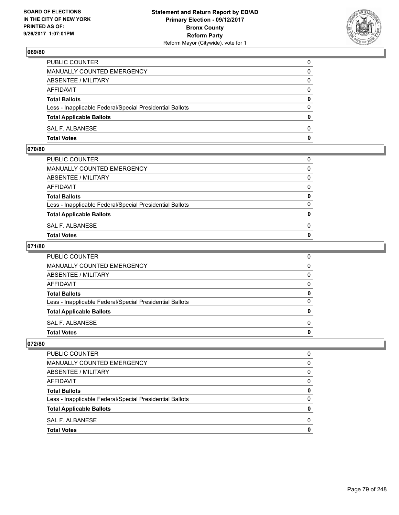

| <b>Total Votes</b>                                       | 0            |
|----------------------------------------------------------|--------------|
| SAL F. ALBANESE                                          | $\Omega$     |
| <b>Total Applicable Ballots</b>                          | $\mathbf{0}$ |
| Less - Inapplicable Federal/Special Presidential Ballots | $\Omega$     |
| <b>Total Ballots</b>                                     | 0            |
| <b>AFFIDAVIT</b>                                         | $\Omega$     |
| ABSENTEE / MILITARY                                      | $\Omega$     |
| MANUALLY COUNTED EMERGENCY                               | 0            |
| PUBLIC COUNTER                                           | 0            |

#### **070/80**

| <b>Total Votes</b>                                       | $\mathbf{0}$ |
|----------------------------------------------------------|--------------|
| SAL F. ALBANESE                                          | 0            |
| <b>Total Applicable Ballots</b>                          | $\mathbf{0}$ |
| Less - Inapplicable Federal/Special Presidential Ballots | $\Omega$     |
| <b>Total Ballots</b>                                     | 0            |
| AFFIDAVIT                                                | $\Omega$     |
| ABSENTEE / MILITARY                                      | $\Omega$     |
| MANUALLY COUNTED EMERGENCY                               | $\Omega$     |
| PUBLIC COUNTER                                           | 0            |
|                                                          |              |

### **071/80**

| <b>Total Votes</b>                                       | 0            |
|----------------------------------------------------------|--------------|
| SAL F. ALBANESE                                          | <sup>0</sup> |
| <b>Total Applicable Ballots</b>                          | 0            |
| Less - Inapplicable Federal/Special Presidential Ballots | $\Omega$     |
| <b>Total Ballots</b>                                     | 0            |
| AFFIDAVIT                                                | 0            |
| ABSENTEE / MILITARY                                      | $\Omega$     |
| <b>MANUALLY COUNTED EMERGENCY</b>                        | 0            |
| PUBLIC COUNTER                                           | 0            |

| <b>PUBLIC COUNTER</b>                                    | n            |
|----------------------------------------------------------|--------------|
| MANUALLY COUNTED EMERGENCY                               | 0            |
| ABSENTEE / MILITARY                                      | 0            |
| <b>AFFIDAVIT</b>                                         | <sup>0</sup> |
| <b>Total Ballots</b>                                     |              |
| Less - Inapplicable Federal/Special Presidential Ballots |              |
| <b>Total Applicable Ballots</b>                          |              |
| SAL F. ALBANESE                                          | n            |
| <b>Total Votes</b>                                       |              |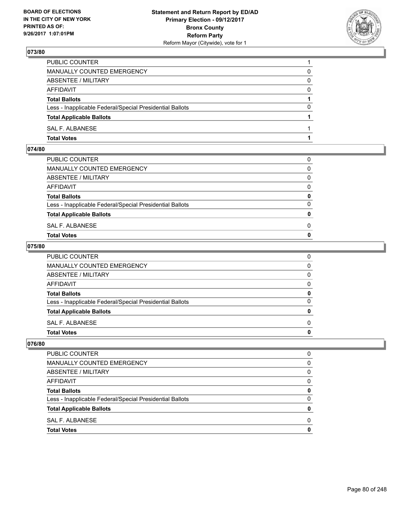

| PUBLIC COUNTER                                           |          |
|----------------------------------------------------------|----------|
| <b>MANUALLY COUNTED EMERGENCY</b>                        | 0        |
| <b>ABSENTEE / MILITARY</b>                               | 0        |
| AFFIDAVIT                                                | $\Omega$ |
| <b>Total Ballots</b>                                     |          |
| Less - Inapplicable Federal/Special Presidential Ballots | 0        |
| <b>Total Applicable Ballots</b>                          |          |
| SAL F. ALBANESE                                          |          |
| <b>Total Votes</b>                                       |          |

#### **074/80**

| <b>Total Votes</b>                                       | $\mathbf{0}$ |
|----------------------------------------------------------|--------------|
| SAL F. ALBANESE                                          | 0            |
| <b>Total Applicable Ballots</b>                          | $\mathbf{0}$ |
| Less - Inapplicable Federal/Special Presidential Ballots | $\Omega$     |
| <b>Total Ballots</b>                                     | 0            |
| AFFIDAVIT                                                | $\Omega$     |
| ABSENTEE / MILITARY                                      | $\Omega$     |
| MANUALLY COUNTED EMERGENCY                               | $\Omega$     |
| PUBLIC COUNTER                                           | 0            |
|                                                          |              |

### **075/80**

| <b>Total Votes</b>                                       | 0            |
|----------------------------------------------------------|--------------|
| SAL F. ALBANESE                                          | <sup>0</sup> |
| <b>Total Applicable Ballots</b>                          | 0            |
| Less - Inapplicable Federal/Special Presidential Ballots | $\Omega$     |
| <b>Total Ballots</b>                                     | 0            |
| AFFIDAVIT                                                | 0            |
| ABSENTEE / MILITARY                                      | $\Omega$     |
| <b>MANUALLY COUNTED EMERGENCY</b>                        | 0            |
| PUBLIC COUNTER                                           | 0            |

| <b>PUBLIC COUNTER</b>                                    | n            |
|----------------------------------------------------------|--------------|
| MANUALLY COUNTED EMERGENCY                               | 0            |
| ABSENTEE / MILITARY                                      | 0            |
| <b>AFFIDAVIT</b>                                         | <sup>0</sup> |
| <b>Total Ballots</b>                                     |              |
| Less - Inapplicable Federal/Special Presidential Ballots |              |
| <b>Total Applicable Ballots</b>                          |              |
| SAL F. ALBANESE                                          | n            |
| <b>Total Votes</b>                                       |              |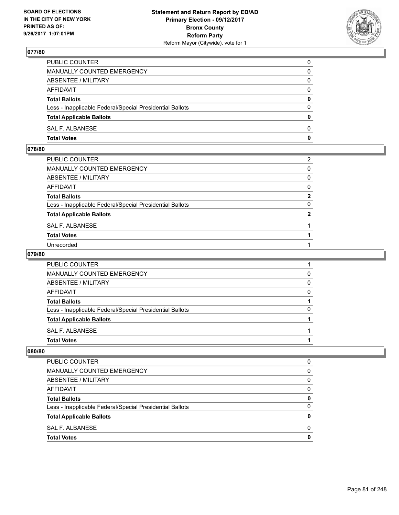

| PUBLIC COUNTER                                           | 0        |
|----------------------------------------------------------|----------|
| MANUALLY COUNTED EMERGENCY                               | 0        |
| ABSENTEE / MILITARY                                      | 0        |
| AFFIDAVIT                                                | 0        |
| <b>Total Ballots</b>                                     | 0        |
| Less - Inapplicable Federal/Special Presidential Ballots | $\Omega$ |
| <b>Total Applicable Ballots</b>                          | 0        |
| SAL F. ALBANESE                                          | 0        |
| <b>Total Votes</b>                                       | 0        |

## **078/80**

| PUBLIC COUNTER                                           | $\overline{2}$ |
|----------------------------------------------------------|----------------|
| MANUALLY COUNTED EMERGENCY                               | 0              |
| <b>ABSENTEE / MILITARY</b>                               | $\Omega$       |
| AFFIDAVIT                                                | $\mathbf{0}$   |
| Total Ballots                                            | $\mathbf{2}$   |
| Less - Inapplicable Federal/Special Presidential Ballots | 0              |
| <b>Total Applicable Ballots</b>                          | 2              |
| SAL F. ALBANESE                                          |                |
| <b>Total Votes</b>                                       |                |
| Unrecorded                                               |                |

#### **079/80**

| PUBLIC COUNTER                                           |   |
|----------------------------------------------------------|---|
| <b>MANUALLY COUNTED EMERGENCY</b>                        | 0 |
| ABSENTEE / MILITARY                                      | 0 |
| <b>AFFIDAVIT</b>                                         | 0 |
| <b>Total Ballots</b>                                     |   |
| Less - Inapplicable Federal/Special Presidential Ballots | O |
| <b>Total Applicable Ballots</b>                          |   |
| SAL F. ALBANESE                                          |   |
| <b>Total Votes</b>                                       |   |

| <b>PUBLIC COUNTER</b>                                    | 0 |
|----------------------------------------------------------|---|
| MANUALLY COUNTED EMERGENCY                               | 0 |
| ABSENTEE / MILITARY                                      | 0 |
| AFFIDAVIT                                                | 0 |
| <b>Total Ballots</b>                                     | 0 |
| Less - Inapplicable Federal/Special Presidential Ballots | 0 |
| <b>Total Applicable Ballots</b>                          |   |
| SAL F. ALBANESE                                          | O |
| <b>Total Votes</b>                                       |   |
|                                                          |   |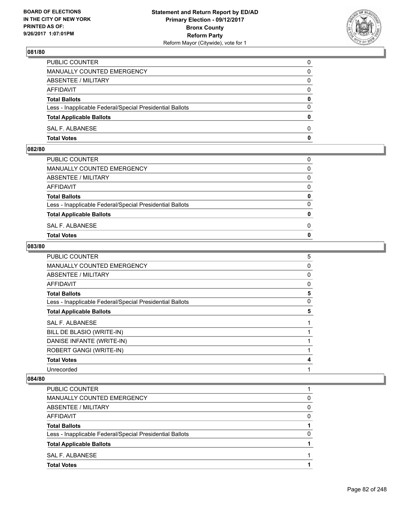

| <b>Total Votes</b>                                       | 0            |
|----------------------------------------------------------|--------------|
| SAL F. ALBANESE                                          | $\Omega$     |
| <b>Total Applicable Ballots</b>                          | $\mathbf{0}$ |
| Less - Inapplicable Federal/Special Presidential Ballots | $\Omega$     |
| <b>Total Ballots</b>                                     | 0            |
| <b>AFFIDAVIT</b>                                         | $\Omega$     |
| ABSENTEE / MILITARY                                      | $\Omega$     |
| MANUALLY COUNTED EMERGENCY                               | 0            |
| PUBLIC COUNTER                                           | 0            |

#### **082/80**

| <b>Total Votes</b>                                       | $\mathbf{0}$ |
|----------------------------------------------------------|--------------|
| SAL F. ALBANESE                                          | 0            |
| <b>Total Applicable Ballots</b>                          | $\mathbf{0}$ |
| Less - Inapplicable Federal/Special Presidential Ballots | $\Omega$     |
| <b>Total Ballots</b>                                     | 0            |
| AFFIDAVIT                                                | $\Omega$     |
| ABSENTEE / MILITARY                                      | $\Omega$     |
| MANUALLY COUNTED EMERGENCY                               | $\Omega$     |
| PUBLIC COUNTER                                           | 0            |
|                                                          |              |

### **083/80**

| <b>PUBLIC COUNTER</b>                                    | 5 |
|----------------------------------------------------------|---|
| <b>MANUALLY COUNTED EMERGENCY</b>                        | 0 |
| <b>ABSENTEE / MILITARY</b>                               | 0 |
| <b>AFFIDAVIT</b>                                         | 0 |
| <b>Total Ballots</b>                                     | 5 |
| Less - Inapplicable Federal/Special Presidential Ballots | 0 |
| <b>Total Applicable Ballots</b>                          | 5 |
| <b>SAL F. ALBANESE</b>                                   |   |
| BILL DE BLASIO (WRITE-IN)                                |   |
| DANISE INFANTE (WRITE-IN)                                |   |
| ROBERT GANGI (WRITE-IN)                                  |   |
| <b>Total Votes</b>                                       | 4 |
| Unrecorded                                               |   |

| <b>PUBLIC COUNTER</b>                                    |              |
|----------------------------------------------------------|--------------|
| <b>MANUALLY COUNTED EMERGENCY</b>                        | 0            |
| ABSENTEE / MILITARY                                      | 0            |
| AFFIDAVIT                                                | <sup>0</sup> |
| <b>Total Ballots</b>                                     |              |
| Less - Inapplicable Federal/Special Presidential Ballots | 0            |
| <b>Total Applicable Ballots</b>                          |              |
| SAL F. ALBANESE                                          |              |
| <b>Total Votes</b>                                       |              |
|                                                          |              |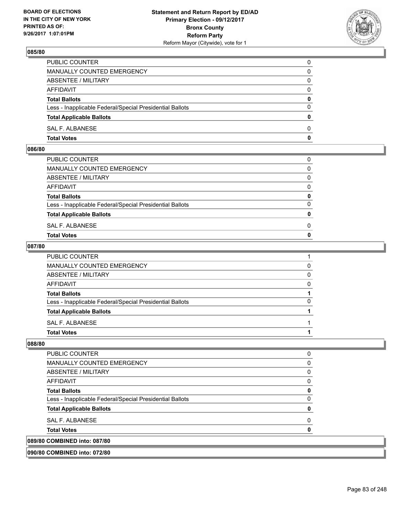

| <b>Total Votes</b>                                       | $\mathbf{0}$ |
|----------------------------------------------------------|--------------|
| SAL F. ALBANESE                                          | 0            |
| <b>Total Applicable Ballots</b>                          | $\mathbf{0}$ |
| Less - Inapplicable Federal/Special Presidential Ballots | $\Omega$     |
| <b>Total Ballots</b>                                     | 0            |
| AFFIDAVIT                                                | $\Omega$     |
| ABSENTEE / MILITARY                                      | 0            |
| MANUALLY COUNTED EMERGENCY                               | 0            |
| PUBLIC COUNTER                                           | 0            |

#### **086/80**

| <b>Total Votes</b>                                       | $\mathbf{0}$ |
|----------------------------------------------------------|--------------|
| SAL F. ALBANESE                                          | 0            |
| <b>Total Applicable Ballots</b>                          | $\mathbf{0}$ |
| Less - Inapplicable Federal/Special Presidential Ballots | $\Omega$     |
| <b>Total Ballots</b>                                     | 0            |
| AFFIDAVIT                                                | $\Omega$     |
| ABSENTEE / MILITARY                                      | $\Omega$     |
| MANUALLY COUNTED EMERGENCY                               | $\Omega$     |
| PUBLIC COUNTER                                           | 0            |
|                                                          |              |

### **087/80**

| PUBLIC COUNTER                                           |   |
|----------------------------------------------------------|---|
| MANUALLY COUNTED EMERGENCY                               | 0 |
| ABSENTEE / MILITARY                                      | 0 |
| AFFIDAVIT                                                | 0 |
| <b>Total Ballots</b>                                     |   |
| Less - Inapplicable Federal/Special Presidential Ballots | 0 |
| <b>Total Applicable Ballots</b>                          |   |
| SAL F. ALBANESE                                          |   |
| <b>Total Votes</b>                                       |   |
|                                                          |   |

| <b>PUBLIC COUNTER</b>                                    |  |
|----------------------------------------------------------|--|
| MANUALLY COUNTED EMERGENCY                               |  |
| ABSENTEE / MILITARY                                      |  |
| AFFIDAVIT                                                |  |
| <b>Total Ballots</b>                                     |  |
| Less - Inapplicable Federal/Special Presidential Ballots |  |
| <b>Total Applicable Ballots</b>                          |  |
| SAL F. ALBANESE                                          |  |
| <b>Total Votes</b>                                       |  |
| 089/80 COMBINED into: 087/80                             |  |
| 090/80 COMBINED into: 072/80                             |  |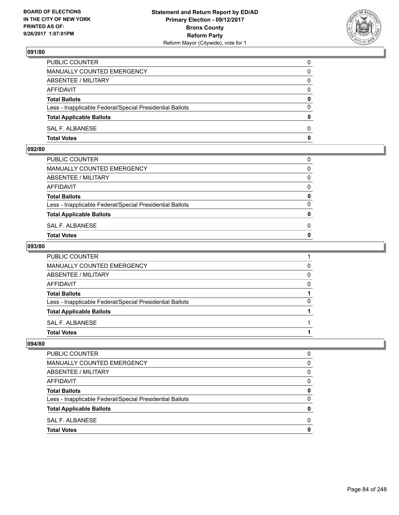

| <b>Total Votes</b>                                       | 0            |
|----------------------------------------------------------|--------------|
| SAL F. ALBANESE                                          | $\Omega$     |
| <b>Total Applicable Ballots</b>                          | $\mathbf{0}$ |
| Less - Inapplicable Federal/Special Presidential Ballots | $\Omega$     |
| <b>Total Ballots</b>                                     | 0            |
| <b>AFFIDAVIT</b>                                         | $\Omega$     |
| ABSENTEE / MILITARY                                      | $\Omega$     |
| MANUALLY COUNTED EMERGENCY                               | 0            |
| PUBLIC COUNTER                                           | 0            |

#### **092/80**

| <b>Total Votes</b>                                       | $\mathbf{0}$ |
|----------------------------------------------------------|--------------|
| SAL F. ALBANESE                                          | 0            |
| <b>Total Applicable Ballots</b>                          | $\mathbf{0}$ |
| Less - Inapplicable Federal/Special Presidential Ballots | $\Omega$     |
| <b>Total Ballots</b>                                     | 0            |
| AFFIDAVIT                                                | $\Omega$     |
| ABSENTEE / MILITARY                                      | $\Omega$     |
| MANUALLY COUNTED EMERGENCY                               | $\Omega$     |
| PUBLIC COUNTER                                           | 0            |
|                                                          |              |

### **093/80**

| <b>Total Votes</b>                                       |   |
|----------------------------------------------------------|---|
| SAL F. ALBANESE                                          |   |
| <b>Total Applicable Ballots</b>                          |   |
| Less - Inapplicable Federal/Special Presidential Ballots | 0 |
| <b>Total Ballots</b>                                     |   |
| AFFIDAVIT                                                | 0 |
| <b>ABSENTEE / MILITARY</b>                               | 0 |
| <b>MANUALLY COUNTED EMERGENCY</b>                        | 0 |
| PUBLIC COUNTER                                           |   |

| <b>PUBLIC COUNTER</b>                                    | O |
|----------------------------------------------------------|---|
| <b>MANUALLY COUNTED EMERGENCY</b>                        | 0 |
| ABSENTEE / MILITARY                                      | 0 |
| <b>AFFIDAVIT</b>                                         | 0 |
| <b>Total Ballots</b>                                     | 0 |
| Less - Inapplicable Federal/Special Presidential Ballots | 0 |
| <b>Total Applicable Ballots</b>                          | 0 |
| SAL F. ALBANESE                                          | 0 |
| <b>Total Votes</b>                                       | O |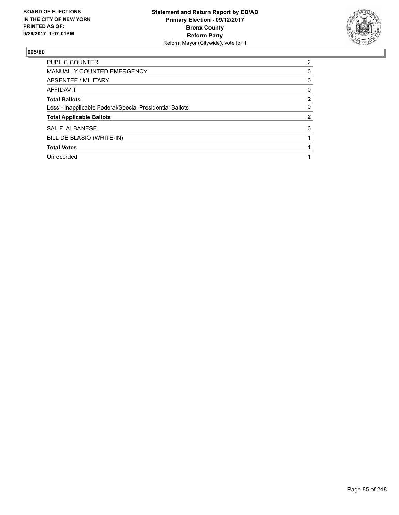

| PUBLIC COUNTER                                           | $\overline{2}$ |
|----------------------------------------------------------|----------------|
| MANUALLY COUNTED EMERGENCY                               | 0              |
| ABSENTEE / MILITARY                                      | 0              |
| AFFIDAVIT                                                | 0              |
| <b>Total Ballots</b>                                     | $\mathbf{2}$   |
| Less - Inapplicable Federal/Special Presidential Ballots | 0              |
| <b>Total Applicable Ballots</b>                          | 2              |
| SAL F. ALBANESE                                          | 0              |
| BILL DE BLASIO (WRITE-IN)                                |                |
| <b>Total Votes</b>                                       |                |
| Unrecorded                                               |                |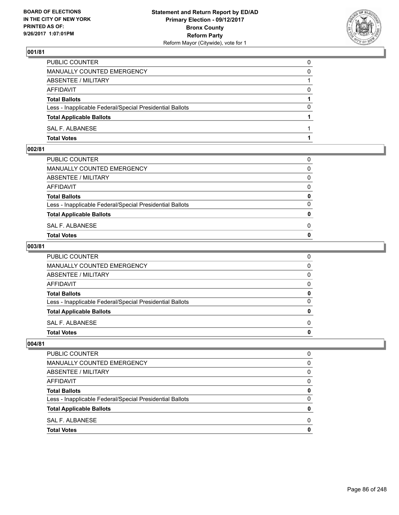

| PUBLIC COUNTER                                           | 0        |
|----------------------------------------------------------|----------|
| <b>MANUALLY COUNTED EMERGENCY</b>                        | 0        |
| ABSENTEE / MILITARY                                      |          |
| <b>AFFIDAVIT</b>                                         | $\Omega$ |
| <b>Total Ballots</b>                                     |          |
| Less - Inapplicable Federal/Special Presidential Ballots | 0        |
| <b>Total Applicable Ballots</b>                          |          |
| SAL F. ALBANESE                                          |          |
| <b>Total Votes</b>                                       |          |

## **002/81**

| MANUALLY COUNTED EMERGENCY                               |              |
|----------------------------------------------------------|--------------|
| ABSENTEE / MILITARY                                      | $\Omega$     |
| AFFIDAVIT                                                | $\mathbf{0}$ |
| <b>Total Ballots</b>                                     | $\mathbf{0}$ |
| Less - Inapplicable Federal/Special Presidential Ballots | $\Omega$     |
| <b>Total Applicable Ballots</b>                          | $\mathbf{0}$ |
| SAL F. ALBANESE                                          | 0            |
| <b>Total Votes</b>                                       | $\mathbf{0}$ |
|                                                          |              |

### **003/81**

| PUBLIC COUNTER                                           | 0            |
|----------------------------------------------------------|--------------|
| MANUALLY COUNTED EMERGENCY                               | $\mathbf{0}$ |
| ABSENTEE / MILITARY                                      | $\mathbf{0}$ |
| AFFIDAVIT                                                | $\mathbf{0}$ |
| <b>Total Ballots</b>                                     | 0            |
| Less - Inapplicable Federal/Special Presidential Ballots | $\mathbf{0}$ |
| <b>Total Applicable Ballots</b>                          | 0            |
| SAL F. ALBANESE                                          | $\Omega$     |
| <b>Total Votes</b>                                       | 0            |
|                                                          |              |

| PUBLIC COUNTER                                           | 0 |
|----------------------------------------------------------|---|
| MANUALLY COUNTED EMERGENCY                               | 0 |
| ABSENTEE / MILITARY                                      | 0 |
| <b>AFFIDAVIT</b>                                         | 0 |
| <b>Total Ballots</b>                                     | 0 |
| Less - Inapplicable Federal/Special Presidential Ballots | 0 |
| <b>Total Applicable Ballots</b>                          | 0 |
| SAL F. ALBANESE                                          | 0 |
| <b>Total Votes</b>                                       |   |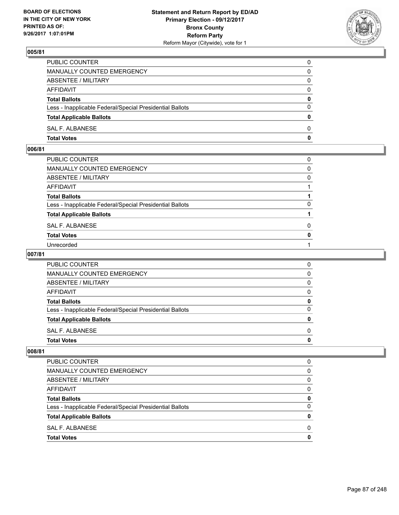

| PUBLIC COUNTER                                           | $\Omega$     |
|----------------------------------------------------------|--------------|
| <b>MANUALLY COUNTED EMERGENCY</b>                        | 0            |
| ABSENTEE / MILITARY                                      | 0            |
| AFFIDAVIT                                                | $\Omega$     |
| <b>Total Ballots</b>                                     | $\mathbf{0}$ |
| Less - Inapplicable Federal/Special Presidential Ballots | $\Omega$     |
| <b>Total Applicable Ballots</b>                          | $\mathbf{0}$ |
| SAL F. ALBANESE                                          | 0            |
| <b>Total Votes</b>                                       | 0            |

## **006/81**

| PUBLIC COUNTER                                           | 0            |
|----------------------------------------------------------|--------------|
| MANUALLY COUNTED EMERGENCY                               | 0            |
| <b>ABSENTEE / MILITARY</b>                               | 0            |
| AFFIDAVIT                                                |              |
| Total Ballots                                            |              |
| Less - Inapplicable Federal/Special Presidential Ballots | 0            |
| <b>Total Applicable Ballots</b>                          |              |
| SAL F. ALBANESE                                          | 0            |
| <b>Total Votes</b>                                       | $\mathbf{0}$ |
| Unrecorded                                               |              |
|                                                          |              |

### **007/81**

| PUBLIC COUNTER                                           | 0        |
|----------------------------------------------------------|----------|
| MANUALLY COUNTED EMERGENCY                               | 0        |
| ABSENTEE / MILITARY                                      | $\Omega$ |
| <b>AFFIDAVIT</b>                                         | $\Omega$ |
| <b>Total Ballots</b>                                     | 0        |
| Less - Inapplicable Federal/Special Presidential Ballots | 0        |
| <b>Total Applicable Ballots</b>                          | 0        |
| SAL F. ALBANESE                                          | O        |
| <b>Total Votes</b>                                       | o        |

| PUBLIC COUNTER                                           | 0 |
|----------------------------------------------------------|---|
| <b>MANUALLY COUNTED EMERGENCY</b>                        | 0 |
| ABSENTEE / MILITARY                                      | 0 |
| AFFIDAVIT                                                | O |
| <b>Total Ballots</b>                                     | 0 |
| Less - Inapplicable Federal/Special Presidential Ballots | 0 |
| <b>Total Applicable Ballots</b>                          | o |
| SAL F. ALBANESE                                          | ŋ |
| <b>Total Votes</b>                                       |   |
|                                                          |   |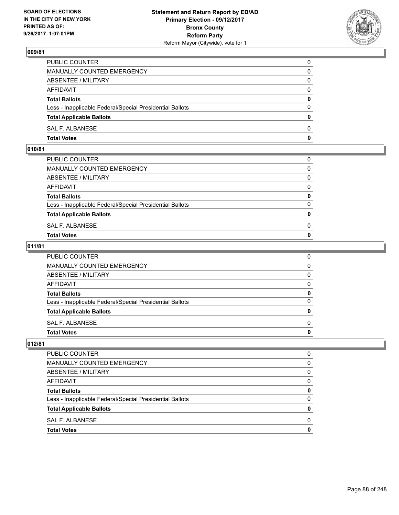

| PUBLIC COUNTER                                           | 0            |
|----------------------------------------------------------|--------------|
| MANUALLY COUNTED EMERGENCY                               | $\mathbf{0}$ |
| ABSENTEE / MILITARY                                      | 0            |
| AFFIDAVIT                                                | 0            |
| <b>Total Ballots</b>                                     | 0            |
| Less - Inapplicable Federal/Special Presidential Ballots | $\mathbf{0}$ |
| <b>Total Applicable Ballots</b>                          | $\mathbf{0}$ |
| SAL F. ALBANESE                                          | $\Omega$     |
| <b>Total Votes</b>                                       | $\mathbf{0}$ |

## **010/81**

| PUBLIC COUNTER                                           | 0            |
|----------------------------------------------------------|--------------|
| MANUALLY COUNTED EMERGENCY                               | $\mathbf{0}$ |
| ABSENTEE / MILITARY                                      | $\Omega$     |
| AFFIDAVIT                                                | $\Omega$     |
| <b>Total Ballots</b>                                     | 0            |
| Less - Inapplicable Federal/Special Presidential Ballots | $\Omega$     |
| <b>Total Applicable Ballots</b>                          | $\mathbf{0}$ |
| SAL F. ALBANESE                                          | 0            |
| Total Votes                                              | $\Omega$     |
|                                                          |              |

### **011/81**

| <b>Total Votes</b>                                       | 0        |
|----------------------------------------------------------|----------|
| SAL F. ALBANESE                                          | $\Omega$ |
| <b>Total Applicable Ballots</b>                          | 0        |
| Less - Inapplicable Federal/Special Presidential Ballots | 0        |
| <b>Total Ballots</b>                                     | 0        |
| AFFIDAVIT                                                | $\Omega$ |
| <b>ABSENTEE / MILITARY</b>                               | $\Omega$ |
| <b>MANUALLY COUNTED EMERGENCY</b>                        | 0        |
| PUBLIC COUNTER                                           | 0        |

| PUBLIC COUNTER                                           | 0 |
|----------------------------------------------------------|---|
| <b>MANUALLY COUNTED EMERGENCY</b>                        | 0 |
| ABSENTEE / MILITARY                                      | 0 |
| AFFIDAVIT                                                | 0 |
| <b>Total Ballots</b>                                     | 0 |
| Less - Inapplicable Federal/Special Presidential Ballots | 0 |
| <b>Total Applicable Ballots</b>                          | 0 |
| SAL F. ALBANESE                                          | 0 |
| <b>Total Votes</b>                                       |   |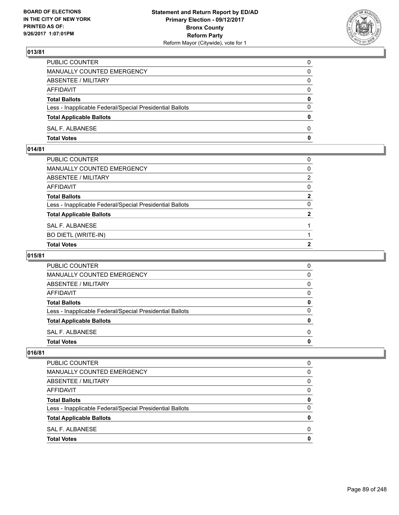

| PUBLIC COUNTER                                           | $\Omega$     |
|----------------------------------------------------------|--------------|
| <b>MANUALLY COUNTED EMERGENCY</b>                        | 0            |
| ABSENTEE / MILITARY                                      | 0            |
| AFFIDAVIT                                                | $\Omega$     |
| <b>Total Ballots</b>                                     | $\mathbf{0}$ |
| Less - Inapplicable Federal/Special Presidential Ballots | $\Omega$     |
| <b>Total Applicable Ballots</b>                          | $\mathbf{0}$ |
| SAL F. ALBANESE                                          | 0            |
| <b>Total Votes</b>                                       | 0            |

## **014/81**

| PUBLIC COUNTER                                           | 0            |
|----------------------------------------------------------|--------------|
| MANUALLY COUNTED EMERGENCY                               | $\mathbf{0}$ |
| ABSENTEE / MILITARY                                      | 2            |
| AFFIDAVIT                                                | $\mathbf{0}$ |
| Total Ballots                                            | $\mathbf{2}$ |
| Less - Inapplicable Federal/Special Presidential Ballots | 0            |
| <b>Total Applicable Ballots</b>                          | $\mathbf{2}$ |
| SAL F. ALBANESE                                          |              |
| <b>BO DIETL (WRITE-IN)</b>                               |              |
| <b>Total Votes</b>                                       | $\mathbf{2}$ |

# **015/81**

| PUBLIC COUNTER                                           | 0 |
|----------------------------------------------------------|---|
| MANUALLY COUNTED EMERGENCY                               | 0 |
| ABSENTEE / MILITARY                                      | 0 |
| AFFIDAVIT                                                | 0 |
| <b>Total Ballots</b>                                     | 0 |
| Less - Inapplicable Federal/Special Presidential Ballots | 0 |
| <b>Total Applicable Ballots</b>                          | o |
| SAL F. ALBANESE                                          | 0 |
| <b>Total Votes</b>                                       |   |

| <b>Total Votes</b>                                       | 0        |
|----------------------------------------------------------|----------|
| SAL F. ALBANESE                                          | 0        |
| <b>Total Applicable Ballots</b>                          | 0        |
| Less - Inapplicable Federal/Special Presidential Ballots | 0        |
| <b>Total Ballots</b>                                     | 0        |
| AFFIDAVIT                                                | $\Omega$ |
| ABSENTEE / MILITARY                                      | 0        |
| MANUALLY COUNTED EMERGENCY                               | 0        |
| <b>PUBLIC COUNTER</b>                                    | 0        |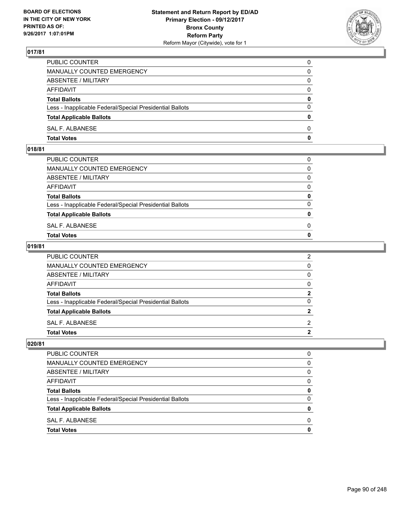

| PUBLIC COUNTER                                           | 0            |
|----------------------------------------------------------|--------------|
| MANUALLY COUNTED EMERGENCY                               | $\Omega$     |
| ABSENTEE / MILITARY                                      | $\mathbf{0}$ |
| AFFIDAVIT                                                | 0            |
| <b>Total Ballots</b>                                     | $\mathbf{0}$ |
| Less - Inapplicable Federal/Special Presidential Ballots | $\Omega$     |
| <b>Total Applicable Ballots</b>                          | $\mathbf{0}$ |
| SAL F. ALBANESE                                          | $\Omega$     |
| <b>Total Votes</b>                                       | $\mathbf{0}$ |

## **018/81**

| <b>Total Votes</b>                                       | $\mathbf{0}$ |
|----------------------------------------------------------|--------------|
| SAL F. ALBANESE                                          | 0            |
| <b>Total Applicable Ballots</b>                          | $\mathbf{0}$ |
| Less - Inapplicable Federal/Special Presidential Ballots | $\Omega$     |
| <b>Total Ballots</b>                                     | 0            |
| AFFIDAVIT                                                | $\Omega$     |
| ABSENTEE / MILITARY                                      | $\Omega$     |
| MANUALLY COUNTED EMERGENCY                               | $\Omega$     |
| PUBLIC COUNTER                                           | 0            |
|                                                          |              |

### **019/81**

| <b>Total Votes</b>                                       | 2             |
|----------------------------------------------------------|---------------|
| SAL F. ALBANESE                                          | $\mathcal{P}$ |
|                                                          |               |
| <b>Total Applicable Ballots</b>                          | $\mathbf{2}$  |
| Less - Inapplicable Federal/Special Presidential Ballots | $\Omega$      |
| <b>Total Ballots</b>                                     | $\mathbf 2$   |
| AFFIDAVIT                                                | 0             |
| ABSENTEE / MILITARY                                      | 0             |
| <b>MANUALLY COUNTED EMERGENCY</b>                        | 0             |
| PUBLIC COUNTER                                           | 2             |

| PUBLIC COUNTER                                           | n            |
|----------------------------------------------------------|--------------|
| <b>MANUALLY COUNTED EMERGENCY</b>                        | <sup>0</sup> |
| ABSENTEE / MILITARY                                      | 0            |
| <b>AFFIDAVIT</b>                                         | <sup>0</sup> |
| <b>Total Ballots</b>                                     | o            |
| Less - Inapplicable Federal/Special Presidential Ballots | O            |
| <b>Total Applicable Ballots</b>                          |              |
| SAL F. ALBANESE                                          | O            |
| <b>Total Votes</b>                                       |              |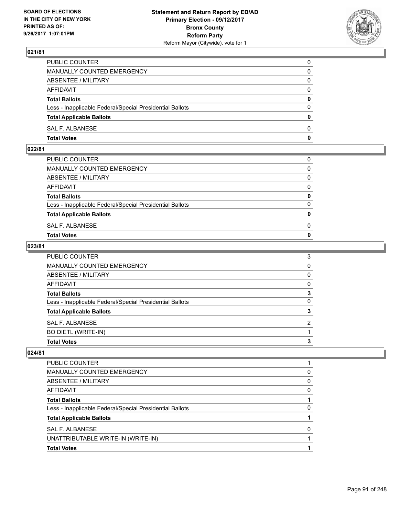

| PUBLIC COUNTER                                           | 0            |
|----------------------------------------------------------|--------------|
| MANUALLY COUNTED EMERGENCY                               | $\mathbf{0}$ |
| ABSENTEE / MILITARY                                      | 0            |
| AFFIDAVIT                                                | 0            |
| <b>Total Ballots</b>                                     | 0            |
| Less - Inapplicable Federal/Special Presidential Ballots | $\mathbf{0}$ |
| <b>Total Applicable Ballots</b>                          | $\mathbf{0}$ |
| SAL F. ALBANESE                                          | $\Omega$     |
| <b>Total Votes</b>                                       | $\mathbf{0}$ |

## **022/81**

| PUBLIC COUNTER                                           | 0            |
|----------------------------------------------------------|--------------|
| MANUALLY COUNTED EMERGENCY                               | $\mathbf{0}$ |
| ABSENTEE / MILITARY                                      | $\Omega$     |
| AFFIDAVIT                                                | $\Omega$     |
| <b>Total Ballots</b>                                     | 0            |
| Less - Inapplicable Federal/Special Presidential Ballots | $\Omega$     |
| <b>Total Applicable Ballots</b>                          | $\mathbf{0}$ |
| SAL F. ALBANESE                                          | 0            |
| Total Votes                                              | $\Omega$     |
|                                                          |              |

### **023/81**

| <b>Total Votes</b>                                       | 3        |
|----------------------------------------------------------|----------|
| BO DIETL (WRITE-IN)                                      |          |
| SAL F. ALBANESE                                          | 2        |
| <b>Total Applicable Ballots</b>                          | 3        |
| Less - Inapplicable Federal/Special Presidential Ballots | 0        |
| <b>Total Ballots</b>                                     | 3        |
| <b>AFFIDAVIT</b>                                         | 0        |
| ABSENTEE / MILITARY                                      | 0        |
| MANUALLY COUNTED EMERGENCY                               | $\Omega$ |
| PUBLIC COUNTER                                           | 3        |

| <b>Total Votes</b>                                       |   |
|----------------------------------------------------------|---|
| UNATTRIBUTABLE WRITE-IN (WRITE-IN)                       |   |
| SAL F. ALBANESE                                          | 0 |
| <b>Total Applicable Ballots</b>                          |   |
| Less - Inapplicable Federal/Special Presidential Ballots | 0 |
| <b>Total Ballots</b>                                     |   |
| AFFIDAVIT                                                | 0 |
| ABSENTEE / MILITARY                                      | 0 |
| MANUALLY COUNTED EMERGENCY                               | 0 |
| <b>PUBLIC COUNTER</b>                                    |   |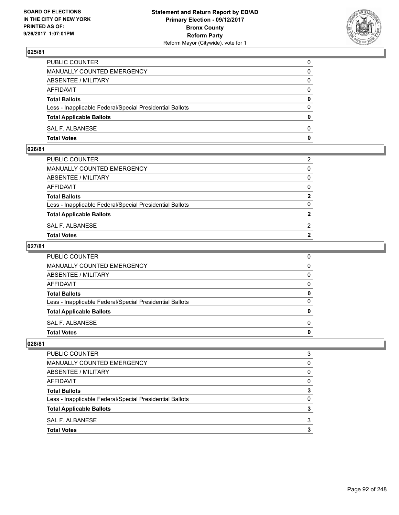

| PUBLIC COUNTER                                           | 0            |
|----------------------------------------------------------|--------------|
| MANUALLY COUNTED EMERGENCY                               | $\mathbf{0}$ |
| ABSENTEE / MILITARY                                      | 0            |
| AFFIDAVIT                                                | 0            |
| <b>Total Ballots</b>                                     | 0            |
| Less - Inapplicable Federal/Special Presidential Ballots | $\mathbf{0}$ |
| <b>Total Applicable Ballots</b>                          | $\mathbf{0}$ |
| SAL F. ALBANESE                                          | $\Omega$     |
| <b>Total Votes</b>                                       | $\mathbf{0}$ |

## **026/81**

| PUBLIC COUNTER                                           | 2              |
|----------------------------------------------------------|----------------|
| MANUALLY COUNTED EMERGENCY                               | $\mathbf{0}$   |
| ABSENTEE / MILITARY                                      | $\mathbf{0}$   |
| AFFIDAVIT                                                | $\mathbf{0}$   |
| <b>Total Ballots</b>                                     | $\mathbf{2}$   |
| Less - Inapplicable Federal/Special Presidential Ballots | $\Omega$       |
| <b>Total Applicable Ballots</b>                          | $\overline{2}$ |
| SAL F. ALBANESE                                          | 2              |
| Total Votes                                              | $\overline{2}$ |
|                                                          |                |

### **027/81**

| PUBLIC COUNTER                                           | 0            |
|----------------------------------------------------------|--------------|
| MANUALLY COUNTED EMERGENCY                               | $\mathbf{0}$ |
| ABSENTEE / MILITARY                                      | $\mathbf{0}$ |
| AFFIDAVIT                                                | $\mathbf{0}$ |
| <b>Total Ballots</b>                                     | 0            |
| Less - Inapplicable Federal/Special Presidential Ballots | $\mathbf{0}$ |
| <b>Total Applicable Ballots</b>                          | 0            |
| SAL F. ALBANESE                                          | $\Omega$     |
| <b>Total Votes</b>                                       | 0            |
|                                                          |              |

| PUBLIC COUNTER                                           | 3 |
|----------------------------------------------------------|---|
| MANUALLY COUNTED EMERGENCY                               | 0 |
| ABSENTEE / MILITARY                                      | 0 |
| <b>AFFIDAVIT</b>                                         | 0 |
| <b>Total Ballots</b>                                     |   |
| Less - Inapplicable Federal/Special Presidential Ballots |   |
| <b>Total Applicable Ballots</b>                          |   |
| SAL F. ALBANESE                                          | 3 |
| <b>Total Votes</b>                                       |   |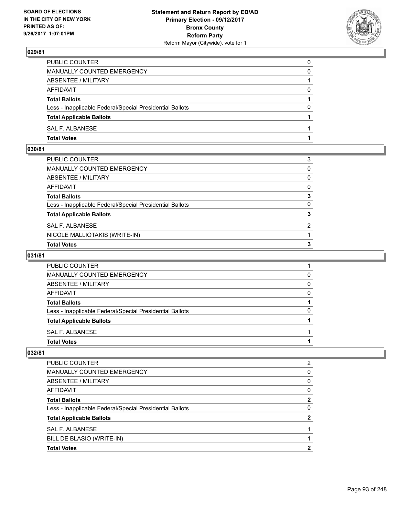

| PUBLIC COUNTER                                           | 0        |
|----------------------------------------------------------|----------|
| MANUALLY COUNTED EMERGENCY                               | 0        |
| ABSENTEE / MILITARY                                      |          |
| AFFIDAVIT                                                | $\Omega$ |
| <b>Total Ballots</b>                                     |          |
| Less - Inapplicable Federal/Special Presidential Ballots | $\Omega$ |
| <b>Total Applicable Ballots</b>                          |          |
| SAL F. ALBANESE                                          |          |
| <b>Total Votes</b>                                       |          |

## **030/81**

| <b>Total Votes</b>                                       | 3            |
|----------------------------------------------------------|--------------|
| NICOLE MALLIOTAKIS (WRITE-IN)                            |              |
| SAL F. ALBANESE                                          | 2            |
| <b>Total Applicable Ballots</b>                          | 3            |
| Less - Inapplicable Federal/Special Presidential Ballots | $\Omega$     |
| Total Ballots                                            | 3            |
| AFFIDAVIT                                                | $\mathbf{0}$ |
| ABSENTEE / MILITARY                                      | 0            |
| MANUALLY COUNTED EMERGENCY                               | 0            |
| PUBLIC COUNTER                                           | 3            |

## **031/81**

| PUBLIC COUNTER                                           |              |
|----------------------------------------------------------|--------------|
| MANUALLY COUNTED EMERGENCY                               | 0            |
| ABSENTEE / MILITARY                                      | <sup>0</sup> |
| AFFIDAVIT                                                | O            |
| <b>Total Ballots</b>                                     |              |
| Less - Inapplicable Federal/Special Presidential Ballots | O            |
| <b>Total Applicable Ballots</b>                          |              |
| SAL F. ALBANESE                                          |              |
| <b>Total Votes</b>                                       |              |

| <b>Total Votes</b>                                       | 2            |
|----------------------------------------------------------|--------------|
| BILL DE BLASIO (WRITE-IN)                                |              |
| SAL F. ALBANESE                                          |              |
| <b>Total Applicable Ballots</b>                          | 2            |
| Less - Inapplicable Federal/Special Presidential Ballots | 0            |
| <b>Total Ballots</b>                                     | $\mathbf{2}$ |
| AFFIDAVIT                                                | 0            |
| ABSENTEE / MILITARY                                      | 0            |
| MANUALLY COUNTED EMERGENCY                               | 0            |
| <b>PUBLIC COUNTER</b>                                    | 2            |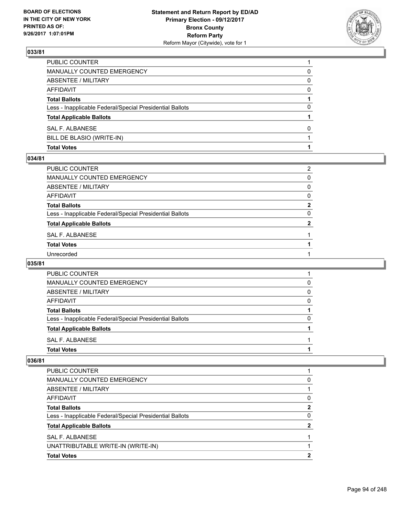

| <b>Total Votes</b>                                       |   |
|----------------------------------------------------------|---|
| BILL DE BLASIO (WRITE-IN)                                |   |
| SAL F. ALBANESE                                          | 0 |
| <b>Total Applicable Ballots</b>                          |   |
| Less - Inapplicable Federal/Special Presidential Ballots | 0 |
| <b>Total Ballots</b>                                     |   |
| AFFIDAVIT                                                | 0 |
| ABSENTEE / MILITARY                                      | 0 |
| MANUALLY COUNTED EMERGENCY                               | 0 |
| PUBLIC COUNTER                                           |   |

#### **034/81**

| PUBLIC COUNTER                                           | $\overline{2}$ |
|----------------------------------------------------------|----------------|
| MANUALLY COUNTED EMERGENCY                               | 0              |
| ABSENTEE / MILITARY                                      | $\mathbf{0}$   |
| AFFIDAVIT                                                | $\mathbf{0}$   |
| Total Ballots                                            | $\mathbf{2}$   |
| Less - Inapplicable Federal/Special Presidential Ballots | 0              |
| <b>Total Applicable Ballots</b>                          | $\mathbf{2}$   |
| SAL F. ALBANESE                                          |                |
| <b>Total Votes</b>                                       |                |
| Unrecorded                                               |                |

### **035/81**

| <b>PUBLIC COUNTER</b>                                    |   |
|----------------------------------------------------------|---|
| <b>MANUALLY COUNTED EMERGENCY</b>                        | 0 |
| ABSENTEE / MILITARY                                      | 0 |
| AFFIDAVIT                                                | 0 |
| <b>Total Ballots</b>                                     |   |
| Less - Inapplicable Federal/Special Presidential Ballots | 0 |
| <b>Total Applicable Ballots</b>                          |   |
| SAL F. ALBANESE                                          |   |
| <b>Total Votes</b>                                       |   |

| 0            |
|--------------|
|              |
| 0            |
| $\mathbf{2}$ |
| 0            |
| $\mathbf{2}$ |
|              |
|              |
| 2            |
|              |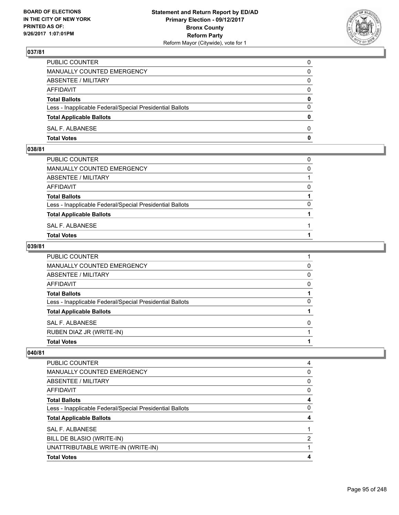

| PUBLIC COUNTER                                           | 0            |
|----------------------------------------------------------|--------------|
| MANUALLY COUNTED EMERGENCY                               | $\mathbf{0}$ |
| ABSENTEE / MILITARY                                      | 0            |
| AFFIDAVIT                                                | 0            |
| <b>Total Ballots</b>                                     | 0            |
| Less - Inapplicable Federal/Special Presidential Ballots | $\mathbf{0}$ |
| <b>Total Applicable Ballots</b>                          | $\mathbf{0}$ |
| SAL F. ALBANESE                                          | $\Omega$     |
| <b>Total Votes</b>                                       | $\mathbf{0}$ |

## **038/81**

| PUBLIC COUNTER                                           | 0        |
|----------------------------------------------------------|----------|
| MANUALLY COUNTED EMERGENCY                               | $\Omega$ |
| ABSENTEE / MILITARY                                      |          |
| AFFIDAVIT                                                | $\Omega$ |
| <b>Total Ballots</b>                                     |          |
| Less - Inapplicable Federal/Special Presidential Ballots | $\Omega$ |
| <b>Total Applicable Ballots</b>                          |          |
| SAL F. ALBANESE                                          |          |
| <b>Total Votes</b>                                       |          |
|                                                          |          |

### **039/81**

| <b>Total Votes</b>                                       |   |
|----------------------------------------------------------|---|
| RUBEN DIAZ JR (WRITE-IN)                                 |   |
| SAL F. ALBANESE                                          | 0 |
| <b>Total Applicable Ballots</b>                          |   |
| Less - Inapplicable Federal/Special Presidential Ballots | 0 |
| <b>Total Ballots</b>                                     |   |
| AFFIDAVIT                                                | 0 |
| ABSENTEE / MILITARY                                      | 0 |
| MANUALLY COUNTED EMERGENCY                               | 0 |
| PUBLIC COUNTER                                           |   |

| <b>Total Votes</b>                                       | 4 |
|----------------------------------------------------------|---|
| UNATTRIBUTABLE WRITE-IN (WRITE-IN)                       |   |
| BILL DE BLASIO (WRITE-IN)                                | 2 |
| SAL F. ALBANESE                                          |   |
| <b>Total Applicable Ballots</b>                          | 4 |
| Less - Inapplicable Federal/Special Presidential Ballots | 0 |
| <b>Total Ballots</b>                                     | 4 |
| AFFIDAVIT                                                | 0 |
| ABSENTEE / MILITARY                                      | 0 |
| MANUALLY COUNTED EMERGENCY                               | 0 |
| <b>PUBLIC COUNTER</b>                                    | 4 |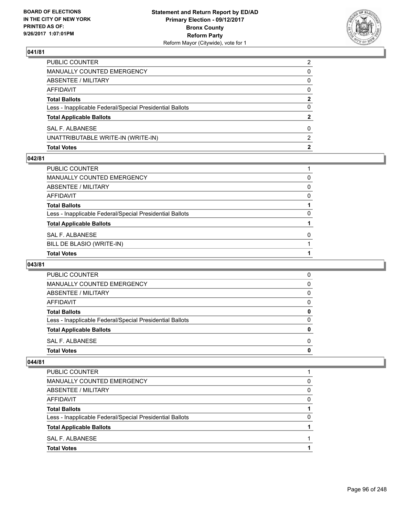

| <b>Total Votes</b>                                       | 2              |
|----------------------------------------------------------|----------------|
| UNATTRIBUTABLE WRITE-IN (WRITE-IN)                       | $\mathcal{P}$  |
| SAL F. ALBANESE                                          | 0              |
| <b>Total Applicable Ballots</b>                          | 2              |
| Less - Inapplicable Federal/Special Presidential Ballots | 0              |
| <b>Total Ballots</b>                                     | 2              |
| <b>AFFIDAVIT</b>                                         | $\Omega$       |
| <b>ABSENTEE / MILITARY</b>                               | 0              |
| MANUALLY COUNTED EMERGENCY                               | 0              |
| PUBLIC COUNTER                                           | $\overline{2}$ |

#### **042/81**

| PUBLIC COUNTER                                           |          |
|----------------------------------------------------------|----------|
| MANUALLY COUNTED EMERGENCY                               | 0        |
| ABSENTEE / MILITARY                                      | 0        |
| AFFIDAVIT                                                | $\Omega$ |
| Total Ballots                                            |          |
| Less - Inapplicable Federal/Special Presidential Ballots | $\Omega$ |
| <b>Total Applicable Ballots</b>                          |          |
| SAL F. ALBANESE                                          | $\Omega$ |
| BILL DE BLASIO (WRITE-IN)                                |          |
| <b>Total Votes</b>                                       |          |

### **043/81**

| 0 |
|---|
|   |
| 0 |
| 0 |
| 0 |
| 0 |
| 0 |
| 0 |
| 0 |
| 0 |
|   |

| <b>PUBLIC COUNTER</b>                                    |   |
|----------------------------------------------------------|---|
| MANUALLY COUNTED EMERGENCY                               | 0 |
| ABSENTEE / MILITARY                                      | 0 |
| AFFIDAVIT                                                | 0 |
| <b>Total Ballots</b>                                     |   |
| Less - Inapplicable Federal/Special Presidential Ballots | 0 |
| <b>Total Applicable Ballots</b>                          |   |
| SAL F. ALBANESE                                          |   |
| <b>Total Votes</b>                                       |   |
|                                                          |   |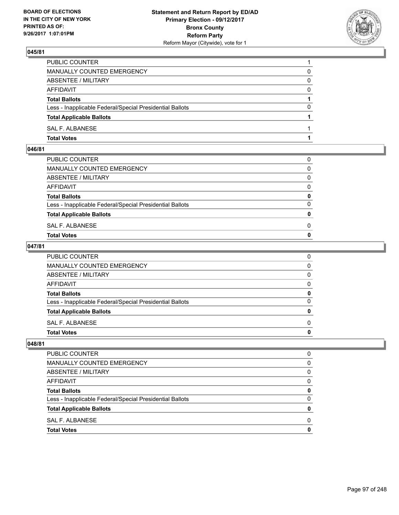

| PUBLIC COUNTER                                           |          |
|----------------------------------------------------------|----------|
| MANUALLY COUNTED EMERGENCY                               | 0        |
| ABSENTEE / MILITARY                                      | 0        |
| AFFIDAVIT                                                | 0        |
| <b>Total Ballots</b>                                     |          |
| Less - Inapplicable Federal/Special Presidential Ballots | $\Omega$ |
| <b>Total Applicable Ballots</b>                          |          |
| SAL F. ALBANESE                                          |          |
| <b>Total Votes</b>                                       |          |

## **046/81**

| PUBLIC COUNTER                                           | 0            |
|----------------------------------------------------------|--------------|
| MANUALLY COUNTED EMERGENCY                               | $\mathbf{0}$ |
| ABSENTEE / MILITARY                                      | $\Omega$     |
| AFFIDAVIT                                                | $\Omega$     |
| <b>Total Ballots</b>                                     | 0            |
| Less - Inapplicable Federal/Special Presidential Ballots | $\Omega$     |
| <b>Total Applicable Ballots</b>                          | $\mathbf{0}$ |
| SAL F. ALBANESE                                          | 0            |
| Total Votes                                              | $\Omega$     |
|                                                          |              |

### **047/81**

| PUBLIC COUNTER                                           | 0            |
|----------------------------------------------------------|--------------|
| MANUALLY COUNTED EMERGENCY                               | $\mathbf{0}$ |
| ABSENTEE / MILITARY                                      | $\mathbf{0}$ |
| AFFIDAVIT                                                | $\mathbf{0}$ |
| <b>Total Ballots</b>                                     | 0            |
| Less - Inapplicable Federal/Special Presidential Ballots | $\mathbf{0}$ |
| <b>Total Applicable Ballots</b>                          | 0            |
| SAL F. ALBANESE                                          | $\Omega$     |
| <b>Total Votes</b>                                       | 0            |
|                                                          |              |

| PUBLIC COUNTER                                           | O |
|----------------------------------------------------------|---|
| MANUALLY COUNTED EMERGENCY                               | 0 |
| ABSENTEE / MILITARY                                      | 0 |
| <b>AFFIDAVIT</b>                                         | 0 |
| <b>Total Ballots</b>                                     | 0 |
| Less - Inapplicable Federal/Special Presidential Ballots | 0 |
| <b>Total Applicable Ballots</b>                          | o |
| SAL F. ALBANESE                                          | O |
| <b>Total Votes</b>                                       |   |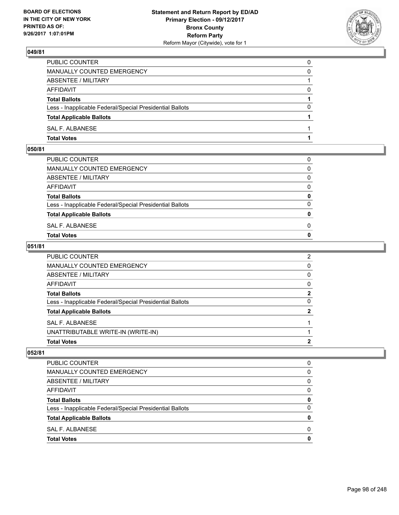

| PUBLIC COUNTER                                           | 0        |
|----------------------------------------------------------|----------|
| MANUALLY COUNTED EMERGENCY                               | 0        |
| ABSENTEE / MILITARY                                      |          |
| AFFIDAVIT                                                | 0        |
| <b>Total Ballots</b>                                     |          |
| Less - Inapplicable Federal/Special Presidential Ballots | $\Omega$ |
| <b>Total Applicable Ballots</b>                          |          |
| SAL F. ALBANESE                                          |          |
| <b>Total Votes</b>                                       |          |

### **050/81**

| PUBLIC COUNTER                                           | 0            |
|----------------------------------------------------------|--------------|
| MANUALLY COUNTED EMERGENCY                               | $\mathbf{0}$ |
| ABSENTEE / MILITARY                                      | $\Omega$     |
| AFFIDAVIT                                                | $\Omega$     |
| <b>Total Ballots</b>                                     | 0            |
| Less - Inapplicable Federal/Special Presidential Ballots | $\Omega$     |
| <b>Total Applicable Ballots</b>                          | $\mathbf{0}$ |
| SAL F. ALBANESE                                          | 0            |
| Total Votes                                              | $\Omega$     |
|                                                          |              |

### **051/81**

| <b>Total Votes</b>                                       | 2              |
|----------------------------------------------------------|----------------|
| UNATTRIBUTABLE WRITE-IN (WRITE-IN)                       |                |
| SAL F. ALBANESE                                          |                |
| <b>Total Applicable Ballots</b>                          | $\mathbf{2}$   |
| Less - Inapplicable Federal/Special Presidential Ballots | $\Omega$       |
| <b>Total Ballots</b>                                     | $\mathbf{2}$   |
| AFFIDAVIT                                                | 0              |
| ABSENTEE / MILITARY                                      | $\Omega$       |
| MANUALLY COUNTED EMERGENCY                               | $\mathbf{0}$   |
| PUBLIC COUNTER                                           | $\overline{2}$ |

| 0 |
|---|
| 0 |
| 0 |
| 0 |
| 0 |
| 0 |
| 0 |
| 0 |
|   |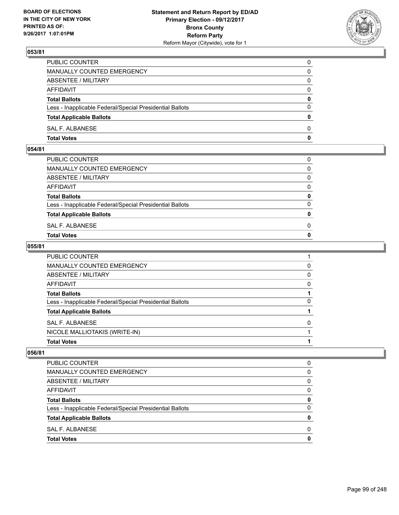

| PUBLIC COUNTER                                           | 0            |
|----------------------------------------------------------|--------------|
| MANUALLY COUNTED EMERGENCY                               | $\Omega$     |
| ABSENTEE / MILITARY                                      | $\mathbf{0}$ |
| AFFIDAVIT                                                | 0            |
| <b>Total Ballots</b>                                     | 0            |
| Less - Inapplicable Federal/Special Presidential Ballots | $\mathbf{0}$ |
| <b>Total Applicable Ballots</b>                          | $\mathbf{0}$ |
| SAL F. ALBANESE                                          | $\Omega$     |
| <b>Total Votes</b>                                       | $\mathbf{0}$ |

### **054/81**

| <b>Total Votes</b>                                       | $\mathbf{0}$ |
|----------------------------------------------------------|--------------|
| SAL F. ALBANESE                                          | 0            |
| <b>Total Applicable Ballots</b>                          | $\mathbf{0}$ |
| Less - Inapplicable Federal/Special Presidential Ballots | $\Omega$     |
| <b>Total Ballots</b>                                     | 0            |
| AFFIDAVIT                                                | $\Omega$     |
| ABSENTEE / MILITARY                                      | $\Omega$     |
| MANUALLY COUNTED EMERGENCY                               | $\Omega$     |
| PUBLIC COUNTER                                           | 0            |
|                                                          |              |

### **055/81**

| <b>Total Votes</b>                                       |   |
|----------------------------------------------------------|---|
| NICOLE MALLIOTAKIS (WRITE-IN)                            |   |
| SAL F. ALBANESE                                          | 0 |
| <b>Total Applicable Ballots</b>                          |   |
| Less - Inapplicable Federal/Special Presidential Ballots | 0 |
| <b>Total Ballots</b>                                     |   |
| AFFIDAVIT                                                | 0 |
| <b>ABSENTEE / MILITARY</b>                               | 0 |
| MANUALLY COUNTED EMERGENCY                               | 0 |
| PUBLIC COUNTER                                           |   |

| <b>Total Votes</b>                                       | 0        |
|----------------------------------------------------------|----------|
| SAL F. ALBANESE                                          | 0        |
| <b>Total Applicable Ballots</b>                          | 0        |
| Less - Inapplicable Federal/Special Presidential Ballots | 0        |
| <b>Total Ballots</b>                                     | 0        |
| AFFIDAVIT                                                | 0        |
| ABSENTEE / MILITARY                                      | $\Omega$ |
| MANUALLY COUNTED EMERGENCY                               | 0        |
| PUBLIC COUNTER                                           | 0        |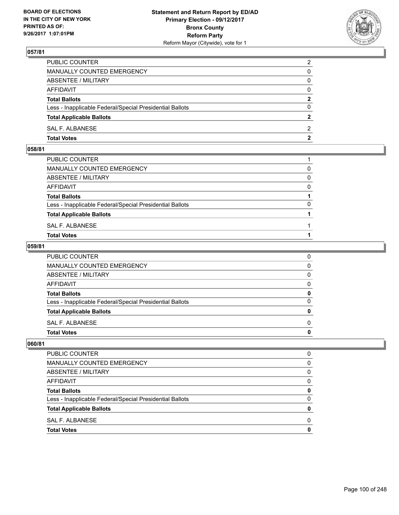

| PUBLIC COUNTER                                           | $\overline{2}$ |
|----------------------------------------------------------|----------------|
| MANUALLY COUNTED EMERGENCY                               | 0              |
| ABSENTEE / MILITARY                                      | $\mathbf{0}$   |
| AFFIDAVIT                                                | $\mathbf{0}$   |
| <b>Total Ballots</b>                                     | $\mathbf{2}$   |
| Less - Inapplicable Federal/Special Presidential Ballots | $\mathbf{0}$   |
| <b>Total Applicable Ballots</b>                          | $\mathbf{2}$   |
| SAL F. ALBANESE                                          | 2              |
| <b>Total Votes</b>                                       | $\mathbf{2}$   |

#### **058/81**

| PUBLIC COUNTER                                           |          |
|----------------------------------------------------------|----------|
| MANUALLY COUNTED EMERGENCY                               | $\Omega$ |
| ABSENTEE / MILITARY                                      | 0        |
| AFFIDAVIT                                                | $\Omega$ |
| <b>Total Ballots</b>                                     |          |
| Less - Inapplicable Federal/Special Presidential Ballots | $\Omega$ |
| <b>Total Applicable Ballots</b>                          |          |
| SAL F. ALBANESE                                          |          |
| <b>Total Votes</b>                                       |          |
|                                                          |          |

### **059/81**

| PUBLIC COUNTER                                           | 0            |
|----------------------------------------------------------|--------------|
| MANUALLY COUNTED EMERGENCY                               | $\mathbf{0}$ |
| ABSENTEE / MILITARY                                      | $\mathbf{0}$ |
| AFFIDAVIT                                                | $\mathbf{0}$ |
| <b>Total Ballots</b>                                     | 0            |
| Less - Inapplicable Federal/Special Presidential Ballots | $\mathbf{0}$ |
| <b>Total Applicable Ballots</b>                          | $\mathbf{0}$ |
| SAL F. ALBANESE                                          | $\Omega$     |
| <b>Total Votes</b>                                       | 0            |
|                                                          |              |

| <b>PUBLIC COUNTER</b>                                    |   |
|----------------------------------------------------------|---|
| MANUALLY COUNTED EMERGENCY                               | 0 |
| ABSENTEE / MILITARY                                      | 0 |
| <b>AFFIDAVIT</b>                                         | 0 |
| <b>Total Ballots</b>                                     | o |
| Less - Inapplicable Federal/Special Presidential Ballots | 0 |
| <b>Total Applicable Ballots</b>                          |   |
| SAL F. ALBANESE                                          | n |
| <b>Total Votes</b>                                       |   |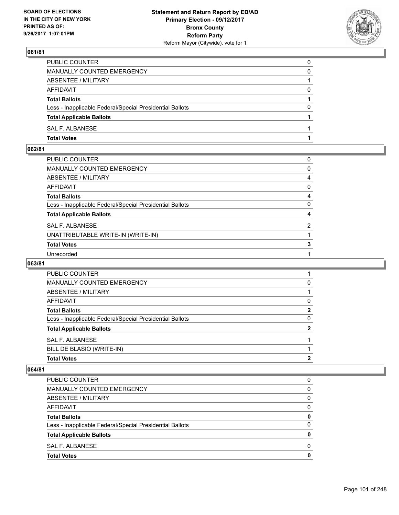

| <b>Total Votes</b>                                       |   |
|----------------------------------------------------------|---|
| SAL F. ALBANESE                                          |   |
| <b>Total Applicable Ballots</b>                          |   |
| Less - Inapplicable Federal/Special Presidential Ballots | 0 |
| <b>Total Ballots</b>                                     |   |
| AFFIDAVIT                                                |   |
| ABSENTEE / MILITARY                                      |   |
| <b>MANUALLY COUNTED EMERGENCY</b>                        | 0 |
| PUBLIC COUNTER                                           | 0 |

## **062/81**

| PUBLIC COUNTER                                           | 0              |
|----------------------------------------------------------|----------------|
| MANUALLY COUNTED EMERGENCY                               | 0              |
| ABSENTEE / MILITARY                                      | 4              |
| AFFIDAVIT                                                | 0              |
| Total Ballots                                            | 4              |
| Less - Inapplicable Federal/Special Presidential Ballots | 0              |
| <b>Total Applicable Ballots</b>                          | 4              |
| <b>SAL F. ALBANESE</b>                                   | $\overline{2}$ |
| UNATTRIBUTABLE WRITE-IN (WRITE-IN)                       |                |
| <b>Total Votes</b>                                       | 3              |
| Unrecorded                                               |                |

### **063/81**

| PUBLIC COUNTER                                           |   |
|----------------------------------------------------------|---|
| MANUALLY COUNTED EMERGENCY                               | 0 |
| ABSENTEE / MILITARY                                      |   |
| AFFIDAVIT                                                | 0 |
| <b>Total Ballots</b>                                     | 2 |
| Less - Inapplicable Federal/Special Presidential Ballots | 0 |
| <b>Total Applicable Ballots</b>                          |   |
| SAL F. ALBANESE                                          |   |
| BILL DE BLASIO (WRITE-IN)                                |   |
| <b>Total Votes</b>                                       | 2 |

| <b>PUBLIC COUNTER</b>                                    | 0 |
|----------------------------------------------------------|---|
| <b>MANUALLY COUNTED EMERGENCY</b>                        | 0 |
| ABSENTEE / MILITARY                                      | 0 |
| AFFIDAVIT                                                | 0 |
| <b>Total Ballots</b>                                     | 0 |
| Less - Inapplicable Federal/Special Presidential Ballots | 0 |
| <b>Total Applicable Ballots</b>                          |   |
| SAL F. ALBANESE                                          | 0 |
| <b>Total Votes</b>                                       | 0 |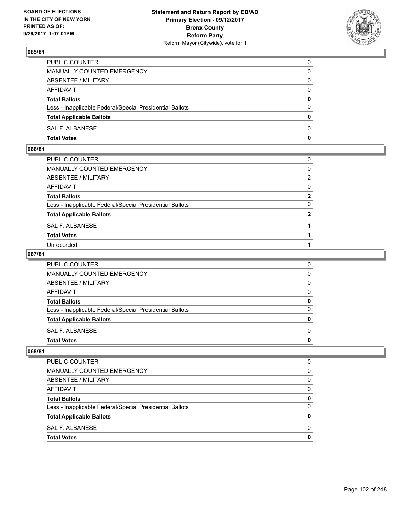

| PUBLIC COUNTER                                           | $\Omega$     |
|----------------------------------------------------------|--------------|
| <b>MANUALLY COUNTED EMERGENCY</b>                        | 0            |
| ABSENTEE / MILITARY                                      | 0            |
| AFFIDAVIT                                                | $\Omega$     |
| <b>Total Ballots</b>                                     | $\mathbf{0}$ |
| Less - Inapplicable Federal/Special Presidential Ballots | $\Omega$     |
| <b>Total Applicable Ballots</b>                          | $\mathbf{0}$ |
| <b>SAL F. ALBANESE</b>                                   | 0            |
| <b>Total Votes</b>                                       | 0            |

## **066/81**

| PUBLIC COUNTER                                           | 0           |
|----------------------------------------------------------|-------------|
| MANUALLY COUNTED EMERGENCY                               | 0           |
| ABSENTEE / MILITARY                                      | 2           |
| AFFIDAVIT                                                | 0           |
| Total Ballots                                            | $\mathbf 2$ |
| Less - Inapplicable Federal/Special Presidential Ballots | 0           |
| <b>Total Applicable Ballots</b>                          | 2           |
| SAL F. ALBANESE                                          |             |
| <b>Total Votes</b>                                       |             |
| Unrecorded                                               |             |

### **067/81**

| PUBLIC COUNTER                                           | O |
|----------------------------------------------------------|---|
| <b>MANUALLY COUNTED EMERGENCY</b>                        | 0 |
| ABSENTEE / MILITARY                                      | O |
| <b>AFFIDAVIT</b>                                         | O |
| <b>Total Ballots</b>                                     |   |
| Less - Inapplicable Federal/Special Presidential Ballots |   |
| <b>Total Applicable Ballots</b>                          |   |
| SAL F. ALBANESE                                          | n |
| <b>Total Votes</b>                                       |   |

| <b>PUBLIC COUNTER</b>                                    | 0 |
|----------------------------------------------------------|---|
| MANUALLY COUNTED EMERGENCY                               | 0 |
| ABSENTEE / MILITARY                                      | 0 |
| AFFIDAVIT                                                | 0 |
| <b>Total Ballots</b>                                     | 0 |
| Less - Inapplicable Federal/Special Presidential Ballots | 0 |
| <b>Total Applicable Ballots</b>                          | o |
| SAL F. ALBANESE                                          | O |
| <b>Total Votes</b>                                       | o |
|                                                          |   |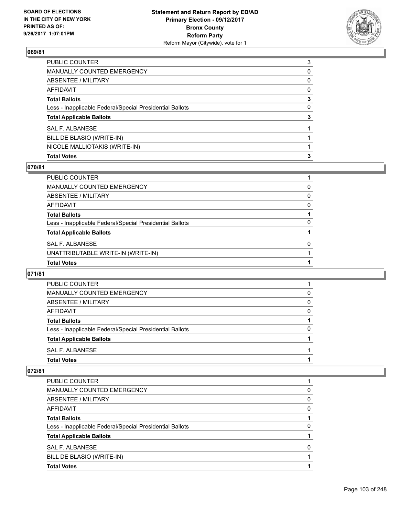

| PUBLIC COUNTER                                           | 3            |
|----------------------------------------------------------|--------------|
| MANUALLY COUNTED EMERGENCY                               | 0            |
| ABSENTEE / MILITARY                                      | 0            |
| AFFIDAVIT                                                | $\mathbf{0}$ |
| Total Ballots                                            | 3            |
| Less - Inapplicable Federal/Special Presidential Ballots | 0            |
| <b>Total Applicable Ballots</b>                          | 3            |
| SAL F. ALBANESE                                          |              |
| BILL DE BLASIO (WRITE-IN)                                |              |
| NICOLE MALLIOTAKIS (WRITE-IN)                            |              |
| <b>Total Votes</b>                                       | 3            |

### **070/81**

| PUBLIC COUNTER                                           |   |
|----------------------------------------------------------|---|
| <b>MANUALLY COUNTED EMERGENCY</b>                        | 0 |
| ABSENTEE / MILITARY                                      | 0 |
| AFFIDAVIT                                                | 0 |
| <b>Total Ballots</b>                                     |   |
| Less - Inapplicable Federal/Special Presidential Ballots | 0 |
| <b>Total Applicable Ballots</b>                          |   |
| <b>SAL F. ALBANESE</b>                                   | 0 |
| UNATTRIBUTABLE WRITE-IN (WRITE-IN)                       |   |
| <b>Total Votes</b>                                       |   |

### **071/81**

| <b>PUBLIC COUNTER</b>                                    |   |
|----------------------------------------------------------|---|
| MANUALLY COUNTED EMERGENCY                               | 0 |
| ABSENTEE / MILITARY                                      | 0 |
| AFFIDAVIT                                                | 0 |
| <b>Total Ballots</b>                                     |   |
| Less - Inapplicable Federal/Special Presidential Ballots | 0 |
| <b>Total Applicable Ballots</b>                          |   |
| SAL F. ALBANESE                                          |   |
| <b>Total Votes</b>                                       |   |

| PUBLIC COUNTER                                           |   |
|----------------------------------------------------------|---|
| MANUALLY COUNTED EMERGENCY                               | 0 |
| ABSENTEE / MILITARY                                      | 0 |
| AFFIDAVIT                                                | 0 |
| <b>Total Ballots</b>                                     |   |
| Less - Inapplicable Federal/Special Presidential Ballots | 0 |
| <b>Total Applicable Ballots</b>                          |   |
| SAL F. ALBANESE                                          | O |
| BILL DE BLASIO (WRITE-IN)                                |   |
| <b>Total Votes</b>                                       |   |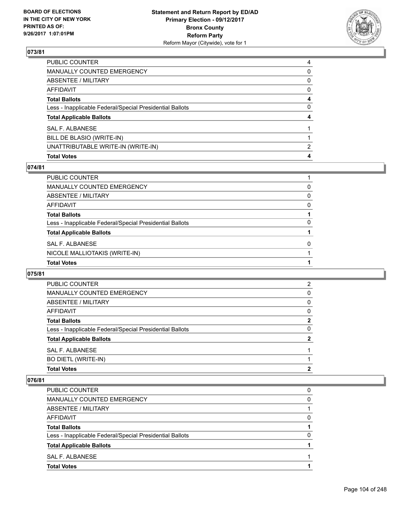

| PUBLIC COUNTER                                           | 4            |
|----------------------------------------------------------|--------------|
| MANUALLY COUNTED EMERGENCY                               | 0            |
| ABSENTEE / MILITARY                                      | 0            |
| AFFIDAVIT                                                | $\mathbf{0}$ |
| Total Ballots                                            | 4            |
| Less - Inapplicable Federal/Special Presidential Ballots | $\mathbf{0}$ |
| <b>Total Applicable Ballots</b>                          | 4            |
| SAL F. ALBANESE                                          |              |
| BILL DE BLASIO (WRITE-IN)                                |              |
| UNATTRIBUTABLE WRITE-IN (WRITE-IN)                       | 2            |
| <b>Total Votes</b>                                       | 4            |

### **074/81**

| PUBLIC COUNTER                                           |          |
|----------------------------------------------------------|----------|
| <b>MANUALLY COUNTED EMERGENCY</b>                        | 0        |
| <b>ABSENTEE / MILITARY</b>                               | $\Omega$ |
| <b>AFFIDAVIT</b>                                         | 0        |
| <b>Total Ballots</b>                                     |          |
| Less - Inapplicable Federal/Special Presidential Ballots | 0        |
| <b>Total Applicable Ballots</b>                          |          |
| SAL F. ALBANESE                                          | O        |
| NICOLE MALLIOTAKIS (WRITE-IN)                            |          |
| <b>Total Votes</b>                                       |          |

#### **075/81**

| <b>PUBLIC COUNTER</b>                                    | $\overline{2}$ |
|----------------------------------------------------------|----------------|
| <b>MANUALLY COUNTED EMERGENCY</b>                        | 0              |
| ABSENTEE / MILITARY                                      | 0              |
| AFFIDAVIT                                                | 0              |
| <b>Total Ballots</b>                                     | $\mathbf{2}$   |
| Less - Inapplicable Federal/Special Presidential Ballots | 0              |
| <b>Total Applicable Ballots</b>                          | 2              |
| SAL F. ALBANESE                                          |                |
| <b>BO DIETL (WRITE-IN)</b>                               |                |
| <b>Total Votes</b>                                       | 2              |

| MANUALLY COUNTED EMERGENCY                               | 0 |
|----------------------------------------------------------|---|
|                                                          |   |
| ABSENTEE / MILITARY                                      |   |
| AFFIDAVIT                                                | 0 |
| <b>Total Ballots</b>                                     |   |
| Less - Inapplicable Federal/Special Presidential Ballots | O |
| <b>Total Applicable Ballots</b>                          |   |
| SAL F. ALBANESE                                          |   |
| <b>Total Votes</b>                                       |   |
|                                                          |   |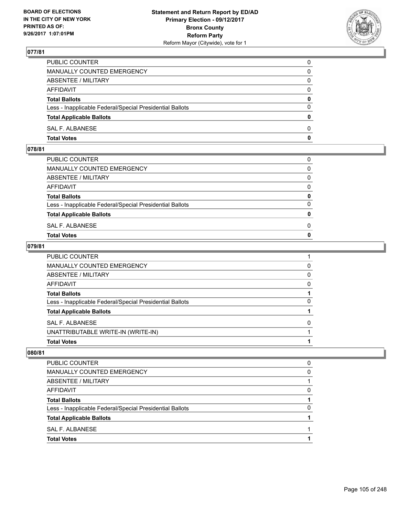

| PUBLIC COUNTER                                           | 0            |
|----------------------------------------------------------|--------------|
| MANUALLY COUNTED EMERGENCY                               | $\Omega$     |
| ABSENTEE / MILITARY                                      | $\mathbf{0}$ |
| AFFIDAVIT                                                | 0            |
| <b>Total Ballots</b>                                     | $\mathbf{0}$ |
| Less - Inapplicable Federal/Special Presidential Ballots | $\Omega$     |
| <b>Total Applicable Ballots</b>                          | $\mathbf{0}$ |
| SAL F. ALBANESE                                          | $\Omega$     |
| <b>Total Votes</b>                                       | $\mathbf{0}$ |

## **078/81**

| <b>Total Votes</b>                                       | $\mathbf{0}$ |
|----------------------------------------------------------|--------------|
| SAL F. ALBANESE                                          | 0            |
| <b>Total Applicable Ballots</b>                          | $\mathbf{0}$ |
| Less - Inapplicable Federal/Special Presidential Ballots | $\Omega$     |
| <b>Total Ballots</b>                                     | 0            |
| AFFIDAVIT                                                | $\Omega$     |
| ABSENTEE / MILITARY                                      | $\Omega$     |
| MANUALLY COUNTED EMERGENCY                               | $\Omega$     |
| PUBLIC COUNTER                                           | 0            |
|                                                          |              |

### **079/81**

| <b>Total Votes</b>                                       |          |
|----------------------------------------------------------|----------|
| UNATTRIBUTABLE WRITE-IN (WRITE-IN)                       |          |
| SAL F. ALBANESE                                          | 0        |
| <b>Total Applicable Ballots</b>                          |          |
| Less - Inapplicable Federal/Special Presidential Ballots | 0        |
| <b>Total Ballots</b>                                     |          |
| <b>AFFIDAVIT</b>                                         | 0        |
| <b>ABSENTEE / MILITARY</b>                               | $\Omega$ |
| <b>MANUALLY COUNTED EMERGENCY</b>                        | 0        |
| PUBLIC COUNTER                                           |          |

| <b>Total Votes</b>                                       |   |
|----------------------------------------------------------|---|
| SAL F. ALBANESE                                          |   |
| <b>Total Applicable Ballots</b>                          |   |
| Less - Inapplicable Federal/Special Presidential Ballots | 0 |
| <b>Total Ballots</b>                                     |   |
| AFFIDAVIT                                                | 0 |
| ABSENTEE / MILITARY                                      |   |
| MANUALLY COUNTED EMERGENCY                               | 0 |
| PUBLIC COUNTER                                           | 0 |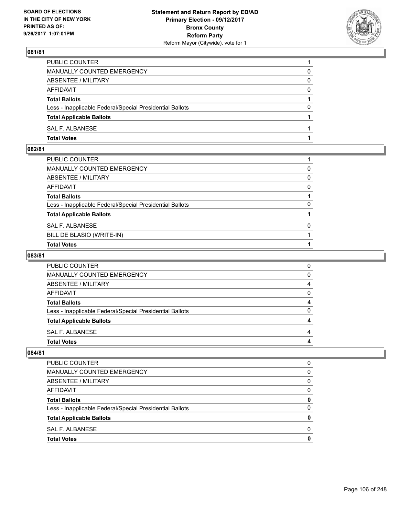

| <b>Total Votes</b>                                       |          |
|----------------------------------------------------------|----------|
| SAL F. ALBANESE                                          |          |
| <b>Total Applicable Ballots</b>                          |          |
| Less - Inapplicable Federal/Special Presidential Ballots | 0        |
| <b>Total Ballots</b>                                     |          |
| AFFIDAVIT                                                | $\Omega$ |
| ABSENTEE / MILITARY                                      | 0        |
| <b>MANUALLY COUNTED EMERGENCY</b>                        | 0        |
| PUBLIC COUNTER                                           |          |

## **082/81**

| PUBLIC COUNTER                                           |              |
|----------------------------------------------------------|--------------|
| MANUALLY COUNTED EMERGENCY                               | 0            |
| ABSENTEE / MILITARY                                      | 0            |
| AFFIDAVIT                                                | $\mathbf{0}$ |
| Total Ballots                                            |              |
| Less - Inapplicable Federal/Special Presidential Ballots | $\Omega$     |
| <b>Total Applicable Ballots</b>                          |              |
| SAL F. ALBANESE                                          | $\mathbf{0}$ |
| BILL DE BLASIO (WRITE-IN)                                |              |
| <b>Total Votes</b>                                       |              |

# **083/81**

| PUBLIC COUNTER                                           |   |
|----------------------------------------------------------|---|
| MANUALLY COUNTED EMERGENCY                               | n |
| <b>ABSENTEE / MILITARY</b>                               |   |
| AFFIDAVIT                                                |   |
| <b>Total Ballots</b>                                     | 4 |
| Less - Inapplicable Federal/Special Presidential Ballots |   |
| <b>Total Applicable Ballots</b>                          |   |
| SAL F. ALBANESE                                          |   |
| <b>Total Votes</b>                                       |   |

| <b>Total Votes</b>                                       | 0 |
|----------------------------------------------------------|---|
| SAL F. ALBANESE                                          | 0 |
| <b>Total Applicable Ballots</b>                          | 0 |
| Less - Inapplicable Federal/Special Presidential Ballots | 0 |
| <b>Total Ballots</b>                                     | 0 |
| AFFIDAVIT                                                | 0 |
| ABSENTEE / MILITARY                                      | 0 |
| MANUALLY COUNTED EMERGENCY                               | 0 |
| PUBLIC COUNTER                                           | 0 |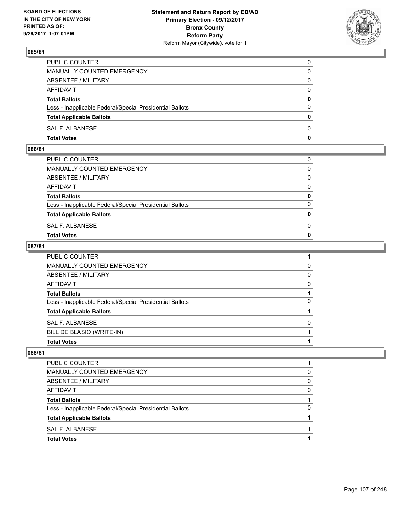

| PUBLIC COUNTER                                           | 0            |
|----------------------------------------------------------|--------------|
| MANUALLY COUNTED EMERGENCY                               | $\mathbf{0}$ |
| ABSENTEE / MILITARY                                      | 0            |
| AFFIDAVIT                                                | 0            |
| <b>Total Ballots</b>                                     | 0            |
| Less - Inapplicable Federal/Special Presidential Ballots | $\mathbf{0}$ |
| <b>Total Applicable Ballots</b>                          | $\mathbf{0}$ |
| SAL F. ALBANESE                                          | $\Omega$     |
| <b>Total Votes</b>                                       | $\mathbf{0}$ |

### **086/81**

| PUBLIC COUNTER                                           | 0            |
|----------------------------------------------------------|--------------|
| MANUALLY COUNTED EMERGENCY                               | $\mathbf{0}$ |
| ABSENTEE / MILITARY                                      | $\Omega$     |
| AFFIDAVIT                                                | $\Omega$     |
| <b>Total Ballots</b>                                     | 0            |
| Less - Inapplicable Federal/Special Presidential Ballots | $\Omega$     |
| <b>Total Applicable Ballots</b>                          | $\mathbf{0}$ |
| SAL F. ALBANESE                                          | 0            |
| Total Votes                                              | $\Omega$     |
|                                                          |              |

### **087/81**

| PUBLIC COUNTER                                           |   |
|----------------------------------------------------------|---|
| <b>MANUALLY COUNTED EMERGENCY</b>                        | 0 |
| <b>ABSENTEE / MILITARY</b>                               | 0 |
| AFFIDAVIT                                                | 0 |
| <b>Total Ballots</b>                                     |   |
| Less - Inapplicable Federal/Special Presidential Ballots | 0 |
| <b>Total Applicable Ballots</b>                          |   |
| SAL F. ALBANESE                                          | 0 |
| BILL DE BLASIO (WRITE-IN)                                |   |
| <b>Total Votes</b>                                       |   |

| <b>Total Votes</b>                                       |   |
|----------------------------------------------------------|---|
| SAL F. ALBANESE                                          |   |
| <b>Total Applicable Ballots</b>                          |   |
| Less - Inapplicable Federal/Special Presidential Ballots | 0 |
| <b>Total Ballots</b>                                     |   |
| AFFIDAVIT                                                | 0 |
| ABSENTEE / MILITARY                                      | 0 |
| MANUALLY COUNTED EMERGENCY                               | 0 |
| <b>PUBLIC COUNTER</b>                                    |   |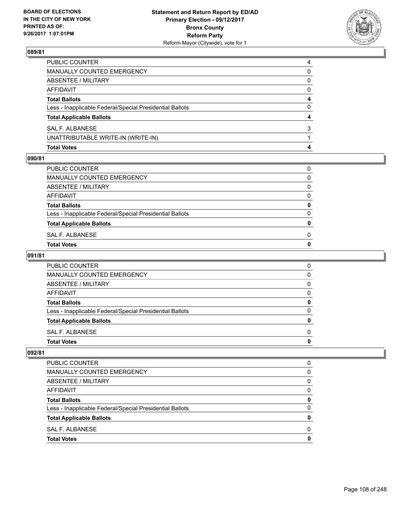

| <b>Total Votes</b>                                       | 4        |
|----------------------------------------------------------|----------|
| UNATTRIBUTABLE WRITE-IN (WRITE-IN)                       |          |
| SAL F. ALBANESE                                          | 3        |
| <b>Total Applicable Ballots</b>                          | 4        |
| Less - Inapplicable Federal/Special Presidential Ballots | 0        |
| <b>Total Ballots</b>                                     | 4        |
| AFFIDAVIT                                                | $\Omega$ |
| <b>ABSENTEE / MILITARY</b>                               | 0        |
| <b>MANUALLY COUNTED EMERGENCY</b>                        | 0        |
| PUBLIC COUNTER                                           | 4        |

#### **090/81**

| Total Votes                                              | 0 |
|----------------------------------------------------------|---|
| SAL F. ALBANESE                                          | 0 |
| <b>Total Applicable Ballots</b>                          | 0 |
| Less - Inapplicable Federal/Special Presidential Ballots | 0 |
| <b>Total Ballots</b>                                     | 0 |
| AFFIDAVIT                                                | 0 |
| ABSENTEE / MILITARY                                      | 0 |
| MANUALLY COUNTED EMERGENCY                               | 0 |
| PUBLIC COUNTER                                           | 0 |
|                                                          |   |

# **091/81**

| <b>PUBLIC COUNTER</b>                                    | 0 |
|----------------------------------------------------------|---|
| MANUALLY COUNTED EMERGENCY                               | 0 |
| ABSENTEE / MILITARY                                      | 0 |
| AFFIDAVIT                                                | 0 |
| <b>Total Ballots</b>                                     | 0 |
| Less - Inapplicable Federal/Special Presidential Ballots | O |
| <b>Total Applicable Ballots</b>                          | n |
| SAL F. ALBANESE                                          | 0 |
| <b>Total Votes</b>                                       |   |

| <b>Total Votes</b>                                       | 0 |
|----------------------------------------------------------|---|
| SAL F. ALBANESE                                          | 0 |
| <b>Total Applicable Ballots</b>                          | 0 |
| Less - Inapplicable Federal/Special Presidential Ballots | 0 |
| <b>Total Ballots</b>                                     | 0 |
| AFFIDAVIT                                                | 0 |
| ABSENTEE / MILITARY                                      | 0 |
| MANUALLY COUNTED EMERGENCY                               | 0 |
| PUBLIC COUNTER                                           | 0 |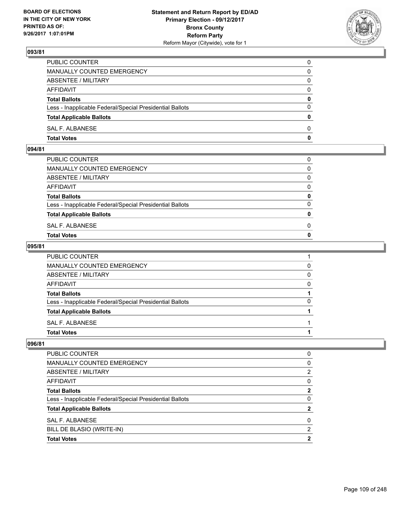

| <b>Total Votes</b>                                       | 0            |
|----------------------------------------------------------|--------------|
| SAL F. ALBANESE                                          | $\Omega$     |
| <b>Total Applicable Ballots</b>                          | $\mathbf{0}$ |
| Less - Inapplicable Federal/Special Presidential Ballots | $\Omega$     |
| <b>Total Ballots</b>                                     | 0            |
| <b>AFFIDAVIT</b>                                         | $\Omega$     |
| ABSENTEE / MILITARY                                      | $\Omega$     |
| MANUALLY COUNTED EMERGENCY                               | 0            |
| PUBLIC COUNTER                                           | 0            |

### **094/81**

| <b>Total Votes</b>                                       | $\mathbf{0}$ |
|----------------------------------------------------------|--------------|
| SAL F. ALBANESE                                          | 0            |
| <b>Total Applicable Ballots</b>                          | $\mathbf{0}$ |
| Less - Inapplicable Federal/Special Presidential Ballots | $\Omega$     |
| <b>Total Ballots</b>                                     | 0            |
| AFFIDAVIT                                                | $\Omega$     |
| ABSENTEE / MILITARY                                      | $\Omega$     |
| MANUALLY COUNTED EMERGENCY                               | $\Omega$     |
| PUBLIC COUNTER                                           | 0            |
|                                                          |              |

### **095/81**

| PUBLIC COUNTER                                           |   |
|----------------------------------------------------------|---|
| MANUALLY COUNTED EMERGENCY                               | 0 |
| ABSENTEE / MILITARY                                      | 0 |
| AFFIDAVIT                                                | 0 |
| <b>Total Ballots</b>                                     |   |
| Less - Inapplicable Federal/Special Presidential Ballots | 0 |
| <b>Total Applicable Ballots</b>                          |   |
| SAL F. ALBANESE                                          |   |
| <b>Total Votes</b>                                       |   |
|                                                          |   |

| <b>Total Votes</b>                                       | 2        |
|----------------------------------------------------------|----------|
| BILL DE BLASIO (WRITE-IN)                                | 2        |
| SAL F. ALBANESE                                          | $\Omega$ |
| <b>Total Applicable Ballots</b>                          | 2        |
| Less - Inapplicable Federal/Special Presidential Ballots | 0        |
| <b>Total Ballots</b>                                     | 2        |
| AFFIDAVIT                                                | 0        |
| ABSENTEE / MILITARY                                      | 2        |
| MANUALLY COUNTED EMERGENCY                               | 0        |
| PUBLIC COUNTER                                           | 0        |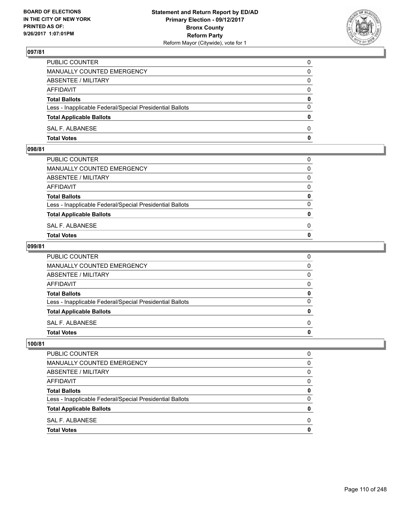

| <b>Total Votes</b>                                       | 0            |
|----------------------------------------------------------|--------------|
| SAL F. ALBANESE                                          | $\Omega$     |
| <b>Total Applicable Ballots</b>                          | $\mathbf{0}$ |
| Less - Inapplicable Federal/Special Presidential Ballots | $\Omega$     |
| <b>Total Ballots</b>                                     | 0            |
| <b>AFFIDAVIT</b>                                         | $\Omega$     |
| ABSENTEE / MILITARY                                      | $\Omega$     |
| MANUALLY COUNTED EMERGENCY                               | 0            |
| PUBLIC COUNTER                                           | 0            |

#### **098/81**

| <b>Total Votes</b>                                       | $\mathbf{0}$ |
|----------------------------------------------------------|--------------|
| SAL F. ALBANESE                                          | 0            |
| <b>Total Applicable Ballots</b>                          | $\mathbf{0}$ |
| Less - Inapplicable Federal/Special Presidential Ballots | $\Omega$     |
| <b>Total Ballots</b>                                     | 0            |
| AFFIDAVIT                                                | $\Omega$     |
| ABSENTEE / MILITARY                                      | $\Omega$     |
| MANUALLY COUNTED EMERGENCY                               | $\Omega$     |
| PUBLIC COUNTER                                           | 0            |
|                                                          |              |

### **099/81**

| PUBLIC COUNTER                                           | 0            |
|----------------------------------------------------------|--------------|
| MANUALLY COUNTED EMERGENCY                               | $\mathbf{0}$ |
| ABSENTEE / MILITARY                                      | $\mathbf{0}$ |
| AFFIDAVIT                                                | $\mathbf{0}$ |
| <b>Total Ballots</b>                                     | 0            |
| Less - Inapplicable Federal/Special Presidential Ballots | $\mathbf{0}$ |
| <b>Total Applicable Ballots</b>                          | $\mathbf{0}$ |
| SAL F. ALBANESE                                          | $\Omega$     |
| <b>Total Votes</b>                                       | 0            |
|                                                          |              |

| <b>PUBLIC COUNTER</b>                                    | O |
|----------------------------------------------------------|---|
| <b>MANUALLY COUNTED EMERGENCY</b>                        | 0 |
| ABSENTEE / MILITARY                                      | 0 |
| <b>AFFIDAVIT</b>                                         | 0 |
| <b>Total Ballots</b>                                     | 0 |
| Less - Inapplicable Federal/Special Presidential Ballots | 0 |
| <b>Total Applicable Ballots</b>                          | 0 |
| SAL F. ALBANESE                                          | 0 |
| <b>Total Votes</b>                                       | O |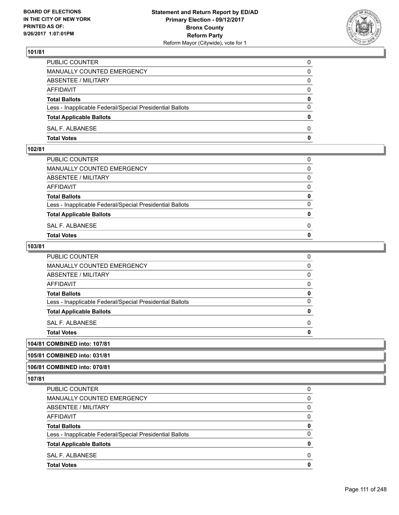

| PUBLIC COUNTER                                           | 0            |
|----------------------------------------------------------|--------------|
| MANUALLY COUNTED EMERGENCY                               | $\Omega$     |
| ABSENTEE / MILITARY                                      | $\mathbf{0}$ |
| AFFIDAVIT                                                | 0            |
| <b>Total Ballots</b>                                     | 0            |
| Less - Inapplicable Federal/Special Presidential Ballots | $\mathbf{0}$ |
| <b>Total Applicable Ballots</b>                          | $\bf{0}$     |
| SAL F. ALBANESE                                          | $\Omega$     |
| <b>Total Votes</b>                                       | $\mathbf{0}$ |

#### **102/81**

| MANUALLY COUNTED EMERGENCY                               |              |
|----------------------------------------------------------|--------------|
| ABSENTEE / MILITARY                                      | $\Omega$     |
| AFFIDAVIT                                                | $\mathbf{0}$ |
| <b>Total Ballots</b>                                     | $\mathbf{0}$ |
| Less - Inapplicable Federal/Special Presidential Ballots | $\Omega$     |
| <b>Total Applicable Ballots</b>                          | $\mathbf{0}$ |
| SAL F. ALBANESE                                          | 0            |
| <b>Total Votes</b>                                       | $\mathbf{0}$ |
|                                                          |              |

### **103/81**

| Total Votes                                              | 0 |
|----------------------------------------------------------|---|
| SAL F. ALBANESE                                          | 0 |
| <b>Total Applicable Ballots</b>                          | 0 |
| Less - Inapplicable Federal/Special Presidential Ballots | 0 |
| <b>Total Ballots</b>                                     | 0 |
| AFFIDAVIT                                                | 0 |
| ABSENTEE / MILITARY                                      | 0 |
| MANUALLY COUNTED EMERGENCY                               | 0 |
| PUBLIC COUNTER                                           | 0 |

# **104/81 COMBINED into: 107/81**

## **105/81 COMBINED into: 031/81**

### **106/81 COMBINED into: 070/81**

| <b>Total Votes</b>                                       | 0        |
|----------------------------------------------------------|----------|
| SAL F. ALBANESE                                          | 0        |
| <b>Total Applicable Ballots</b>                          | 0        |
| Less - Inapplicable Federal/Special Presidential Ballots | $\Omega$ |
| <b>Total Ballots</b>                                     | 0        |
| AFFIDAVIT                                                | 0        |
| ABSENTEE / MILITARY                                      | 0        |
| MANUALLY COUNTED EMERGENCY                               | 0        |
| <b>PUBLIC COUNTER</b>                                    | 0        |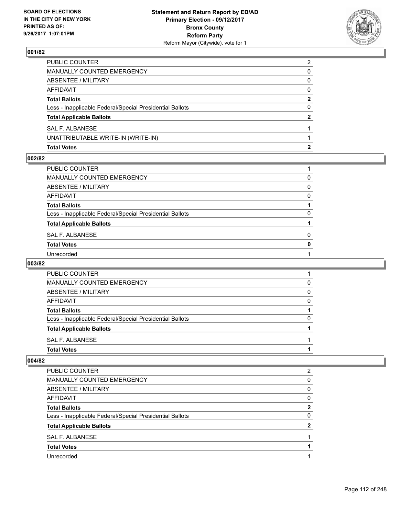

| <b>Total Votes</b>                                       |                |
|----------------------------------------------------------|----------------|
| UNATTRIBUTABLE WRITE-IN (WRITE-IN)                       |                |
| SAL F. ALBANESE                                          |                |
| <b>Total Applicable Ballots</b>                          | 2              |
| Less - Inapplicable Federal/Special Presidential Ballots | 0              |
| <b>Total Ballots</b>                                     | 2              |
| AFFIDAVIT                                                | $\Omega$       |
| ABSENTEE / MILITARY                                      | 0              |
| <b>MANUALLY COUNTED EMERGENCY</b>                        | 0              |
| PUBLIC COUNTER                                           | $\overline{2}$ |

#### **002/82**

| PUBLIC COUNTER                                           |              |
|----------------------------------------------------------|--------------|
| MANUALLY COUNTED EMERGENCY                               | 0            |
| ABSENTEE / MILITARY                                      | $\mathbf{0}$ |
| AFFIDAVIT                                                | $\Omega$     |
| Total Ballots                                            |              |
| Less - Inapplicable Federal/Special Presidential Ballots | $\Omega$     |
| <b>Total Applicable Ballots</b>                          |              |
| SAL F. ALBANESE                                          | 0            |
| <b>Total Votes</b>                                       | $\mathbf{0}$ |
| Unrecorded                                               |              |

### **003/82**

| <b>PUBLIC COUNTER</b>                                    |   |
|----------------------------------------------------------|---|
| <b>MANUALLY COUNTED EMERGENCY</b>                        | 0 |
| ABSENTEE / MILITARY                                      | 0 |
| AFFIDAVIT                                                | 0 |
| <b>Total Ballots</b>                                     |   |
| Less - Inapplicable Federal/Special Presidential Ballots | 0 |
| <b>Total Applicable Ballots</b>                          |   |
| SAL F. ALBANESE                                          |   |
| <b>Total Votes</b>                                       |   |

| <b>PUBLIC COUNTER</b>                                    | 2        |
|----------------------------------------------------------|----------|
| MANUALLY COUNTED EMERGENCY                               | 0        |
| ABSENTEE / MILITARY                                      | $\Omega$ |
| AFFIDAVIT                                                | 0        |
| <b>Total Ballots</b>                                     | 2        |
| Less - Inapplicable Federal/Special Presidential Ballots | 0        |
| <b>Total Applicable Ballots</b>                          | 2        |
| SAL F. ALBANESE                                          |          |
| <b>Total Votes</b>                                       |          |
| Unrecorded                                               |          |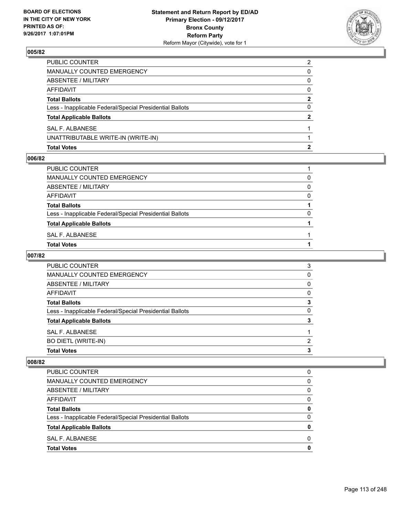

| <b>Total Votes</b>                                       | 2              |
|----------------------------------------------------------|----------------|
| UNATTRIBUTABLE WRITE-IN (WRITE-IN)                       |                |
| SAL F. ALBANESE                                          |                |
| <b>Total Applicable Ballots</b>                          | 2              |
| Less - Inapplicable Federal/Special Presidential Ballots | 0              |
| <b>Total Ballots</b>                                     | $\mathbf{2}$   |
| <b>AFFIDAVIT</b>                                         | $\Omega$       |
| <b>ABSENTEE / MILITARY</b>                               | 0              |
| MANUALLY COUNTED EMERGENCY                               | 0              |
| PUBLIC COUNTER                                           | $\overline{2}$ |

#### **006/82**

| PUBLIC COUNTER                                           |   |
|----------------------------------------------------------|---|
| MANUALLY COUNTED EMERGENCY                               | 0 |
| ABSENTEE / MILITARY                                      | 0 |
| AFFIDAVIT                                                | 0 |
| <b>Total Ballots</b>                                     |   |
| Less - Inapplicable Federal/Special Presidential Ballots | 0 |
| <b>Total Applicable Ballots</b>                          |   |
| SAL F. ALBANESE                                          |   |
| Total Votes                                              |   |
|                                                          |   |

# **007/82**

| <b>PUBLIC COUNTER</b>                                    | 3 |
|----------------------------------------------------------|---|
| MANUALLY COUNTED EMERGENCY                               | 0 |
| ABSENTEE / MILITARY                                      | 0 |
| AFFIDAVIT                                                | 0 |
| <b>Total Ballots</b>                                     | 3 |
| Less - Inapplicable Federal/Special Presidential Ballots | 0 |
| <b>Total Applicable Ballots</b>                          | з |
| SAL F. ALBANESE                                          |   |
| <b>BO DIETL (WRITE-IN)</b>                               | 2 |
| <b>Total Votes</b>                                       | 3 |

| PUBLIC COUNTER                                           | 0 |
|----------------------------------------------------------|---|
| <b>MANUALLY COUNTED EMERGENCY</b>                        | 0 |
| ABSENTEE / MILITARY                                      | 0 |
| AFFIDAVIT                                                | 0 |
| <b>Total Ballots</b>                                     | 0 |
| Less - Inapplicable Federal/Special Presidential Ballots | 0 |
| <b>Total Applicable Ballots</b>                          | O |
| SAL F. ALBANESE                                          | 0 |
| <b>Total Votes</b>                                       | O |
|                                                          |   |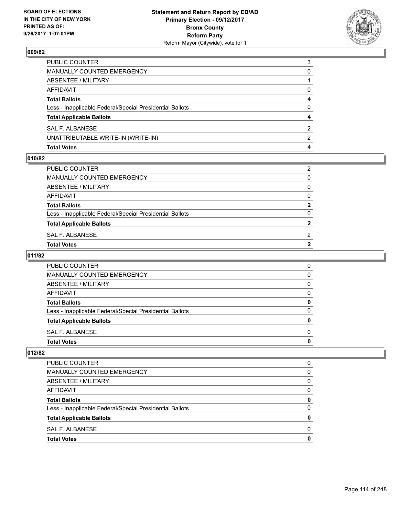

| <b>Total Votes</b>                                       | 4        |
|----------------------------------------------------------|----------|
| UNATTRIBUTABLE WRITE-IN (WRITE-IN)                       | 2        |
| SAL F. ALBANESE                                          | 2        |
| <b>Total Applicable Ballots</b>                          | 4        |
| Less - Inapplicable Federal/Special Presidential Ballots | 0        |
| <b>Total Ballots</b>                                     | 4        |
| <b>AFFIDAVIT</b>                                         | $\Omega$ |
| <b>ABSENTEE / MILITARY</b>                               |          |
| MANUALLY COUNTED EMERGENCY                               | 0        |
| PUBLIC COUNTER                                           | 3        |

#### **010/82**

| Total Votes                                              | 2            |
|----------------------------------------------------------|--------------|
| SAL F. ALBANESE                                          | 2            |
| <b>Total Applicable Ballots</b>                          | $\mathbf{2}$ |
| Less - Inapplicable Federal/Special Presidential Ballots | 0            |
| <b>Total Ballots</b>                                     | $\mathbf{2}$ |
| AFFIDAVIT                                                | 0            |
| ABSENTEE / MILITARY                                      | 0            |
| MANUALLY COUNTED EMERGENCY                               | 0            |
| PUBLIC COUNTER                                           | 2            |
|                                                          |              |

# **011/82**

| <b>PUBLIC COUNTER</b>                                    | O |
|----------------------------------------------------------|---|
| <b>MANUALLY COUNTED EMERGENCY</b>                        | O |
| ABSENTEE / MILITARY                                      | 0 |
| AFFIDAVIT                                                | O |
| <b>Total Ballots</b>                                     |   |
| Less - Inapplicable Federal/Special Presidential Ballots | n |
| <b>Total Applicable Ballots</b>                          |   |
| SAL F. ALBANESE                                          | O |
| <b>Total Votes</b>                                       |   |

| <b>Total Votes</b>                                       | 0        |
|----------------------------------------------------------|----------|
| SAL F. ALBANESE                                          | 0        |
| <b>Total Applicable Ballots</b>                          | 0        |
| Less - Inapplicable Federal/Special Presidential Ballots | 0        |
| <b>Total Ballots</b>                                     | 0        |
| AFFIDAVIT                                                | 0        |
| ABSENTEE / MILITARY                                      | $\Omega$ |
| MANUALLY COUNTED EMERGENCY                               | 0        |
| PUBLIC COUNTER                                           | 0        |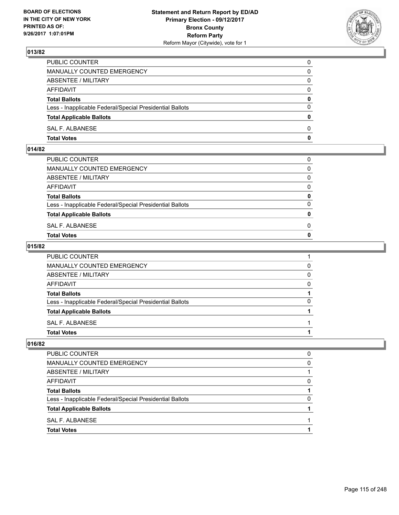

| PUBLIC COUNTER                                           | 0            |
|----------------------------------------------------------|--------------|
| MANUALLY COUNTED EMERGENCY                               | 0            |
| ABSENTEE / MILITARY                                      | 0            |
| AFFIDAVIT                                                | $\mathbf{0}$ |
| <b>Total Ballots</b>                                     | $\mathbf{0}$ |
| Less - Inapplicable Federal/Special Presidential Ballots | $\Omega$     |
| <b>Total Applicable Ballots</b>                          | $\mathbf{0}$ |
| SAL F. ALBANESE                                          | $\Omega$     |
| <b>Total Votes</b>                                       | 0            |

## **014/82**

| PUBLIC COUNTER                                           | 0            |
|----------------------------------------------------------|--------------|
| MANUALLY COUNTED EMERGENCY                               | $\mathbf{0}$ |
| ABSENTEE / MILITARY                                      | $\Omega$     |
| AFFIDAVIT                                                | $\Omega$     |
| <b>Total Ballots</b>                                     | 0            |
| Less - Inapplicable Federal/Special Presidential Ballots | $\Omega$     |
| <b>Total Applicable Ballots</b>                          | $\mathbf{0}$ |
| SAL F. ALBANESE                                          | 0            |
| Total Votes                                              | $\Omega$     |
|                                                          |              |

### **015/82**

| <b>Total Votes</b>                                       |          |
|----------------------------------------------------------|----------|
| SAL F. ALBANESE                                          |          |
| <b>Total Applicable Ballots</b>                          |          |
| Less - Inapplicable Federal/Special Presidential Ballots | 0        |
| <b>Total Ballots</b>                                     |          |
| AFFIDAVIT                                                | $\Omega$ |
| ABSENTEE / MILITARY                                      | 0        |
| <b>MANUALLY COUNTED EMERGENCY</b>                        | 0        |
| PUBLIC COUNTER                                           |          |

| PUBLIC COUNTER                                           | ŋ |
|----------------------------------------------------------|---|
| MANUALLY COUNTED EMERGENCY                               | 0 |
| ABSENTEE / MILITARY                                      |   |
| <b>AFFIDAVIT</b>                                         | 0 |
| <b>Total Ballots</b>                                     |   |
| Less - Inapplicable Federal/Special Presidential Ballots | 0 |
| <b>Total Applicable Ballots</b>                          |   |
| SAL F. ALBANESE                                          |   |
| <b>Total Votes</b>                                       |   |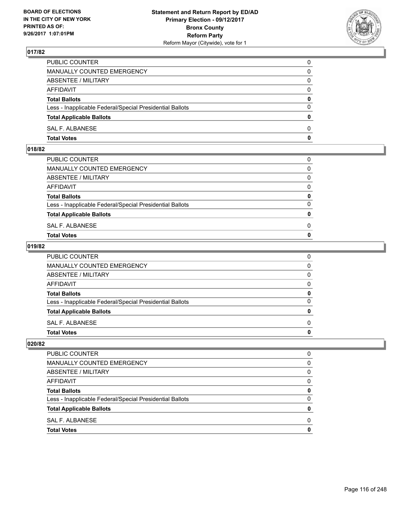

| PUBLIC COUNTER                                           | 0        |
|----------------------------------------------------------|----------|
| <b>MANUALLY COUNTED EMERGENCY</b>                        | 0        |
| ABSENTEE / MILITARY                                      | 0        |
| <b>AFFIDAVIT</b>                                         | $\Omega$ |
| <b>Total Ballots</b>                                     | 0        |
| Less - Inapplicable Federal/Special Presidential Ballots | $\Omega$ |
| <b>Total Applicable Ballots</b>                          | 0        |
| SAL F. ALBANESE                                          | 0        |
| <b>Total Votes</b>                                       | 0        |

## **018/82**

| PUBLIC COUNTER                                           | 0            |
|----------------------------------------------------------|--------------|
| MANUALLY COUNTED EMERGENCY                               | $\mathbf{0}$ |
| ABSENTEE / MILITARY                                      | $\Omega$     |
| AFFIDAVIT                                                | $\Omega$     |
| <b>Total Ballots</b>                                     | 0            |
| Less - Inapplicable Federal/Special Presidential Ballots | $\Omega$     |
| <b>Total Applicable Ballots</b>                          | $\mathbf{0}$ |
| SAL F. ALBANESE                                          | 0            |
| Total Votes                                              | $\Omega$     |
|                                                          |              |

### **019/82**

| <b>Total Votes</b>                                       | 0 |
|----------------------------------------------------------|---|
| SAL F. ALBANESE                                          | 0 |
| <b>Total Applicable Ballots</b>                          | 0 |
| Less - Inapplicable Federal/Special Presidential Ballots | 0 |
| <b>Total Ballots</b>                                     | 0 |
| AFFIDAVIT                                                | 0 |
| ABSENTEE / MILITARY                                      | 0 |
| <b>MANUALLY COUNTED EMERGENCY</b>                        | 0 |
| PUBLIC COUNTER                                           | 0 |

| O |
|---|
| 0 |
| 0 |
| 0 |
| 0 |
| 0 |
| 0 |
| 0 |
| O |
|   |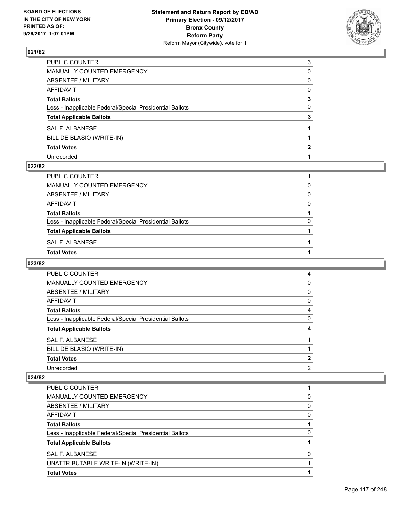

| PUBLIC COUNTER                                           | 3            |
|----------------------------------------------------------|--------------|
| MANUALLY COUNTED EMERGENCY                               | 0            |
| ABSENTEE / MILITARY                                      | 0            |
| AFFIDAVIT                                                | 0            |
| Total Ballots                                            | 3            |
| Less - Inapplicable Federal/Special Presidential Ballots | $\mathbf{0}$ |
| <b>Total Applicable Ballots</b>                          | 3            |
| SAL F. ALBANESE                                          |              |
| BILL DE BLASIO (WRITE-IN)                                |              |
| <b>Total Votes</b>                                       | 2            |
| Unrecorded                                               |              |

### **022/82**

| PUBLIC COUNTER                                           |   |
|----------------------------------------------------------|---|
| <b>MANUALLY COUNTED EMERGENCY</b>                        | 0 |
| ABSENTEE / MILITARY                                      | 0 |
| <b>AFFIDAVIT</b>                                         | 0 |
| <b>Total Ballots</b>                                     |   |
| Less - Inapplicable Federal/Special Presidential Ballots | 0 |
| <b>Total Applicable Ballots</b>                          |   |
| SAL F. ALBANESE                                          |   |
| <b>Total Votes</b>                                       |   |

### **023/82**

| <b>PUBLIC COUNTER</b>                                    | 4        |
|----------------------------------------------------------|----------|
| MANUALLY COUNTED EMERGENCY                               | 0        |
| ABSENTEE / MILITARY                                      | 0        |
| AFFIDAVIT                                                | 0        |
| <b>Total Ballots</b>                                     | 4        |
| Less - Inapplicable Federal/Special Presidential Ballots | $\Omega$ |
| <b>Total Applicable Ballots</b>                          | 4        |
| SAL F. ALBANESE                                          |          |
| BILL DE BLASIO (WRITE-IN)                                |          |
| <b>Total Votes</b>                                       | 2        |
| Unrecorded                                               | 2        |

| <b>PUBLIC COUNTER</b>                                    |   |
|----------------------------------------------------------|---|
| <b>MANUALLY COUNTED EMERGENCY</b>                        | 0 |
| ABSENTEE / MILITARY                                      | 0 |
| AFFIDAVIT                                                | 0 |
| <b>Total Ballots</b>                                     |   |
| Less - Inapplicable Federal/Special Presidential Ballots | 0 |
| <b>Total Applicable Ballots</b>                          |   |
| SAL F. ALBANESE                                          | 0 |
| UNATTRIBUTABLE WRITE-IN (WRITE-IN)                       |   |
| <b>Total Votes</b>                                       |   |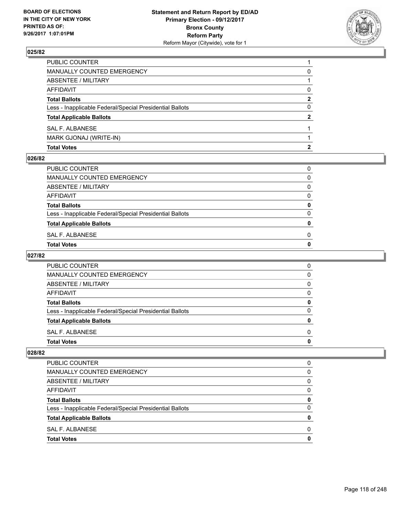

| <b>Total Votes</b>                                       |              |
|----------------------------------------------------------|--------------|
| MARK GJONAJ (WRITE-IN)                                   |              |
| SAL F. ALBANESE                                          |              |
| <b>Total Applicable Ballots</b>                          | $\mathbf{2}$ |
| Less - Inapplicable Federal/Special Presidential Ballots | 0            |
| <b>Total Ballots</b>                                     | 2            |
| AFFIDAVIT                                                | 0            |
| ABSENTEE / MILITARY                                      |              |
| MANUALLY COUNTED EMERGENCY                               | 0            |
| PUBLIC COUNTER                                           |              |

### **026/82**

| Total Votes                                              | 0 |
|----------------------------------------------------------|---|
| SAL F. ALBANESE                                          | 0 |
| <b>Total Applicable Ballots</b>                          | 0 |
| Less - Inapplicable Federal/Special Presidential Ballots | 0 |
| <b>Total Ballots</b>                                     | 0 |
| AFFIDAVIT                                                | 0 |
| ABSENTEE / MILITARY                                      | 0 |
| MANUALLY COUNTED EMERGENCY                               | 0 |
| PUBLIC COUNTER                                           | 0 |
|                                                          |   |

# **027/82**

| PUBLIC COUNTER                                           | 0 |
|----------------------------------------------------------|---|
| <b>MANUALLY COUNTED EMERGENCY</b>                        | 0 |
| ABSENTEE / MILITARY                                      | 0 |
| AFFIDAVIT                                                | 0 |
| <b>Total Ballots</b>                                     | O |
| Less - Inapplicable Federal/Special Presidential Ballots | O |
| <b>Total Applicable Ballots</b>                          | n |
| SAL F. ALBANESE                                          | 0 |
| <b>Total Votes</b>                                       |   |

| <b>Total Votes</b>                                       | 0        |
|----------------------------------------------------------|----------|
| SAL F. ALBANESE                                          | 0        |
| <b>Total Applicable Ballots</b>                          | 0        |
| Less - Inapplicable Federal/Special Presidential Ballots | $\Omega$ |
| <b>Total Ballots</b>                                     | 0        |
| AFFIDAVIT                                                | 0        |
| ABSENTEE / MILITARY                                      | $\Omega$ |
| MANUALLY COUNTED EMERGENCY                               | 0        |
| <b>PUBLIC COUNTER</b>                                    | 0        |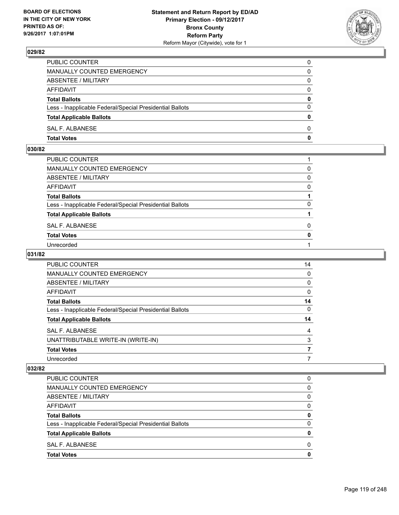

| PUBLIC COUNTER                                           | 0            |
|----------------------------------------------------------|--------------|
| MANUALLY COUNTED EMERGENCY                               | $\Omega$     |
| ABSENTEE / MILITARY                                      | $\mathbf{0}$ |
| AFFIDAVIT                                                | 0            |
| <b>Total Ballots</b>                                     | 0            |
| Less - Inapplicable Federal/Special Presidential Ballots | $\mathbf{0}$ |
| <b>Total Applicable Ballots</b>                          | $\bf{0}$     |
| SAL F. ALBANESE                                          | $\Omega$     |
| <b>Total Votes</b>                                       | $\mathbf{0}$ |

## **030/82**

| PUBLIC COUNTER                                           |              |
|----------------------------------------------------------|--------------|
| MANUALLY COUNTED EMERGENCY                               | 0            |
| <b>ABSENTEE / MILITARY</b>                               | 0            |
| AFFIDAVIT                                                | 0            |
| Total Ballots                                            |              |
| Less - Inapplicable Federal/Special Presidential Ballots | 0            |
| <b>Total Applicable Ballots</b>                          |              |
| SAL F. ALBANESE                                          | 0            |
| <b>Total Votes</b>                                       | $\mathbf{0}$ |
| Unrecorded                                               |              |
|                                                          |              |

### **031/82**

| PUBLIC COUNTER                                           | 14 |
|----------------------------------------------------------|----|
| <b>MANUALLY COUNTED EMERGENCY</b>                        | 0  |
| ABSENTEE / MILITARY                                      | 0  |
| AFFIDAVIT                                                | 0  |
| <b>Total Ballots</b>                                     | 14 |
| Less - Inapplicable Federal/Special Presidential Ballots | 0  |
| <b>Total Applicable Ballots</b>                          | 14 |
| SAL F. ALBANESE                                          | 4  |
| UNATTRIBUTABLE WRITE-IN (WRITE-IN)                       | 3  |
| <b>Total Votes</b>                                       |    |
| Unrecorded                                               |    |

| <b>PUBLIC COUNTER</b>                                    | 0            |
|----------------------------------------------------------|--------------|
| <b>MANUALLY COUNTED EMERGENCY</b>                        | 0            |
| ABSENTEE / MILITARY                                      | 0            |
| AFFIDAVIT                                                | 0            |
| <b>Total Ballots</b>                                     | 0            |
| Less - Inapplicable Federal/Special Presidential Ballots | $\Omega$     |
| <b>Total Applicable Ballots</b>                          | 0            |
| SAL F. ALBANESE                                          | <sup>0</sup> |
| <b>Total Votes</b>                                       | 0            |
|                                                          |              |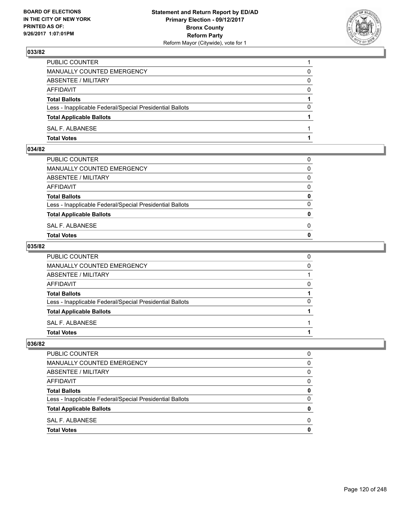

| PUBLIC COUNTER                                           |          |
|----------------------------------------------------------|----------|
| MANUALLY COUNTED EMERGENCY                               | 0        |
| ABSENTEE / MILITARY                                      | 0        |
| AFFIDAVIT                                                | 0        |
| <b>Total Ballots</b>                                     |          |
| Less - Inapplicable Federal/Special Presidential Ballots | $\Omega$ |
| <b>Total Applicable Ballots</b>                          |          |
| SAL F. ALBANESE                                          |          |
| <b>Total Votes</b>                                       |          |

### **034/82**

| MANUALLY COUNTED EMERGENCY                               |              |
|----------------------------------------------------------|--------------|
| ABSENTEE / MILITARY                                      | $\Omega$     |
| AFFIDAVIT                                                | $\mathbf{0}$ |
| <b>Total Ballots</b>                                     | $\mathbf{0}$ |
| Less - Inapplicable Federal/Special Presidential Ballots | $\Omega$     |
| <b>Total Applicable Ballots</b>                          | $\mathbf{0}$ |
| SAL F. ALBANESE                                          | 0            |
| <b>Total Votes</b>                                       | $\mathbf{0}$ |
|                                                          |              |

### **035/82**

| <b>Total Votes</b>                                       |   |
|----------------------------------------------------------|---|
| SAL F. ALBANESE                                          |   |
| <b>Total Applicable Ballots</b>                          |   |
| Less - Inapplicable Federal/Special Presidential Ballots | 0 |
| <b>Total Ballots</b>                                     |   |
| AFFIDAVIT                                                | 0 |
| ABSENTEE / MILITARY                                      |   |
| <b>MANUALLY COUNTED EMERGENCY</b>                        | 0 |
| PUBLIC COUNTER                                           | 0 |

| PUBLIC COUNTER                                           |              |
|----------------------------------------------------------|--------------|
| <b>MANUALLY COUNTED EMERGENCY</b>                        | O            |
| ABSENTEE / MILITARY                                      | <sup>0</sup> |
| <b>AFFIDAVIT</b>                                         | O            |
| <b>Total Ballots</b>                                     | 0            |
| Less - Inapplicable Federal/Special Presidential Ballots |              |
| <b>Total Applicable Ballots</b>                          |              |
| SAL F. ALBANESE                                          | O            |
| <b>Total Votes</b>                                       |              |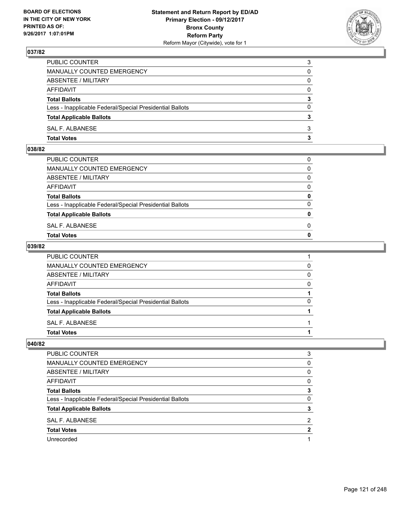

| PUBLIC COUNTER                                           | 3            |
|----------------------------------------------------------|--------------|
| MANUALLY COUNTED EMERGENCY                               | 0            |
| ABSENTEE / MILITARY                                      | 0            |
| AFFIDAVIT                                                | 0            |
| <b>Total Ballots</b>                                     | 3            |
| Less - Inapplicable Federal/Special Presidential Ballots | $\mathbf{0}$ |
| <b>Total Applicable Ballots</b>                          | 3            |
| SAL F. ALBANESE                                          | 3            |
| <b>Total Votes</b>                                       | 3            |

### **038/82**

| MANUALLY COUNTED EMERGENCY                               |              |
|----------------------------------------------------------|--------------|
| ABSENTEE / MILITARY                                      | $\Omega$     |
| AFFIDAVIT                                                | $\mathbf{0}$ |
| <b>Total Ballots</b>                                     | $\mathbf{0}$ |
| Less - Inapplicable Federal/Special Presidential Ballots | $\Omega$     |
| <b>Total Applicable Ballots</b>                          | $\mathbf{0}$ |
| SAL F. ALBANESE                                          | 0            |
| <b>Total Votes</b>                                       | $\mathbf{0}$ |
|                                                          |              |

### **039/82**

| <b>Total Votes</b>                                       |              |
|----------------------------------------------------------|--------------|
| SAL F. ALBANESE                                          |              |
| <b>Total Applicable Ballots</b>                          |              |
| Less - Inapplicable Federal/Special Presidential Ballots | $\Omega$     |
| <b>Total Ballots</b>                                     |              |
| <b>AFFIDAVIT</b>                                         | 0            |
| <b>ABSENTEE / MILITARY</b>                               | $\mathbf{0}$ |
| MANUALLY COUNTED EMERGENCY                               | 0            |
| PUBLIC COUNTER                                           |              |

| <b>PUBLIC COUNTER</b>                                    | 3 |
|----------------------------------------------------------|---|
| MANUALLY COUNTED EMERGENCY                               | 0 |
| ABSENTEE / MILITARY                                      | 0 |
| AFFIDAVIT                                                | 0 |
| <b>Total Ballots</b>                                     | 3 |
| Less - Inapplicable Federal/Special Presidential Ballots | 0 |
| <b>Total Applicable Ballots</b>                          | 3 |
| SAL F. ALBANESE                                          | 2 |
| <b>Total Votes</b>                                       | 2 |
| Unrecorded                                               |   |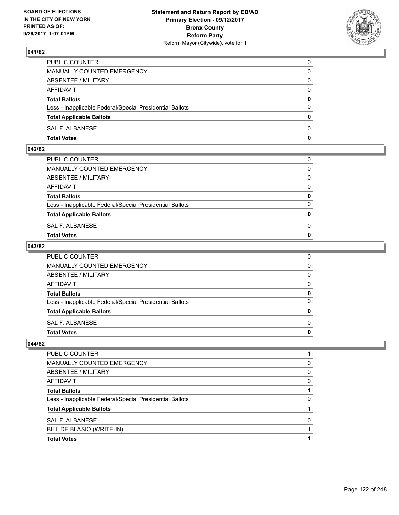

| PUBLIC COUNTER                                           | 0            |
|----------------------------------------------------------|--------------|
| MANUALLY COUNTED EMERGENCY                               | $\Omega$     |
| ABSENTEE / MILITARY                                      | $\mathbf{0}$ |
| AFFIDAVIT                                                | 0            |
| <b>Total Ballots</b>                                     | 0            |
| Less - Inapplicable Federal/Special Presidential Ballots | $\mathbf{0}$ |
| <b>Total Applicable Ballots</b>                          | $\bf{0}$     |
| SAL F. ALBANESE                                          | $\Omega$     |
| <b>Total Votes</b>                                       | $\mathbf{0}$ |

### **042/82**

| <b>Total Votes</b>                                       | $\mathbf{0}$ |
|----------------------------------------------------------|--------------|
| SAL F. ALBANESE                                          | 0            |
| <b>Total Applicable Ballots</b>                          | $\mathbf{0}$ |
| Less - Inapplicable Federal/Special Presidential Ballots | $\Omega$     |
| <b>Total Ballots</b>                                     | 0            |
| AFFIDAVIT                                                | $\Omega$     |
| ABSENTEE / MILITARY                                      | $\Omega$     |
| MANUALLY COUNTED EMERGENCY                               | $\Omega$     |
| PUBLIC COUNTER                                           | 0            |
|                                                          |              |

### **043/82**

| <b>Total Votes</b>                                       | 0            |
|----------------------------------------------------------|--------------|
| SAL F. ALBANESE                                          | $\Omega$     |
| <b>Total Applicable Ballots</b>                          | 0            |
| Less - Inapplicable Federal/Special Presidential Ballots | $\Omega$     |
| <b>Total Ballots</b>                                     | 0            |
| <b>AFFIDAVIT</b>                                         | 0            |
| <b>ABSENTEE / MILITARY</b>                               | $\mathbf{0}$ |
| MANUALLY COUNTED EMERGENCY                               | $\mathbf{0}$ |
| PUBLIC COUNTER                                           | 0            |

| PUBLIC COUNTER                                           |   |
|----------------------------------------------------------|---|
| MANUALLY COUNTED EMERGENCY                               | 0 |
| ABSENTEE / MILITARY                                      | 0 |
| AFFIDAVIT                                                | 0 |
| <b>Total Ballots</b>                                     |   |
| Less - Inapplicable Federal/Special Presidential Ballots | 0 |
| <b>Total Applicable Ballots</b>                          |   |
| SAL F. ALBANESE                                          | 0 |
| BILL DE BLASIO (WRITE-IN)                                |   |
| <b>Total Votes</b>                                       |   |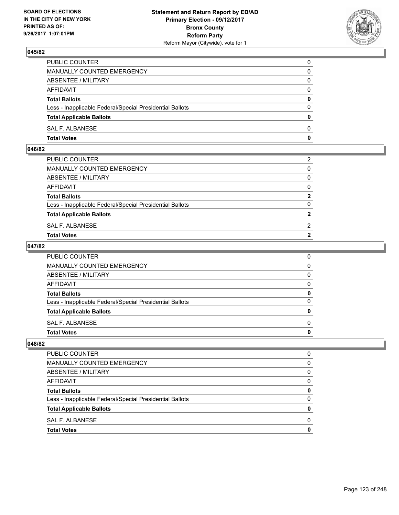

| PUBLIC COUNTER                                           | 0            |
|----------------------------------------------------------|--------------|
| MANUALLY COUNTED EMERGENCY                               | $\mathbf{0}$ |
| ABSENTEE / MILITARY                                      | 0            |
| AFFIDAVIT                                                | 0            |
| <b>Total Ballots</b>                                     | 0            |
| Less - Inapplicable Federal/Special Presidential Ballots | $\mathbf{0}$ |
| <b>Total Applicable Ballots</b>                          | $\mathbf{0}$ |
| SAL F. ALBANESE                                          | $\Omega$     |
| <b>Total Votes</b>                                       | $\mathbf{0}$ |

### **046/82**

| PUBLIC COUNTER                                           | 2              |
|----------------------------------------------------------|----------------|
| MANUALLY COUNTED EMERGENCY                               | $\mathbf{0}$   |
| ABSENTEE / MILITARY                                      | $\mathbf{0}$   |
| AFFIDAVIT                                                | $\mathbf{0}$   |
| <b>Total Ballots</b>                                     | $\mathbf{2}$   |
| Less - Inapplicable Federal/Special Presidential Ballots | $\Omega$       |
| <b>Total Applicable Ballots</b>                          | $\overline{2}$ |
| SAL F. ALBANESE                                          | 2              |
| Total Votes                                              | $\overline{2}$ |
|                                                          |                |

### **047/82**

| <b>Total Votes</b>                                       | 0 |
|----------------------------------------------------------|---|
| SAL F. ALBANESE                                          | 0 |
| <b>Total Applicable Ballots</b>                          | 0 |
| Less - Inapplicable Federal/Special Presidential Ballots | 0 |
| <b>Total Ballots</b>                                     | 0 |
| AFFIDAVIT                                                | 0 |
| ABSENTEE / MILITARY                                      | 0 |
| <b>MANUALLY COUNTED EMERGENCY</b>                        | 0 |
| PUBLIC COUNTER                                           | 0 |

| PUBLIC COUNTER                                           |              |
|----------------------------------------------------------|--------------|
| <b>MANUALLY COUNTED EMERGENCY</b>                        | O            |
| ABSENTEE / MILITARY                                      | <sup>0</sup> |
| <b>AFFIDAVIT</b>                                         | O            |
| <b>Total Ballots</b>                                     | 0            |
| Less - Inapplicable Federal/Special Presidential Ballots |              |
| <b>Total Applicable Ballots</b>                          |              |
| SAL F. ALBANESE                                          | O            |
| <b>Total Votes</b>                                       |              |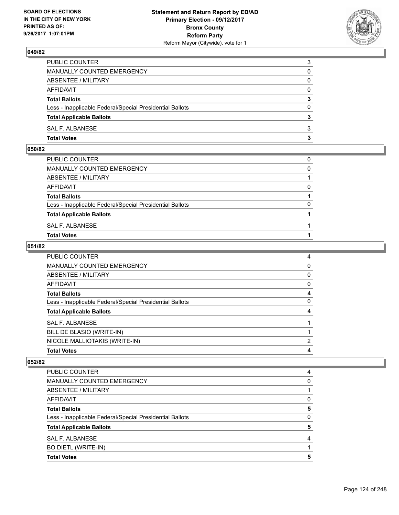

| PUBLIC COUNTER                                           | 3            |
|----------------------------------------------------------|--------------|
| MANUALLY COUNTED EMERGENCY                               | 0            |
| ABSENTEE / MILITARY                                      | 0            |
| AFFIDAVIT                                                | $\mathbf{0}$ |
| <b>Total Ballots</b>                                     | 3            |
| Less - Inapplicable Federal/Special Presidential Ballots | 0            |
| <b>Total Applicable Ballots</b>                          |              |
| SAL F. ALBANESE                                          | 3            |
| <b>Total Votes</b>                                       | 3            |

## **050/82**

| PUBLIC COUNTER                                           | 0        |
|----------------------------------------------------------|----------|
| MANUALLY COUNTED EMERGENCY                               | $\Omega$ |
| ABSENTEE / MILITARY                                      |          |
| AFFIDAVIT                                                | 0        |
| <b>Total Ballots</b>                                     |          |
| Less - Inapplicable Federal/Special Presidential Ballots | $\Omega$ |
| <b>Total Applicable Ballots</b>                          |          |
| SAL F. ALBANESE                                          |          |
| <b>Total Votes</b>                                       |          |
|                                                          |          |

### **051/82**

| <b>PUBLIC COUNTER</b>                                    | 4        |
|----------------------------------------------------------|----------|
| <b>MANUALLY COUNTED EMERGENCY</b>                        | 0        |
| <b>ABSENTEE / MILITARY</b>                               | $\Omega$ |
| <b>AFFIDAVIT</b>                                         | 0        |
| <b>Total Ballots</b>                                     | 4        |
| Less - Inapplicable Federal/Special Presidential Ballots | 0        |
| <b>Total Applicable Ballots</b>                          | 4        |
| <b>SAL F. ALBANESE</b>                                   |          |
| BILL DE BLASIO (WRITE-IN)                                |          |
| NICOLE MALLIOTAKIS (WRITE-IN)                            | 2        |
| <b>Total Votes</b>                                       | 4        |

| <b>PUBLIC COUNTER</b>                                    | 4 |
|----------------------------------------------------------|---|
| <b>MANUALLY COUNTED EMERGENCY</b>                        | 0 |
| ABSENTEE / MILITARY                                      |   |
| <b>AFFIDAVIT</b>                                         | 0 |
| <b>Total Ballots</b>                                     | 5 |
| Less - Inapplicable Federal/Special Presidential Ballots | 0 |
| <b>Total Applicable Ballots</b>                          | 5 |
| <b>SAL F. ALBANESE</b>                                   | 4 |
| <b>BO DIETL (WRITE-IN)</b>                               |   |
| <b>Total Votes</b>                                       | 5 |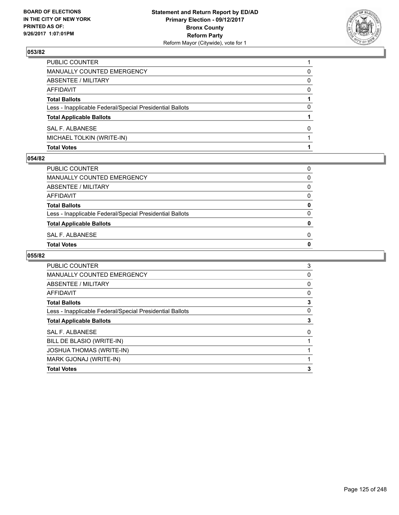

| <b>Total Votes</b>                                       |              |
|----------------------------------------------------------|--------------|
| MICHAEL TOLKIN (WRITE-IN)                                |              |
| SAL F. ALBANESE                                          | <sup>0</sup> |
| <b>Total Applicable Ballots</b>                          |              |
| Less - Inapplicable Federal/Special Presidential Ballots | 0            |
| <b>Total Ballots</b>                                     |              |
| AFFIDAVIT                                                | 0            |
| <b>ABSENTEE / MILITARY</b>                               | 0            |
| MANUALLY COUNTED EMERGENCY                               | 0            |
| PUBLIC COUNTER                                           |              |

#### **054/82**

| PUBLIC COUNTER                                           | 0            |
|----------------------------------------------------------|--------------|
| MANUALLY COUNTED EMERGENCY                               | 0            |
| ABSENTEE / MILITARY                                      | 0            |
| AFFIDAVIT                                                | 0            |
| <b>Total Ballots</b>                                     | 0            |
| Less - Inapplicable Federal/Special Presidential Ballots | 0            |
| <b>Total Applicable Ballots</b>                          | $\mathbf{0}$ |
| SAL F. ALBANESE                                          | 0            |
| <b>Total Votes</b>                                       | 0            |
|                                                          |              |

| <b>PUBLIC COUNTER</b>                                    | 3 |
|----------------------------------------------------------|---|
| <b>MANUALLY COUNTED EMERGENCY</b>                        | 0 |
| ABSENTEE / MILITARY                                      | 0 |
| AFFIDAVIT                                                | 0 |
| <b>Total Ballots</b>                                     | 3 |
| Less - Inapplicable Federal/Special Presidential Ballots | 0 |
| <b>Total Applicable Ballots</b>                          | 3 |
| <b>SAL F. ALBANESE</b>                                   | 0 |
| BILL DE BLASIO (WRITE-IN)                                |   |
| <b>JOSHUA THOMAS (WRITE-IN)</b>                          |   |
| MARK GJONAJ (WRITE-IN)                                   |   |
| <b>Total Votes</b>                                       |   |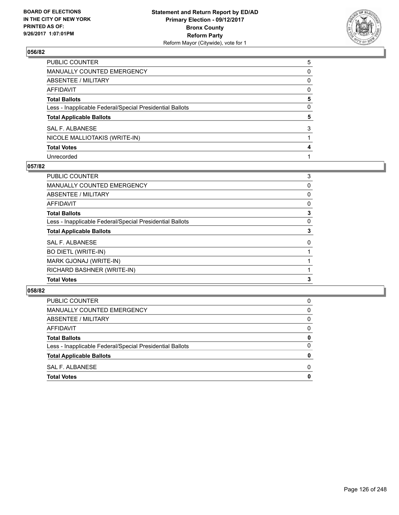

| PUBLIC COUNTER                                           | 5 |
|----------------------------------------------------------|---|
| MANUALLY COUNTED EMERGENCY                               | 0 |
| ABSENTEE / MILITARY                                      | 0 |
| AFFIDAVIT                                                | 0 |
| <b>Total Ballots</b>                                     | 5 |
| Less - Inapplicable Federal/Special Presidential Ballots | 0 |
| <b>Total Applicable Ballots</b>                          | 5 |
| SAL F. ALBANESE                                          | 3 |
| NICOLE MALLIOTAKIS (WRITE-IN)                            |   |
| <b>Total Votes</b>                                       | 4 |
|                                                          |   |

## **057/82**

| PUBLIC COUNTER                                           | 3 |
|----------------------------------------------------------|---|
| <b>MANUALLY COUNTED EMERGENCY</b>                        | 0 |
| ABSENTEE / MILITARY                                      | 0 |
| AFFIDAVIT                                                | 0 |
| <b>Total Ballots</b>                                     | 3 |
| Less - Inapplicable Federal/Special Presidential Ballots | 0 |
| <b>Total Applicable Ballots</b>                          | 3 |
| SAL F. ALBANESE                                          | 0 |
| <b>BO DIETL (WRITE-IN)</b>                               |   |
| MARK GJONAJ (WRITE-IN)                                   |   |
| RICHARD BASHNER (WRITE-IN)                               |   |
| <b>Total Votes</b>                                       | 3 |

| <b>Total Votes</b>                                       | 0 |
|----------------------------------------------------------|---|
| SAL F. ALBANESE                                          | 0 |
| <b>Total Applicable Ballots</b>                          | 0 |
| Less - Inapplicable Federal/Special Presidential Ballots | 0 |
| <b>Total Ballots</b>                                     | 0 |
| AFFIDAVIT                                                | 0 |
| ABSENTEE / MILITARY                                      | 0 |
| MANUALLY COUNTED EMERGENCY                               | 0 |
| <b>PUBLIC COUNTER</b>                                    | 0 |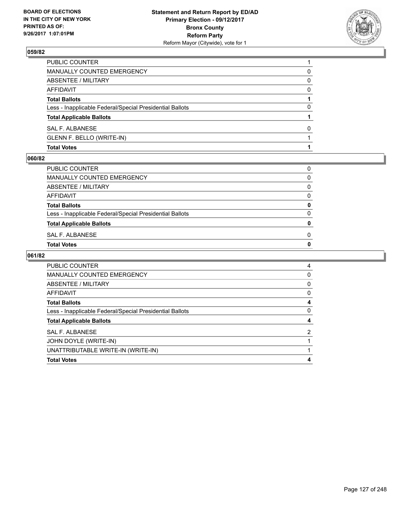

| <b>Total Votes</b>                                       |          |
|----------------------------------------------------------|----------|
| GLENN F. BELLO (WRITE-IN)                                |          |
| SAL F. ALBANESE                                          | 0        |
| <b>Total Applicable Ballots</b>                          |          |
| Less - Inapplicable Federal/Special Presidential Ballots | 0        |
| <b>Total Ballots</b>                                     |          |
| AFFIDAVIT                                                | $\Omega$ |
| ABSENTEE / MILITARY                                      | 0        |
| MANUALLY COUNTED EMERGENCY                               | 0        |
| <b>PUBLIC COUNTER</b>                                    |          |

#### **060/82**

| PUBLIC COUNTER                                           | 0            |
|----------------------------------------------------------|--------------|
| MANUALLY COUNTED EMERGENCY                               | 0            |
| ABSENTEE / MILITARY                                      | 0            |
| AFFIDAVIT                                                | 0            |
| <b>Total Ballots</b>                                     | 0            |
| Less - Inapplicable Federal/Special Presidential Ballots | 0            |
| <b>Total Applicable Ballots</b>                          | $\mathbf{0}$ |
| SAL F. ALBANESE                                          | 0            |
| <b>Total Votes</b>                                       | 0            |
|                                                          |              |

| <b>PUBLIC COUNTER</b>                                    | 4        |
|----------------------------------------------------------|----------|
|                                                          |          |
| MANUALLY COUNTED EMERGENCY                               | $\Omega$ |
| ABSENTEE / MILITARY                                      | 0        |
| AFFIDAVIT                                                | 0        |
| <b>Total Ballots</b>                                     | 4        |
| Less - Inapplicable Federal/Special Presidential Ballots | 0        |
| <b>Total Applicable Ballots</b>                          |          |
| SAL F. ALBANESE                                          | 2        |
| JOHN DOYLE (WRITE-IN)                                    |          |
| UNATTRIBUTABLE WRITE-IN (WRITE-IN)                       |          |
| <b>Total Votes</b>                                       |          |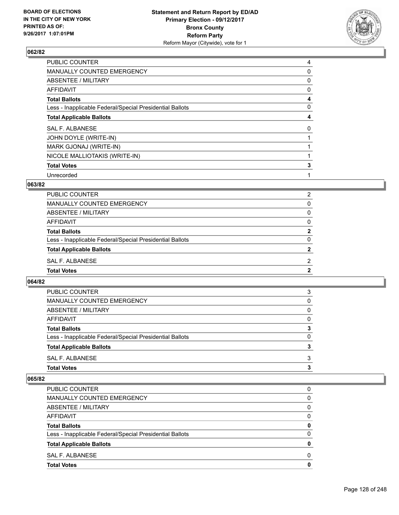

| <b>PUBLIC COUNTER</b>                                    | 4 |
|----------------------------------------------------------|---|
| MANUALLY COUNTED EMERGENCY                               | 0 |
| ABSENTEE / MILITARY                                      | 0 |
| AFFIDAVIT                                                | 0 |
| <b>Total Ballots</b>                                     | 4 |
| Less - Inapplicable Federal/Special Presidential Ballots | 0 |
| <b>Total Applicable Ballots</b>                          | 4 |
| SAL F. ALBANESE                                          | 0 |
| JOHN DOYLE (WRITE-IN)                                    |   |
| MARK GJONAJ (WRITE-IN)                                   |   |
| NICOLE MALLIOTAKIS (WRITE-IN)                            |   |
| <b>Total Votes</b>                                       | 3 |
| Unrecorded                                               |   |

### **063/82**

| PUBLIC COUNTER                                           | 2 |
|----------------------------------------------------------|---|
| MANUALLY COUNTED EMERGENCY                               | 0 |
| ABSENTEE / MILITARY                                      | 0 |
| AFFIDAVIT                                                | 0 |
| <b>Total Ballots</b>                                     | 2 |
| Less - Inapplicable Federal/Special Presidential Ballots | 0 |
| <b>Total Applicable Ballots</b>                          |   |
| SAL F. ALBANESE                                          | 2 |
| <b>Total Votes</b>                                       | 2 |

### **064/82**

| <b>Total Votes</b>                                       | 3 |
|----------------------------------------------------------|---|
| SAL F. ALBANESE                                          | 3 |
| <b>Total Applicable Ballots</b>                          | 3 |
| Less - Inapplicable Federal/Special Presidential Ballots | 0 |
| <b>Total Ballots</b>                                     | 3 |
| AFFIDAVIT                                                | 0 |
| ABSENTEE / MILITARY                                      | 0 |
| MANUALLY COUNTED EMERGENCY                               | 0 |
| <b>PUBLIC COUNTER</b>                                    | 3 |

| <b>Total Votes</b>                                       | 0 |
|----------------------------------------------------------|---|
| SAL F. ALBANESE                                          | 0 |
| <b>Total Applicable Ballots</b>                          | 0 |
| Less - Inapplicable Federal/Special Presidential Ballots | 0 |
| <b>Total Ballots</b>                                     | 0 |
| AFFIDAVIT                                                | 0 |
| ABSENTEE / MILITARY                                      | 0 |
| MANUALLY COUNTED EMERGENCY                               | 0 |
| <b>PUBLIC COUNTER</b>                                    | 0 |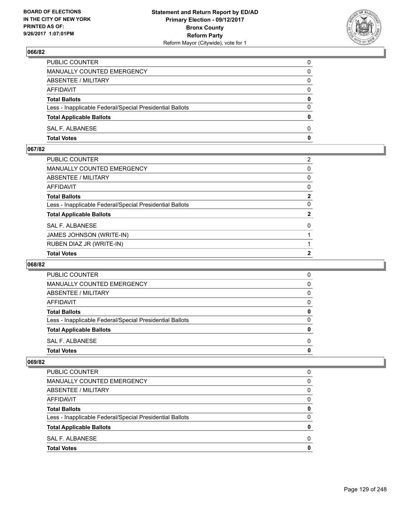

| PUBLIC COUNTER                                           | 0            |
|----------------------------------------------------------|--------------|
| MANUALLY COUNTED EMERGENCY                               | $\Omega$     |
| ABSENTEE / MILITARY                                      | $\mathbf{0}$ |
| AFFIDAVIT                                                | 0            |
| <b>Total Ballots</b>                                     | $\mathbf{0}$ |
| Less - Inapplicable Federal/Special Presidential Ballots | $\Omega$     |
| <b>Total Applicable Ballots</b>                          | $\mathbf{0}$ |
| SAL F. ALBANESE                                          | $\Omega$     |
| <b>Total Votes</b>                                       | $\mathbf{0}$ |

## **067/82**

| PUBLIC COUNTER                                           | 2            |
|----------------------------------------------------------|--------------|
| MANUALLY COUNTED EMERGENCY                               | 0            |
| ABSENTEE / MILITARY                                      | $\mathbf{0}$ |
| AFFIDAVIT                                                | 0            |
| <b>Total Ballots</b>                                     | $\mathbf{2}$ |
| Less - Inapplicable Federal/Special Presidential Ballots | $\mathbf{0}$ |
| <b>Total Applicable Ballots</b>                          | $\mathbf{2}$ |
| <b>SAL F. ALBANESE</b>                                   | $\mathbf{0}$ |
| JAMES JOHNSON (WRITE-IN)                                 |              |
| RUBEN DIAZ JR (WRITE-IN)                                 |              |
| <b>Total Votes</b>                                       | 2            |

### **068/82**

| <b>Total Votes</b>                                       | 0 |
|----------------------------------------------------------|---|
|                                                          |   |
| SAL F. ALBANESE                                          | 0 |
| <b>Total Applicable Ballots</b>                          | 0 |
| Less - Inapplicable Federal/Special Presidential Ballots | 0 |
| <b>Total Ballots</b>                                     | 0 |
| AFFIDAVIT                                                | 0 |
| ABSENTEE / MILITARY                                      | 0 |
| MANUALLY COUNTED EMERGENCY                               | 0 |
| <b>PUBLIC COUNTER</b>                                    | 0 |

| <b>Total Votes</b>                                       | 0 |
|----------------------------------------------------------|---|
| SAL F. ALBANESE                                          | 0 |
| <b>Total Applicable Ballots</b>                          | 0 |
| Less - Inapplicable Federal/Special Presidential Ballots | 0 |
| <b>Total Ballots</b>                                     | 0 |
| AFFIDAVIT                                                | 0 |
| ABSENTEE / MILITARY                                      | 0 |
| MANUALLY COUNTED EMERGENCY                               | 0 |
| <b>PUBLIC COUNTER</b>                                    | 0 |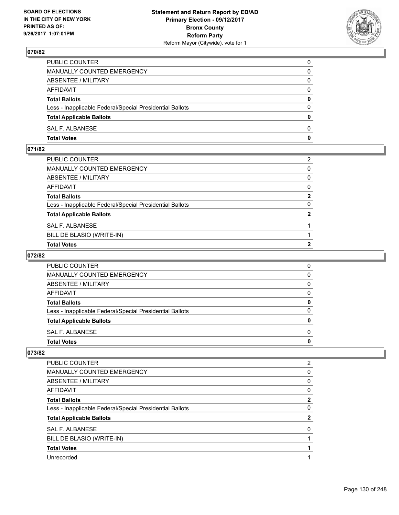

| PUBLIC COUNTER                                           | 0            |
|----------------------------------------------------------|--------------|
| MANUALLY COUNTED EMERGENCY                               | 0            |
| ABSENTEE / MILITARY                                      | 0            |
| AFFIDAVIT                                                | $\Omega$     |
| <b>Total Ballots</b>                                     | $\mathbf{0}$ |
| Less - Inapplicable Federal/Special Presidential Ballots | $\Omega$     |
| <b>Total Applicable Ballots</b>                          | $\mathbf{0}$ |
| SAL F. ALBANESE                                          | 0            |
| <b>Total Votes</b>                                       | 0            |

## **071/82**

| PUBLIC COUNTER                                           | 2              |
|----------------------------------------------------------|----------------|
| MANUALLY COUNTED EMERGENCY                               | $\mathbf{0}$   |
| <b>ABSENTEE / MILITARY</b>                               | $\mathbf{0}$   |
| AFFIDAVIT                                                | $\mathbf{0}$   |
| Total Ballots                                            | $\mathbf{2}$   |
| Less - Inapplicable Federal/Special Presidential Ballots | $\Omega$       |
| <b>Total Applicable Ballots</b>                          | $\overline{2}$ |
| SAL F. ALBANESE                                          |                |
| BILL DE BLASIO (WRITE-IN)                                |                |
| <b>Total Votes</b>                                       | 2              |

## **072/82**

| <b>PUBLIC COUNTER</b>                                    | 0 |
|----------------------------------------------------------|---|
| MANUALLY COUNTED EMERGENCY                               | 0 |
| ABSENTEE / MILITARY                                      | 0 |
| AFFIDAVIT                                                | O |
| <b>Total Ballots</b>                                     |   |
| Less - Inapplicable Federal/Special Presidential Ballots | ŋ |
| <b>Total Applicable Ballots</b>                          |   |
| SAL F. ALBANESE                                          | O |
| <b>Total Votes</b>                                       |   |

| <b>PUBLIC COUNTER</b>                                    | 2            |
|----------------------------------------------------------|--------------|
| <b>MANUALLY COUNTED EMERGENCY</b>                        | 0            |
| ABSENTEE / MILITARY                                      | 0            |
| AFFIDAVIT                                                | 0            |
| <b>Total Ballots</b>                                     | $\mathbf{2}$ |
| Less - Inapplicable Federal/Special Presidential Ballots | 0            |
| <b>Total Applicable Ballots</b>                          | $\mathbf{2}$ |
| <b>SAL F. ALBANESE</b>                                   | 0            |
| BILL DE BLASIO (WRITE-IN)                                |              |
| <b>Total Votes</b>                                       |              |
| Unrecorded                                               |              |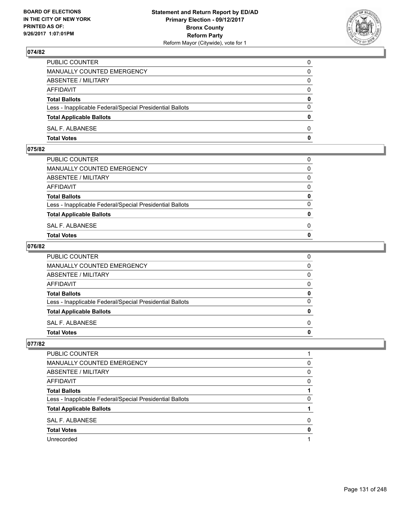

| <b>Total Votes</b>                                       | 0            |
|----------------------------------------------------------|--------------|
| SAL F. ALBANESE                                          | $\Omega$     |
| <b>Total Applicable Ballots</b>                          | $\mathbf{0}$ |
| Less - Inapplicable Federal/Special Presidential Ballots | $\Omega$     |
| <b>Total Ballots</b>                                     | 0            |
| <b>AFFIDAVIT</b>                                         | $\Omega$     |
| ABSENTEE / MILITARY                                      | $\Omega$     |
| MANUALLY COUNTED EMERGENCY                               | 0            |
| PUBLIC COUNTER                                           | 0            |

#### **075/82**

| MANUALLY COUNTED EMERGENCY                               |              |
|----------------------------------------------------------|--------------|
| ABSENTEE / MILITARY                                      | $\Omega$     |
| AFFIDAVIT                                                | $\mathbf{0}$ |
| <b>Total Ballots</b>                                     | $\mathbf{0}$ |
| Less - Inapplicable Federal/Special Presidential Ballots | $\Omega$     |
| <b>Total Applicable Ballots</b>                          | $\mathbf{0}$ |
| SAL F. ALBANESE                                          | 0            |
| <b>Total Votes</b>                                       | $\mathbf{0}$ |
|                                                          |              |

### **076/82**

| <b>Total Votes</b>                                       | $\mathbf{0}$ |
|----------------------------------------------------------|--------------|
| SAL F. ALBANESE                                          | $\Omega$     |
| <b>Total Applicable Ballots</b>                          | 0            |
| Less - Inapplicable Federal/Special Presidential Ballots | $\Omega$     |
| <b>Total Ballots</b>                                     | 0            |
| <b>AFFIDAVIT</b>                                         | $\Omega$     |
| <b>ABSENTEE / MILITARY</b>                               | $\Omega$     |
| <b>MANUALLY COUNTED EMERGENCY</b>                        | $\Omega$     |
| PUBLIC COUNTER                                           | 0            |

| PUBLIC COUNTER                                           |   |
|----------------------------------------------------------|---|
| MANUALLY COUNTED EMERGENCY                               | 0 |
| ABSENTEE / MILITARY                                      | 0 |
| AFFIDAVIT                                                | 0 |
| <b>Total Ballots</b>                                     |   |
| Less - Inapplicable Federal/Special Presidential Ballots | 0 |
| <b>Total Applicable Ballots</b>                          |   |
| SAL F. ALBANESE                                          | 0 |
| <b>Total Votes</b>                                       |   |
| Unrecorded                                               |   |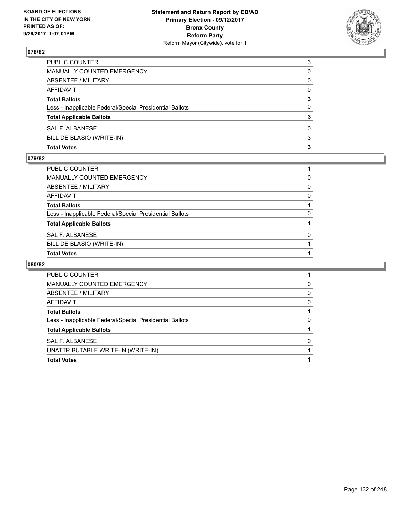

| <b>Total Votes</b>                                       | з        |
|----------------------------------------------------------|----------|
| BILL DE BLASIO (WRITE-IN)                                | 3        |
| SAL F. ALBANESE                                          | 0        |
| <b>Total Applicable Ballots</b>                          | 3        |
| Less - Inapplicable Federal/Special Presidential Ballots | 0        |
| <b>Total Ballots</b>                                     | 3        |
| <b>AFFIDAVIT</b>                                         | $\Omega$ |
| <b>ABSENTEE / MILITARY</b>                               | 0        |
| <b>MANUALLY COUNTED EMERGENCY</b>                        | 0        |
| PUBLIC COUNTER                                           | 3        |

#### **079/82**

| PUBLIC COUNTER                                           |          |
|----------------------------------------------------------|----------|
| MANUALLY COUNTED EMERGENCY                               | 0        |
| ABSENTEE / MILITARY                                      | 0        |
| AFFIDAVIT                                                | 0        |
| <b>Total Ballots</b>                                     |          |
| Less - Inapplicable Federal/Special Presidential Ballots | 0        |
| <b>Total Applicable Ballots</b>                          |          |
| SAL F. ALBANESE                                          | $\Omega$ |
| BILL DE BLASIO (WRITE-IN)                                |          |
| <b>Total Votes</b>                                       |          |

| PUBLIC COUNTER                                           |   |
|----------------------------------------------------------|---|
| <b>MANUALLY COUNTED EMERGENCY</b>                        | 0 |
| ABSENTEE / MILITARY                                      | 0 |
| AFFIDAVIT                                                | 0 |
| <b>Total Ballots</b>                                     |   |
| Less - Inapplicable Federal/Special Presidential Ballots | 0 |
| <b>Total Applicable Ballots</b>                          |   |
| SAL F. ALBANESE                                          | O |
| UNATTRIBUTABLE WRITE-IN (WRITE-IN)                       |   |
| <b>Total Votes</b>                                       |   |
|                                                          |   |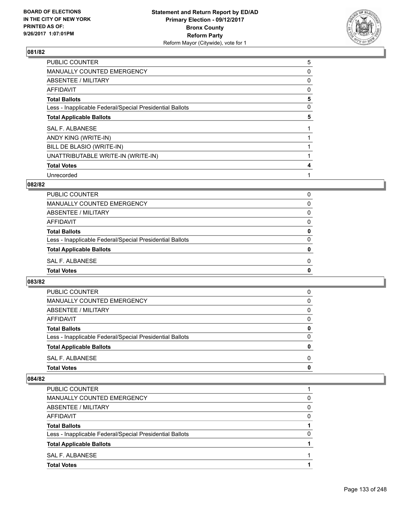

| <b>PUBLIC COUNTER</b>                                    | 5 |
|----------------------------------------------------------|---|
| MANUALLY COUNTED EMERGENCY                               | 0 |
| ABSENTEE / MILITARY                                      | 0 |
| AFFIDAVIT                                                | 0 |
| <b>Total Ballots</b>                                     | 5 |
| Less - Inapplicable Federal/Special Presidential Ballots | 0 |
| <b>Total Applicable Ballots</b>                          | 5 |
| <b>SAL F. ALBANESE</b>                                   |   |
| ANDY KING (WRITE-IN)                                     |   |
| BILL DE BLASIO (WRITE-IN)                                |   |
| UNATTRIBUTABLE WRITE-IN (WRITE-IN)                       |   |
| <b>Total Votes</b>                                       | 4 |
| Unrecorded                                               |   |

### **082/82**

| PUBLIC COUNTER                                           | 0            |
|----------------------------------------------------------|--------------|
| MANUALLY COUNTED EMERGENCY                               | <sup>0</sup> |
| ABSENTEE / MILITARY                                      | 0            |
| AFFIDAVIT                                                | 0            |
| <b>Total Ballots</b>                                     | 0            |
| Less - Inapplicable Federal/Special Presidential Ballots | 0            |
| <b>Total Applicable Ballots</b>                          | 0            |
| SAL F. ALBANESE                                          | 0            |
| <b>Total Votes</b>                                       | 0            |

#### **083/82**

| <b>Total Votes</b>                                       | 0        |
|----------------------------------------------------------|----------|
| SAL F. ALBANESE                                          | 0        |
| <b>Total Applicable Ballots</b>                          | 0        |
| Less - Inapplicable Federal/Special Presidential Ballots | $\Omega$ |
| <b>Total Ballots</b>                                     | 0        |
| AFFIDAVIT                                                | 0        |
| ABSENTEE / MILITARY                                      | $\Omega$ |
| MANUALLY COUNTED EMERGENCY                               | $\Omega$ |
| <b>PUBLIC COUNTER</b>                                    | 0        |

| <b>Total Votes</b>                                       |   |
|----------------------------------------------------------|---|
| SAL F. ALBANESE                                          |   |
| <b>Total Applicable Ballots</b>                          |   |
| Less - Inapplicable Federal/Special Presidential Ballots | 0 |
| <b>Total Ballots</b>                                     |   |
| AFFIDAVIT                                                | 0 |
| ABSENTEE / MILITARY                                      | 0 |
| MANUALLY COUNTED EMERGENCY                               | 0 |
| PUBLIC COUNTER                                           |   |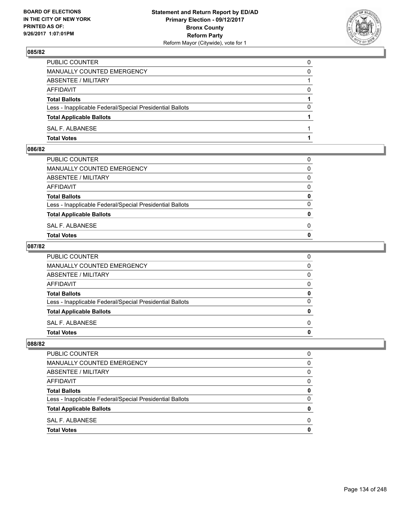

| PUBLIC COUNTER                                           | 0        |
|----------------------------------------------------------|----------|
| MANUALLY COUNTED EMERGENCY                               | $\Omega$ |
| ABSENTEE / MILITARY                                      |          |
| AFFIDAVIT                                                | 0        |
| <b>Total Ballots</b>                                     |          |
| Less - Inapplicable Federal/Special Presidential Ballots | $\Omega$ |
| <b>Total Applicable Ballots</b>                          |          |
| SAL F. ALBANESE                                          |          |
| <b>Total Votes</b>                                       |          |

## **086/82**

| PUBLIC COUNTER                                           | 0            |
|----------------------------------------------------------|--------------|
| MANUALLY COUNTED EMERGENCY                               | $\mathbf{0}$ |
| ABSENTEE / MILITARY                                      | $\Omega$     |
| AFFIDAVIT                                                | $\Omega$     |
| <b>Total Ballots</b>                                     | 0            |
| Less - Inapplicable Federal/Special Presidential Ballots | $\Omega$     |
| <b>Total Applicable Ballots</b>                          | $\mathbf{0}$ |
| SAL F. ALBANESE                                          | 0            |
| Total Votes                                              | $\Omega$     |
|                                                          |              |

### **087/82**

| PUBLIC COUNTER                                           | 0            |
|----------------------------------------------------------|--------------|
| MANUALLY COUNTED EMERGENCY                               | $\mathbf{0}$ |
| ABSENTEE / MILITARY                                      | $\mathbf{0}$ |
| AFFIDAVIT                                                | $\mathbf{0}$ |
| <b>Total Ballots</b>                                     | 0            |
| Less - Inapplicable Federal/Special Presidential Ballots | $\mathbf{0}$ |
| <b>Total Applicable Ballots</b>                          | $\mathbf{0}$ |
| SAL F. ALBANESE                                          | $\Omega$     |
| <b>Total Votes</b>                                       | 0            |
|                                                          |              |

| PUBLIC COUNTER                                           |   |
|----------------------------------------------------------|---|
| MANUALLY COUNTED EMERGENCY                               | 0 |
| ABSENTEE / MILITARY                                      | 0 |
| <b>AFFIDAVIT</b>                                         | 0 |
| <b>Total Ballots</b>                                     | o |
| Less - Inapplicable Federal/Special Presidential Ballots | 0 |
| <b>Total Applicable Ballots</b>                          |   |
| SAL F. ALBANESE                                          | n |
| <b>Total Votes</b>                                       |   |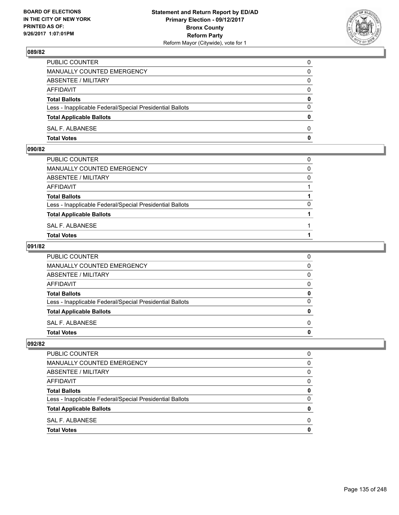

| PUBLIC COUNTER                                           | 0            |
|----------------------------------------------------------|--------------|
| MANUALLY COUNTED EMERGENCY                               | $\mathbf{0}$ |
| ABSENTEE / MILITARY                                      | 0            |
| AFFIDAVIT                                                | 0            |
| <b>Total Ballots</b>                                     | 0            |
| Less - Inapplicable Federal/Special Presidential Ballots | $\mathbf{0}$ |
| <b>Total Applicable Ballots</b>                          | $\mathbf{0}$ |
| SAL F. ALBANESE                                          | $\Omega$     |
| <b>Total Votes</b>                                       | $\mathbf{0}$ |

### **090/82**

| PUBLIC COUNTER                                           | 0        |
|----------------------------------------------------------|----------|
| MANUALLY COUNTED EMERGENCY                               | $\Omega$ |
| ABSENTEE / MILITARY                                      | 0        |
| AFFIDAVIT                                                |          |
| <b>Total Ballots</b>                                     |          |
| Less - Inapplicable Federal/Special Presidential Ballots | $\Omega$ |
| <b>Total Applicable Ballots</b>                          |          |
| SAL F. ALBANESE                                          |          |
| <b>Total Votes</b>                                       |          |
|                                                          |          |

### **091/82**

| PUBLIC COUNTER                                           | 0            |
|----------------------------------------------------------|--------------|
| MANUALLY COUNTED EMERGENCY                               | $\mathbf{0}$ |
| ABSENTEE / MILITARY                                      | $\mathbf{0}$ |
| AFFIDAVIT                                                | 0            |
| <b>Total Ballots</b>                                     | 0            |
| Less - Inapplicable Federal/Special Presidential Ballots | $\mathbf{0}$ |
| <b>Total Applicable Ballots</b>                          | $\mathbf{0}$ |
| SAL F. ALBANESE                                          | $\Omega$     |
| <b>Total Votes</b>                                       | $\mathbf{0}$ |
|                                                          |              |

| PUBLIC COUNTER                                           |   |
|----------------------------------------------------------|---|
| MANUALLY COUNTED EMERGENCY                               | 0 |
| ABSENTEE / MILITARY                                      | 0 |
| <b>AFFIDAVIT</b>                                         | 0 |
| <b>Total Ballots</b>                                     | o |
| Less - Inapplicable Federal/Special Presidential Ballots | 0 |
| <b>Total Applicable Ballots</b>                          |   |
| SAL F. ALBANESE                                          | n |
| <b>Total Votes</b>                                       |   |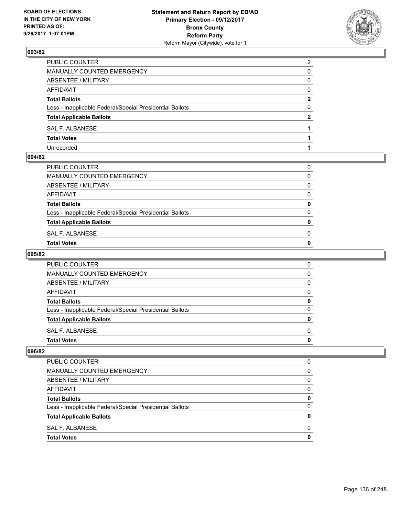

| PUBLIC COUNTER                                           | 2            |
|----------------------------------------------------------|--------------|
| <b>MANUALLY COUNTED EMERGENCY</b>                        | 0            |
| <b>ABSENTEE / MILITARY</b>                               | 0            |
| <b>AFFIDAVIT</b>                                         | $\Omega$     |
| <b>Total Ballots</b>                                     | $\mathbf{2}$ |
| Less - Inapplicable Federal/Special Presidential Ballots | 0            |
| <b>Total Applicable Ballots</b>                          | $\mathbf{2}$ |
| SAL F. ALBANESE                                          |              |
| <b>Total Votes</b>                                       |              |
| Unrecorded                                               |              |

### **094/82**

| PUBLIC COUNTER                                           | 0            |
|----------------------------------------------------------|--------------|
| MANUALLY COUNTED EMERGENCY                               | $\Omega$     |
| ABSENTEE / MILITARY                                      | 0            |
| AFFIDAVIT                                                | 0            |
| <b>Total Ballots</b>                                     | $\mathbf{0}$ |
| Less - Inapplicable Federal/Special Presidential Ballots | 0            |
| <b>Total Applicable Ballots</b>                          | $\mathbf{0}$ |
| SAL F. ALBANESE                                          | 0            |
| Total Votes                                              | 0            |
|                                                          |              |

### **095/82**

| <b>Total Ballots</b>                                     | 0 |
|----------------------------------------------------------|---|
| Less - Inapplicable Federal/Special Presidential Ballots | 0 |
|                                                          |   |
|                                                          |   |
| AFFIDAVIT                                                | 0 |
| ABSENTEE / MILITARY                                      | 0 |
| MANUALLY COUNTED EMERGENCY                               | 0 |
| <b>PUBLIC COUNTER</b>                                    | 0 |

| PUBLIC COUNTER                                           |   |
|----------------------------------------------------------|---|
| <b>MANUALLY COUNTED EMERGENCY</b>                        | 0 |
| ABSENTEE / MILITARY                                      | 0 |
| <b>AFFIDAVIT</b>                                         | 0 |
| <b>Total Ballots</b>                                     | 0 |
| Less - Inapplicable Federal/Special Presidential Ballots | 0 |
| <b>Total Applicable Ballots</b>                          | 0 |
| SAL F. ALBANESE                                          | ŋ |
| <b>Total Votes</b>                                       |   |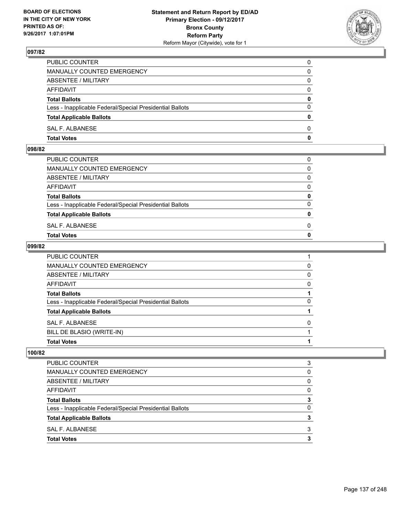

| PUBLIC COUNTER                                           | 0            |
|----------------------------------------------------------|--------------|
| MANUALLY COUNTED EMERGENCY                               | $\mathbf{0}$ |
| ABSENTEE / MILITARY                                      | 0            |
| AFFIDAVIT                                                | 0            |
| <b>Total Ballots</b>                                     | 0            |
| Less - Inapplicable Federal/Special Presidential Ballots | $\mathbf{0}$ |
| <b>Total Applicable Ballots</b>                          | $\mathbf{0}$ |
| SAL F. ALBANESE                                          | $\Omega$     |
| <b>Total Votes</b>                                       | $\mathbf{0}$ |

### **098/82**

| PUBLIC COUNTER                                           | 0            |
|----------------------------------------------------------|--------------|
| MANUALLY COUNTED EMERGENCY                               | $\mathbf{0}$ |
| ABSENTEE / MILITARY                                      | $\Omega$     |
| AFFIDAVIT                                                | $\Omega$     |
| <b>Total Ballots</b>                                     | 0            |
| Less - Inapplicable Federal/Special Presidential Ballots | $\Omega$     |
| <b>Total Applicable Ballots</b>                          | $\mathbf{0}$ |
| SAL F. ALBANESE                                          | 0            |
| Total Votes                                              | $\Omega$     |
|                                                          |              |

#### **099/82**

| PUBLIC COUNTER                                           |   |
|----------------------------------------------------------|---|
| <b>MANUALLY COUNTED EMERGENCY</b>                        | 0 |
| <b>ABSENTEE / MILITARY</b>                               | 0 |
| AFFIDAVIT                                                | 0 |
| <b>Total Ballots</b>                                     |   |
| Less - Inapplicable Federal/Special Presidential Ballots | 0 |
| <b>Total Applicable Ballots</b>                          |   |
| SAL F. ALBANESE                                          | 0 |
| BILL DE BLASIO (WRITE-IN)                                |   |
| <b>Total Votes</b>                                       |   |

| MANUALLY COUNTED EMERGENCY                               | 0 |
|----------------------------------------------------------|---|
| ABSENTEE / MILITARY                                      | 0 |
| AFFIDAVIT                                                | 0 |
| <b>Total Ballots</b>                                     | 3 |
| Less - Inapplicable Federal/Special Presidential Ballots | 0 |
| <b>Total Applicable Ballots</b>                          | 3 |
| SAL F. ALBANESE                                          | 3 |
| <b>Total Votes</b>                                       | з |
|                                                          |   |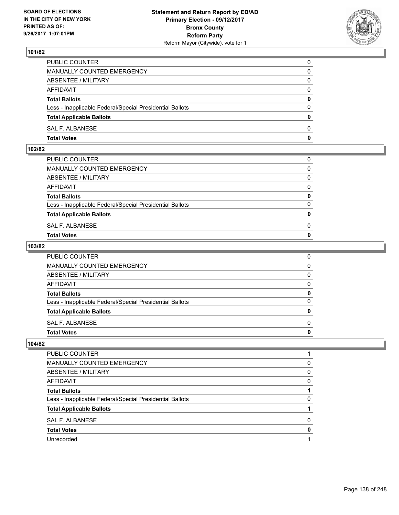

| PUBLIC COUNTER                                           | 0            |
|----------------------------------------------------------|--------------|
| MANUALLY COUNTED EMERGENCY                               | $\Omega$     |
| ABSENTEE / MILITARY                                      | $\mathbf{0}$ |
| AFFIDAVIT                                                | 0            |
| <b>Total Ballots</b>                                     | 0            |
| Less - Inapplicable Federal/Special Presidential Ballots | $\mathbf{0}$ |
| <b>Total Applicable Ballots</b>                          | $\bf{0}$     |
| SAL F. ALBANESE                                          | $\Omega$     |
| <b>Total Votes</b>                                       | $\mathbf{0}$ |

#### **102/82**

| PUBLIC COUNTER                                           | 0            |
|----------------------------------------------------------|--------------|
| MANUALLY COUNTED EMERGENCY                               | $\mathbf{0}$ |
| ABSENTEE / MILITARY                                      | $\Omega$     |
| AFFIDAVIT                                                | $\Omega$     |
| <b>Total Ballots</b>                                     | 0            |
| Less - Inapplicable Federal/Special Presidential Ballots | $\Omega$     |
| <b>Total Applicable Ballots</b>                          | $\mathbf{0}$ |
| SAL F. ALBANESE                                          | 0            |
| Total Votes                                              | $\Omega$     |
|                                                          |              |

### **103/82**

| PUBLIC COUNTER                                           | 0            |
|----------------------------------------------------------|--------------|
| MANUALLY COUNTED EMERGENCY                               | $\mathbf{0}$ |
| ABSENTEE / MILITARY                                      | $\mathbf{0}$ |
| AFFIDAVIT                                                | $\mathbf{0}$ |
| <b>Total Ballots</b>                                     | 0            |
| Less - Inapplicable Federal/Special Presidential Ballots | $\mathbf{0}$ |
| <b>Total Applicable Ballots</b>                          | 0            |
| SAL F. ALBANESE                                          | $\Omega$     |
| <b>Total Votes</b>                                       | 0            |
|                                                          |              |

| PUBLIC COUNTER                                           |          |
|----------------------------------------------------------|----------|
| MANUALLY COUNTED EMERGENCY                               | $\Omega$ |
| ABSENTEE / MILITARY                                      | 0        |
| AFFIDAVIT                                                | 0        |
| <b>Total Ballots</b>                                     |          |
| Less - Inapplicable Federal/Special Presidential Ballots | 0        |
| <b>Total Applicable Ballots</b>                          |          |
| <b>SAL F. ALBANESE</b>                                   | O        |
| <b>Total Votes</b>                                       |          |
| Unrecorded                                               |          |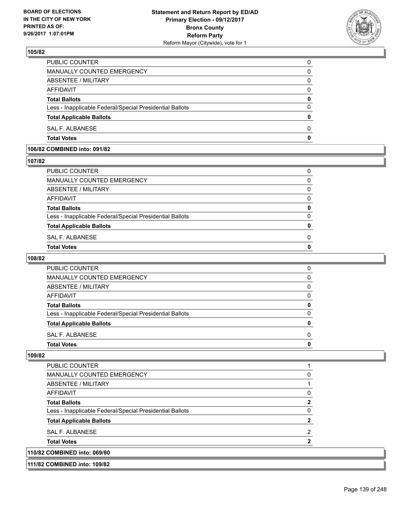

| <b>Total Votes</b>                                       | 0 |
|----------------------------------------------------------|---|
| SAL F. ALBANESE                                          | 0 |
| <b>Total Applicable Ballots</b>                          | 0 |
| Less - Inapplicable Federal/Special Presidential Ballots | 0 |
| <b>Total Ballots</b>                                     | 0 |
| AFFIDAVIT                                                | 0 |
| ABSENTEE / MILITARY                                      | 0 |
| MANUALLY COUNTED EMERGENCY                               | 0 |
| <b>PUBLIC COUNTER</b>                                    | 0 |

## **106/82 COMBINED into: 091/82**

### **107/82**

| PUBLIC COUNTER                                           | 0 |
|----------------------------------------------------------|---|
| MANUALLY COUNTED EMERGENCY                               | 0 |
| <b>ABSENTEE / MILITARY</b>                               | 0 |
| AFFIDAVIT                                                | 0 |
| <b>Total Ballots</b>                                     | 0 |
| Less - Inapplicable Federal/Special Presidential Ballots | 0 |
| <b>Total Applicable Ballots</b>                          |   |
| SAL F. ALBANESE                                          | 0 |
| <b>Total Votes</b>                                       |   |
|                                                          |   |

#### **108/82**

| PUBLIC COUNTER                                           |   |
|----------------------------------------------------------|---|
| MANUALLY COUNTED EMERGENCY                               | n |
| ABSENTEE / MILITARY                                      | n |
| AFFIDAVIT                                                | O |
| <b>Total Ballots</b>                                     | o |
| Less - Inapplicable Federal/Special Presidential Ballots |   |
| <b>Total Applicable Ballots</b>                          |   |
| SAL F. ALBANESE                                          | n |
| <b>Total Votes</b>                                       |   |

| 111/82 COMBINED into: 109/82                             |   |
|----------------------------------------------------------|---|
| 110/82 COMBINED into: 069/80                             |   |
| <b>Total Votes</b>                                       |   |
| <b>SAL F. ALBANESE</b>                                   | 2 |
| <b>Total Applicable Ballots</b>                          |   |
| Less - Inapplicable Federal/Special Presidential Ballots |   |
| <b>Total Ballots</b>                                     |   |
| <b>AFFIDAVIT</b>                                         |   |
| ABSENTEE / MILITARY                                      |   |
| MANUALLY COUNTED EMERGENCY                               |   |
| PUBLIC COUNTER                                           |   |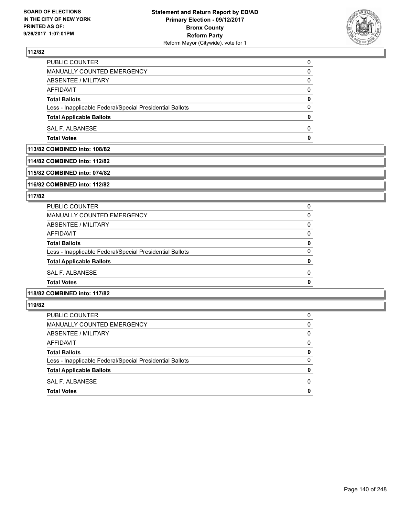

| <b>Total Votes</b>                                       |              |
|----------------------------------------------------------|--------------|
|                                                          | 0            |
| SAL F. ALBANESE                                          | $\Omega$     |
| <b>Total Applicable Ballots</b>                          | $\mathbf{0}$ |
| Less - Inapplicable Federal/Special Presidential Ballots | 0            |
| <b>Total Ballots</b>                                     | 0            |
| <b>AFFIDAVIT</b>                                         | $\Omega$     |
| <b>ABSENTEE / MILITARY</b>                               | 0            |
| MANUALLY COUNTED EMERGENCY                               | 0            |
| PUBLIC COUNTER                                           | 0            |

**113/82 COMBINED into: 108/82**

### **114/82 COMBINED into: 112/82**

**115/82 COMBINED into: 074/82**

**116/82 COMBINED into: 112/82**

### **117/82**

| <b>Total Votes</b>                                       | O |
|----------------------------------------------------------|---|
| SAL F. ALBANESE                                          | O |
| <b>Total Applicable Ballots</b>                          | 0 |
| Less - Inapplicable Federal/Special Presidential Ballots | 0 |
| <b>Total Ballots</b>                                     | 0 |
| AFFIDAVIT                                                | 0 |
| ABSENTEE / MILITARY                                      | 0 |
| MANUALLY COUNTED EMERGENCY                               | 0 |
| <b>PUBLIC COUNTER</b>                                    | 0 |

# **118/82 COMBINED into: 117/82**

| PUBLIC COUNTER                                           | 0           |
|----------------------------------------------------------|-------------|
| MANUALLY COUNTED EMERGENCY                               | 0           |
| ABSENTEE / MILITARY                                      | $\Omega$    |
| <b>AFFIDAVIT</b>                                         | $\Omega$    |
| <b>Total Ballots</b>                                     | 0           |
| Less - Inapplicable Federal/Special Presidential Ballots | $\Omega$    |
| <b>Total Applicable Ballots</b>                          | 0           |
| SAL F. ALBANESE                                          | 0           |
| <b>Total Votes</b>                                       | $\mathbf 0$ |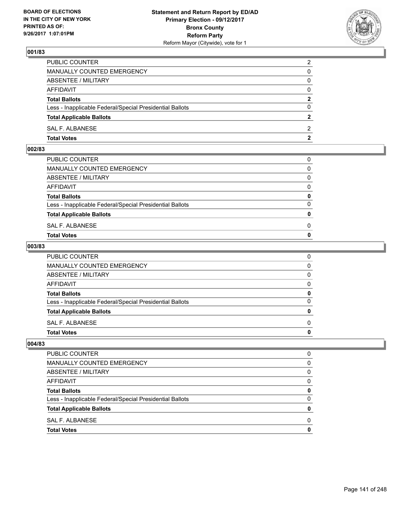

| <b>Total Votes</b>                                       | $\mathbf{2}$   |
|----------------------------------------------------------|----------------|
| SAL F. ALBANESE                                          | 2              |
| <b>Total Applicable Ballots</b>                          | $\overline{2}$ |
| Less - Inapplicable Federal/Special Presidential Ballots | $\Omega$       |
| <b>Total Ballots</b>                                     | $\mathbf{2}$   |
| <b>AFFIDAVIT</b>                                         | $\Omega$       |
| ABSENTEE / MILITARY                                      | $\Omega$       |
| <b>MANUALLY COUNTED EMERGENCY</b>                        | 0              |
| PUBLIC COUNTER                                           | 2              |

### **002/83**

| <b>Total Votes</b>                                       | $\mathbf{0}$ |
|----------------------------------------------------------|--------------|
| SAL F. ALBANESE                                          | 0            |
| <b>Total Applicable Ballots</b>                          | $\mathbf{0}$ |
| Less - Inapplicable Federal/Special Presidential Ballots | $\Omega$     |
| <b>Total Ballots</b>                                     | 0            |
| AFFIDAVIT                                                | $\Omega$     |
| ABSENTEE / MILITARY                                      | $\Omega$     |
| MANUALLY COUNTED EMERGENCY                               | $\Omega$     |
| PUBLIC COUNTER                                           | 0            |
|                                                          |              |

### **003/83**

| PUBLIC COUNTER                                           | 0            |
|----------------------------------------------------------|--------------|
| MANUALLY COUNTED EMERGENCY                               | $\mathbf{0}$ |
| ABSENTEE / MILITARY                                      | $\mathbf{0}$ |
| AFFIDAVIT                                                | $\mathbf{0}$ |
| <b>Total Ballots</b>                                     | 0            |
| Less - Inapplicable Federal/Special Presidential Ballots | $\mathbf{0}$ |
| <b>Total Applicable Ballots</b>                          | 0            |
| SAL F. ALBANESE                                          | $\Omega$     |
| <b>Total Votes</b>                                       | 0            |
|                                                          |              |

| PUBLIC COUNTER                                           |   |
|----------------------------------------------------------|---|
| <b>MANUALLY COUNTED EMERGENCY</b>                        | O |
| ABSENTEE / MILITARY                                      | O |
| <b>AFFIDAVIT</b>                                         | O |
| <b>Total Ballots</b>                                     | 0 |
| Less - Inapplicable Federal/Special Presidential Ballots |   |
| <b>Total Applicable Ballots</b>                          |   |
| SAL F. ALBANESE                                          | O |
| <b>Total Votes</b>                                       |   |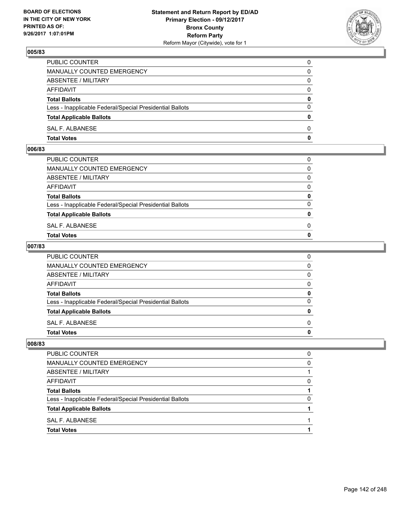

| PUBLIC COUNTER                                           | 0            |
|----------------------------------------------------------|--------------|
| MANUALLY COUNTED EMERGENCY                               | $\Omega$     |
| ABSENTEE / MILITARY                                      | $\mathbf{0}$ |
| AFFIDAVIT                                                | 0            |
| <b>Total Ballots</b>                                     | 0            |
| Less - Inapplicable Federal/Special Presidential Ballots | $\mathbf{0}$ |
| <b>Total Applicable Ballots</b>                          | $\bf{0}$     |
| SAL F. ALBANESE                                          | $\Omega$     |
| <b>Total Votes</b>                                       | $\mathbf{0}$ |

### **006/83**

| <b>Total Votes</b>                                       | $\mathbf{0}$ |
|----------------------------------------------------------|--------------|
| SAL F. ALBANESE                                          | 0            |
| <b>Total Applicable Ballots</b>                          | $\mathbf{0}$ |
| Less - Inapplicable Federal/Special Presidential Ballots | $\Omega$     |
| <b>Total Ballots</b>                                     | 0            |
| AFFIDAVIT                                                | $\Omega$     |
| ABSENTEE / MILITARY                                      | $\Omega$     |
| MANUALLY COUNTED EMERGENCY                               | $\Omega$     |
| PUBLIC COUNTER                                           | 0            |
|                                                          |              |

### **007/83**

| PUBLIC COUNTER                                           | 0            |
|----------------------------------------------------------|--------------|
| MANUALLY COUNTED EMERGENCY                               | $\mathbf{0}$ |
| ABSENTEE / MILITARY                                      | $\mathbf{0}$ |
| AFFIDAVIT                                                | $\mathbf{0}$ |
| <b>Total Ballots</b>                                     | 0            |
| Less - Inapplicable Federal/Special Presidential Ballots | $\mathbf{0}$ |
| <b>Total Applicable Ballots</b>                          | 0            |
| SAL F. ALBANESE                                          | $\Omega$     |
| <b>Total Votes</b>                                       | 0            |
|                                                          |              |

| PUBLIC COUNTER                                           |   |
|----------------------------------------------------------|---|
| MANUALLY COUNTED EMERGENCY                               | O |
| ABSENTEE / MILITARY                                      |   |
| <b>AFFIDAVIT</b>                                         | O |
| <b>Total Ballots</b>                                     |   |
| Less - Inapplicable Federal/Special Presidential Ballots |   |
| <b>Total Applicable Ballots</b>                          |   |
| SAL F. ALBANESE                                          |   |
| <b>Total Votes</b>                                       |   |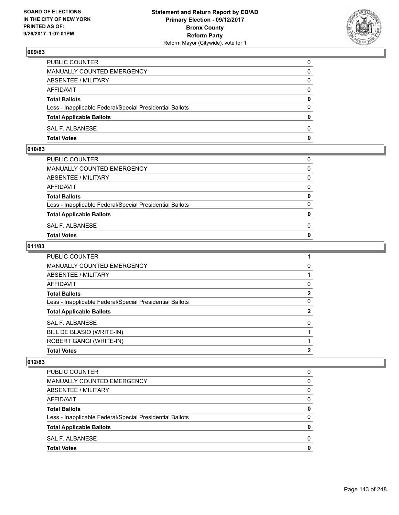

| PUBLIC COUNTER                                           | 0            |
|----------------------------------------------------------|--------------|
| MANUALLY COUNTED EMERGENCY                               | 0            |
| ABSENTEE / MILITARY                                      | 0            |
| AFFIDAVIT                                                | $\mathbf{0}$ |
| <b>Total Ballots</b>                                     | $\mathbf{0}$ |
| Less - Inapplicable Federal/Special Presidential Ballots | $\Omega$     |
| <b>Total Applicable Ballots</b>                          | $\mathbf{0}$ |
| SAL F. ALBANESE                                          | $\Omega$     |
| <b>Total Votes</b>                                       | 0            |

## **010/83**

| PUBLIC COUNTER                                           | 0            |
|----------------------------------------------------------|--------------|
| MANUALLY COUNTED EMERGENCY                               | $\Omega$     |
| ABSENTEE / MILITARY                                      | $\Omega$     |
| AFFIDAVIT                                                | $\Omega$     |
| <b>Total Ballots</b>                                     | 0            |
| Less - Inapplicable Federal/Special Presidential Ballots | $\Omega$     |
| <b>Total Applicable Ballots</b>                          | $\mathbf{0}$ |
| SAL F. ALBANESE                                          | 0            |
| <b>Total Votes</b>                                       | $\Omega$     |
|                                                          |              |

### **011/83**

| <b>PUBLIC COUNTER</b>                                    |              |
|----------------------------------------------------------|--------------|
| <b>MANUALLY COUNTED EMERGENCY</b>                        | 0            |
| ABSENTEE / MILITARY                                      |              |
| AFFIDAVIT                                                | 0            |
| <b>Total Ballots</b>                                     | $\mathbf{2}$ |
| Less - Inapplicable Federal/Special Presidential Ballots | 0            |
| <b>Total Applicable Ballots</b>                          | $\mathbf{2}$ |
| SAL F. ALBANESE                                          | 0            |
| BILL DE BLASIO (WRITE-IN)                                |              |
| ROBERT GANGI (WRITE-IN)                                  |              |
| <b>Total Votes</b>                                       | 2            |

| <b>PUBLIC COUNTER</b>                                    | 0 |
|----------------------------------------------------------|---|
| <b>MANUALLY COUNTED EMERGENCY</b>                        | 0 |
| ABSENTEE / MILITARY                                      | 0 |
| <b>AFFIDAVIT</b>                                         | 0 |
| <b>Total Ballots</b>                                     | 0 |
| Less - Inapplicable Federal/Special Presidential Ballots | 0 |
| <b>Total Applicable Ballots</b>                          | Ω |
| SAL F. ALBANESE                                          | ŋ |
| <b>Total Votes</b>                                       | O |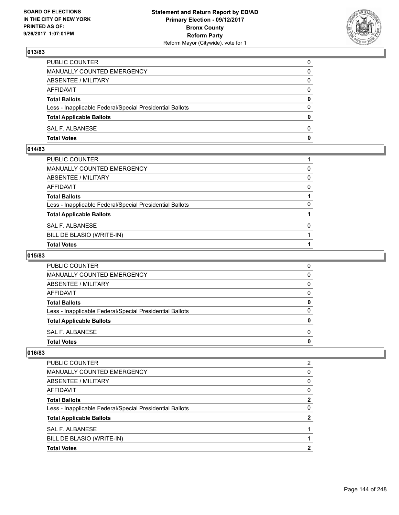

| PUBLIC COUNTER                                           | 0            |
|----------------------------------------------------------|--------------|
| MANUALLY COUNTED EMERGENCY                               | 0            |
| ABSENTEE / MILITARY                                      | 0            |
| AFFIDAVIT                                                | $\Omega$     |
| <b>Total Ballots</b>                                     | 0            |
| Less - Inapplicable Federal/Special Presidential Ballots | $\Omega$     |
| <b>Total Applicable Ballots</b>                          | $\bf{0}$     |
| SAL F. ALBANESE                                          | $\Omega$     |
| <b>Total Votes</b>                                       | $\mathbf{0}$ |

## **014/83**

| PUBLIC COUNTER                                           |          |
|----------------------------------------------------------|----------|
| MANUALLY COUNTED EMERGENCY                               | 0        |
| ABSENTEE / MILITARY                                      | 0        |
| AFFIDAVIT                                                | 0        |
| <b>Total Ballots</b>                                     |          |
| Less - Inapplicable Federal/Special Presidential Ballots | 0        |
| <b>Total Applicable Ballots</b>                          |          |
| SAL F. ALBANESE                                          | $\Omega$ |
| BILL DE BLASIO (WRITE-IN)                                |          |
| <b>Total Votes</b>                                       |          |

## **015/83**

| <b>PUBLIC COUNTER</b>                                    | 0            |
|----------------------------------------------------------|--------------|
| <b>MANUALLY COUNTED EMERGENCY</b>                        | 0            |
| ABSENTEE / MILITARY                                      | <sup>0</sup> |
| AFFIDAVIT                                                | 0            |
| <b>Total Ballots</b>                                     |              |
| Less - Inapplicable Federal/Special Presidential Ballots | O            |
| <b>Total Applicable Ballots</b>                          |              |
| SAL F. ALBANESE                                          | O            |
| <b>Total Votes</b>                                       |              |

| <b>Total Votes</b>                                       | 2            |
|----------------------------------------------------------|--------------|
| BILL DE BLASIO (WRITE-IN)                                |              |
| SAL F. ALBANESE                                          |              |
| <b>Total Applicable Ballots</b>                          | 2            |
| Less - Inapplicable Federal/Special Presidential Ballots | 0            |
| <b>Total Ballots</b>                                     | $\mathbf{2}$ |
| AFFIDAVIT                                                | 0            |
| ABSENTEE / MILITARY                                      | 0            |
| MANUALLY COUNTED EMERGENCY                               | 0            |
| PUBLIC COUNTER                                           | 2            |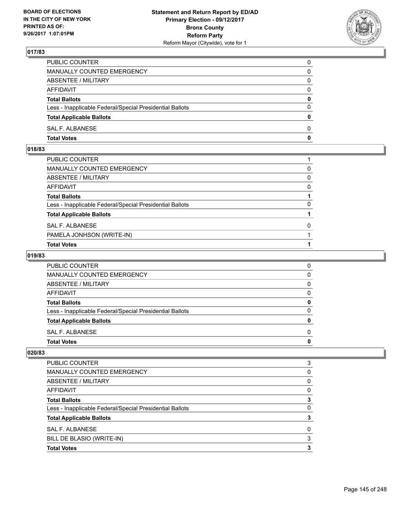

| PUBLIC COUNTER                                           | 0            |
|----------------------------------------------------------|--------------|
| MANUALLY COUNTED EMERGENCY                               | 0            |
| ABSENTEE / MILITARY                                      | 0            |
| AFFIDAVIT                                                | $\Omega$     |
| <b>Total Ballots</b>                                     | 0            |
| Less - Inapplicable Federal/Special Presidential Ballots | $\Omega$     |
| <b>Total Applicable Ballots</b>                          | $\bf{0}$     |
| SAL F. ALBANESE                                          | $\Omega$     |
| <b>Total Votes</b>                                       | $\mathbf{0}$ |

## **018/83**

| PUBLIC COUNTER                                           |          |
|----------------------------------------------------------|----------|
| MANUALLY COUNTED EMERGENCY                               | 0        |
| ABSENTEE / MILITARY                                      | 0        |
| AFFIDAVIT                                                | $\Omega$ |
| Total Ballots                                            |          |
| Less - Inapplicable Federal/Special Presidential Ballots | $\Omega$ |
| <b>Total Applicable Ballots</b>                          |          |
| SAL F. ALBANESE                                          | $\Omega$ |
| PAMELA JONHSON (WRITE-IN)                                |          |
| <b>Total Votes</b>                                       |          |

# **019/83**

| <b>PUBLIC COUNTER</b>                                    | O |
|----------------------------------------------------------|---|
| MANUALLY COUNTED EMERGENCY                               | 0 |
| ABSENTEE / MILITARY                                      | 0 |
| AFFIDAVIT                                                | 0 |
| <b>Total Ballots</b>                                     |   |
| Less - Inapplicable Federal/Special Presidential Ballots | O |
| <b>Total Applicable Ballots</b>                          |   |
| SAL F. ALBANESE                                          | O |
| <b>Total Votes</b>                                       |   |

| <b>Total Votes</b>                                       | 3 |
|----------------------------------------------------------|---|
| BILL DE BLASIO (WRITE-IN)                                | 3 |
| <b>SAL F. ALBANESE</b>                                   | 0 |
| <b>Total Applicable Ballots</b>                          | 3 |
| Less - Inapplicable Federal/Special Presidential Ballots | 0 |
| <b>Total Ballots</b>                                     | 3 |
| AFFIDAVIT                                                | 0 |
| ABSENTEE / MILITARY                                      | 0 |
| <b>MANUALLY COUNTED EMERGENCY</b>                        | 0 |
| <b>PUBLIC COUNTER</b>                                    | 3 |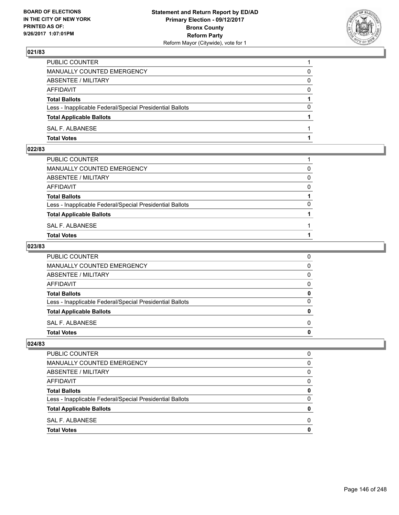

| PUBLIC COUNTER                                           |          |
|----------------------------------------------------------|----------|
| MANUALLY COUNTED EMERGENCY                               | 0        |
| ABSENTEE / MILITARY                                      | 0        |
| AFFIDAVIT                                                | 0        |
| <b>Total Ballots</b>                                     |          |
| Less - Inapplicable Federal/Special Presidential Ballots | $\Omega$ |
| <b>Total Applicable Ballots</b>                          |          |
| SAL F. ALBANESE                                          |          |
| <b>Total Votes</b>                                       |          |

#### **022/83**

| PUBLIC COUNTER                                           |          |
|----------------------------------------------------------|----------|
| MANUALLY COUNTED EMERGENCY                               | $\Omega$ |
| ABSENTEE / MILITARY                                      | $\Omega$ |
| AFFIDAVIT                                                | $\Omega$ |
| <b>Total Ballots</b>                                     |          |
| Less - Inapplicable Federal/Special Presidential Ballots | $\Omega$ |
| <b>Total Applicable Ballots</b>                          |          |
| SAL F. ALBANESE                                          |          |
| <b>Total Votes</b>                                       |          |
|                                                          |          |

## **023/83**

| <b>Total Votes</b>                                       | 0            |
|----------------------------------------------------------|--------------|
| SAL F. ALBANESE                                          | $\Omega$     |
| <b>Total Applicable Ballots</b>                          | $\mathbf{0}$ |
| Less - Inapplicable Federal/Special Presidential Ballots | 0            |
| <b>Total Ballots</b>                                     | 0            |
| AFFIDAVIT                                                | 0            |
| <b>ABSENTEE / MILITARY</b>                               | $\Omega$     |
| <b>MANUALLY COUNTED EMERGENCY</b>                        | 0            |
| PUBLIC COUNTER                                           | 0            |

| <b>PUBLIC COUNTER</b>                                    | 0            |
|----------------------------------------------------------|--------------|
| <b>MANUALLY COUNTED EMERGENCY</b>                        | 0            |
| ABSENTEE / MILITARY                                      | O            |
| AFFIDAVIT                                                | <sup>0</sup> |
| <b>Total Ballots</b>                                     | 0            |
| Less - Inapplicable Federal/Special Presidential Ballots | 0            |
| <b>Total Applicable Ballots</b>                          | 0            |
| SAL F. ALBANESE                                          | O            |
| <b>Total Votes</b>                                       | n            |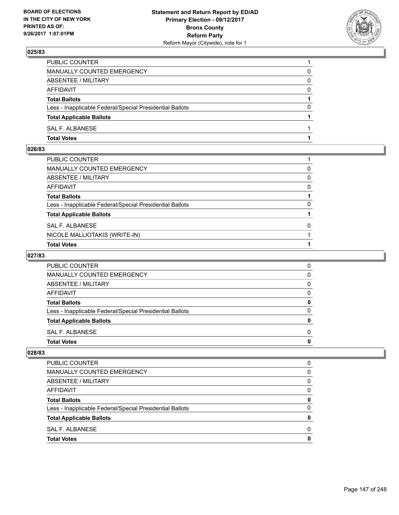

| PUBLIC COUNTER                                           |          |
|----------------------------------------------------------|----------|
| MANUALLY COUNTED EMERGENCY                               | 0        |
| ABSENTEE / MILITARY                                      | 0        |
| AFFIDAVIT                                                | $\Omega$ |
| <b>Total Ballots</b>                                     |          |
| Less - Inapplicable Federal/Special Presidential Ballots | $\Omega$ |
| <b>Total Applicable Ballots</b>                          |          |
| SAL F. ALBANESE                                          |          |
| <b>Total Votes</b>                                       |          |

# **026/83**

| PUBLIC COUNTER                                           |          |
|----------------------------------------------------------|----------|
| MANUALLY COUNTED EMERGENCY                               | 0        |
| ABSENTEE / MILITARY                                      | 0        |
| AFFIDAVIT                                                | $\Omega$ |
| Total Ballots                                            |          |
| Less - Inapplicable Federal/Special Presidential Ballots | $\Omega$ |
| <b>Total Applicable Ballots</b>                          |          |
| SAL F. ALBANESE                                          | $\Omega$ |
| NICOLE MALLIOTAKIS (WRITE-IN)                            |          |
| <b>Total Votes</b>                                       |          |

# **027/83**

| <b>PUBLIC COUNTER</b>                                    |   |
|----------------------------------------------------------|---|
| MANUALLY COUNTED EMERGENCY                               | O |
| ABSENTEE / MILITARY                                      | O |
| AFFIDAVIT                                                |   |
| <b>Total Ballots</b>                                     | o |
| Less - Inapplicable Federal/Special Presidential Ballots | n |
| <b>Total Applicable Ballots</b>                          |   |
| SAL F. ALBANESE                                          |   |
| <b>Total Votes</b>                                       |   |

| <b>Total Votes</b>                                       | 0 |
|----------------------------------------------------------|---|
| SAL F. ALBANESE                                          | 0 |
| <b>Total Applicable Ballots</b>                          | 0 |
| Less - Inapplicable Federal/Special Presidential Ballots | 0 |
| <b>Total Ballots</b>                                     | 0 |
| AFFIDAVIT                                                | 0 |
| ABSENTEE / MILITARY                                      | 0 |
| MANUALLY COUNTED EMERGENCY                               | 0 |
| <b>PUBLIC COUNTER</b>                                    | 0 |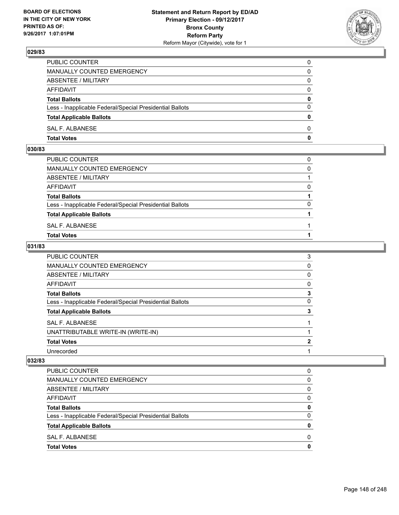

| PUBLIC COUNTER                                           | 0            |
|----------------------------------------------------------|--------------|
| MANUALLY COUNTED EMERGENCY                               | 0            |
| ABSENTEE / MILITARY                                      | $\Omega$     |
| AFFIDAVIT                                                | $\Omega$     |
| <b>Total Ballots</b>                                     | $\mathbf{0}$ |
| Less - Inapplicable Federal/Special Presidential Ballots | $\Omega$     |
| <b>Total Applicable Ballots</b>                          | $\mathbf{0}$ |
| SAL F. ALBANESE                                          | $\Omega$     |
| <b>Total Votes</b>                                       | $\mathbf{0}$ |

## **030/83**

| PUBLIC COUNTER                                           | 0        |
|----------------------------------------------------------|----------|
| MANUALLY COUNTED EMERGENCY                               | $\Omega$ |
| ABSENTEE / MILITARY                                      |          |
| AFFIDAVIT                                                | 0        |
| <b>Total Ballots</b>                                     |          |
| Less - Inapplicable Federal/Special Presidential Ballots | $\Omega$ |
| <b>Total Applicable Ballots</b>                          |          |
| SAL F. ALBANESE                                          |          |
| <b>Total Votes</b>                                       |          |
|                                                          |          |

## **031/83**

| <b>PUBLIC COUNTER</b>                                    | 3 |
|----------------------------------------------------------|---|
| <b>MANUALLY COUNTED EMERGENCY</b>                        | 0 |
| <b>ABSENTEE / MILITARY</b>                               | 0 |
| AFFIDAVIT                                                | 0 |
| <b>Total Ballots</b>                                     | 3 |
| Less - Inapplicable Federal/Special Presidential Ballots | 0 |
| <b>Total Applicable Ballots</b>                          | 3 |
| <b>SAL F. ALBANESE</b>                                   |   |
| UNATTRIBUTABLE WRITE-IN (WRITE-IN)                       |   |
| <b>Total Votes</b>                                       | 2 |
| Unrecorded                                               |   |

| <b>PUBLIC COUNTER</b>                                    | 0        |
|----------------------------------------------------------|----------|
| <b>MANUALLY COUNTED EMERGENCY</b>                        | 0        |
| ABSENTEE / MILITARY                                      | 0        |
| AFFIDAVIT                                                | 0        |
| <b>Total Ballots</b>                                     | 0        |
| Less - Inapplicable Federal/Special Presidential Ballots | $\Omega$ |
| <b>Total Applicable Ballots</b>                          | 0        |
| SAL F. ALBANESE                                          | 0        |
| <b>Total Votes</b>                                       | 0        |
|                                                          |          |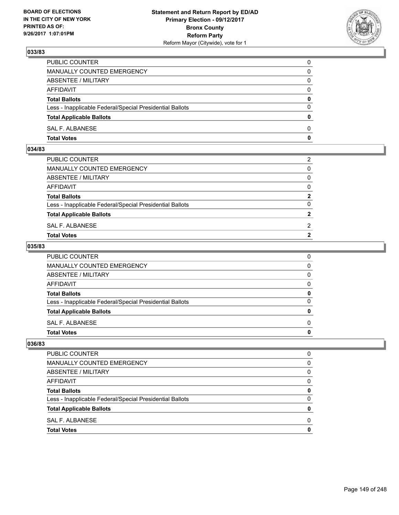

| PUBLIC COUNTER                                           | 0            |
|----------------------------------------------------------|--------------|
| MANUALLY COUNTED EMERGENCY                               | $\mathbf{0}$ |
| ABSENTEE / MILITARY                                      | 0            |
| AFFIDAVIT                                                | 0            |
| <b>Total Ballots</b>                                     | 0            |
| Less - Inapplicable Federal/Special Presidential Ballots | $\mathbf{0}$ |
| <b>Total Applicable Ballots</b>                          | $\mathbf{0}$ |
| SAL F. ALBANESE                                          | $\Omega$     |
| <b>Total Votes</b>                                       | $\mathbf{0}$ |

#### **034/83**

| PUBLIC COUNTER                                           | 2              |
|----------------------------------------------------------|----------------|
| MANUALLY COUNTED EMERGENCY                               | $\mathbf{0}$   |
| ABSENTEE / MILITARY                                      | $\mathbf{0}$   |
| AFFIDAVIT                                                | $\mathbf{0}$   |
| <b>Total Ballots</b>                                     | $\mathbf{2}$   |
| Less - Inapplicable Federal/Special Presidential Ballots | $\Omega$       |
| <b>Total Applicable Ballots</b>                          | $\mathbf{2}$   |
| SAL F. ALBANESE                                          | 2              |
| Total Votes                                              | $\overline{2}$ |
|                                                          |                |

## **035/83**

| PUBLIC COUNTER                                           | 0            |
|----------------------------------------------------------|--------------|
| MANUALLY COUNTED EMERGENCY                               | $\mathbf{0}$ |
| ABSENTEE / MILITARY                                      | $\mathbf{0}$ |
| AFFIDAVIT                                                | $\mathbf{0}$ |
| <b>Total Ballots</b>                                     | 0            |
| Less - Inapplicable Federal/Special Presidential Ballots | $\mathbf{0}$ |
| <b>Total Applicable Ballots</b>                          | $\mathbf{0}$ |
| SAL F. ALBANESE                                          | $\Omega$     |
| <b>Total Votes</b>                                       | 0            |
|                                                          |              |

| <b>PUBLIC COUNTER</b>                                    |   |
|----------------------------------------------------------|---|
| MANUALLY COUNTED EMERGENCY                               | 0 |
| ABSENTEE / MILITARY                                      | 0 |
| <b>AFFIDAVIT</b>                                         | 0 |
| <b>Total Ballots</b>                                     | o |
| Less - Inapplicable Federal/Special Presidential Ballots | 0 |
| <b>Total Applicable Ballots</b>                          |   |
| SAL F. ALBANESE                                          | n |
| <b>Total Votes</b>                                       |   |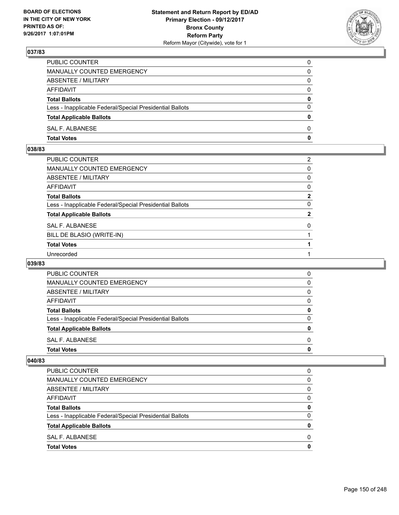

| PUBLIC COUNTER                                           | 0            |
|----------------------------------------------------------|--------------|
| MANUALLY COUNTED EMERGENCY                               | 0            |
| ABSENTEE / MILITARY                                      | 0            |
| AFFIDAVIT                                                | $\Omega$     |
| <b>Total Ballots</b>                                     | $\mathbf{0}$ |
| Less - Inapplicable Federal/Special Presidential Ballots | $\Omega$     |
| <b>Total Applicable Ballots</b>                          | $\mathbf{0}$ |
| SAL F. ALBANESE                                          | 0            |
| <b>Total Votes</b>                                       | 0            |

## **038/83**

| PUBLIC COUNTER                                           | 2            |
|----------------------------------------------------------|--------------|
| MANUALLY COUNTED EMERGENCY                               | 0            |
| ABSENTEE / MILITARY                                      | 0            |
| AFFIDAVIT                                                | 0            |
| <b>Total Ballots</b>                                     | $\mathbf{2}$ |
| Less - Inapplicable Federal/Special Presidential Ballots | 0            |
| <b>Total Applicable Ballots</b>                          | $\mathbf{2}$ |
| SAL F. ALBANESE                                          | 0            |
| BILL DE BLASIO (WRITE-IN)                                |              |
| <b>Total Votes</b>                                       |              |
| Unrecorded                                               |              |

## **039/83**

| <b>Total Votes</b>                                       | 0 |
|----------------------------------------------------------|---|
| SAL F. ALBANESE                                          | 0 |
| <b>Total Applicable Ballots</b>                          | 0 |
| Less - Inapplicable Federal/Special Presidential Ballots | 0 |
| <b>Total Ballots</b>                                     | 0 |
| AFFIDAVIT                                                | 0 |
| ABSENTEE / MILITARY                                      | 0 |
| MANUALLY COUNTED EMERGENCY                               | 0 |
| <b>PUBLIC COUNTER</b>                                    | 0 |

| <b>Total Votes</b>                                       | 0 |
|----------------------------------------------------------|---|
| SAL F. ALBANESE                                          | 0 |
| <b>Total Applicable Ballots</b>                          | 0 |
| Less - Inapplicable Federal/Special Presidential Ballots | 0 |
| <b>Total Ballots</b>                                     | 0 |
| AFFIDAVIT                                                | 0 |
| ABSENTEE / MILITARY                                      | 0 |
| MANUALLY COUNTED EMERGENCY                               | 0 |
| PUBLIC COUNTER                                           | 0 |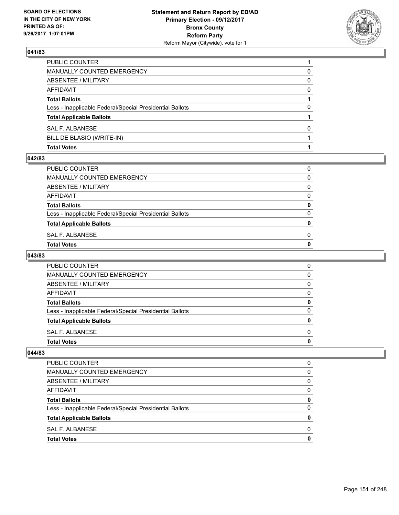

| <b>Total Votes</b>                                       |          |
|----------------------------------------------------------|----------|
| BILL DE BLASIO (WRITE-IN)                                |          |
| SAL F. ALBANESE                                          | 0        |
| <b>Total Applicable Ballots</b>                          |          |
| Less - Inapplicable Federal/Special Presidential Ballots | 0        |
| <b>Total Ballots</b>                                     |          |
| <b>AFFIDAVIT</b>                                         | $\Omega$ |
| <b>ABSENTEE / MILITARY</b>                               | 0        |
| MANUALLY COUNTED EMERGENCY                               | 0        |
| PUBLIC COUNTER                                           |          |

#### **042/83**

| Total Votes                                              | 0 |
|----------------------------------------------------------|---|
| SAL F. ALBANESE                                          | 0 |
| <b>Total Applicable Ballots</b>                          | 0 |
| Less - Inapplicable Federal/Special Presidential Ballots | 0 |
| <b>Total Ballots</b>                                     | 0 |
| AFFIDAVIT                                                | 0 |
| ABSENTEE / MILITARY                                      | 0 |
| MANUALLY COUNTED EMERGENCY                               | 0 |
| PUBLIC COUNTER                                           | 0 |
|                                                          |   |

## **043/83**

| PUBLIC COUNTER                                           | 0 |
|----------------------------------------------------------|---|
| MANUALLY COUNTED EMERGENCY                               | 0 |
| ABSENTEE / MILITARY                                      | 0 |
| AFFIDAVIT                                                | 0 |
| <b>Total Ballots</b>                                     | O |
| Less - Inapplicable Federal/Special Presidential Ballots | O |
| <b>Total Applicable Ballots</b>                          | o |
| SAL F. ALBANESE                                          | 0 |
| <b>Total Votes</b>                                       | o |

| <b>Total Votes</b>                                       | 0        |
|----------------------------------------------------------|----------|
| SAL F. ALBANESE                                          | 0        |
| <b>Total Applicable Ballots</b>                          | 0        |
| Less - Inapplicable Federal/Special Presidential Ballots | $\Omega$ |
| <b>Total Ballots</b>                                     | 0        |
| AFFIDAVIT                                                | 0        |
| ABSENTEE / MILITARY                                      | $\Omega$ |
| MANUALLY COUNTED EMERGENCY                               | 0        |
| <b>PUBLIC COUNTER</b>                                    | 0        |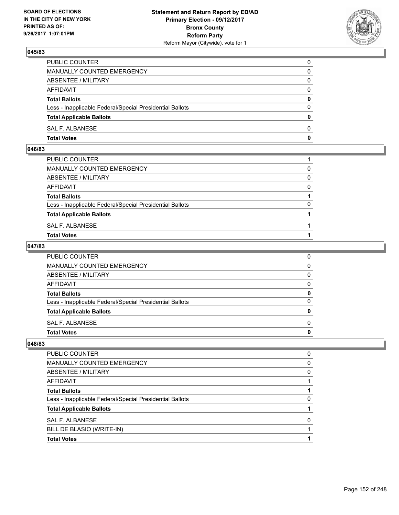

| PUBLIC COUNTER                                           | 0            |
|----------------------------------------------------------|--------------|
| MANUALLY COUNTED EMERGENCY                               | $\mathbf{0}$ |
| ABSENTEE / MILITARY                                      | 0            |
| AFFIDAVIT                                                | 0            |
| <b>Total Ballots</b>                                     | 0            |
| Less - Inapplicable Federal/Special Presidential Ballots | $\mathbf{0}$ |
| <b>Total Applicable Ballots</b>                          | $\mathbf{0}$ |
| SAL F. ALBANESE                                          | $\Omega$     |
| <b>Total Votes</b>                                       | $\mathbf{0}$ |

#### **046/83**

| PUBLIC COUNTER                                           |          |
|----------------------------------------------------------|----------|
| MANUALLY COUNTED EMERGENCY                               | $\Omega$ |
| ABSENTEE / MILITARY                                      | 0        |
| AFFIDAVIT                                                | $\Omega$ |
| <b>Total Ballots</b>                                     |          |
| Less - Inapplicable Federal/Special Presidential Ballots | $\Omega$ |
| <b>Total Applicable Ballots</b>                          |          |
| SAL F. ALBANESE                                          |          |
| Total Votes                                              |          |
|                                                          |          |

## **047/83**

| PUBLIC COUNTER                                           | 0            |
|----------------------------------------------------------|--------------|
| MANUALLY COUNTED EMERGENCY                               | $\mathbf{0}$ |
| ABSENTEE / MILITARY                                      | $\mathbf{0}$ |
| AFFIDAVIT                                                | $\mathbf{0}$ |
| <b>Total Ballots</b>                                     | 0            |
| Less - Inapplicable Federal/Special Presidential Ballots | $\mathbf{0}$ |
| <b>Total Applicable Ballots</b>                          | $\mathbf{0}$ |
| SAL F. ALBANESE                                          | $\Omega$     |
| <b>Total Votes</b>                                       | 0            |
|                                                          |              |

| <b>Total Votes</b>                                       |   |
|----------------------------------------------------------|---|
| BILL DE BLASIO (WRITE-IN)                                |   |
| <b>SAL F. ALBANESE</b>                                   | O |
| <b>Total Applicable Ballots</b>                          |   |
| Less - Inapplicable Federal/Special Presidential Ballots | O |
| <b>Total Ballots</b>                                     |   |
| AFFIDAVIT                                                |   |
| ABSENTEE / MILITARY                                      | 0 |
| MANUALLY COUNTED EMERGENCY                               | 0 |
| PUBLIC COUNTER                                           | 0 |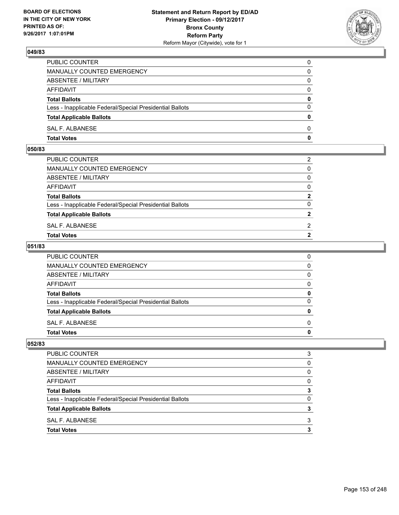

| PUBLIC COUNTER                                           | 0            |
|----------------------------------------------------------|--------------|
| MANUALLY COUNTED EMERGENCY                               | $\mathbf{0}$ |
| ABSENTEE / MILITARY                                      | 0            |
| AFFIDAVIT                                                | 0            |
| <b>Total Ballots</b>                                     | 0            |
| Less - Inapplicable Federal/Special Presidential Ballots | $\mathbf{0}$ |
| <b>Total Applicable Ballots</b>                          | $\mathbf{0}$ |
| SAL F. ALBANESE                                          | $\Omega$     |
| <b>Total Votes</b>                                       | $\mathbf{0}$ |

#### **050/83**

| PUBLIC COUNTER                                           | 2              |
|----------------------------------------------------------|----------------|
| MANUALLY COUNTED EMERGENCY                               | $\mathbf{0}$   |
| ABSENTEE / MILITARY                                      | $\mathbf{0}$   |
| AFFIDAVIT                                                | $\mathbf{0}$   |
| <b>Total Ballots</b>                                     | $\mathbf{2}$   |
| Less - Inapplicable Federal/Special Presidential Ballots | $\Omega$       |
| <b>Total Applicable Ballots</b>                          | $\mathbf{2}$   |
| SAL F. ALBANESE                                          | 2              |
| Total Votes                                              | $\overline{2}$ |
|                                                          |                |

## **051/83**

| PUBLIC COUNTER                                           | 0            |
|----------------------------------------------------------|--------------|
| MANUALLY COUNTED EMERGENCY                               | $\mathbf{0}$ |
| ABSENTEE / MILITARY                                      | $\mathbf{0}$ |
| AFFIDAVIT                                                | $\Omega$     |
| <b>Total Ballots</b>                                     | 0            |
| Less - Inapplicable Federal/Special Presidential Ballots | $\mathbf{0}$ |
| <b>Total Applicable Ballots</b>                          | 0            |
| SAL F. ALBANESE                                          | $\Omega$     |
| Total Votes                                              | $\mathbf{0}$ |
|                                                          |              |

| PUBLIC COUNTER                                           |              |
|----------------------------------------------------------|--------------|
| MANUALLY COUNTED EMERGENCY                               | <sup>0</sup> |
| ABSENTEE / MILITARY                                      | 0            |
| <b>AFFIDAVIT</b>                                         | <sup>0</sup> |
| <b>Total Ballots</b>                                     |              |
| Less - Inapplicable Federal/Special Presidential Ballots | O            |
| <b>Total Applicable Ballots</b>                          |              |
| SAL F. ALBANESE                                          | 3            |
| <b>Total Votes</b>                                       |              |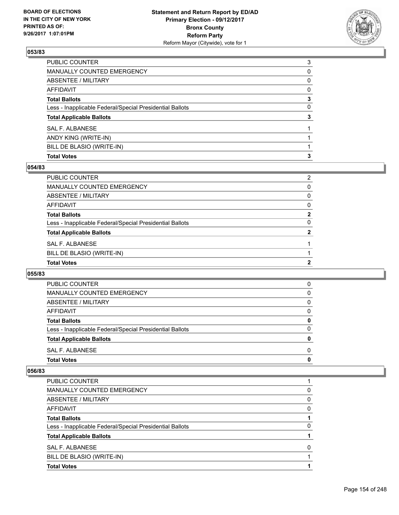

| PUBLIC COUNTER                                           | 3 |
|----------------------------------------------------------|---|
| <b>MANUALLY COUNTED EMERGENCY</b>                        | 0 |
| <b>ABSENTEE / MILITARY</b>                               | 0 |
| <b>AFFIDAVIT</b>                                         | 0 |
| <b>Total Ballots</b>                                     | 3 |
| Less - Inapplicable Federal/Special Presidential Ballots | 0 |
| <b>Total Applicable Ballots</b>                          | 3 |
| <b>SAL F. ALBANESE</b>                                   |   |
| ANDY KING (WRITE-IN)                                     |   |
| BILL DE BLASIO (WRITE-IN)                                |   |
| <b>Total Votes</b>                                       | 3 |

## **054/83**

| PUBLIC COUNTER                                           | 2            |
|----------------------------------------------------------|--------------|
| MANUALLY COUNTED EMERGENCY                               | 0            |
| <b>ABSENTEE / MILITARY</b>                               | 0            |
| AFFIDAVIT                                                | 0            |
| <b>Total Ballots</b>                                     | 2            |
| Less - Inapplicable Federal/Special Presidential Ballots | 0            |
| <b>Total Applicable Ballots</b>                          | $\mathbf{2}$ |
| <b>SAL F. ALBANESE</b>                                   |              |
| BILL DE BLASIO (WRITE-IN)                                |              |
| <b>Total Votes</b>                                       | 2            |
|                                                          |              |

#### **055/83**

| <b>Total Votes</b>                                       | 0        |
|----------------------------------------------------------|----------|
| SAL F. ALBANESE                                          | 0        |
| <b>Total Applicable Ballots</b>                          | 0        |
| Less - Inapplicable Federal/Special Presidential Ballots | $\Omega$ |
| <b>Total Ballots</b>                                     | 0        |
| AFFIDAVIT                                                | 0        |
| ABSENTEE / MILITARY                                      | 0        |
| MANUALLY COUNTED EMERGENCY                               | 0        |
| <b>PUBLIC COUNTER</b>                                    | 0        |

| <b>PUBLIC COUNTER</b>                                    |              |
|----------------------------------------------------------|--------------|
| <b>MANUALLY COUNTED EMERGENCY</b>                        | 0            |
| ABSENTEE / MILITARY                                      | 0            |
| AFFIDAVIT                                                | 0            |
| <b>Total Ballots</b>                                     |              |
| Less - Inapplicable Federal/Special Presidential Ballots | 0            |
| <b>Total Applicable Ballots</b>                          |              |
| SAL F. ALBANESE                                          | <sup>0</sup> |
| BILL DE BLASIO (WRITE-IN)                                |              |
| <b>Total Votes</b>                                       |              |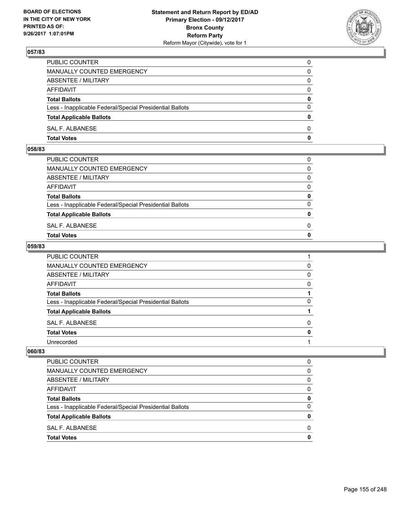

| <b>Total Votes</b>                                       | $\mathbf{0}$ |
|----------------------------------------------------------|--------------|
| SAL F. ALBANESE                                          | 0            |
| <b>Total Applicable Ballots</b>                          | $\mathbf{0}$ |
| Less - Inapplicable Federal/Special Presidential Ballots | $\Omega$     |
| <b>Total Ballots</b>                                     | 0            |
| AFFIDAVIT                                                | $\Omega$     |
| ABSENTEE / MILITARY                                      | 0            |
| <b>MANUALLY COUNTED EMERGENCY</b>                        | 0            |
| PUBLIC COUNTER                                           | 0            |

#### **058/83**

| MANUALLY COUNTED EMERGENCY                               |              |
|----------------------------------------------------------|--------------|
| ABSENTEE / MILITARY                                      | $\Omega$     |
| AFFIDAVIT                                                | $\mathbf{0}$ |
| <b>Total Ballots</b>                                     | $\mathbf{0}$ |
| Less - Inapplicable Federal/Special Presidential Ballots | $\Omega$     |
| <b>Total Applicable Ballots</b>                          | $\mathbf{0}$ |
| SAL F. ALBANESE                                          | 0            |
| <b>Total Votes</b>                                       | $\mathbf{0}$ |
|                                                          |              |

## **059/83**

| PUBLIC COUNTER                                           |   |
|----------------------------------------------------------|---|
| MANUALLY COUNTED EMERGENCY                               | 0 |
| ABSENTEE / MILITARY                                      | 0 |
| <b>AFFIDAVIT</b>                                         | 0 |
| <b>Total Ballots</b>                                     |   |
| Less - Inapplicable Federal/Special Presidential Ballots | 0 |
| <b>Total Applicable Ballots</b>                          |   |
| SAL F. ALBANESE                                          | 0 |
| <b>Total Votes</b>                                       | 0 |
| Unrecorded                                               |   |

| PUBLIC COUNTER                                           | 0 |
|----------------------------------------------------------|---|
| MANUALLY COUNTED EMERGENCY                               | 0 |
| ABSENTEE / MILITARY                                      | 0 |
| AFFIDAVIT                                                | O |
| <b>Total Ballots</b>                                     | 0 |
| Less - Inapplicable Federal/Special Presidential Ballots | 0 |
| <b>Total Applicable Ballots</b>                          | 0 |
| SAL F. ALBANESE                                          | O |
| <b>Total Votes</b>                                       |   |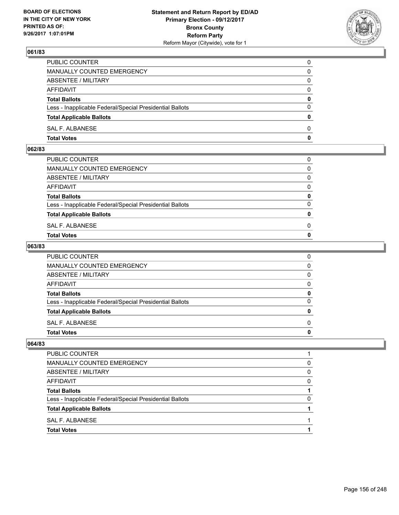

| PUBLIC COUNTER                                           | 0            |
|----------------------------------------------------------|--------------|
| <b>MANUALLY COUNTED EMERGENCY</b>                        | 0            |
| ABSENTEE / MILITARY                                      | 0            |
| AFFIDAVIT                                                | $\Omega$     |
| <b>Total Ballots</b>                                     | $\mathbf{0}$ |
| Less - Inapplicable Federal/Special Presidential Ballots | $\Omega$     |
| <b>Total Applicable Ballots</b>                          | $\Omega$     |
| SAL F. ALBANESE                                          | $\Omega$     |
| <b>Total Votes</b>                                       | 0            |

#### **062/83**

| <b>Total Votes</b>                                       | $\mathbf{0}$ |
|----------------------------------------------------------|--------------|
| SAL F. ALBANESE                                          | 0            |
| <b>Total Applicable Ballots</b>                          | $\mathbf{0}$ |
| Less - Inapplicable Federal/Special Presidential Ballots | $\Omega$     |
| <b>Total Ballots</b>                                     | 0            |
| AFFIDAVIT                                                | $\Omega$     |
| ABSENTEE / MILITARY                                      | $\Omega$     |
| MANUALLY COUNTED EMERGENCY                               | $\Omega$     |
| PUBLIC COUNTER                                           | 0            |
|                                                          |              |

## **063/83**

| PUBLIC COUNTER                                           | 0            |
|----------------------------------------------------------|--------------|
| MANUALLY COUNTED EMERGENCY                               | $\mathbf{0}$ |
| ABSENTEE / MILITARY                                      | $\mathbf{0}$ |
| AFFIDAVIT                                                | $\mathbf{0}$ |
| <b>Total Ballots</b>                                     | 0            |
| Less - Inapplicable Federal/Special Presidential Ballots | $\mathbf{0}$ |
| <b>Total Applicable Ballots</b>                          | 0            |
| SAL F. ALBANESE                                          | $\Omega$     |
| <b>Total Votes</b>                                       | 0            |
|                                                          |              |

| PUBLIC COUNTER                                           |   |
|----------------------------------------------------------|---|
| <b>MANUALLY COUNTED EMERGENCY</b>                        | 0 |
| ABSENTEE / MILITARY                                      | 0 |
| <b>AFFIDAVIT</b>                                         | 0 |
| <b>Total Ballots</b>                                     |   |
| Less - Inapplicable Federal/Special Presidential Ballots | 0 |
| <b>Total Applicable Ballots</b>                          |   |
| SAL F. ALBANESE                                          |   |
| <b>Total Votes</b>                                       |   |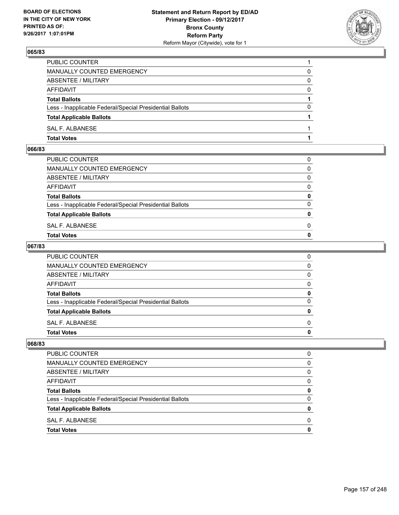

| PUBLIC COUNTER                                           |          |
|----------------------------------------------------------|----------|
| <b>MANUALLY COUNTED EMERGENCY</b>                        | 0        |
| ABSENTEE / MILITARY                                      | 0        |
| AFFIDAVIT                                                | $\Omega$ |
| <b>Total Ballots</b>                                     |          |
| Less - Inapplicable Federal/Special Presidential Ballots | 0        |
| <b>Total Applicable Ballots</b>                          |          |
| SAL F. ALBANESE                                          |          |
| <b>Total Votes</b>                                       |          |

#### **066/83**

| PUBLIC COUNTER                                           | 0            |
|----------------------------------------------------------|--------------|
| MANUALLY COUNTED EMERGENCY                               | $\mathbf{0}$ |
| ABSENTEE / MILITARY                                      | $\Omega$     |
| AFFIDAVIT                                                | $\Omega$     |
| <b>Total Ballots</b>                                     | 0            |
| Less - Inapplicable Federal/Special Presidential Ballots | $\Omega$     |
| <b>Total Applicable Ballots</b>                          | $\mathbf{0}$ |
| SAL F. ALBANESE                                          | 0            |
| Total Votes                                              | $\Omega$     |
|                                                          |              |

## **067/83**

| PUBLIC COUNTER                                           | 0            |
|----------------------------------------------------------|--------------|
| MANUALLY COUNTED EMERGENCY                               | $\mathbf{0}$ |
| ABSENTEE / MILITARY                                      | $\mathbf{0}$ |
| AFFIDAVIT                                                | $\mathbf{0}$ |
| <b>Total Ballots</b>                                     | 0            |
| Less - Inapplicable Federal/Special Presidential Ballots | $\mathbf{0}$ |
| <b>Total Applicable Ballots</b>                          | $\mathbf{0}$ |
| SAL F. ALBANESE                                          | $\Omega$     |
| <b>Total Votes</b>                                       | 0            |
|                                                          |              |

| <b>PUBLIC COUNTER</b>                                    | O |
|----------------------------------------------------------|---|
| MANUALLY COUNTED EMERGENCY                               | 0 |
| ABSENTEE / MILITARY                                      | 0 |
| <b>AFFIDAVIT</b>                                         | 0 |
| <b>Total Ballots</b>                                     | 0 |
| Less - Inapplicable Federal/Special Presidential Ballots | 0 |
| <b>Total Applicable Ballots</b>                          | o |
| SAL F. ALBANESE                                          | O |
| <b>Total Votes</b>                                       |   |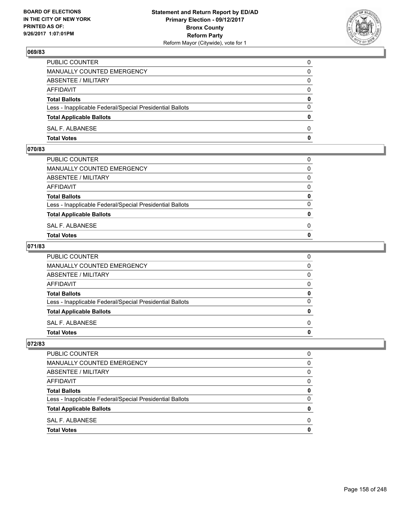

| <b>Total Votes</b>                                       | 0            |
|----------------------------------------------------------|--------------|
| SAL F. ALBANESE                                          | $\Omega$     |
| <b>Total Applicable Ballots</b>                          | $\mathbf{0}$ |
| Less - Inapplicable Federal/Special Presidential Ballots | $\Omega$     |
| <b>Total Ballots</b>                                     | 0            |
| <b>AFFIDAVIT</b>                                         | $\Omega$     |
| ABSENTEE / MILITARY                                      | $\Omega$     |
| MANUALLY COUNTED EMERGENCY                               | 0            |
| PUBLIC COUNTER                                           | 0            |

#### **070/83**

| <b>Total Votes</b>                                       | $\mathbf{0}$ |
|----------------------------------------------------------|--------------|
| SAL F. ALBANESE                                          | 0            |
| <b>Total Applicable Ballots</b>                          | $\mathbf{0}$ |
| Less - Inapplicable Federal/Special Presidential Ballots | $\Omega$     |
| <b>Total Ballots</b>                                     | 0            |
| AFFIDAVIT                                                | $\Omega$     |
| ABSENTEE / MILITARY                                      | $\Omega$     |
| MANUALLY COUNTED EMERGENCY                               | $\Omega$     |
| PUBLIC COUNTER                                           | 0            |
|                                                          |              |

## **071/83**

| <b>Total Votes</b>                                       | 0            |
|----------------------------------------------------------|--------------|
| <b>SAL F. ALBANESE</b>                                   | $\Omega$     |
| <b>Total Applicable Ballots</b>                          | 0            |
| Less - Inapplicable Federal/Special Presidential Ballots | $\Omega$     |
| <b>Total Ballots</b>                                     | 0            |
| <b>AFFIDAVIT</b>                                         | 0            |
| <b>ABSENTEE / MILITARY</b>                               | $\mathbf{0}$ |
| MANUALLY COUNTED EMERGENCY                               | $\mathbf{0}$ |
| PUBLIC COUNTER                                           | 0            |

| <b>PUBLIC COUNTER</b>                                    | n            |
|----------------------------------------------------------|--------------|
| MANUALLY COUNTED EMERGENCY                               | 0            |
| ABSENTEE / MILITARY                                      | 0            |
| <b>AFFIDAVIT</b>                                         | <sup>0</sup> |
| <b>Total Ballots</b>                                     |              |
| Less - Inapplicable Federal/Special Presidential Ballots |              |
| <b>Total Applicable Ballots</b>                          |              |
| SAL F. ALBANESE                                          | n            |
| <b>Total Votes</b>                                       |              |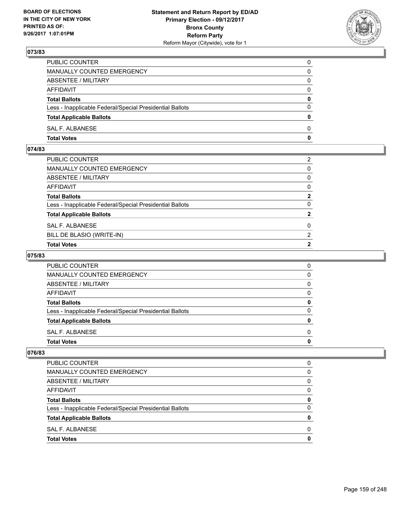

| PUBLIC COUNTER                                           | $\Omega$     |
|----------------------------------------------------------|--------------|
| <b>MANUALLY COUNTED EMERGENCY</b>                        | 0            |
| ABSENTEE / MILITARY                                      | 0            |
| AFFIDAVIT                                                | $\Omega$     |
| <b>Total Ballots</b>                                     | $\mathbf{0}$ |
| Less - Inapplicable Federal/Special Presidential Ballots | $\Omega$     |
| <b>Total Applicable Ballots</b>                          | $\mathbf{0}$ |
| SAL F. ALBANESE                                          | 0            |
| <b>Total Votes</b>                                       | 0            |

## **074/83**

| PUBLIC COUNTER                                           | 2              |
|----------------------------------------------------------|----------------|
| MANUALLY COUNTED EMERGENCY                               | $\mathbf{0}$   |
| ABSENTEE / MILITARY                                      | $\mathbf{0}$   |
| AFFIDAVIT                                                | $\mathbf{0}$   |
| Total Ballots                                            | $\mathbf{2}$   |
| Less - Inapplicable Federal/Special Presidential Ballots | $\Omega$       |
| <b>Total Applicable Ballots</b>                          | $\overline{2}$ |
| SAL F. ALBANESE                                          | 0              |
| BILL DE BLASIO (WRITE-IN)                                | 2              |
| <b>Total Votes</b>                                       | $\mathbf{2}$   |

# **075/83**

| <b>PUBLIC COUNTER</b>                                    | O |
|----------------------------------------------------------|---|
| MANUALLY COUNTED EMERGENCY                               | 0 |
| ABSENTEE / MILITARY                                      | 0 |
| AFFIDAVIT                                                | 0 |
| <b>Total Ballots</b>                                     |   |
| Less - Inapplicable Federal/Special Presidential Ballots | O |
| <b>Total Applicable Ballots</b>                          |   |
| SAL F. ALBANESE                                          | O |
| <b>Total Votes</b>                                       |   |

| <b>Total Votes</b>                                       | 0        |
|----------------------------------------------------------|----------|
| SAL F. ALBANESE                                          | 0        |
| <b>Total Applicable Ballots</b>                          | 0        |
| Less - Inapplicable Federal/Special Presidential Ballots | 0        |
| <b>Total Ballots</b>                                     | 0        |
| AFFIDAVIT                                                | $\Omega$ |
| ABSENTEE / MILITARY                                      | 0        |
| MANUALLY COUNTED EMERGENCY                               | 0        |
| <b>PUBLIC COUNTER</b>                                    | 0        |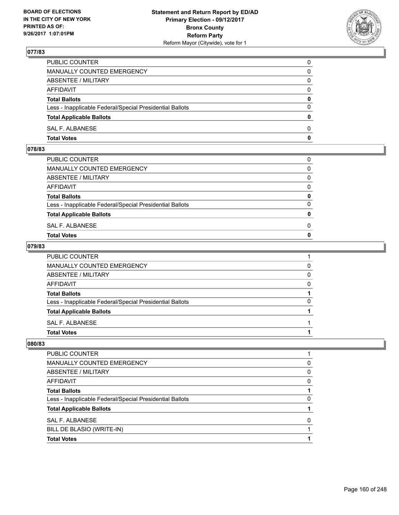

| PUBLIC COUNTER                                           | 0            |
|----------------------------------------------------------|--------------|
| MANUALLY COUNTED EMERGENCY                               | $\Omega$     |
| ABSENTEE / MILITARY                                      | $\mathbf{0}$ |
| AFFIDAVIT                                                | 0            |
| <b>Total Ballots</b>                                     | $\mathbf{0}$ |
| Less - Inapplicable Federal/Special Presidential Ballots | $\Omega$     |
| <b>Total Applicable Ballots</b>                          | $\mathbf{0}$ |
| SAL F. ALBANESE                                          | $\Omega$     |
| <b>Total Votes</b>                                       | $\mathbf{0}$ |

## **078/83**

| <b>Total Votes</b>                                       | $\mathbf{0}$ |
|----------------------------------------------------------|--------------|
| SAL F. ALBANESE                                          | 0            |
| <b>Total Applicable Ballots</b>                          | $\mathbf{0}$ |
| Less - Inapplicable Federal/Special Presidential Ballots | $\Omega$     |
| <b>Total Ballots</b>                                     | 0            |
| AFFIDAVIT                                                | $\Omega$     |
| ABSENTEE / MILITARY                                      | $\Omega$     |
| MANUALLY COUNTED EMERGENCY                               | $\Omega$     |
| PUBLIC COUNTER                                           | 0            |
|                                                          |              |

## **079/83**

| <b>Total Votes</b>                                       |          |
|----------------------------------------------------------|----------|
| <b>SAL F. ALBANESE</b>                                   |          |
| <b>Total Applicable Ballots</b>                          |          |
| Less - Inapplicable Federal/Special Presidential Ballots | 0        |
| <b>Total Ballots</b>                                     |          |
| AFFIDAVIT                                                | $\Omega$ |
| ABSENTEE / MILITARY                                      | 0        |
| <b>MANUALLY COUNTED EMERGENCY</b>                        | 0        |
| PUBLIC COUNTER                                           |          |

| <b>Total Votes</b>                                       |   |
|----------------------------------------------------------|---|
| BILL DE BLASIO (WRITE-IN)                                |   |
| <b>SAL F. ALBANESE</b>                                   | 0 |
| <b>Total Applicable Ballots</b>                          |   |
| Less - Inapplicable Federal/Special Presidential Ballots | 0 |
| <b>Total Ballots</b>                                     |   |
| AFFIDAVIT                                                | 0 |
| ABSENTEE / MILITARY                                      | 0 |
| MANUALLY COUNTED EMERGENCY                               | 0 |
| PUBLIC COUNTER                                           |   |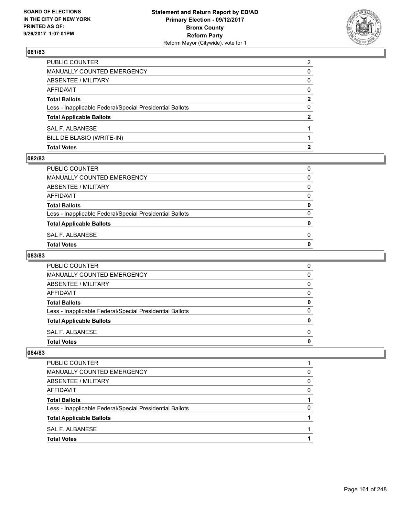

| <b>Total Votes</b>                                       |                |
|----------------------------------------------------------|----------------|
| BILL DE BLASIO (WRITE-IN)                                |                |
| SAL F. ALBANESE                                          |                |
| <b>Total Applicable Ballots</b>                          | 2              |
| Less - Inapplicable Federal/Special Presidential Ballots | 0              |
| <b>Total Ballots</b>                                     | 2              |
| <b>AFFIDAVIT</b>                                         | $\Omega$       |
| <b>ABSENTEE / MILITARY</b>                               | 0              |
| <b>MANUALLY COUNTED EMERGENCY</b>                        | 0              |
| PUBLIC COUNTER                                           | $\overline{2}$ |

#### **082/83**

| SAL F. ALBANESE<br>Total Votes                           | 0 |
|----------------------------------------------------------|---|
| <b>Total Applicable Ballots</b>                          | o |
| Less - Inapplicable Federal/Special Presidential Ballots | 0 |
| <b>Total Ballots</b>                                     | 0 |
| AFFIDAVIT                                                | 0 |
| ABSENTEE / MILITARY                                      | 0 |
| MANUALLY COUNTED EMERGENCY                               | 0 |
| PUBLIC COUNTER                                           | 0 |

# **083/83**

| PUBLIC COUNTER                                           | 0 |
|----------------------------------------------------------|---|
| <b>MANUALLY COUNTED EMERGENCY</b>                        | 0 |
| ABSENTEE / MILITARY                                      | 0 |
| AFFIDAVIT                                                | 0 |
| <b>Total Ballots</b>                                     | O |
| Less - Inapplicable Federal/Special Presidential Ballots | O |
| <b>Total Applicable Ballots</b>                          | n |
| SAL F. ALBANESE                                          | 0 |
| <b>Total Votes</b>                                       |   |

| <b>Total Applicable Ballots</b><br>SAL F. ALBANESE       |   |
|----------------------------------------------------------|---|
|                                                          |   |
| Less - Inapplicable Federal/Special Presidential Ballots | 0 |
| <b>Total Ballots</b>                                     |   |
| AFFIDAVIT                                                | 0 |
| ABSENTEE / MILITARY                                      | 0 |
| MANUALLY COUNTED EMERGENCY                               | 0 |
| <b>PUBLIC COUNTER</b>                                    |   |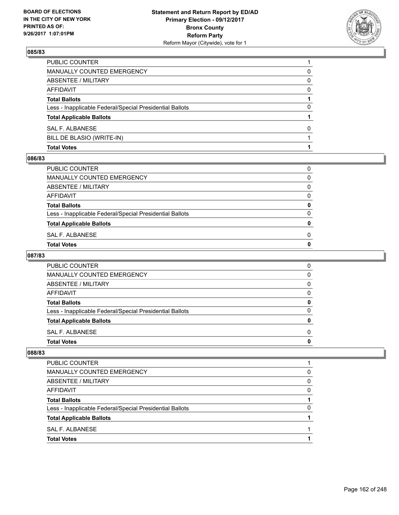

| <b>Total Votes</b>                                       |          |
|----------------------------------------------------------|----------|
| BILL DE BLASIO (WRITE-IN)                                |          |
| SAL F. ALBANESE                                          | 0        |
| <b>Total Applicable Ballots</b>                          |          |
| Less - Inapplicable Federal/Special Presidential Ballots | 0        |
| <b>Total Ballots</b>                                     |          |
| <b>AFFIDAVIT</b>                                         | $\Omega$ |
| ABSENTEE / MILITARY                                      | 0        |
| <b>MANUALLY COUNTED EMERGENCY</b>                        | 0        |
| PUBLIC COUNTER                                           |          |

#### **086/83**

| Total Votes                                              | 0 |
|----------------------------------------------------------|---|
| SAL F. ALBANESE                                          | 0 |
| <b>Total Applicable Ballots</b>                          | 0 |
| Less - Inapplicable Federal/Special Presidential Ballots | 0 |
| <b>Total Ballots</b>                                     | 0 |
| AFFIDAVIT                                                | 0 |
| ABSENTEE / MILITARY                                      | 0 |
| MANUALLY COUNTED EMERGENCY                               | 0 |
| PUBLIC COUNTER                                           | 0 |
|                                                          |   |

# **087/83**

| <b>PUBLIC COUNTER</b>                                    | 0 |
|----------------------------------------------------------|---|
| <b>MANUALLY COUNTED EMERGENCY</b>                        | 0 |
| ABSENTEE / MILITARY                                      | 0 |
| AFFIDAVIT                                                | 0 |
| <b>Total Ballots</b>                                     | 0 |
| Less - Inapplicable Federal/Special Presidential Ballots | 0 |
| <b>Total Applicable Ballots</b>                          | o |
| SAL F. ALBANESE                                          | 0 |
| <b>Total Votes</b>                                       |   |

| <b>Total Votes</b>                                       |          |
|----------------------------------------------------------|----------|
| SAL F. ALBANESE                                          |          |
| <b>Total Applicable Ballots</b>                          |          |
| Less - Inapplicable Federal/Special Presidential Ballots | 0        |
| <b>Total Ballots</b>                                     |          |
| AFFIDAVIT                                                | $\Omega$ |
| ABSENTEE / MILITARY                                      | 0        |
| MANUALLY COUNTED EMERGENCY                               | 0        |
| PUBLIC COUNTER                                           |          |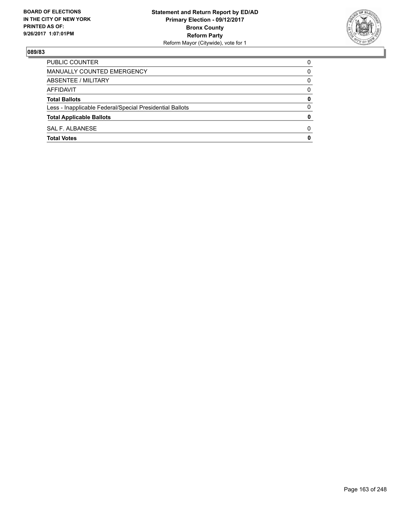

| PUBLIC COUNTER                                           | 0 |
|----------------------------------------------------------|---|
| MANUALLY COUNTED EMERGENCY                               | 0 |
| ABSENTEE / MILITARY                                      | 0 |
| AFFIDAVIT                                                | 0 |
| <b>Total Ballots</b>                                     | 0 |
| Less - Inapplicable Federal/Special Presidential Ballots | 0 |
| <b>Total Applicable Ballots</b>                          | 0 |
| SAL F. ALBANESE                                          | 0 |
| <b>Total Votes</b>                                       | 0 |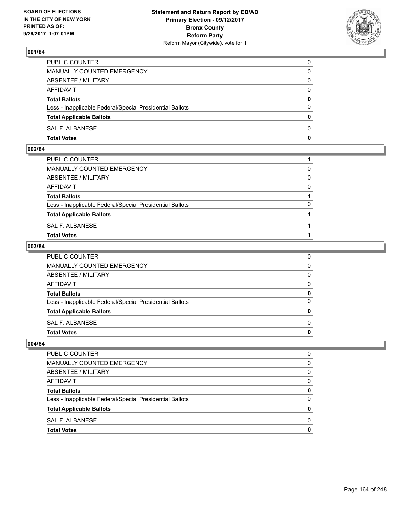

| PUBLIC COUNTER                                           | 0            |
|----------------------------------------------------------|--------------|
| <b>MANUALLY COUNTED EMERGENCY</b>                        | 0            |
| ABSENTEE / MILITARY                                      | 0            |
| AFFIDAVIT                                                | $\Omega$     |
| <b>Total Ballots</b>                                     | $\mathbf{0}$ |
| Less - Inapplicable Federal/Special Presidential Ballots | $\Omega$     |
| <b>Total Applicable Ballots</b>                          | $\Omega$     |
| SAL F. ALBANESE                                          | $\Omega$     |
| <b>Total Votes</b>                                       | 0            |

#### **002/84**

| PUBLIC COUNTER                                           |          |
|----------------------------------------------------------|----------|
| MANUALLY COUNTED EMERGENCY                               | $\Omega$ |
| ABSENTEE / MILITARY                                      | $\Omega$ |
| AFFIDAVIT                                                | $\Omega$ |
| <b>Total Ballots</b>                                     |          |
| Less - Inapplicable Federal/Special Presidential Ballots | $\Omega$ |
| <b>Total Applicable Ballots</b>                          |          |
| SAL F. ALBANESE                                          |          |
| <b>Total Votes</b>                                       |          |
|                                                          |          |

## **003/84**

| PUBLIC COUNTER                                           | 0            |
|----------------------------------------------------------|--------------|
| MANUALLY COUNTED EMERGENCY                               | $\mathbf{0}$ |
| ABSENTEE / MILITARY                                      | $\mathbf{0}$ |
| AFFIDAVIT                                                | $\mathbf{0}$ |
| <b>Total Ballots</b>                                     | 0            |
| Less - Inapplicable Federal/Special Presidential Ballots | $\mathbf{0}$ |
| <b>Total Applicable Ballots</b>                          | $\mathbf{0}$ |
| SAL F. ALBANESE                                          | $\Omega$     |
| <b>Total Votes</b>                                       | 0            |
|                                                          |              |

| <b>PUBLIC COUNTER</b>                                    | O |
|----------------------------------------------------------|---|
| <b>MANUALLY COUNTED EMERGENCY</b>                        | 0 |
| ABSENTEE / MILITARY                                      | 0 |
| <b>AFFIDAVIT</b>                                         | 0 |
| <b>Total Ballots</b>                                     | 0 |
| Less - Inapplicable Federal/Special Presidential Ballots | 0 |
| <b>Total Applicable Ballots</b>                          | 0 |
| SAL F. ALBANESE                                          | 0 |
| <b>Total Votes</b>                                       | O |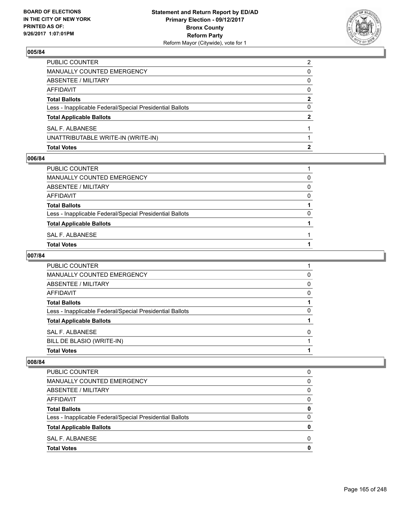

| <b>Total Votes</b>                                       |                |
|----------------------------------------------------------|----------------|
| UNATTRIBUTABLE WRITE-IN (WRITE-IN)                       |                |
| SAL F. ALBANESE                                          |                |
| <b>Total Applicable Ballots</b>                          | $\overline{2}$ |
| Less - Inapplicable Federal/Special Presidential Ballots | 0              |
| <b>Total Ballots</b>                                     | 2              |
| AFFIDAVIT                                                | $\Omega$       |
| <b>ABSENTEE / MILITARY</b>                               | 0              |
| <b>MANUALLY COUNTED EMERGENCY</b>                        | 0              |
| PUBLIC COUNTER                                           | 2              |

#### **006/84**

| PUBLIC COUNTER                                           |   |
|----------------------------------------------------------|---|
| MANUALLY COUNTED EMERGENCY                               | 0 |
| ABSENTEE / MILITARY                                      | 0 |
| AFFIDAVIT                                                | 0 |
| <b>Total Ballots</b>                                     |   |
| Less - Inapplicable Federal/Special Presidential Ballots | 0 |
| <b>Total Applicable Ballots</b>                          |   |
| SAL F. ALBANESE                                          |   |
| Total Votes                                              |   |
|                                                          |   |

# **007/84**

| <b>PUBLIC COUNTER</b>                                    |   |
|----------------------------------------------------------|---|
| MANUALLY COUNTED EMERGENCY                               | 0 |
| ABSENTEE / MILITARY                                      | 0 |
| AFFIDAVIT                                                | 0 |
| <b>Total Ballots</b>                                     |   |
| Less - Inapplicable Federal/Special Presidential Ballots | 0 |
| <b>Total Applicable Ballots</b>                          |   |
| SAL F. ALBANESE                                          | 0 |
| BILL DE BLASIO (WRITE-IN)                                |   |
| <b>Total Votes</b>                                       |   |

| PUBLIC COUNTER                                           | 0 |
|----------------------------------------------------------|---|
| MANUALLY COUNTED EMERGENCY                               | 0 |
| ABSENTEE / MILITARY                                      | 0 |
| <b>AFFIDAVIT</b>                                         | 0 |
| <b>Total Ballots</b>                                     | 0 |
| Less - Inapplicable Federal/Special Presidential Ballots | 0 |
| <b>Total Applicable Ballots</b>                          |   |
| SAL F. ALBANESE                                          | 0 |
| <b>Total Votes</b>                                       |   |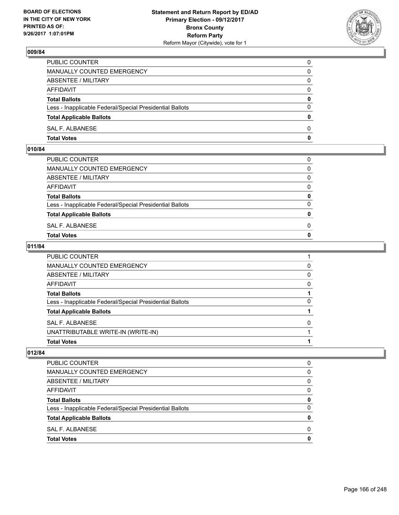

| PUBLIC COUNTER                                           | 0            |
|----------------------------------------------------------|--------------|
| MANUALLY COUNTED EMERGENCY                               | $\Omega$     |
| ABSENTEE / MILITARY                                      | $\mathbf{0}$ |
| AFFIDAVIT                                                | 0            |
| <b>Total Ballots</b>                                     | 0            |
| Less - Inapplicable Federal/Special Presidential Ballots | $\mathbf{0}$ |
| <b>Total Applicable Ballots</b>                          | $\bf{0}$     |
| SAL F. ALBANESE                                          | $\Omega$     |
| <b>Total Votes</b>                                       | $\mathbf{0}$ |

## **010/84**

| MANUALLY COUNTED EMERGENCY                               |              |
|----------------------------------------------------------|--------------|
| ABSENTEE / MILITARY                                      | $\Omega$     |
| AFFIDAVIT                                                | $\mathbf{0}$ |
| <b>Total Ballots</b>                                     | $\mathbf{0}$ |
| Less - Inapplicable Federal/Special Presidential Ballots | $\Omega$     |
| <b>Total Applicable Ballots</b>                          | $\mathbf{0}$ |
| SAL F. ALBANESE                                          | 0            |
| <b>Total Votes</b>                                       | $\mathbf{0}$ |
|                                                          |              |

## **011/84**

| <b>Total Votes</b>                                       |   |
|----------------------------------------------------------|---|
| UNATTRIBUTABLE WRITE-IN (WRITE-IN)                       |   |
| SAL F. ALBANESE                                          | 0 |
| <b>Total Applicable Ballots</b>                          |   |
| Less - Inapplicable Federal/Special Presidential Ballots | 0 |
| <b>Total Ballots</b>                                     |   |
| AFFIDAVIT                                                | 0 |
| <b>ABSENTEE / MILITARY</b>                               | 0 |
| MANUALLY COUNTED EMERGENCY                               | 0 |
| <b>PUBLIC COUNTER</b>                                    |   |

| <b>Total Votes</b>                                       | 0 |
|----------------------------------------------------------|---|
| SAL F. ALBANESE                                          | 0 |
| <b>Total Applicable Ballots</b>                          | 0 |
| Less - Inapplicable Federal/Special Presidential Ballots | 0 |
| <b>Total Ballots</b>                                     | 0 |
| AFFIDAVIT                                                | 0 |
| ABSENTEE / MILITARY                                      | 0 |
| MANUALLY COUNTED EMERGENCY                               | 0 |
| PUBLIC COUNTER                                           | 0 |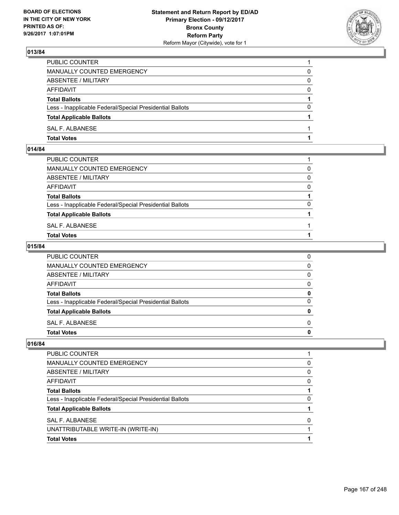

| PUBLIC COUNTER                                           |          |
|----------------------------------------------------------|----------|
| <b>MANUALLY COUNTED EMERGENCY</b>                        | 0        |
| ABSENTEE / MILITARY                                      | 0        |
| <b>AFFIDAVIT</b>                                         | $\Omega$ |
| <b>Total Ballots</b>                                     |          |
| Less - Inapplicable Federal/Special Presidential Ballots | 0        |
| <b>Total Applicable Ballots</b>                          |          |
| SAL F. ALBANESE                                          |          |
| <b>Total Votes</b>                                       |          |

# **014/84**

| PUBLIC COUNTER                                           |              |
|----------------------------------------------------------|--------------|
| MANUALLY COUNTED EMERGENCY                               | $\Omega$     |
| ABSENTEE / MILITARY                                      | $\Omega$     |
| AFFIDAVIT                                                | $\Omega$     |
| <b>Total Ballots</b>                                     |              |
| Less - Inapplicable Federal/Special Presidential Ballots | <sup>0</sup> |
| <b>Total Applicable Ballots</b>                          |              |
| SAL F. ALBANESE                                          |              |
| <b>Total Votes</b>                                       |              |
|                                                          |              |

## **015/84**

| <b>Total Votes</b>                                       | 0 |
|----------------------------------------------------------|---|
| <b>SAL F. ALBANESE</b>                                   | 0 |
| <b>Total Applicable Ballots</b>                          | 0 |
| Less - Inapplicable Federal/Special Presidential Ballots | 0 |
| <b>Total Ballots</b>                                     | 0 |
| AFFIDAVIT                                                | 0 |
| ABSENTEE / MILITARY                                      | 0 |
| <b>MANUALLY COUNTED EMERGENCY</b>                        | 0 |
| PUBLIC COUNTER                                           | 0 |

| <b>Total Votes</b>                                       |          |
|----------------------------------------------------------|----------|
| UNATTRIBUTABLE WRITE-IN (WRITE-IN)                       |          |
| SAL F. ALBANESE                                          | 0        |
| <b>Total Applicable Ballots</b>                          |          |
| Less - Inapplicable Federal/Special Presidential Ballots | 0        |
| <b>Total Ballots</b>                                     |          |
| AFFIDAVIT                                                | $\Omega$ |
| ABSENTEE / MILITARY                                      | 0        |
| <b>MANUALLY COUNTED EMERGENCY</b>                        | $\Omega$ |
| PUBLIC COUNTER                                           |          |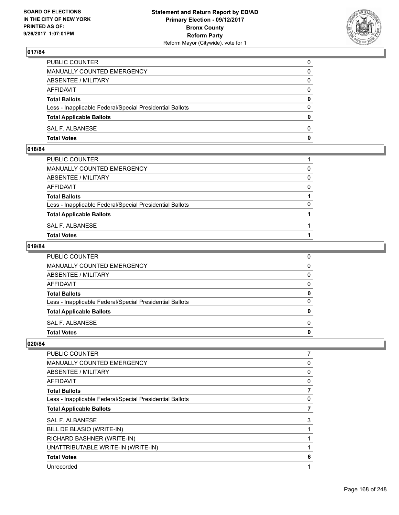

| PUBLIC COUNTER                                           | 0        |
|----------------------------------------------------------|----------|
| <b>MANUALLY COUNTED EMERGENCY</b>                        | 0        |
| ABSENTEE / MILITARY                                      | 0        |
| <b>AFFIDAVIT</b>                                         | $\Omega$ |
| <b>Total Ballots</b>                                     | 0        |
| Less - Inapplicable Federal/Special Presidential Ballots | $\Omega$ |
| <b>Total Applicable Ballots</b>                          | 0        |
| SAL F. ALBANESE                                          | 0        |
| <b>Total Votes</b>                                       | 0        |

#### **018/84**

| PUBLIC COUNTER                                           |          |
|----------------------------------------------------------|----------|
| MANUALLY COUNTED EMERGENCY                               | $\Omega$ |
| ABSENTEE / MILITARY                                      | 0        |
| AFFIDAVIT                                                | $\Omega$ |
| <b>Total Ballots</b>                                     |          |
| Less - Inapplicable Federal/Special Presidential Ballots | $\Omega$ |
| <b>Total Applicable Ballots</b>                          |          |
| SAL F. ALBANESE                                          |          |
| Total Votes                                              |          |
|                                                          |          |

## **019/84**

| PUBLIC COUNTER                                           | 0            |
|----------------------------------------------------------|--------------|
| MANUALLY COUNTED EMERGENCY                               | $\mathbf{0}$ |
| ABSENTEE / MILITARY                                      | 0            |
| AFFIDAVIT                                                | $\mathbf{0}$ |
| <b>Total Ballots</b>                                     | 0            |
| Less - Inapplicable Federal/Special Presidential Ballots | $\mathbf{0}$ |
| <b>Total Applicable Ballots</b>                          | $\mathbf{0}$ |
| SAL F. ALBANESE                                          | $\Omega$     |
| <b>Total Votes</b>                                       | $\mathbf{0}$ |
|                                                          |              |

| PUBLIC COUNTER                                           | 7 |
|----------------------------------------------------------|---|
| MANUALLY COUNTED EMERGENCY                               | 0 |
| ABSENTEE / MILITARY                                      | 0 |
| AFFIDAVIT                                                | 0 |
| <b>Total Ballots</b>                                     |   |
| Less - Inapplicable Federal/Special Presidential Ballots | 0 |
| <b>Total Applicable Ballots</b>                          |   |
| <b>SAL F. ALBANESE</b>                                   | 3 |
| BILL DE BLASIO (WRITE-IN)                                |   |
| RICHARD BASHNER (WRITE-IN)                               |   |
| UNATTRIBUTABLE WRITE-IN (WRITE-IN)                       |   |
| <b>Total Votes</b>                                       | 6 |
| Unrecorded                                               | 1 |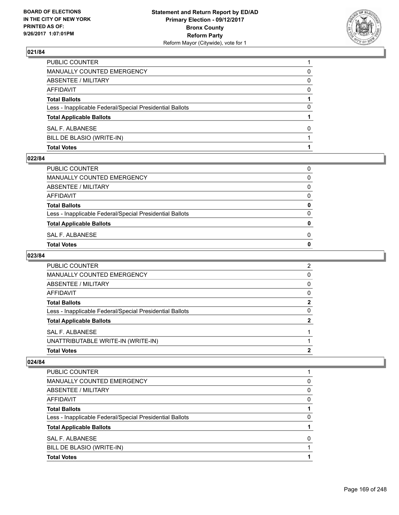

| <b>Total Votes</b>                                       |          |
|----------------------------------------------------------|----------|
| BILL DE BLASIO (WRITE-IN)                                |          |
| SAL F. ALBANESE                                          | 0        |
| <b>Total Applicable Ballots</b>                          |          |
| Less - Inapplicable Federal/Special Presidential Ballots | 0        |
| <b>Total Ballots</b>                                     |          |
| <b>AFFIDAVIT</b>                                         | $\Omega$ |
| ABSENTEE / MILITARY                                      | 0        |
| <b>MANUALLY COUNTED EMERGENCY</b>                        | 0        |
| PUBLIC COUNTER                                           |          |

#### **022/84**

| Total Votes                                              | 0 |
|----------------------------------------------------------|---|
| SAL F. ALBANESE                                          | 0 |
| <b>Total Applicable Ballots</b>                          | 0 |
| Less - Inapplicable Federal/Special Presidential Ballots | 0 |
| <b>Total Ballots</b>                                     | 0 |
| AFFIDAVIT                                                | 0 |
| ABSENTEE / MILITARY                                      | 0 |
| MANUALLY COUNTED EMERGENCY                               | 0 |
| PUBLIC COUNTER                                           | 0 |
|                                                          |   |

# **023/84**

| PUBLIC COUNTER                                           | 2 |
|----------------------------------------------------------|---|
| <b>MANUALLY COUNTED EMERGENCY</b>                        | 0 |
| ABSENTEE / MILITARY                                      | 0 |
| AFFIDAVIT                                                | 0 |
| <b>Total Ballots</b>                                     | 2 |
| Less - Inapplicable Federal/Special Presidential Ballots | O |
| <b>Total Applicable Ballots</b>                          |   |
| SAL F. ALBANESE                                          |   |
| UNATTRIBUTABLE WRITE-IN (WRITE-IN)                       |   |
| <b>Total Votes</b>                                       | 2 |

| PUBLIC COUNTER                                           |              |
|----------------------------------------------------------|--------------|
| MANUALLY COUNTED EMERGENCY                               | O            |
| ABSENTEE / MILITARY                                      | <sup>0</sup> |
| AFFIDAVIT                                                | 0            |
| <b>Total Ballots</b>                                     |              |
| Less - Inapplicable Federal/Special Presidential Ballots | O            |
| <b>Total Applicable Ballots</b>                          |              |
| SAL F. ALBANESE                                          |              |
| BILL DE BLASIO (WRITE-IN)                                |              |
| <b>Total Votes</b>                                       |              |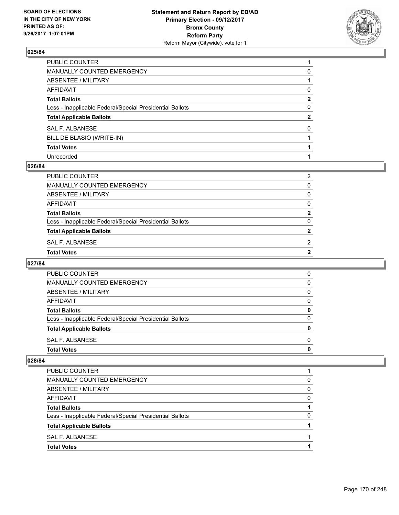

| PUBLIC COUNTER                                           |              |
|----------------------------------------------------------|--------------|
| MANUALLY COUNTED EMERGENCY                               | 0            |
| ABSENTEE / MILITARY                                      |              |
| AFFIDAVIT                                                | 0            |
| <b>Total Ballots</b>                                     | $\mathbf{2}$ |
| Less - Inapplicable Federal/Special Presidential Ballots | 0            |
| <b>Total Applicable Ballots</b>                          | $\mathbf{2}$ |
| SAL F. ALBANESE                                          | 0            |
| BILL DE BLASIO (WRITE-IN)                                |              |
| <b>Total Votes</b>                                       |              |
| Unrecorded                                               |              |

#### **026/84**

| PUBLIC COUNTER                                           | 2              |
|----------------------------------------------------------|----------------|
| MANUALLY COUNTED EMERGENCY                               | 0              |
| ABSENTEE / MILITARY                                      | $\mathbf{0}$   |
| AFFIDAVIT                                                | $\mathbf{0}$   |
| <b>Total Ballots</b>                                     | $\mathbf{2}$   |
| Less - Inapplicable Federal/Special Presidential Ballots | $\Omega$       |
| <b>Total Applicable Ballots</b>                          | $\mathbf{2}$   |
| SAL F. ALBANESE                                          | 2              |
| <b>Total Votes</b>                                       | $\overline{2}$ |

#### **027/84**

| O        |
|----------|
|          |
| 0        |
| 0        |
| O        |
| 0        |
| $\Omega$ |
| 0        |
| 0        |
| 0        |
|          |

| <b>Total Votes</b>                                       |   |
|----------------------------------------------------------|---|
| SAL F. ALBANESE                                          |   |
| <b>Total Applicable Ballots</b>                          |   |
| Less - Inapplicable Federal/Special Presidential Ballots |   |
| <b>Total Ballots</b>                                     |   |
| AFFIDAVIT                                                | 0 |
| ABSENTEE / MILITARY                                      | 0 |
| MANUALLY COUNTED EMERGENCY                               | 0 |
| PUBLIC COUNTER                                           |   |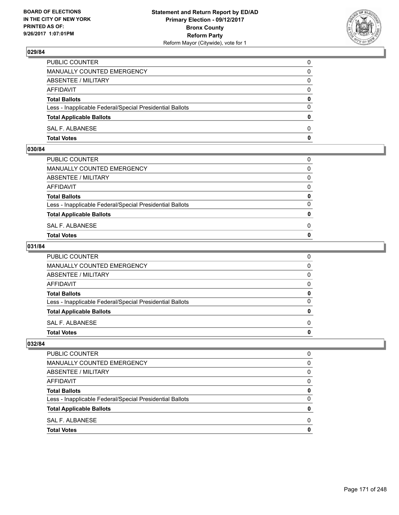

| PUBLIC COUNTER                                           | 0            |
|----------------------------------------------------------|--------------|
| MANUALLY COUNTED EMERGENCY                               | $\mathbf{0}$ |
| ABSENTEE / MILITARY                                      | 0            |
| AFFIDAVIT                                                | 0            |
| <b>Total Ballots</b>                                     | 0            |
| Less - Inapplicable Federal/Special Presidential Ballots | $\mathbf{0}$ |
| <b>Total Applicable Ballots</b>                          | $\mathbf{0}$ |
| SAL F. ALBANESE                                          | $\Omega$     |
| <b>Total Votes</b>                                       | $\mathbf{0}$ |

#### **030/84**

| MANUALLY COUNTED EMERGENCY                               |              |
|----------------------------------------------------------|--------------|
| ABSENTEE / MILITARY                                      | $\Omega$     |
| AFFIDAVIT                                                | $\mathbf{0}$ |
| <b>Total Ballots</b>                                     | $\mathbf{0}$ |
| Less - Inapplicable Federal/Special Presidential Ballots | $\Omega$     |
| <b>Total Applicable Ballots</b>                          | $\mathbf{0}$ |
| SAL F. ALBANESE                                          | 0            |
| <b>Total Votes</b>                                       | $\mathbf{0}$ |
|                                                          |              |

## **031/84**

| PUBLIC COUNTER                                           | 0            |
|----------------------------------------------------------|--------------|
| MANUALLY COUNTED EMERGENCY                               | $\mathbf{0}$ |
| ABSENTEE / MILITARY                                      | $\mathbf{0}$ |
| AFFIDAVIT                                                | $\Omega$     |
| <b>Total Ballots</b>                                     | 0            |
| Less - Inapplicable Federal/Special Presidential Ballots | $\mathbf{0}$ |
| <b>Total Applicable Ballots</b>                          | 0            |
| SAL F. ALBANESE                                          | $\Omega$     |
| Total Votes                                              | $\mathbf{0}$ |
|                                                          |              |

| O |
|---|
| 0 |
| 0 |
| 0 |
| 0 |
| 0 |
| 0 |
| 0 |
| O |
|   |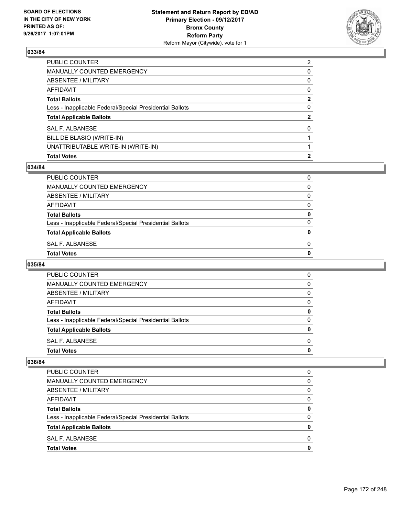

| PUBLIC COUNTER                                           | 2            |
|----------------------------------------------------------|--------------|
| MANUALLY COUNTED EMERGENCY                               | 0            |
| <b>ABSENTEE / MILITARY</b>                               | $\mathbf{0}$ |
| AFFIDAVIT                                                | $\mathbf{0}$ |
| Total Ballots                                            | $\mathbf{2}$ |
| Less - Inapplicable Federal/Special Presidential Ballots | 0            |
| <b>Total Applicable Ballots</b>                          | $\mathbf{2}$ |
| <b>SAL F. ALBANESE</b>                                   | $\Omega$     |
| BILL DE BLASIO (WRITE-IN)                                |              |
| UNATTRIBUTABLE WRITE-IN (WRITE-IN)                       |              |
| <b>Total Votes</b>                                       | 2            |

## **034/84**

| PUBLIC COUNTER                                           | 0 |
|----------------------------------------------------------|---|
| MANUALLY COUNTED EMERGENCY                               | 0 |
| ABSENTEE / MILITARY                                      | 0 |
| AFFIDAVIT                                                | 0 |
| <b>Total Ballots</b>                                     | 0 |
| Less - Inapplicable Federal/Special Presidential Ballots | 0 |
| <b>Total Applicable Ballots</b>                          | 0 |
| SAL F. ALBANESE                                          | 0 |
| Total Votes                                              | 0 |
|                                                          |   |

## **035/84**

| <b>Total Votes</b>                                       | 0        |
|----------------------------------------------------------|----------|
| SAL F. ALBANESE                                          | 0        |
| <b>Total Applicable Ballots</b>                          | 0        |
| Less - Inapplicable Federal/Special Presidential Ballots | 0        |
| <b>Total Ballots</b>                                     | 0        |
| AFFIDAVIT                                                | $\Omega$ |
| ABSENTEE / MILITARY                                      | 0        |
| MANUALLY COUNTED EMERGENCY                               | 0        |
| <b>PUBLIC COUNTER</b>                                    | 0        |

| PUBLIC COUNTER                                           | 0 |
|----------------------------------------------------------|---|
| <b>MANUALLY COUNTED EMERGENCY</b>                        | 0 |
| ABSENTEE / MILITARY                                      | 0 |
| AFFIDAVIT                                                | 0 |
| <b>Total Ballots</b>                                     | 0 |
| Less - Inapplicable Federal/Special Presidential Ballots | 0 |
| <b>Total Applicable Ballots</b>                          | Ω |
| SAL F. ALBANESE                                          | 0 |
| <b>Total Votes</b>                                       | o |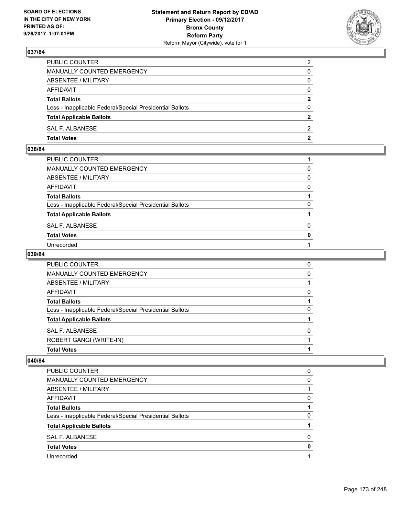

| PUBLIC COUNTER                                           | $\overline{2}$ |
|----------------------------------------------------------|----------------|
| MANUALLY COUNTED EMERGENCY                               | 0              |
| ABSENTEE / MILITARY                                      | 0              |
| AFFIDAVIT                                                | $\Omega$       |
| <b>Total Ballots</b>                                     | $\overline{2}$ |
| Less - Inapplicable Federal/Special Presidential Ballots | $\Omega$       |
| <b>Total Applicable Ballots</b>                          |                |
| SAL F. ALBANESE                                          | 2              |
| <b>Total Votes</b>                                       | $\mathbf{2}$   |

## **038/84**

| PUBLIC COUNTER                                           |              |
|----------------------------------------------------------|--------------|
| MANUALLY COUNTED EMERGENCY                               | 0            |
| <b>ABSENTEE / MILITARY</b>                               | $\Omega$     |
| AFFIDAVIT                                                | 0            |
| Total Ballots                                            |              |
| Less - Inapplicable Federal/Special Presidential Ballots | $\Omega$     |
| <b>Total Applicable Ballots</b>                          |              |
| SAL F. ALBANESE                                          | 0            |
| <b>Total Votes</b>                                       | $\mathbf{0}$ |
| Unrecorded                                               |              |
|                                                          |              |

## **039/84**

| PUBLIC COUNTER                                           | 0 |
|----------------------------------------------------------|---|
| <b>MANUALLY COUNTED EMERGENCY</b>                        | 0 |
| ABSENTEE / MILITARY                                      |   |
| AFFIDAVIT                                                | 0 |
| <b>Total Ballots</b>                                     |   |
| Less - Inapplicable Federal/Special Presidential Ballots | 0 |
| <b>Total Applicable Ballots</b>                          |   |
| SAL F. ALBANESE                                          | 0 |
| ROBERT GANGI (WRITE-IN)                                  |   |
| <b>Total Votes</b>                                       |   |

| PUBLIC COUNTER                                           | 0 |
|----------------------------------------------------------|---|
| <b>MANUALLY COUNTED EMERGENCY</b>                        | 0 |
| ABSENTEE / MILITARY                                      |   |
| AFFIDAVIT                                                | 0 |
| <b>Total Ballots</b>                                     |   |
| Less - Inapplicable Federal/Special Presidential Ballots | 0 |
| <b>Total Applicable Ballots</b>                          |   |
| SAL F. ALBANESE                                          | O |
| <b>Total Votes</b>                                       | 0 |
| Unrecorded                                               |   |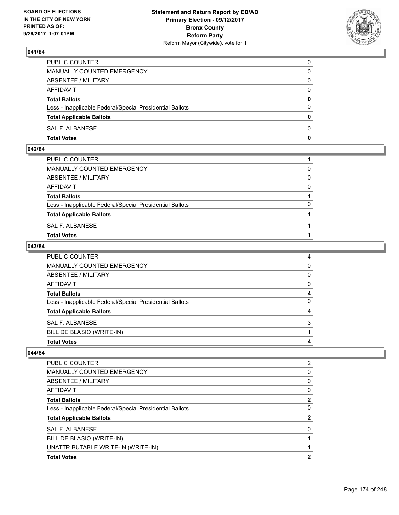

| PUBLIC COUNTER                                           | 0            |
|----------------------------------------------------------|--------------|
| <b>MANUALLY COUNTED EMERGENCY</b>                        | 0            |
| ABSENTEE / MILITARY                                      | 0            |
| AFFIDAVIT                                                | $\Omega$     |
| <b>Total Ballots</b>                                     | $\mathbf{0}$ |
| Less - Inapplicable Federal/Special Presidential Ballots | $\Omega$     |
| <b>Total Applicable Ballots</b>                          | $\Omega$     |
| SAL F. ALBANESE                                          | $\Omega$     |
| <b>Total Votes</b>                                       | 0            |

## **042/84**

| PUBLIC COUNTER                                           |          |
|----------------------------------------------------------|----------|
| MANUALLY COUNTED EMERGENCY                               | 0        |
| ABSENTEE / MILITARY                                      | $\Omega$ |
| AFFIDAVIT                                                | $\Omega$ |
| <b>Total Ballots</b>                                     |          |
| Less - Inapplicable Federal/Special Presidential Ballots | $\Omega$ |
| <b>Total Applicable Ballots</b>                          |          |
| SAL F. ALBANESE                                          |          |
| <b>Total Votes</b>                                       |          |
|                                                          |          |

## **043/84**

| MANUALLY COUNTED EMERGENCY                               | $\Omega$ |
|----------------------------------------------------------|----------|
| ABSENTEE / MILITARY                                      | 0        |
| AFFIDAVIT                                                | 0        |
| <b>Total Ballots</b>                                     | 4        |
| Less - Inapplicable Federal/Special Presidential Ballots | 0        |
| <b>Total Applicable Ballots</b>                          | 4        |
| SAL F. ALBANESE                                          | 3        |
| BILL DE BLASIO (WRITE-IN)                                |          |
| <b>Total Votes</b>                                       | 4        |

| <b>Total Votes</b>                                       | 2            |
|----------------------------------------------------------|--------------|
| UNATTRIBUTABLE WRITE-IN (WRITE-IN)                       |              |
| BILL DE BLASIO (WRITE-IN)                                |              |
| SAL F. ALBANESE                                          | 0            |
| <b>Total Applicable Ballots</b>                          | 2            |
| Less - Inapplicable Federal/Special Presidential Ballots | 0            |
| <b>Total Ballots</b>                                     | $\mathbf{2}$ |
| AFFIDAVIT                                                | 0            |
| ABSENTEE / MILITARY                                      | 0            |
| <b>MANUALLY COUNTED EMERGENCY</b>                        | 0            |
| <b>PUBLIC COUNTER</b>                                    | 2            |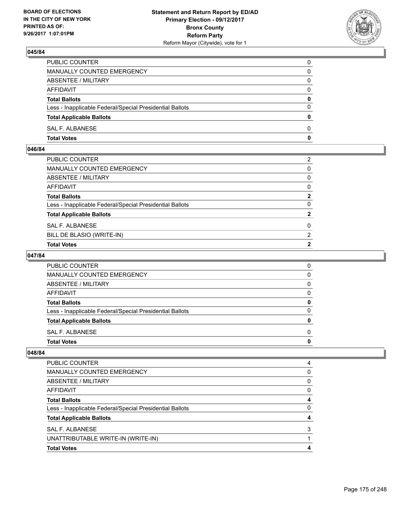

| PUBLIC COUNTER                                           | 0            |
|----------------------------------------------------------|--------------|
| <b>MANUALLY COUNTED EMERGENCY</b>                        | 0            |
| ABSENTEE / MILITARY                                      | 0            |
| AFFIDAVIT                                                | $\Omega$     |
| <b>Total Ballots</b>                                     | $\mathbf{0}$ |
| Less - Inapplicable Federal/Special Presidential Ballots | $\Omega$     |
| <b>Total Applicable Ballots</b>                          | $\Omega$     |
| SAL F. ALBANESE                                          | $\Omega$     |
| <b>Total Votes</b>                                       | 0            |

#### **046/84**

| PUBLIC COUNTER                                           | 2              |
|----------------------------------------------------------|----------------|
| MANUALLY COUNTED EMERGENCY                               | $\mathbf{0}$   |
| <b>ABSENTEE / MILITARY</b>                               | $\mathbf{0}$   |
| AFFIDAVIT                                                | $\mathbf{0}$   |
| Total Ballots                                            | $\mathbf{2}$   |
| Less - Inapplicable Federal/Special Presidential Ballots | $\Omega$       |
| <b>Total Applicable Ballots</b>                          | $\overline{2}$ |
| SAL F. ALBANESE                                          | 0              |
| BILL DE BLASIO (WRITE-IN)                                | 2              |
| <b>Total Votes</b>                                       | $\mathbf{2}$   |

# **047/84**

| PUBLIC COUNTER                                           |   |
|----------------------------------------------------------|---|
| <b>MANUALLY COUNTED EMERGENCY</b>                        |   |
| ABSENTEE / MILITARY                                      |   |
| AFFIDAVIT                                                |   |
| <b>Total Ballots</b>                                     |   |
| Less - Inapplicable Federal/Special Presidential Ballots | n |
| <b>Total Applicable Ballots</b>                          |   |
| SAL F. ALBANESE                                          | n |
| <b>Total Votes</b>                                       |   |

| <b>Total Votes</b>                                       |   |
|----------------------------------------------------------|---|
| UNATTRIBUTABLE WRITE-IN (WRITE-IN)                       |   |
| <b>SAL F. ALBANESE</b>                                   | 3 |
| <b>Total Applicable Ballots</b>                          |   |
| Less - Inapplicable Federal/Special Presidential Ballots | 0 |
| <b>Total Ballots</b>                                     |   |
| AFFIDAVIT                                                | 0 |
| ABSENTEE / MILITARY                                      | 0 |
| MANUALLY COUNTED EMERGENCY                               | 0 |
| <b>PUBLIC COUNTER</b>                                    | 4 |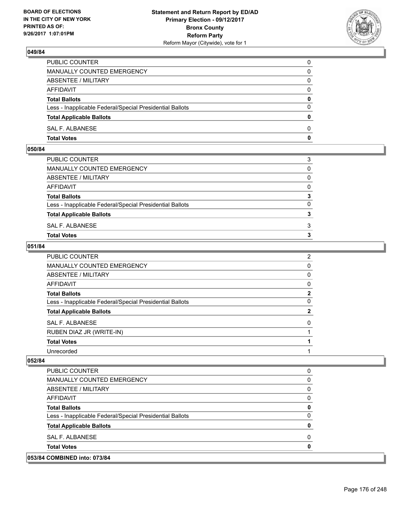

| PUBLIC COUNTER                                           | 0            |
|----------------------------------------------------------|--------------|
| MANUALLY COUNTED EMERGENCY                               | $\mathbf{0}$ |
| ABSENTEE / MILITARY                                      | 0            |
| AFFIDAVIT                                                | 0            |
| <b>Total Ballots</b>                                     | 0            |
| Less - Inapplicable Federal/Special Presidential Ballots | $\mathbf{0}$ |
| <b>Total Applicable Ballots</b>                          | $\mathbf{0}$ |
| SAL F. ALBANESE                                          | $\Omega$     |
| <b>Total Votes</b>                                       | $\mathbf{0}$ |

## **050/84**

| PUBLIC COUNTER                                           | 3            |
|----------------------------------------------------------|--------------|
| MANUALLY COUNTED EMERGENCY                               | $\mathbf{0}$ |
| ABSENTEE / MILITARY                                      | $\Omega$     |
| AFFIDAVIT                                                | $\Omega$     |
| <b>Total Ballots</b>                                     | 3            |
| Less - Inapplicable Federal/Special Presidential Ballots | 0            |
| <b>Total Applicable Ballots</b>                          | 3            |
| SAL F. ALBANESE                                          | 3            |
| Total Votes                                              | 3            |
|                                                          |              |

## **051/84**

| PUBLIC COUNTER                                           | $\overline{2}$ |
|----------------------------------------------------------|----------------|
| <b>MANUALLY COUNTED EMERGENCY</b>                        | 0              |
| <b>ABSENTEE / MILITARY</b>                               | 0              |
| AFFIDAVIT                                                | 0              |
| <b>Total Ballots</b>                                     | 2              |
| Less - Inapplicable Federal/Special Presidential Ballots | 0              |
| <b>Total Applicable Ballots</b>                          | $\mathbf{2}$   |
| SAL F. ALBANESE                                          | 0              |
| RUBEN DIAZ JR (WRITE-IN)                                 |                |
| <b>Total Votes</b>                                       |                |
| Unrecorded                                               |                |
|                                                          |                |

| PUBLIC COUNTER                                           | 0 |
|----------------------------------------------------------|---|
| MANUALLY COUNTED EMERGENCY                               | 0 |
| ABSENTEE / MILITARY                                      | 0 |
| AFFIDAVIT                                                | 0 |
| <b>Total Ballots</b>                                     | 0 |
| Less - Inapplicable Federal/Special Presidential Ballots | 0 |
| <b>Total Applicable Ballots</b>                          | 0 |
| <b>SAL F. ALBANESE</b>                                   | 0 |
| <b>Total Votes</b>                                       | 0 |
| 053/84 COMBINED into: 073/84                             |   |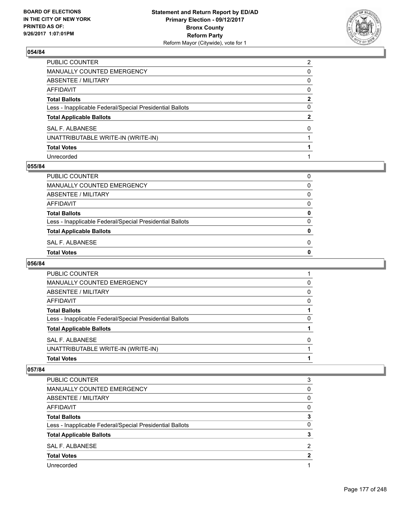

| PUBLIC COUNTER                                           | $\overline{2}$ |
|----------------------------------------------------------|----------------|
| MANUALLY COUNTED EMERGENCY                               | 0              |
| ABSENTEE / MILITARY                                      | 0              |
| AFFIDAVIT                                                | $\mathbf{0}$   |
| <b>Total Ballots</b>                                     | $\mathbf{2}$   |
| Less - Inapplicable Federal/Special Presidential Ballots | $\mathbf{0}$   |
| <b>Total Applicable Ballots</b>                          | $\mathbf{2}$   |
| SAL F. ALBANESE                                          | $\Omega$       |
| UNATTRIBUTABLE WRITE-IN (WRITE-IN)                       |                |
| <b>Total Votes</b>                                       |                |
| Unrecorded                                               |                |

## **055/84**

| PUBLIC COUNTER                                           | 0            |
|----------------------------------------------------------|--------------|
| <b>MANUALLY COUNTED EMERGENCY</b>                        | 0            |
| <b>ABSENTEE / MILITARY</b>                               | 0            |
| <b>AFFIDAVIT</b>                                         | 0            |
| <b>Total Ballots</b>                                     | 0            |
| Less - Inapplicable Federal/Special Presidential Ballots | $\Omega$     |
| <b>Total Applicable Ballots</b>                          | $\mathbf{0}$ |
| <b>SAL F. ALBANESE</b>                                   | 0            |
| <b>Total Votes</b>                                       | $\mathbf 0$  |

#### **056/84**

| PUBLIC COUNTER                                           |   |
|----------------------------------------------------------|---|
| MANUALLY COUNTED EMERGENCY                               | 0 |
| ABSENTEE / MILITARY                                      | 0 |
| AFFIDAVIT                                                | 0 |
| <b>Total Ballots</b>                                     |   |
| Less - Inapplicable Federal/Special Presidential Ballots | 0 |
| <b>Total Applicable Ballots</b>                          |   |
| SAL F. ALBANESE                                          | 0 |
| UNATTRIBUTABLE WRITE-IN (WRITE-IN)                       |   |
| <b>Total Votes</b>                                       |   |

| <b>PUBLIC COUNTER</b>                                    | 3 |
|----------------------------------------------------------|---|
| <b>MANUALLY COUNTED EMERGENCY</b>                        | 0 |
| ABSENTEE / MILITARY                                      | 0 |
| AFFIDAVIT                                                | 0 |
| <b>Total Ballots</b>                                     | 3 |
| Less - Inapplicable Federal/Special Presidential Ballots | 0 |
| <b>Total Applicable Ballots</b>                          | 3 |
| SAL F. ALBANESE                                          | 2 |
| <b>Total Votes</b>                                       | 2 |
| Unrecorded                                               |   |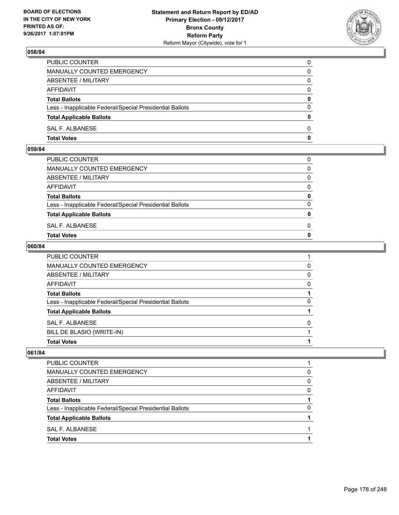

| <b>Total Votes</b>                                       | 0            |
|----------------------------------------------------------|--------------|
| SAL F. ALBANESE                                          | $\Omega$     |
| <b>Total Applicable Ballots</b>                          | $\mathbf{0}$ |
| Less - Inapplicable Federal/Special Presidential Ballots | $\Omega$     |
| <b>Total Ballots</b>                                     | 0            |
| <b>AFFIDAVIT</b>                                         | $\Omega$     |
| ABSENTEE / MILITARY                                      | $\Omega$     |
| MANUALLY COUNTED EMERGENCY                               | 0            |
| PUBLIC COUNTER                                           | 0            |

#### **059/84**

| <b>Total Votes</b>                                       | $\mathbf{0}$ |
|----------------------------------------------------------|--------------|
| SAL F. ALBANESE                                          | 0            |
| <b>Total Applicable Ballots</b>                          | $\mathbf{0}$ |
| Less - Inapplicable Federal/Special Presidential Ballots | $\Omega$     |
| <b>Total Ballots</b>                                     | 0            |
| AFFIDAVIT                                                | $\Omega$     |
| ABSENTEE / MILITARY                                      | $\Omega$     |
| MANUALLY COUNTED EMERGENCY                               | $\Omega$     |
| PUBLIC COUNTER                                           | 0            |
|                                                          |              |

## **060/84**

| PUBLIC COUNTER                                           |   |
|----------------------------------------------------------|---|
| <b>MANUALLY COUNTED EMERGENCY</b>                        | 0 |
| <b>ABSENTEE / MILITARY</b>                               | 0 |
| AFFIDAVIT                                                | 0 |
| <b>Total Ballots</b>                                     |   |
| Less - Inapplicable Federal/Special Presidential Ballots | 0 |
| <b>Total Applicable Ballots</b>                          |   |
| <b>SAL F. ALBANESE</b>                                   | 0 |
| BILL DE BLASIO (WRITE-IN)                                |   |
| <b>Total Votes</b>                                       |   |

| <b>Total Votes</b>                                       |   |
|----------------------------------------------------------|---|
| SAL F. ALBANESE                                          |   |
| <b>Total Applicable Ballots</b>                          |   |
| Less - Inapplicable Federal/Special Presidential Ballots | 0 |
| <b>Total Ballots</b>                                     |   |
| AFFIDAVIT                                                | 0 |
| ABSENTEE / MILITARY                                      | 0 |
| MANUALLY COUNTED EMERGENCY                               | 0 |
| <b>PUBLIC COUNTER</b>                                    |   |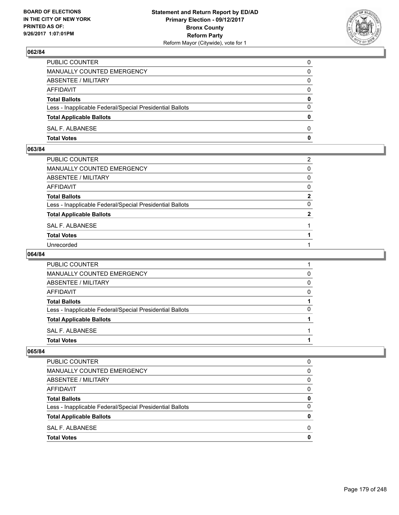

| PUBLIC COUNTER                                           | 0            |
|----------------------------------------------------------|--------------|
| MANUALLY COUNTED EMERGENCY                               | $\Omega$     |
| ABSENTEE / MILITARY                                      | $\mathbf{0}$ |
| AFFIDAVIT                                                | 0            |
| <b>Total Ballots</b>                                     | 0            |
| Less - Inapplicable Federal/Special Presidential Ballots | $\mathbf{0}$ |
| <b>Total Applicable Ballots</b>                          | $\bf{0}$     |
| SAL F. ALBANESE                                          | $\Omega$     |
| <b>Total Votes</b>                                       | $\mathbf{0}$ |

# **063/84**

| PUBLIC COUNTER                                           | 2            |
|----------------------------------------------------------|--------------|
| MANUALLY COUNTED EMERGENCY                               | $\mathbf{0}$ |
| ABSENTEE / MILITARY                                      | $\Omega$     |
| AFFIDAVIT                                                | $\mathbf{0}$ |
| Total Ballots                                            | $\mathbf{2}$ |
| Less - Inapplicable Federal/Special Presidential Ballots | 0            |
| <b>Total Applicable Ballots</b>                          | $\mathbf{2}$ |
| SAL F. ALBANESE                                          |              |
| <b>Total Votes</b>                                       |              |
| Unrecorded                                               |              |

#### **064/84**

| PUBLIC COUNTER                                           |   |
|----------------------------------------------------------|---|
| MANUALLY COUNTED EMERGENCY                               | 0 |
| ABSENTEE / MILITARY                                      | 0 |
| AFFIDAVIT                                                | 0 |
| <b>Total Ballots</b>                                     |   |
| Less - Inapplicable Federal/Special Presidential Ballots |   |
| <b>Total Applicable Ballots</b>                          |   |
| SAL F. ALBANESE                                          |   |
| <b>Total Votes</b>                                       |   |

| PUBLIC COUNTER                                           | 0        |
|----------------------------------------------------------|----------|
| <b>MANUALLY COUNTED EMERGENCY</b>                        | 0        |
| ABSENTEE / MILITARY                                      | 0        |
| AFFIDAVIT                                                | $\Omega$ |
| <b>Total Ballots</b>                                     | 0        |
| Less - Inapplicable Federal/Special Presidential Ballots | 0        |
| <b>Total Applicable Ballots</b>                          | 0        |
| SAL F. ALBANESE                                          | 0        |
| <b>Total Votes</b>                                       | Ω        |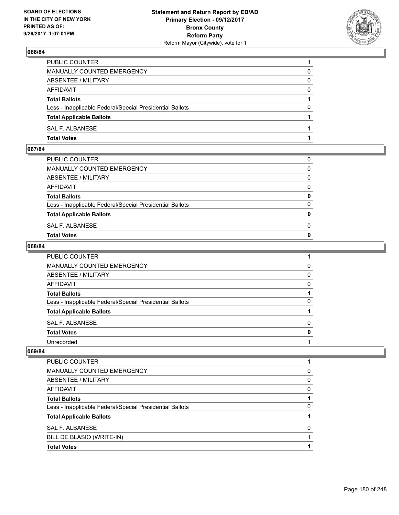

| PUBLIC COUNTER                                           |          |
|----------------------------------------------------------|----------|
| MANUALLY COUNTED EMERGENCY                               | 0        |
| ABSENTEE / MILITARY                                      | 0        |
| AFFIDAVIT                                                | $\Omega$ |
| <b>Total Ballots</b>                                     |          |
| Less - Inapplicable Federal/Special Presidential Ballots | 0        |
| <b>Total Applicable Ballots</b>                          |          |
| SAL F. ALBANESE                                          |          |
| <b>Total Votes</b>                                       |          |

#### **067/84**

| <b>Total Votes</b>                                       | $\mathbf{0}$ |
|----------------------------------------------------------|--------------|
| SAL F. ALBANESE                                          | 0            |
| <b>Total Applicable Ballots</b>                          | $\mathbf{0}$ |
| Less - Inapplicable Federal/Special Presidential Ballots | $\Omega$     |
| <b>Total Ballots</b>                                     | 0            |
| AFFIDAVIT                                                | $\Omega$     |
| ABSENTEE / MILITARY                                      | $\Omega$     |
| MANUALLY COUNTED EMERGENCY                               | $\Omega$     |
| PUBLIC COUNTER                                           | 0            |
|                                                          |              |

## **068/84**

| PUBLIC COUNTER                                           |   |
|----------------------------------------------------------|---|
| MANUALLY COUNTED EMERGENCY                               | 0 |
| ABSENTEE / MILITARY                                      | 0 |
| <b>AFFIDAVIT</b>                                         | 0 |
| <b>Total Ballots</b>                                     |   |
| Less - Inapplicable Federal/Special Presidential Ballots | 0 |
| <b>Total Applicable Ballots</b>                          |   |
| SAL F. ALBANESE                                          | 0 |
| <b>Total Votes</b>                                       | 0 |
| Unrecorded                                               |   |

| PUBLIC COUNTER                                           |   |
|----------------------------------------------------------|---|
| <b>MANUALLY COUNTED EMERGENCY</b>                        | 0 |
| ABSENTEE / MILITARY                                      | 0 |
| AFFIDAVIT                                                | O |
| <b>Total Ballots</b>                                     |   |
| Less - Inapplicable Federal/Special Presidential Ballots | 0 |
| <b>Total Applicable Ballots</b>                          |   |
| <b>SAL F. ALBANESE</b>                                   | O |
| BILL DE BLASIO (WRITE-IN)                                |   |
| <b>Total Votes</b>                                       |   |
|                                                          |   |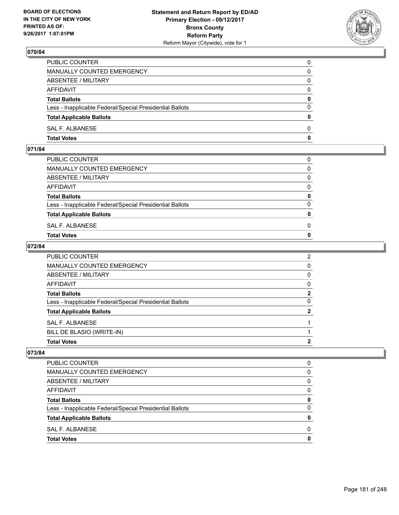

| PUBLIC COUNTER                                           | 0            |
|----------------------------------------------------------|--------------|
| <b>MANUALLY COUNTED EMERGENCY</b>                        | 0            |
| ABSENTEE / MILITARY                                      | 0            |
| AFFIDAVIT                                                | $\Omega$     |
| <b>Total Ballots</b>                                     | $\mathbf{0}$ |
| Less - Inapplicable Federal/Special Presidential Ballots | $\Omega$     |
| <b>Total Applicable Ballots</b>                          | $\Omega$     |
| SAL F. ALBANESE                                          | $\Omega$     |
| <b>Total Votes</b>                                       | 0            |

## **071/84**

| <b>Total Votes</b>                                       | $\mathbf{0}$ |
|----------------------------------------------------------|--------------|
| SAL F. ALBANESE                                          | 0            |
| <b>Total Applicable Ballots</b>                          | $\mathbf{0}$ |
| Less - Inapplicable Federal/Special Presidential Ballots | $\Omega$     |
| <b>Total Ballots</b>                                     | 0            |
| AFFIDAVIT                                                | $\Omega$     |
| ABSENTEE / MILITARY                                      | $\Omega$     |
| MANUALLY COUNTED EMERGENCY                               | $\Omega$     |
| PUBLIC COUNTER                                           | 0            |
|                                                          |              |

### **072/84**

| BILL DE BLASIO (WRITE-IN)                                |                |
|----------------------------------------------------------|----------------|
| SAL F. ALBANESE                                          |                |
| <b>Total Applicable Ballots</b>                          | $\mathbf{2}$   |
| Less - Inapplicable Federal/Special Presidential Ballots | 0              |
| <b>Total Ballots</b>                                     | $\mathbf{2}$   |
| AFFIDAVIT                                                | 0              |
| ABSENTEE / MILITARY                                      | 0              |
| MANUALLY COUNTED EMERGENCY                               | 0              |
| PUBLIC COUNTER                                           | $\overline{2}$ |

| <b>Total Votes</b>                                       | 0 |
|----------------------------------------------------------|---|
| SAL F. ALBANESE                                          | 0 |
| <b>Total Applicable Ballots</b>                          | 0 |
| Less - Inapplicable Federal/Special Presidential Ballots | 0 |
| <b>Total Ballots</b>                                     | 0 |
| AFFIDAVIT                                                | 0 |
| ABSENTEE / MILITARY                                      | 0 |
| MANUALLY COUNTED EMERGENCY                               | 0 |
| <b>PUBLIC COUNTER</b>                                    | 0 |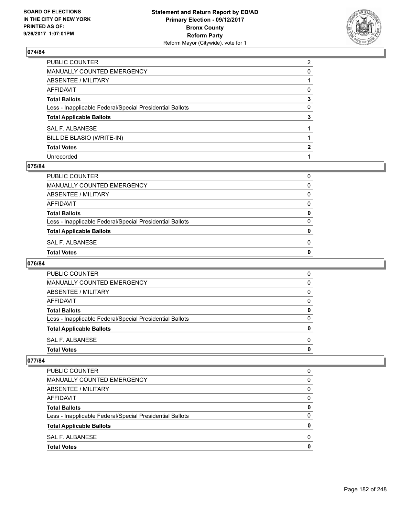

| PUBLIC COUNTER                                           | $\overline{2}$ |
|----------------------------------------------------------|----------------|
| MANUALLY COUNTED EMERGENCY                               | 0              |
| <b>ABSENTEE / MILITARY</b>                               |                |
| AFFIDAVIT                                                | 0              |
| <b>Total Ballots</b>                                     | 3              |
| Less - Inapplicable Federal/Special Presidential Ballots | 0              |
| <b>Total Applicable Ballots</b>                          | 3              |
| <b>SAL F. ALBANESE</b>                                   |                |
| BILL DE BLASIO (WRITE-IN)                                |                |
| <b>Total Votes</b>                                       | 2              |
| Unrecorded                                               |                |

#### **075/84**

| PUBLIC COUNTER                                           | 0            |
|----------------------------------------------------------|--------------|
| MANUALLY COUNTED EMERGENCY                               | 0            |
| ABSENTEE / MILITARY                                      | 0            |
| AFFIDAVIT                                                | 0            |
| <b>Total Ballots</b>                                     | 0            |
| Less - Inapplicable Federal/Special Presidential Ballots | $\Omega$     |
| <b>Total Applicable Ballots</b>                          | $\mathbf{0}$ |
| SAL F. ALBANESE                                          | 0            |
| <b>Total Votes</b>                                       | $\mathbf 0$  |

#### **076/84**

| <b>Total Votes</b>                                       | O |
|----------------------------------------------------------|---|
| SAL F. ALBANESE                                          | 0 |
| <b>Total Applicable Ballots</b>                          | 0 |
| Less - Inapplicable Federal/Special Presidential Ballots | ŋ |
| <b>Total Ballots</b>                                     | 0 |
| AFFIDAVIT                                                | 0 |
| ABSENTEE / MILITARY                                      | 0 |
| MANUALLY COUNTED EMERGENCY                               | O |
| PUBLIC COUNTER                                           | 0 |
|                                                          |   |

| <b>Total Votes</b>                                       | 0 |
|----------------------------------------------------------|---|
| SAL F. ALBANESE                                          | 0 |
| <b>Total Applicable Ballots</b>                          | 0 |
| Less - Inapplicable Federal/Special Presidential Ballots | 0 |
| <b>Total Ballots</b>                                     | 0 |
| AFFIDAVIT                                                | 0 |
| ABSENTEE / MILITARY                                      | 0 |
| MANUALLY COUNTED EMERGENCY                               | 0 |
| <b>PUBLIC COUNTER</b>                                    | 0 |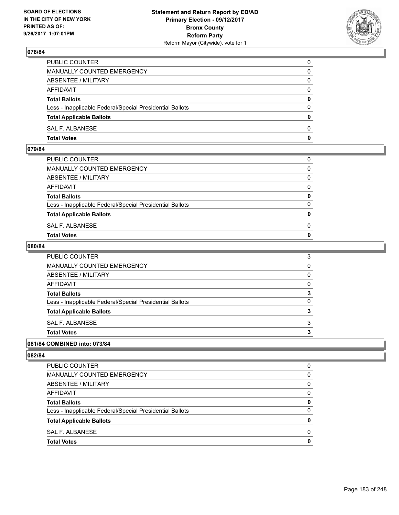

| PUBLIC COUNTER                                           | 0            |
|----------------------------------------------------------|--------------|
| <b>MANUALLY COUNTED EMERGENCY</b>                        | 0            |
| ABSENTEE / MILITARY                                      | 0            |
| AFFIDAVIT                                                | $\Omega$     |
| <b>Total Ballots</b>                                     | $\mathbf{0}$ |
| Less - Inapplicable Federal/Special Presidential Ballots | $\Omega$     |
| <b>Total Applicable Ballots</b>                          | $\Omega$     |
| SAL F. ALBANESE                                          | $\Omega$     |
| <b>Total Votes</b>                                       | 0            |

### **079/84**

| PUBLIC COUNTER                                           | 0            |
|----------------------------------------------------------|--------------|
| MANUALLY COUNTED EMERGENCY                               | $\Omega$     |
| ABSENTEE / MILITARY                                      | $\Omega$     |
| AFFIDAVIT                                                | $\mathbf{0}$ |
| <b>Total Ballots</b>                                     | $\mathbf{0}$ |
| Less - Inapplicable Federal/Special Presidential Ballots | $\Omega$     |
| <b>Total Applicable Ballots</b>                          | $\mathbf{0}$ |
| SAL F. ALBANESE                                          | $\Omega$     |
| <b>Total Votes</b>                                       | $\mathbf{0}$ |
|                                                          |              |

#### **080/84**

| <b>Total Votes</b>                                       | 3 |
|----------------------------------------------------------|---|
| SAL F. ALBANESE                                          | 3 |
| <b>Total Applicable Ballots</b>                          | 3 |
| Less - Inapplicable Federal/Special Presidential Ballots | 0 |
| <b>Total Ballots</b>                                     | 3 |
| <b>AFFIDAVIT</b>                                         | 0 |
| ABSENTEE / MILITARY                                      | 0 |
| MANUALLY COUNTED EMERGENCY                               | 0 |
| PUBLIC COUNTER                                           | 3 |

### **081/84 COMBINED into: 073/84**

| <b>Total Votes</b>                                       | 0        |
|----------------------------------------------------------|----------|
| SAL F. ALBANESE                                          | 0        |
| <b>Total Applicable Ballots</b>                          | 0        |
| Less - Inapplicable Federal/Special Presidential Ballots | 0        |
| <b>Total Ballots</b>                                     | 0        |
| AFFIDAVIT                                                | 0        |
| ABSENTEE / MILITARY                                      | $\Omega$ |
| MANUALLY COUNTED EMERGENCY                               | 0        |
| <b>PUBLIC COUNTER</b>                                    | 0        |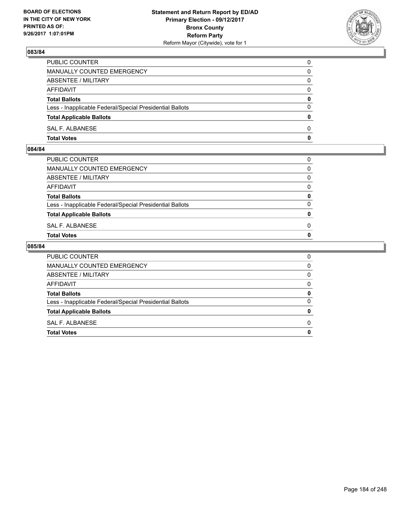

| <b>Total Votes</b>                                       | $\mathbf{0}$ |
|----------------------------------------------------------|--------------|
| SAL F. ALBANESE                                          | 0            |
| <b>Total Applicable Ballots</b>                          | $\mathbf{0}$ |
| Less - Inapplicable Federal/Special Presidential Ballots | $\Omega$     |
| <b>Total Ballots</b>                                     | 0            |
| <b>AFFIDAVIT</b>                                         | $\Omega$     |
| <b>ABSENTEE / MILITARY</b>                               | $\Omega$     |
| <b>MANUALLY COUNTED EMERGENCY</b>                        | 0            |
| PUBLIC COUNTER                                           | $\Omega$     |

### **084/84**

| PUBLIC COUNTER                                           | 0            |
|----------------------------------------------------------|--------------|
| MANUALLY COUNTED EMERGENCY                               | $\Omega$     |
| ABSENTEE / MILITARY                                      | $\Omega$     |
| AFFIDAVIT                                                | $\mathbf{0}$ |
| <b>Total Ballots</b>                                     | $\mathbf{0}$ |
| Less - Inapplicable Federal/Special Presidential Ballots | $\Omega$     |
| <b>Total Applicable Ballots</b>                          | $\mathbf{0}$ |
| SAL F. ALBANESE                                          | 0            |
| <b>Total Votes</b>                                       | $\mathbf{0}$ |
|                                                          |              |

| <b>Total Votes</b>                                       | 0 |
|----------------------------------------------------------|---|
| SAL F. ALBANESE                                          | 0 |
| <b>Total Applicable Ballots</b>                          | 0 |
| Less - Inapplicable Federal/Special Presidential Ballots | 0 |
| <b>Total Ballots</b>                                     | 0 |
| AFFIDAVIT                                                | 0 |
| ABSENTEE / MILITARY                                      | 0 |
| MANUALLY COUNTED EMERGENCY                               | 0 |
| <b>PUBLIC COUNTER</b>                                    | 0 |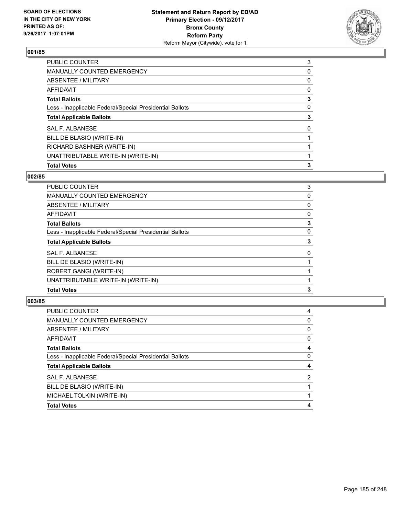

| <b>Total Votes</b>                                       | 3 |
|----------------------------------------------------------|---|
| UNATTRIBUTABLE WRITE-IN (WRITE-IN)                       |   |
| RICHARD BASHNER (WRITE-IN)                               |   |
| BILL DE BLASIO (WRITE-IN)                                |   |
| <b>SAL F. ALBANESE</b>                                   | 0 |
| <b>Total Applicable Ballots</b>                          | 3 |
| Less - Inapplicable Federal/Special Presidential Ballots | 0 |
| <b>Total Ballots</b>                                     | 3 |
| <b>AFFIDAVIT</b>                                         | 0 |
| ABSENTEE / MILITARY                                      | 0 |
| <b>MANUALLY COUNTED EMERGENCY</b>                        | 0 |
| <b>PUBLIC COUNTER</b>                                    | 3 |

### **002/85**

| 3 |
|---|
| 0 |
| 0 |
| 0 |
| 3 |
| 0 |
| 3 |
| 0 |
|   |
|   |
|   |
| 3 |
|   |

| <b>PUBLIC COUNTER</b>                                    | 4 |
|----------------------------------------------------------|---|
| <b>MANUALLY COUNTED EMERGENCY</b>                        | 0 |
| ABSENTEE / MILITARY                                      | 0 |
| AFFIDAVIT                                                | 0 |
| <b>Total Ballots</b>                                     | 4 |
| Less - Inapplicable Federal/Special Presidential Ballots | 0 |
| <b>Total Applicable Ballots</b>                          | 4 |
| SAL F. ALBANESE                                          | 2 |
| BILL DE BLASIO (WRITE-IN)                                |   |
| MICHAEL TOLKIN (WRITE-IN)                                |   |
| <b>Total Votes</b>                                       |   |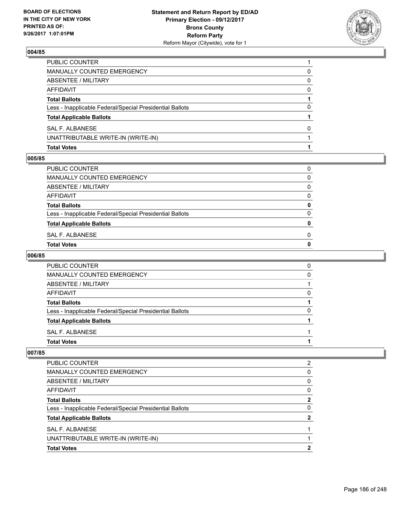

| <b>Total Votes</b>                                       |   |
|----------------------------------------------------------|---|
| UNATTRIBUTABLE WRITE-IN (WRITE-IN)                       |   |
| SAL F. ALBANESE                                          | 0 |
| <b>Total Applicable Ballots</b>                          |   |
| Less - Inapplicable Federal/Special Presidential Ballots | 0 |
| <b>Total Ballots</b>                                     |   |
| AFFIDAVIT                                                | 0 |
| <b>ABSENTEE / MILITARY</b>                               | 0 |
| MANUALLY COUNTED EMERGENCY                               | 0 |
| PUBLIC COUNTER                                           |   |

#### **005/85**

| PUBLIC COUNTER                                           | 0 |
|----------------------------------------------------------|---|
| MANUALLY COUNTED EMERGENCY                               | 0 |
| ABSENTEE / MILITARY                                      | 0 |
| AFFIDAVIT                                                | 0 |
| <b>Total Ballots</b>                                     | 0 |
| Less - Inapplicable Federal/Special Presidential Ballots | 0 |
| <b>Total Applicable Ballots</b>                          | 0 |
| SAL F. ALBANESE                                          | 0 |
| Total Votes                                              | 0 |

# **006/85**

| PUBLIC COUNTER                                           | 0 |
|----------------------------------------------------------|---|
| <b>MANUALLY COUNTED EMERGENCY</b>                        | O |
| ABSENTEE / MILITARY                                      |   |
| AFFIDAVIT                                                |   |
| <b>Total Ballots</b>                                     |   |
| Less - Inapplicable Federal/Special Presidential Ballots | n |
| <b>Total Applicable Ballots</b>                          |   |
| SAL F. ALBANESE                                          |   |
| <b>Total Votes</b>                                       |   |

| <b>Total Votes</b>                                       | 2            |
|----------------------------------------------------------|--------------|
| UNATTRIBUTABLE WRITE-IN (WRITE-IN)                       |              |
| SAL F. ALBANESE                                          |              |
| <b>Total Applicable Ballots</b>                          | 2            |
| Less - Inapplicable Federal/Special Presidential Ballots | 0            |
| <b>Total Ballots</b>                                     | $\mathbf{2}$ |
| AFFIDAVIT                                                | 0            |
| ABSENTEE / MILITARY                                      | 0            |
| <b>MANUALLY COUNTED EMERGENCY</b>                        | 0            |
| <b>PUBLIC COUNTER</b>                                    | 2            |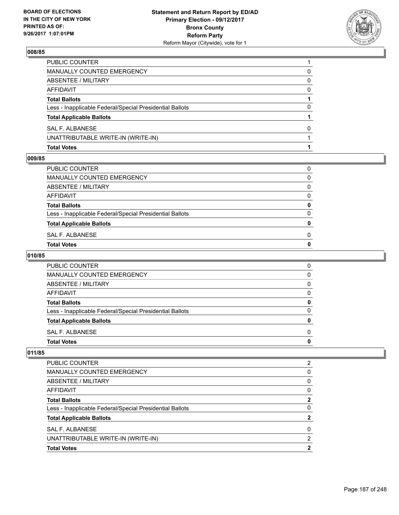

| <b>Total Votes</b>                                       |   |
|----------------------------------------------------------|---|
| UNATTRIBUTABLE WRITE-IN (WRITE-IN)                       |   |
| SAL F. ALBANESE                                          | 0 |
| <b>Total Applicable Ballots</b>                          |   |
| Less - Inapplicable Federal/Special Presidential Ballots | 0 |
| <b>Total Ballots</b>                                     |   |
| AFFIDAVIT                                                | 0 |
| ABSENTEE / MILITARY                                      | 0 |
| MANUALLY COUNTED EMERGENCY                               | 0 |
| PUBLIC COUNTER                                           |   |

#### **009/85**

| Total Votes                                              | 0 |
|----------------------------------------------------------|---|
| SAL F. ALBANESE                                          | 0 |
| <b>Total Applicable Ballots</b>                          | 0 |
| Less - Inapplicable Federal/Special Presidential Ballots | 0 |
| <b>Total Ballots</b>                                     | 0 |
| AFFIDAVIT                                                | 0 |
| ABSENTEE / MILITARY                                      | 0 |
| MANUALLY COUNTED EMERGENCY                               | 0 |
| PUBLIC COUNTER                                           | 0 |
|                                                          |   |

# **010/85**

| <b>PUBLIC COUNTER</b>                                    | 0 |
|----------------------------------------------------------|---|
| MANUALLY COUNTED EMERGENCY                               | 0 |
| ABSENTEE / MILITARY                                      | 0 |
| AFFIDAVIT                                                | 0 |
| <b>Total Ballots</b>                                     | 0 |
| Less - Inapplicable Federal/Special Presidential Ballots | O |
| <b>Total Applicable Ballots</b>                          | n |
| SAL F. ALBANESE                                          | 0 |
| <b>Total Votes</b>                                       |   |

| <b>Total Votes</b>                                       | 2 |
|----------------------------------------------------------|---|
| UNATTRIBUTABLE WRITE-IN (WRITE-IN)                       | 2 |
| SAL F. ALBANESE                                          | 0 |
| <b>Total Applicable Ballots</b>                          | 2 |
| Less - Inapplicable Federal/Special Presidential Ballots | 0 |
| <b>Total Ballots</b>                                     | 2 |
| AFFIDAVIT                                                | 0 |
| ABSENTEE / MILITARY                                      | 0 |
| <b>MANUALLY COUNTED EMERGENCY</b>                        | 0 |
| PUBLIC COUNTER                                           | 2 |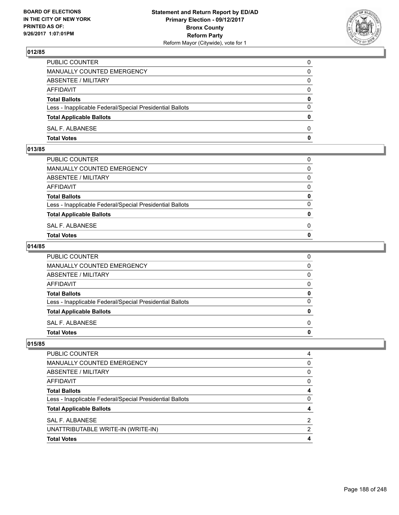

| PUBLIC COUNTER                                           | 0            |
|----------------------------------------------------------|--------------|
| MANUALLY COUNTED EMERGENCY                               | 0            |
| ABSENTEE / MILITARY                                      | 0            |
| AFFIDAVIT                                                | $\mathbf{0}$ |
| <b>Total Ballots</b>                                     | $\mathbf{0}$ |
| Less - Inapplicable Federal/Special Presidential Ballots | $\Omega$     |
| <b>Total Applicable Ballots</b>                          | $\mathbf{0}$ |
| SAL F. ALBANESE                                          | $\Omega$     |
| <b>Total Votes</b>                                       | 0            |

### **013/85**

| PUBLIC COUNTER                                           | 0            |
|----------------------------------------------------------|--------------|
| MANUALLY COUNTED EMERGENCY                               | $\mathbf{0}$ |
| ABSENTEE / MILITARY                                      | $\Omega$     |
| AFFIDAVIT                                                | $\Omega$     |
| <b>Total Ballots</b>                                     | 0            |
| Less - Inapplicable Federal/Special Presidential Ballots | $\Omega$     |
| <b>Total Applicable Ballots</b>                          | $\mathbf{0}$ |
| SAL F. ALBANESE                                          | 0            |
| Total Votes                                              | $\Omega$     |
|                                                          |              |

### **014/85**

| <b>Total Votes</b>                                       | 0            |
|----------------------------------------------------------|--------------|
| SAL F. ALBANESE                                          | $\Omega$     |
| <b>Total Applicable Ballots</b>                          | 0            |
| Less - Inapplicable Federal/Special Presidential Ballots | $\Omega$     |
| <b>Total Ballots</b>                                     | 0            |
| <b>AFFIDAVIT</b>                                         | 0            |
| <b>ABSENTEE / MILITARY</b>                               | $\mathbf{0}$ |
| MANUALLY COUNTED EMERGENCY                               | $\mathbf{0}$ |
| PUBLIC COUNTER                                           | 0            |

| PUBLIC COUNTER                                           | 4 |
|----------------------------------------------------------|---|
| <b>MANUALLY COUNTED EMERGENCY</b>                        | 0 |
| ABSENTEE / MILITARY                                      | 0 |
| AFFIDAVIT                                                | 0 |
| <b>Total Ballots</b>                                     |   |
| Less - Inapplicable Federal/Special Presidential Ballots | 0 |
| <b>Total Applicable Ballots</b>                          |   |
| SAL F. ALBANESE                                          | 2 |
| UNATTRIBUTABLE WRITE-IN (WRITE-IN)                       | 2 |
| <b>Total Votes</b>                                       | 4 |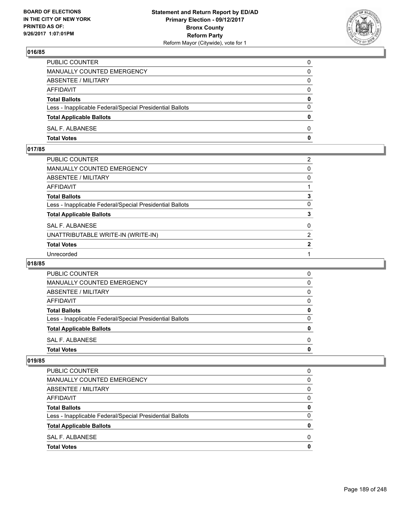

| <b>Total Votes</b>                                       | 0            |
|----------------------------------------------------------|--------------|
| SAL F. ALBANESE                                          | $\Omega$     |
| <b>Total Applicable Ballots</b>                          | 0            |
| Less - Inapplicable Federal/Special Presidential Ballots | $\Omega$     |
| <b>Total Ballots</b>                                     | $\mathbf{0}$ |
| AFFIDAVIT                                                | 0            |
| ABSENTEE / MILITARY                                      | $\Omega$     |
| <b>MANUALLY COUNTED EMERGENCY</b>                        | 0            |
| PUBLIC COUNTER                                           | 0            |

### **017/85**

| PUBLIC COUNTER                                           | $\overline{2}$ |
|----------------------------------------------------------|----------------|
| MANUALLY COUNTED EMERGENCY                               | 0              |
| ABSENTEE / MILITARY                                      | 0              |
| AFFIDAVIT                                                |                |
| Total Ballots                                            | 3              |
| Less - Inapplicable Federal/Special Presidential Ballots | 0              |
| <b>Total Applicable Ballots</b>                          | 3              |
| <b>SAL F. ALBANESE</b>                                   | $\mathbf{0}$   |
| UNATTRIBUTABLE WRITE-IN (WRITE-IN)                       | $\overline{2}$ |
| <b>Total Votes</b>                                       | $\mathbf{2}$   |
| Unrecorded                                               |                |

### **018/85**

| <b>Total Votes</b>                                       | 0 |
|----------------------------------------------------------|---|
| SAL F. ALBANESE                                          | 0 |
| <b>Total Applicable Ballots</b>                          | 0 |
| Less - Inapplicable Federal/Special Presidential Ballots | 0 |
| <b>Total Ballots</b>                                     | 0 |
| AFFIDAVIT                                                | 0 |
| ABSENTEE / MILITARY                                      | 0 |
| MANUALLY COUNTED EMERGENCY                               | 0 |
| <b>PUBLIC COUNTER</b>                                    | 0 |

| <b>Total Votes</b>                                       | 0 |
|----------------------------------------------------------|---|
| SAL F. ALBANESE                                          | 0 |
| <b>Total Applicable Ballots</b>                          | 0 |
| Less - Inapplicable Federal/Special Presidential Ballots | 0 |
| <b>Total Ballots</b>                                     | 0 |
| AFFIDAVIT                                                | 0 |
| ABSENTEE / MILITARY                                      | 0 |
| MANUALLY COUNTED EMERGENCY                               | 0 |
| <b>PUBLIC COUNTER</b>                                    | 0 |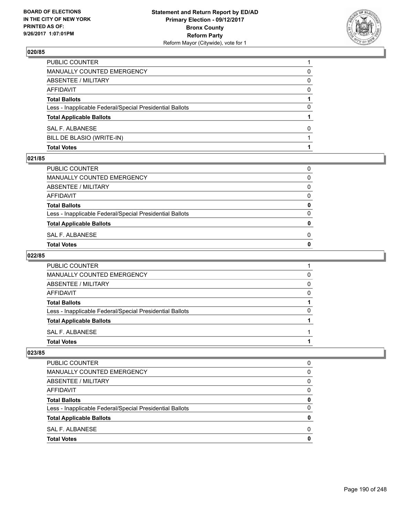

| <b>Total Votes</b>                                       |          |
|----------------------------------------------------------|----------|
| BILL DE BLASIO (WRITE-IN)                                |          |
| SAL F. ALBANESE                                          | 0        |
| <b>Total Applicable Ballots</b>                          |          |
| Less - Inapplicable Federal/Special Presidential Ballots | 0        |
| <b>Total Ballots</b>                                     |          |
| <b>AFFIDAVIT</b>                                         | $\Omega$ |
| <b>ABSENTEE / MILITARY</b>                               | 0        |
| <b>MANUALLY COUNTED EMERGENCY</b>                        | 0        |
| PUBLIC COUNTER                                           |          |

#### **021/85**

| Total Votes                                              | 0 |
|----------------------------------------------------------|---|
| SAL F. ALBANESE                                          | 0 |
| <b>Total Applicable Ballots</b>                          | 0 |
| Less - Inapplicable Federal/Special Presidential Ballots | 0 |
| <b>Total Ballots</b>                                     | 0 |
| AFFIDAVIT                                                | 0 |
| ABSENTEE / MILITARY                                      | 0 |
| MANUALLY COUNTED EMERGENCY                               | 0 |
| PUBLIC COUNTER                                           | 0 |
|                                                          |   |

## **022/85**

| PUBLIC COUNTER                                           |   |
|----------------------------------------------------------|---|
| <b>MANUALLY COUNTED EMERGENCY</b>                        | 0 |
| ABSENTEE / MILITARY                                      | 0 |
| AFFIDAVIT                                                | 0 |
| <b>Total Ballots</b>                                     |   |
| Less - Inapplicable Federal/Special Presidential Ballots | 0 |
| <b>Total Applicable Ballots</b>                          |   |
| SAL F. ALBANESE                                          |   |
| <b>Total Votes</b>                                       |   |

| <b>Total Votes</b>                                       | 0 |
|----------------------------------------------------------|---|
| SAL F. ALBANESE                                          | 0 |
| <b>Total Applicable Ballots</b>                          | 0 |
| Less - Inapplicable Federal/Special Presidential Ballots | 0 |
| <b>Total Ballots</b>                                     | 0 |
| AFFIDAVIT                                                | 0 |
| ABSENTEE / MILITARY                                      | 0 |
| MANUALLY COUNTED EMERGENCY                               | 0 |
| PUBLIC COUNTER                                           | 0 |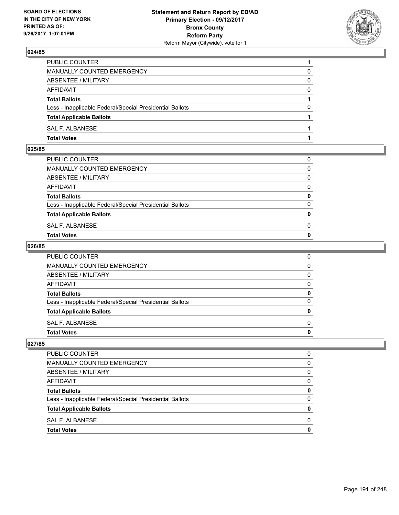

| PUBLIC COUNTER                                           |          |
|----------------------------------------------------------|----------|
| MANUALLY COUNTED EMERGENCY                               | 0        |
| ABSENTEE / MILITARY                                      | 0        |
| AFFIDAVIT                                                | 0        |
| <b>Total Ballots</b>                                     |          |
| Less - Inapplicable Federal/Special Presidential Ballots | $\Omega$ |
| <b>Total Applicable Ballots</b>                          |          |
| SAL F. ALBANESE                                          |          |
| <b>Total Votes</b>                                       |          |

#### **025/85**

| MANUALLY COUNTED EMERGENCY                               |              |
|----------------------------------------------------------|--------------|
| ABSENTEE / MILITARY                                      | $\Omega$     |
| AFFIDAVIT                                                | $\mathbf{0}$ |
| <b>Total Ballots</b>                                     | $\mathbf{0}$ |
| Less - Inapplicable Federal/Special Presidential Ballots | $\Omega$     |
| <b>Total Applicable Ballots</b>                          | $\mathbf{0}$ |
| SAL F. ALBANESE                                          | 0            |
| <b>Total Votes</b>                                       | $\mathbf{0}$ |
|                                                          |              |

### **026/85**

| PUBLIC COUNTER                                           | 0            |
|----------------------------------------------------------|--------------|
| MANUALLY COUNTED EMERGENCY                               | $\mathbf{0}$ |
| ABSENTEE / MILITARY                                      | $\mathbf{0}$ |
| AFFIDAVIT                                                | $\mathbf{0}$ |
| <b>Total Ballots</b>                                     | 0            |
| Less - Inapplicable Federal/Special Presidential Ballots | $\mathbf{0}$ |
| <b>Total Applicable Ballots</b>                          | 0            |
| SAL F. ALBANESE                                          | $\Omega$     |
| <b>Total Votes</b>                                       | 0            |
|                                                          |              |

| <b>PUBLIC COUNTER</b>                                    | n            |
|----------------------------------------------------------|--------------|
| MANUALLY COUNTED EMERGENCY                               | 0            |
| ABSENTEE / MILITARY                                      | 0            |
| <b>AFFIDAVIT</b>                                         | <sup>0</sup> |
| <b>Total Ballots</b>                                     |              |
| Less - Inapplicable Federal/Special Presidential Ballots |              |
| <b>Total Applicable Ballots</b>                          |              |
| SAL F. ALBANESE                                          | n            |
| <b>Total Votes</b>                                       |              |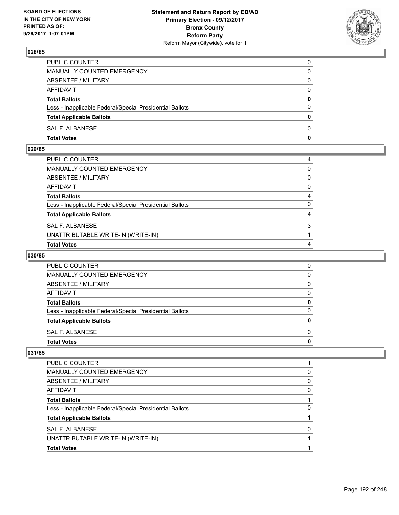

| PUBLIC COUNTER                                           | 0            |
|----------------------------------------------------------|--------------|
| MANUALLY COUNTED EMERGENCY                               | 0            |
| ABSENTEE / MILITARY                                      | 0            |
| AFFIDAVIT                                                | $\mathbf{0}$ |
| <b>Total Ballots</b>                                     | $\mathbf{0}$ |
| Less - Inapplicable Federal/Special Presidential Ballots | $\Omega$     |
| <b>Total Applicable Ballots</b>                          | $\mathbf{0}$ |
| SAL F. ALBANESE                                          | $\Omega$     |
| <b>Total Votes</b>                                       | 0            |

### **029/85**

| 4            |
|--------------|
|              |
| 3            |
| 4            |
| $\Omega$     |
| 4            |
| $\mathbf{0}$ |
| $\mathbf{0}$ |
| $\mathbf{0}$ |
| 4            |
|              |

## **030/85**

| <b>PUBLIC COUNTER</b>                                    |   |
|----------------------------------------------------------|---|
| <b>MANUALLY COUNTED EMERGENCY</b>                        | O |
| ABSENTEE / MILITARY                                      |   |
| AFFIDAVIT                                                |   |
| <b>Total Ballots</b>                                     | o |
| Less - Inapplicable Federal/Special Presidential Ballots | ŋ |
| <b>Total Applicable Ballots</b>                          |   |
| SAL F. ALBANESE                                          |   |
| <b>Total Votes</b>                                       |   |

| <b>Total Votes</b>                                       |   |
|----------------------------------------------------------|---|
| UNATTRIBUTABLE WRITE-IN (WRITE-IN)                       |   |
| SAL F. ALBANESE                                          | 0 |
| <b>Total Applicable Ballots</b>                          |   |
| Less - Inapplicable Federal/Special Presidential Ballots | 0 |
| <b>Total Ballots</b>                                     |   |
| AFFIDAVIT                                                | 0 |
| ABSENTEE / MILITARY                                      | 0 |
| <b>MANUALLY COUNTED EMERGENCY</b>                        | 0 |
| <b>PUBLIC COUNTER</b>                                    |   |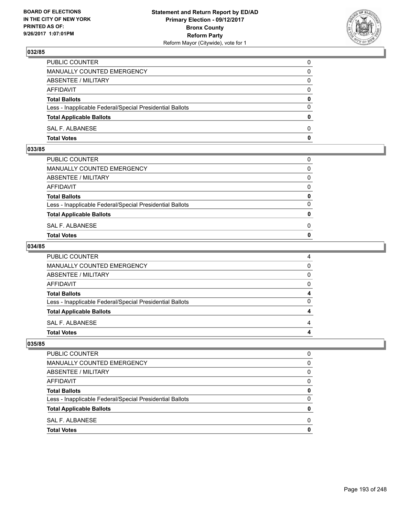

| PUBLIC COUNTER                                           | 0            |
|----------------------------------------------------------|--------------|
| MANUALLY COUNTED EMERGENCY                               | $\mathbf{0}$ |
| ABSENTEE / MILITARY                                      | 0            |
| AFFIDAVIT                                                | 0            |
| <b>Total Ballots</b>                                     | 0            |
| Less - Inapplicable Federal/Special Presidential Ballots | $\mathbf{0}$ |
| <b>Total Applicable Ballots</b>                          | $\mathbf{0}$ |
| SAL F. ALBANESE                                          | $\Omega$     |
| <b>Total Votes</b>                                       | $\mathbf{0}$ |

### **033/85**

| MANUALLY COUNTED EMERGENCY                               |              |
|----------------------------------------------------------|--------------|
| ABSENTEE / MILITARY                                      | $\Omega$     |
| AFFIDAVIT                                                | $\mathbf{0}$ |
| <b>Total Ballots</b>                                     | $\mathbf{0}$ |
| Less - Inapplicable Federal/Special Presidential Ballots | $\Omega$     |
| <b>Total Applicable Ballots</b>                          | $\mathbf{0}$ |
| SAL F. ALBANESE                                          | 0            |
| <b>Total Votes</b>                                       | $\mathbf{0}$ |
|                                                          |              |

### **034/85**

| PUBLIC COUNTER                                           | 4            |
|----------------------------------------------------------|--------------|
| MANUALLY COUNTED EMERGENCY                               | $\mathbf{0}$ |
| ABSENTEE / MILITARY                                      | $\mathbf{0}$ |
| AFFIDAVIT                                                | $\mathbf{0}$ |
| <b>Total Ballots</b>                                     | 4            |
| Less - Inapplicable Federal/Special Presidential Ballots | $\mathbf{0}$ |
| <b>Total Applicable Ballots</b>                          | 4            |
| SAL F. ALBANESE                                          | 4            |
| Total Votes                                              | 4            |
|                                                          |              |

| O |
|---|
| 0 |
| 0 |
| 0 |
| 0 |
| 0 |
| 0 |
| 0 |
| O |
|   |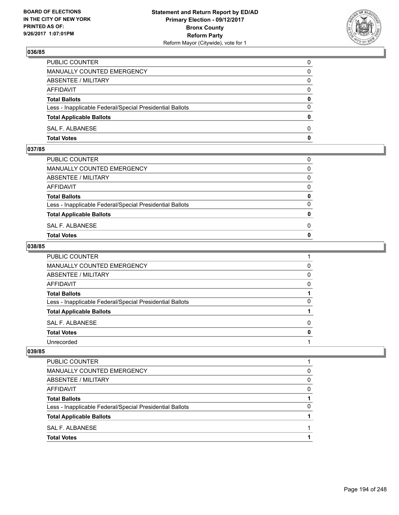

| <b>Total Votes</b>                                       | 0            |
|----------------------------------------------------------|--------------|
| SAL F. ALBANESE                                          | $\Omega$     |
| <b>Total Applicable Ballots</b>                          | $\mathbf{0}$ |
| Less - Inapplicable Federal/Special Presidential Ballots | $\Omega$     |
| <b>Total Ballots</b>                                     | 0            |
| <b>AFFIDAVIT</b>                                         | $\Omega$     |
| ABSENTEE / MILITARY                                      | $\Omega$     |
| MANUALLY COUNTED EMERGENCY                               | 0            |
| PUBLIC COUNTER                                           | 0            |

### **037/85**

| <b>Total Votes</b>                                       | $\mathbf{0}$ |
|----------------------------------------------------------|--------------|
| SAL F. ALBANESE                                          | 0            |
| <b>Total Applicable Ballots</b>                          | $\mathbf{0}$ |
| Less - Inapplicable Federal/Special Presidential Ballots | $\Omega$     |
| <b>Total Ballots</b>                                     | 0            |
| AFFIDAVIT                                                | $\Omega$     |
| ABSENTEE / MILITARY                                      | $\Omega$     |
| MANUALLY COUNTED EMERGENCY                               | $\Omega$     |
| PUBLIC COUNTER                                           | 0            |
|                                                          |              |

### **038/85**

| PUBLIC COUNTER                                           |   |
|----------------------------------------------------------|---|
| MANUALLY COUNTED EMERGENCY                               | 0 |
| ABSENTEE / MILITARY                                      | 0 |
| <b>AFFIDAVIT</b>                                         | 0 |
| <b>Total Ballots</b>                                     |   |
| Less - Inapplicable Federal/Special Presidential Ballots | 0 |
| <b>Total Applicable Ballots</b>                          |   |
| SAL F. ALBANESE                                          | 0 |
| <b>Total Votes</b>                                       | 0 |
| Unrecorded                                               |   |

| PUBLIC COUNTER                                           |   |
|----------------------------------------------------------|---|
| MANUALLY COUNTED EMERGENCY                               | 0 |
| ABSENTEE / MILITARY                                      | 0 |
| AFFIDAVIT                                                | 0 |
| <b>Total Ballots</b>                                     |   |
| Less - Inapplicable Federal/Special Presidential Ballots | 0 |
| <b>Total Applicable Ballots</b>                          |   |
| SAL F. ALBANESE                                          |   |
| <b>Total Votes</b>                                       |   |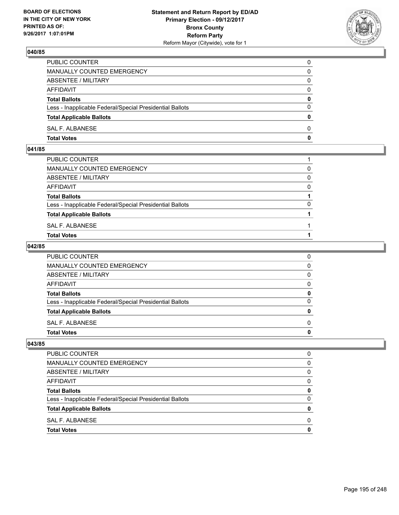

| <b>Total Votes</b>                                       | 0            |
|----------------------------------------------------------|--------------|
| SAL F. ALBANESE                                          | $\Omega$     |
| <b>Total Applicable Ballots</b>                          | $\mathbf{0}$ |
| Less - Inapplicable Federal/Special Presidential Ballots | $\Omega$     |
| <b>Total Ballots</b>                                     | 0            |
| <b>AFFIDAVIT</b>                                         | $\Omega$     |
| ABSENTEE / MILITARY                                      | $\Omega$     |
| MANUALLY COUNTED EMERGENCY                               | 0            |
| PUBLIC COUNTER                                           | 0            |

### **041/85**

| PUBLIC COUNTER                                           |          |
|----------------------------------------------------------|----------|
| MANUALLY COUNTED EMERGENCY                               | $\Omega$ |
| ABSENTEE / MILITARY                                      | $\Omega$ |
| AFFIDAVIT                                                | $\Omega$ |
| <b>Total Ballots</b>                                     |          |
| Less - Inapplicable Federal/Special Presidential Ballots | $\Omega$ |
| <b>Total Applicable Ballots</b>                          |          |
| SAL F. ALBANESE                                          |          |
| <b>Total Votes</b>                                       |          |
|                                                          |          |

### **042/85**

| PUBLIC COUNTER                                           | 0            |
|----------------------------------------------------------|--------------|
| MANUALLY COUNTED EMERGENCY                               | $\mathbf{0}$ |
| ABSENTEE / MILITARY                                      | $\mathbf{0}$ |
| AFFIDAVIT                                                | $\Omega$     |
| <b>Total Ballots</b>                                     | 0            |
| Less - Inapplicable Federal/Special Presidential Ballots | $\mathbf{0}$ |
| <b>Total Applicable Ballots</b>                          | 0            |
| SAL F. ALBANESE                                          | $\Omega$     |
| Total Votes                                              | $\mathbf{0}$ |
|                                                          |              |

| <b>PUBLIC COUNTER</b>                                    | O |
|----------------------------------------------------------|---|
| MANUALLY COUNTED EMERGENCY                               | 0 |
| ABSENTEE / MILITARY                                      | 0 |
| <b>AFFIDAVIT</b>                                         | 0 |
| <b>Total Ballots</b>                                     | 0 |
| Less - Inapplicable Federal/Special Presidential Ballots | 0 |
| <b>Total Applicable Ballots</b>                          | o |
| SAL F. ALBANESE                                          | O |
| <b>Total Votes</b>                                       |   |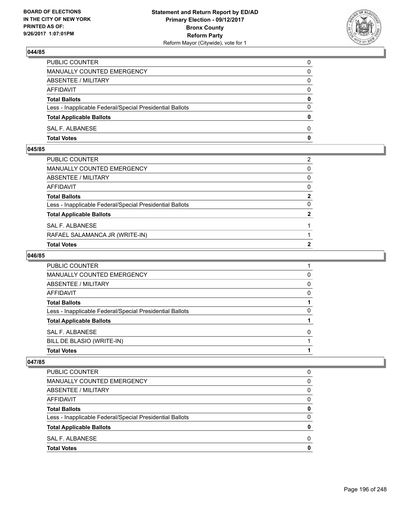

| PUBLIC COUNTER                                           | 0            |
|----------------------------------------------------------|--------------|
| MANUALLY COUNTED EMERGENCY                               | 0            |
| ABSENTEE / MILITARY                                      | 0            |
| AFFIDAVIT                                                | $\Omega$     |
| <b>Total Ballots</b>                                     | $\mathbf{0}$ |
| Less - Inapplicable Federal/Special Presidential Ballots | $\Omega$     |
| <b>Total Applicable Ballots</b>                          | $\mathbf{0}$ |
| <b>SAL F. ALBANESE</b>                                   | 0            |
| <b>Total Votes</b>                                       | 0            |

### **045/85**

| <b>Total Votes</b>                                       | 2              |
|----------------------------------------------------------|----------------|
| RAFAEL SALAMANCA JR (WRITE-IN)                           |                |
| SAL F. ALBANESE                                          |                |
| <b>Total Applicable Ballots</b>                          | $\overline{2}$ |
| Less - Inapplicable Federal/Special Presidential Ballots | $\Omega$       |
| Total Ballots                                            | $\overline{2}$ |
| AFFIDAVIT                                                | $\mathbf{0}$   |
| ABSENTEE / MILITARY                                      | $\mathbf{0}$   |
| MANUALLY COUNTED EMERGENCY                               | $\mathbf{0}$   |
| PUBLIC COUNTER                                           | 2              |

## **046/85**

| <b>PUBLIC COUNTER</b>                                    |          |
|----------------------------------------------------------|----------|
| <b>MANUALLY COUNTED EMERGENCY</b>                        | $\Omega$ |
| ABSENTEE / MILITARY                                      | 0        |
| AFFIDAVIT                                                | 0        |
| <b>Total Ballots</b>                                     |          |
| Less - Inapplicable Federal/Special Presidential Ballots | O        |
| <b>Total Applicable Ballots</b>                          |          |
| SAL F. ALBANESE                                          |          |
| BILL DE BLASIO (WRITE-IN)                                |          |
| <b>Total Votes</b>                                       |          |

| <b>PUBLIC COUNTER</b>                                    | 0 |
|----------------------------------------------------------|---|
| <b>MANUALLY COUNTED EMERGENCY</b>                        | 0 |
| ABSENTEE / MILITARY                                      | 0 |
| <b>AFFIDAVIT</b>                                         | 0 |
| <b>Total Ballots</b>                                     | 0 |
| Less - Inapplicable Federal/Special Presidential Ballots | 0 |
| <b>Total Applicable Ballots</b>                          | O |
| SAL F. ALBANESE                                          | 0 |
| <b>Total Votes</b>                                       | Ω |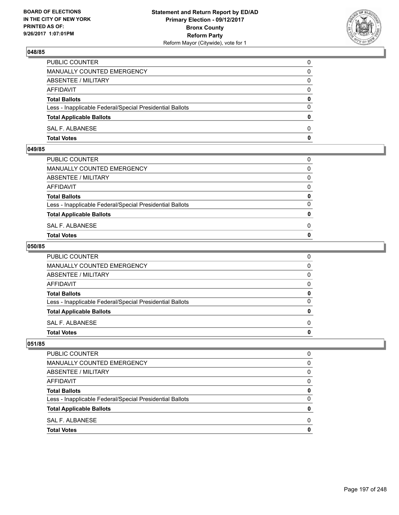

| PUBLIC COUNTER                                           | 0            |
|----------------------------------------------------------|--------------|
| <b>MANUALLY COUNTED EMERGENCY</b>                        | 0            |
| ABSENTEE / MILITARY                                      | 0            |
| AFFIDAVIT                                                | $\Omega$     |
| <b>Total Ballots</b>                                     | $\mathbf{0}$ |
| Less - Inapplicable Federal/Special Presidential Ballots | $\Omega$     |
| <b>Total Applicable Ballots</b>                          | $\Omega$     |
| SAL F. ALBANESE                                          | $\Omega$     |
| <b>Total Votes</b>                                       | 0            |

### **049/85**

| <b>Total Votes</b>                                       | $\mathbf{0}$ |
|----------------------------------------------------------|--------------|
| SAL F. ALBANESE                                          | 0            |
| <b>Total Applicable Ballots</b>                          | $\mathbf{0}$ |
| Less - Inapplicable Federal/Special Presidential Ballots | $\Omega$     |
| <b>Total Ballots</b>                                     | 0            |
| AFFIDAVIT                                                | $\Omega$     |
| ABSENTEE / MILITARY                                      | $\Omega$     |
| MANUALLY COUNTED EMERGENCY                               | $\Omega$     |
| PUBLIC COUNTER                                           | 0            |
|                                                          |              |

## **050/85**

| <b>Total Votes</b>                                       | 0            |
|----------------------------------------------------------|--------------|
| SAL F. ALBANESE                                          | $\Omega$     |
| <b>Total Applicable Ballots</b>                          | 0            |
| Less - Inapplicable Federal/Special Presidential Ballots | $\mathbf{0}$ |
| <b>Total Ballots</b>                                     | 0            |
| <b>AFFIDAVIT</b>                                         | $\mathbf{0}$ |
| <b>ABSENTEE / MILITARY</b>                               | $\mathbf{0}$ |
| <b>MANUALLY COUNTED EMERGENCY</b>                        | $\mathbf{0}$ |
| PUBLIC COUNTER                                           | 0            |

| <b>PUBLIC COUNTER</b>                                    | O |
|----------------------------------------------------------|---|
| <b>MANUALLY COUNTED EMERGENCY</b>                        | 0 |
| ABSENTEE / MILITARY                                      | 0 |
| <b>AFFIDAVIT</b>                                         | 0 |
| <b>Total Ballots</b>                                     | 0 |
| Less - Inapplicable Federal/Special Presidential Ballots | 0 |
| <b>Total Applicable Ballots</b>                          | 0 |
| SAL F. ALBANESE                                          | 0 |
| <b>Total Votes</b>                                       | O |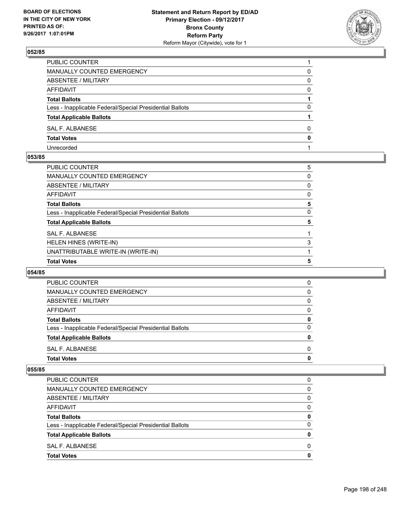

| PUBLIC COUNTER                                           |              |
|----------------------------------------------------------|--------------|
| <b>MANUALLY COUNTED EMERGENCY</b>                        | 0            |
| ABSENTEE / MILITARY                                      | 0            |
| <b>AFFIDAVIT</b>                                         | <sup>0</sup> |
| <b>Total Ballots</b>                                     |              |
| Less - Inapplicable Federal/Special Presidential Ballots | 0            |
| <b>Total Applicable Ballots</b>                          |              |
| SAL F. ALBANESE                                          | 0            |
| <b>Total Votes</b>                                       | 0            |
| Unrecorded                                               |              |

#### **053/85**

| PUBLIC COUNTER                                           | 5 |
|----------------------------------------------------------|---|
| MANUALLY COUNTED EMERGENCY                               | 0 |
| ABSENTEE / MILITARY                                      | 0 |
| AFFIDAVIT                                                | 0 |
| Total Ballots                                            | 5 |
| Less - Inapplicable Federal/Special Presidential Ballots | 0 |
| <b>Total Applicable Ballots</b>                          | 5 |
| <b>SAL F. ALBANESE</b>                                   |   |
| HELEN HINES (WRITE-IN)                                   | 3 |
| UNATTRIBUTABLE WRITE-IN (WRITE-IN)                       |   |
| <b>Total Votes</b>                                       | 5 |
|                                                          |   |

### **054/85**

| <b>PUBLIC COUNTER</b>                                    | 0        |
|----------------------------------------------------------|----------|
| <b>MANUALLY COUNTED EMERGENCY</b>                        | 0        |
| ABSENTEE / MILITARY                                      | 0        |
| AFFIDAVIT                                                | $\Omega$ |
| <b>Total Ballots</b>                                     | 0        |
| Less - Inapplicable Federal/Special Presidential Ballots | 0        |
| <b>Total Applicable Ballots</b>                          | 0        |
| SAL F. ALBANESE                                          | O        |
| <b>Total Votes</b>                                       | 0        |
|                                                          |          |

| <b>PUBLIC COUNTER</b>                                    | 0 |
|----------------------------------------------------------|---|
| <b>MANUALLY COUNTED EMERGENCY</b>                        | 0 |
| ABSENTEE / MILITARY                                      | 0 |
| AFFIDAVIT                                                | 0 |
| <b>Total Ballots</b>                                     | 0 |
| Less - Inapplicable Federal/Special Presidential Ballots | 0 |
| <b>Total Applicable Ballots</b>                          | 0 |
| SAL F. ALBANESE                                          | 0 |
| <b>Total Votes</b>                                       | 0 |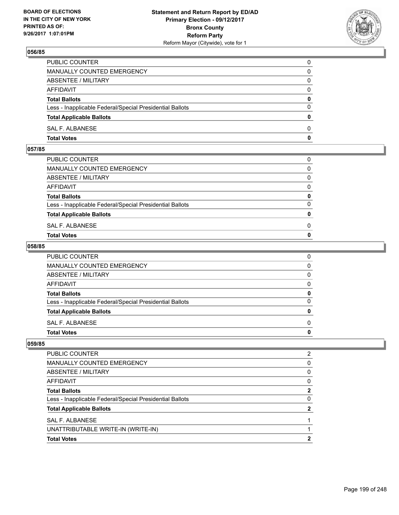

| <b>Total Votes</b>                                       | 0            |
|----------------------------------------------------------|--------------|
| SAL F. ALBANESE                                          | $\Omega$     |
| <b>Total Applicable Ballots</b>                          | $\mathbf{0}$ |
| Less - Inapplicable Federal/Special Presidential Ballots | $\Omega$     |
| <b>Total Ballots</b>                                     | 0            |
| <b>AFFIDAVIT</b>                                         | $\Omega$     |
| ABSENTEE / MILITARY                                      | $\Omega$     |
| MANUALLY COUNTED EMERGENCY                               | 0            |
| PUBLIC COUNTER                                           | 0            |

### **057/85**

| <b>Total Votes</b>                                       | $\mathbf{0}$ |
|----------------------------------------------------------|--------------|
| SAL F. ALBANESE                                          | 0            |
| <b>Total Applicable Ballots</b>                          | $\mathbf{0}$ |
| Less - Inapplicable Federal/Special Presidential Ballots | $\Omega$     |
| <b>Total Ballots</b>                                     | 0            |
| AFFIDAVIT                                                | $\Omega$     |
| ABSENTEE / MILITARY                                      | $\Omega$     |
| MANUALLY COUNTED EMERGENCY                               | $\Omega$     |
| PUBLIC COUNTER                                           | 0            |
|                                                          |              |

### **058/85**

| <b>Total Votes</b>                                       | 0            |
|----------------------------------------------------------|--------------|
| SAL F. ALBANESE                                          | $\Omega$     |
| <b>Total Applicable Ballots</b>                          | 0            |
| Less - Inapplicable Federal/Special Presidential Ballots | $\mathbf{0}$ |
| <b>Total Ballots</b>                                     | 0            |
| <b>AFFIDAVIT</b>                                         | $\mathbf{0}$ |
| <b>ABSENTEE / MILITARY</b>                               | $\mathbf{0}$ |
| <b>MANUALLY COUNTED EMERGENCY</b>                        | $\mathbf{0}$ |
| PUBLIC COUNTER                                           | 0            |

| <b>Total Votes</b>                                       | 2 |
|----------------------------------------------------------|---|
| UNATTRIBUTABLE WRITE-IN (WRITE-IN)                       |   |
| SAL F. ALBANESE                                          |   |
| <b>Total Applicable Ballots</b>                          | 2 |
| Less - Inapplicable Federal/Special Presidential Ballots | 0 |
| <b>Total Ballots</b>                                     | 2 |
| AFFIDAVIT                                                | 0 |
| ABSENTEE / MILITARY                                      | 0 |
| <b>MANUALLY COUNTED EMERGENCY</b>                        | 0 |
| PUBLIC COUNTER                                           | 2 |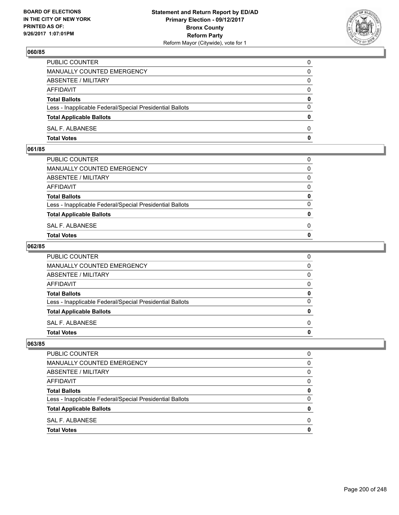

| <b>Total Votes</b>                                       | 0            |
|----------------------------------------------------------|--------------|
| SAL F. ALBANESE                                          | $\Omega$     |
| <b>Total Applicable Ballots</b>                          | $\mathbf{0}$ |
| Less - Inapplicable Federal/Special Presidential Ballots | $\Omega$     |
| <b>Total Ballots</b>                                     | 0            |
| <b>AFFIDAVIT</b>                                         | $\Omega$     |
| ABSENTEE / MILITARY                                      | $\Omega$     |
| MANUALLY COUNTED EMERGENCY                               | 0            |
| PUBLIC COUNTER                                           | 0            |

### **061/85**

| <b>Total Votes</b>                                       | $\mathbf{0}$ |
|----------------------------------------------------------|--------------|
| SAL F. ALBANESE                                          | 0            |
| <b>Total Applicable Ballots</b>                          | $\mathbf{0}$ |
| Less - Inapplicable Federal/Special Presidential Ballots | $\Omega$     |
| <b>Total Ballots</b>                                     | 0            |
| AFFIDAVIT                                                | $\Omega$     |
| ABSENTEE / MILITARY                                      | $\Omega$     |
| MANUALLY COUNTED EMERGENCY                               | $\Omega$     |
| PUBLIC COUNTER                                           | 0            |
|                                                          |              |

### **062/85**

| <b>Total Votes</b>                                       | 0            |
|----------------------------------------------------------|--------------|
| SAL F. ALBANESE                                          | $\Omega$     |
| <b>Total Applicable Ballots</b>                          | 0            |
| Less - Inapplicable Federal/Special Presidential Ballots | $\mathbf{0}$ |
| <b>Total Ballots</b>                                     | 0            |
| <b>AFFIDAVIT</b>                                         | $\mathbf{0}$ |
| <b>ABSENTEE / MILITARY</b>                               | $\mathbf{0}$ |
| <b>MANUALLY COUNTED EMERGENCY</b>                        | $\mathbf{0}$ |
| PUBLIC COUNTER                                           | 0            |

| <b>PUBLIC COUNTER</b>                                    | O |
|----------------------------------------------------------|---|
| MANUALLY COUNTED EMERGENCY                               | 0 |
| ABSENTEE / MILITARY                                      | 0 |
| <b>AFFIDAVIT</b>                                         | 0 |
| <b>Total Ballots</b>                                     | 0 |
| Less - Inapplicable Federal/Special Presidential Ballots | 0 |
| <b>Total Applicable Ballots</b>                          | o |
| SAL F. ALBANESE                                          | O |
| <b>Total Votes</b>                                       |   |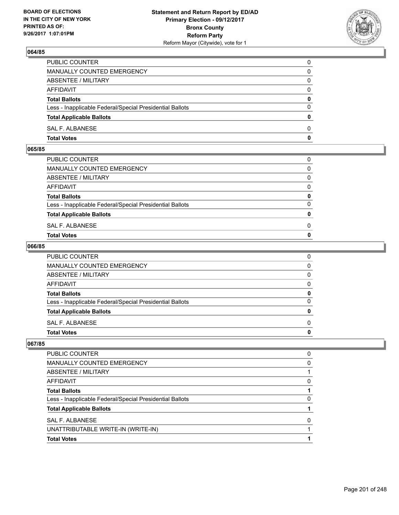

| PUBLIC COUNTER                                           | 0            |
|----------------------------------------------------------|--------------|
| <b>MANUALLY COUNTED EMERGENCY</b>                        | 0            |
| ABSENTEE / MILITARY                                      | 0            |
| AFFIDAVIT                                                | $\Omega$     |
| <b>Total Ballots</b>                                     | $\mathbf{0}$ |
| Less - Inapplicable Federal/Special Presidential Ballots | $\Omega$     |
| <b>Total Applicable Ballots</b>                          | $\Omega$     |
| SAL F. ALBANESE                                          | $\Omega$     |
| <b>Total Votes</b>                                       | 0            |

#### **065/85**

| <b>Total Votes</b>                                       | $\mathbf{0}$ |
|----------------------------------------------------------|--------------|
| SAL F. ALBANESE                                          | 0            |
| <b>Total Applicable Ballots</b>                          | $\mathbf{0}$ |
| Less - Inapplicable Federal/Special Presidential Ballots | $\Omega$     |
| <b>Total Ballots</b>                                     | 0            |
| AFFIDAVIT                                                | $\Omega$     |
| ABSENTEE / MILITARY                                      | $\Omega$     |
| MANUALLY COUNTED EMERGENCY                               | $\Omega$     |
| PUBLIC COUNTER                                           | 0            |
|                                                          |              |

#### **066/85**

| <b>Total Votes</b>                                       | 0            |
|----------------------------------------------------------|--------------|
| SAL F. ALBANESE                                          | $\Omega$     |
| <b>Total Applicable Ballots</b>                          | 0            |
| Less - Inapplicable Federal/Special Presidential Ballots | $\mathbf{0}$ |
| <b>Total Ballots</b>                                     | 0            |
| <b>AFFIDAVIT</b>                                         | $\mathbf{0}$ |
| <b>ABSENTEE / MILITARY</b>                               | $\mathbf{0}$ |
| <b>MANUALLY COUNTED EMERGENCY</b>                        | $\mathbf{0}$ |
| PUBLIC COUNTER                                           | 0            |

| <b>PUBLIC COUNTER</b>                                    | 0 |
|----------------------------------------------------------|---|
| <b>MANUALLY COUNTED EMERGENCY</b>                        | 0 |
| ABSENTEE / MILITARY                                      |   |
| AFFIDAVIT                                                | 0 |
| <b>Total Ballots</b>                                     |   |
| Less - Inapplicable Federal/Special Presidential Ballots | O |
| <b>Total Applicable Ballots</b>                          |   |
| SAL F. ALBANESE                                          | 0 |
| UNATTRIBUTABLE WRITE-IN (WRITE-IN)                       |   |
| <b>Total Votes</b>                                       |   |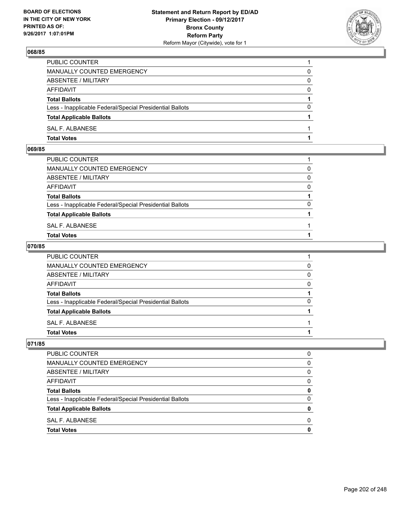

| <b>Total Votes</b>                                       |          |
|----------------------------------------------------------|----------|
| SAL F. ALBANESE                                          |          |
| <b>Total Applicable Ballots</b>                          |          |
| Less - Inapplicable Federal/Special Presidential Ballots | $\Omega$ |
| <b>Total Ballots</b>                                     |          |
| AFFIDAVIT                                                | 0        |
| <b>ABSENTEE / MILITARY</b>                               | $\Omega$ |
| <b>MANUALLY COUNTED EMERGENCY</b>                        | 0        |
| PUBLIC COUNTER                                           |          |

### **069/85**

| PUBLIC COUNTER                                           |          |
|----------------------------------------------------------|----------|
| MANUALLY COUNTED EMERGENCY                               | $\Omega$ |
| ABSENTEE / MILITARY                                      | $\Omega$ |
| AFFIDAVIT                                                | $\Omega$ |
| <b>Total Ballots</b>                                     |          |
| Less - Inapplicable Federal/Special Presidential Ballots | $\Omega$ |
| <b>Total Applicable Ballots</b>                          |          |
| SAL F. ALBANESE                                          |          |
| <b>Total Votes</b>                                       |          |
|                                                          |          |

### **070/85**

| <b>Total Votes</b>                                       |          |
|----------------------------------------------------------|----------|
| SAL F. ALBANESE                                          |          |
| <b>Total Applicable Ballots</b>                          |          |
| Less - Inapplicable Federal/Special Presidential Ballots | $\Omega$ |
| <b>Total Ballots</b>                                     |          |
| AFFIDAVIT                                                | 0        |
| <b>ABSENTEE / MILITARY</b>                               | $\Omega$ |
| <b>MANUALLY COUNTED EMERGENCY</b>                        | 0        |
| PUBLIC COUNTER                                           |          |

| PUBLIC COUNTER                                           | O |
|----------------------------------------------------------|---|
| MANUALLY COUNTED EMERGENCY                               | 0 |
| ABSENTEE / MILITARY                                      | 0 |
| <b>AFFIDAVIT</b>                                         | 0 |
| <b>Total Ballots</b>                                     | 0 |
| Less - Inapplicable Federal/Special Presidential Ballots | 0 |
| <b>Total Applicable Ballots</b>                          | o |
| SAL F. ALBANESE                                          | O |
| <b>Total Votes</b>                                       |   |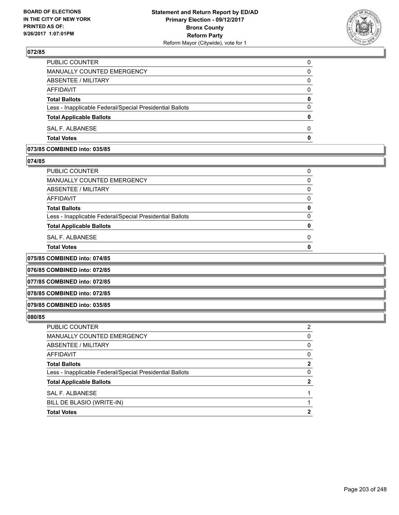

| <b>Total Votes</b>                                       | O |
|----------------------------------------------------------|---|
| SAL F. ALBANESE                                          | O |
| <b>Total Applicable Ballots</b>                          | 0 |
| Less - Inapplicable Federal/Special Presidential Ballots | 0 |
| <b>Total Ballots</b>                                     | 0 |
| AFFIDAVIT                                                | 0 |
| ABSENTEE / MILITARY                                      | 0 |
| MANUALLY COUNTED EMERGENCY                               | 0 |
| <b>PUBLIC COUNTER</b>                                    | 0 |

## **073/85 COMBINED into: 035/85**

### **074/85**

| PUBLIC COUNTER                                           |  |
|----------------------------------------------------------|--|
| <b>MANUALLY COUNTED EMERGENCY</b>                        |  |
| <b>ABSENTEE / MILITARY</b>                               |  |
| <b>AFFIDAVIT</b>                                         |  |
| <b>Total Ballots</b>                                     |  |
| Less - Inapplicable Federal/Special Presidential Ballots |  |
| <b>Total Applicable Ballots</b>                          |  |
| SAL F. ALBANESE                                          |  |
| <b>Total Votes</b>                                       |  |

**075/85 COMBINED into: 074/85**

**076/85 COMBINED into: 072/85**

**077/85 COMBINED into: 072/85**

**078/85 COMBINED into: 072/85**

#### **079/85 COMBINED into: 035/85**

| <b>PUBLIC COUNTER</b>                                    | 2 |
|----------------------------------------------------------|---|
| MANUALLY COUNTED EMERGENCY                               | 0 |
| ABSENTEE / MILITARY                                      | 0 |
| AFFIDAVIT                                                | 0 |
| <b>Total Ballots</b>                                     | 2 |
| Less - Inapplicable Federal/Special Presidential Ballots | 0 |
| <b>Total Applicable Ballots</b>                          | 2 |
| SAL F. ALBANESE                                          |   |
| BILL DE BLASIO (WRITE-IN)                                |   |
| <b>Total Votes</b>                                       | 2 |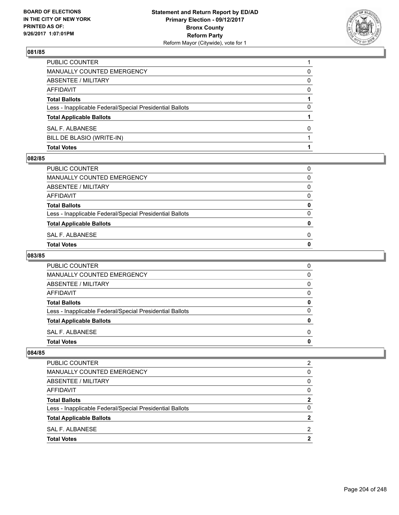

| <b>Total Votes</b>                                       |   |
|----------------------------------------------------------|---|
| BILL DE BLASIO (WRITE-IN)                                |   |
| SAL F. ALBANESE                                          | 0 |
| <b>Total Applicable Ballots</b>                          |   |
| Less - Inapplicable Federal/Special Presidential Ballots | 0 |
| <b>Total Ballots</b>                                     |   |
| AFFIDAVIT                                                | 0 |
| ABSENTEE / MILITARY                                      | 0 |
| MANUALLY COUNTED EMERGENCY                               | 0 |
| PUBLIC COUNTER                                           |   |

#### **082/85**

| SAL F. ALBANESE<br>Total Votes                           | 0 |
|----------------------------------------------------------|---|
| <b>Total Applicable Ballots</b>                          | o |
| Less - Inapplicable Federal/Special Presidential Ballots | 0 |
| <b>Total Ballots</b>                                     | 0 |
| AFFIDAVIT                                                | 0 |
| ABSENTEE / MILITARY                                      | 0 |
| MANUALLY COUNTED EMERGENCY                               | 0 |
| PUBLIC COUNTER                                           | 0 |

# **083/85**

| PUBLIC COUNTER                                           | 0 |
|----------------------------------------------------------|---|
| <b>MANUALLY COUNTED EMERGENCY</b>                        | 0 |
| ABSENTEE / MILITARY                                      | 0 |
| AFFIDAVIT                                                | 0 |
| <b>Total Ballots</b>                                     | O |
| Less - Inapplicable Federal/Special Presidential Ballots | O |
| <b>Total Applicable Ballots</b>                          | n |
| SAL F. ALBANESE                                          | 0 |
| <b>Total Votes</b>                                       |   |

| <b>Total Votes</b>                                       | 2        |
|----------------------------------------------------------|----------|
| SAL F. ALBANESE                                          | 2        |
| <b>Total Applicable Ballots</b>                          |          |
| Less - Inapplicable Federal/Special Presidential Ballots | 0        |
| <b>Total Ballots</b>                                     | 2        |
| AFFIDAVIT                                                | $\Omega$ |
| ABSENTEE / MILITARY                                      | 0        |
| MANUALLY COUNTED EMERGENCY                               | 0        |
| PUBLIC COUNTER                                           | 2        |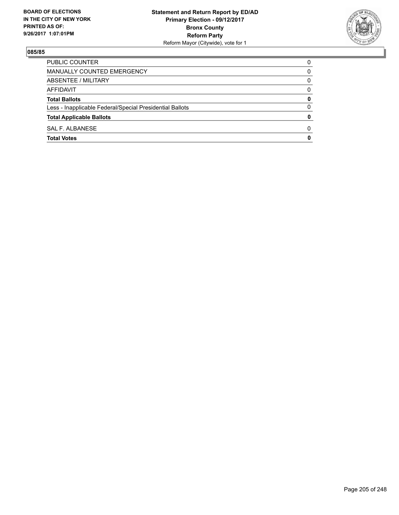

| PUBLIC COUNTER                                           | 0            |
|----------------------------------------------------------|--------------|
| MANUALLY COUNTED EMERGENCY                               | 0            |
| ABSENTEE / MILITARY                                      | 0            |
| AFFIDAVIT                                                | 0            |
| <b>Total Ballots</b>                                     | 0            |
| Less - Inapplicable Federal/Special Presidential Ballots | 0            |
| <b>Total Applicable Ballots</b>                          | 0            |
| SAL F. ALBANESE                                          | <sup>0</sup> |
| <b>Total Votes</b>                                       | 0            |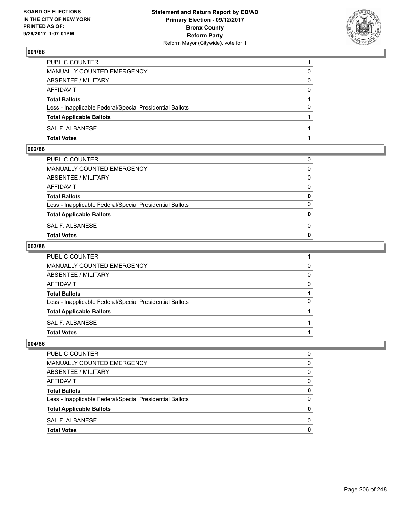

| <b>Total Votes</b>                                       |          |
|----------------------------------------------------------|----------|
| SAL F. ALBANESE                                          |          |
| <b>Total Applicable Ballots</b>                          |          |
| Less - Inapplicable Federal/Special Presidential Ballots | 0        |
| <b>Total Ballots</b>                                     |          |
| AFFIDAVIT                                                | $\Omega$ |
| ABSENTEE / MILITARY                                      | 0        |
| <b>MANUALLY COUNTED EMERGENCY</b>                        | 0        |
| PUBLIC COUNTER                                           |          |

### **002/86**

| MANUALLY COUNTED EMERGENCY                               |              |
|----------------------------------------------------------|--------------|
| ABSENTEE / MILITARY                                      | $\Omega$     |
| AFFIDAVIT                                                | $\mathbf{0}$ |
| <b>Total Ballots</b>                                     | $\mathbf{0}$ |
| Less - Inapplicable Federal/Special Presidential Ballots | $\Omega$     |
| <b>Total Applicable Ballots</b>                          | $\mathbf{0}$ |
| SAL F. ALBANESE                                          | 0            |
| <b>Total Votes</b>                                       | $\mathbf{0}$ |
|                                                          |              |

### **003/86**

| PUBLIC COUNTER                                           |   |
|----------------------------------------------------------|---|
| MANUALLY COUNTED EMERGENCY                               | 0 |
| ABSENTEE / MILITARY                                      | 0 |
| AFFIDAVIT                                                | 0 |
| <b>Total Ballots</b>                                     |   |
| Less - Inapplicable Federal/Special Presidential Ballots | 0 |
| <b>Total Applicable Ballots</b>                          |   |
| SAL F. ALBANESE                                          |   |
| <b>Total Votes</b>                                       |   |
|                                                          |   |

| <b>PUBLIC COUNTER</b>                                    | 0            |
|----------------------------------------------------------|--------------|
| <b>MANUALLY COUNTED EMERGENCY</b>                        | 0            |
| ABSENTEE / MILITARY                                      | O            |
| AFFIDAVIT                                                | <sup>0</sup> |
| <b>Total Ballots</b>                                     | 0            |
| Less - Inapplicable Federal/Special Presidential Ballots | 0            |
| <b>Total Applicable Ballots</b>                          | 0            |
| SAL F. ALBANESE                                          | O            |
| <b>Total Votes</b>                                       | n            |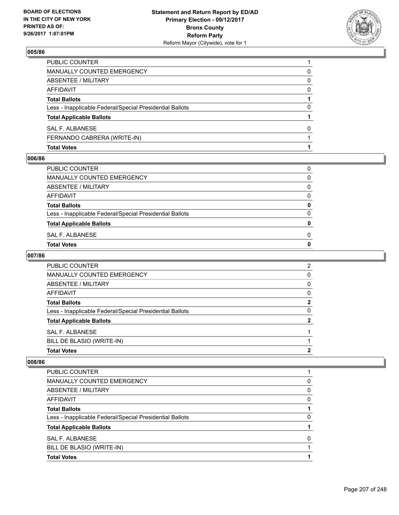

| <b>Total Votes</b>                                       |   |
|----------------------------------------------------------|---|
| FERNANDO CABRERA (WRITE-IN)                              |   |
| SAL F. ALBANESE                                          | 0 |
| <b>Total Applicable Ballots</b>                          |   |
| Less - Inapplicable Federal/Special Presidential Ballots | 0 |
| <b>Total Ballots</b>                                     |   |
| AFFIDAVIT                                                | 0 |
| ABSENTEE / MILITARY                                      | 0 |
| MANUALLY COUNTED EMERGENCY                               | 0 |
| <b>PUBLIC COUNTER</b>                                    |   |

#### **006/86**

| Total Votes                                              | 0 |
|----------------------------------------------------------|---|
| SAL F. ALBANESE                                          | 0 |
| <b>Total Applicable Ballots</b>                          | 0 |
| Less - Inapplicable Federal/Special Presidential Ballots | 0 |
| <b>Total Ballots</b>                                     | 0 |
| AFFIDAVIT                                                | 0 |
| ABSENTEE / MILITARY                                      | 0 |
| MANUALLY COUNTED EMERGENCY                               | 0 |
| PUBLIC COUNTER                                           | 0 |
|                                                          |   |

# **007/86**

| <b>PUBLIC COUNTER</b>                                    | 2 |
|----------------------------------------------------------|---|
| MANUALLY COUNTED EMERGENCY                               | 0 |
| ABSENTEE / MILITARY                                      | 0 |
| AFFIDAVIT                                                | 0 |
| <b>Total Ballots</b>                                     | 2 |
| Less - Inapplicable Federal/Special Presidential Ballots | 0 |
| <b>Total Applicable Ballots</b>                          | 2 |
| SAL F. ALBANESE                                          |   |
| BILL DE BLASIO (WRITE-IN)                                |   |
| <b>Total Votes</b>                                       | າ |

| <b>Total Votes</b>                                       |   |
|----------------------------------------------------------|---|
| BILL DE BLASIO (WRITE-IN)                                |   |
| <b>SAL F. ALBANESE</b>                                   | ŋ |
| <b>Total Applicable Ballots</b>                          |   |
| Less - Inapplicable Federal/Special Presidential Ballots | 0 |
| <b>Total Ballots</b>                                     |   |
| AFFIDAVIT                                                | 0 |
| <b>ABSENTEE / MILITARY</b>                               | 0 |
| <b>MANUALLY COUNTED EMERGENCY</b>                        | 0 |
| <b>PUBLIC COUNTER</b>                                    |   |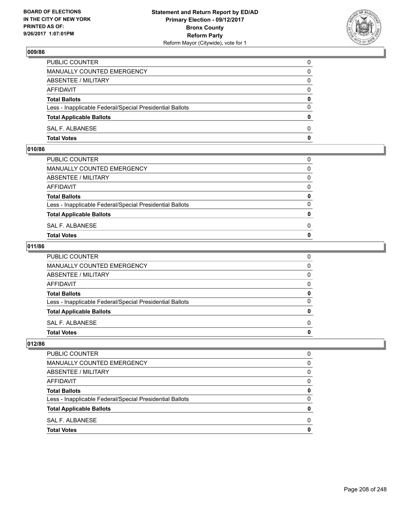

| <b>Total Votes</b>                                       | 0            |
|----------------------------------------------------------|--------------|
| SAL F. ALBANESE                                          | $\Omega$     |
| <b>Total Applicable Ballots</b>                          | $\mathbf{0}$ |
| Less - Inapplicable Federal/Special Presidential Ballots | $\Omega$     |
| <b>Total Ballots</b>                                     | 0            |
| <b>AFFIDAVIT</b>                                         | $\Omega$     |
| ABSENTEE / MILITARY                                      | $\Omega$     |
| MANUALLY COUNTED EMERGENCY                               | 0            |
| PUBLIC COUNTER                                           | 0            |

## **010/86**

| PUBLIC COUNTER                                           | 0            |
|----------------------------------------------------------|--------------|
| MANUALLY COUNTED EMERGENCY                               | $\mathbf{0}$ |
| ABSENTEE / MILITARY                                      | $\Omega$     |
| AFFIDAVIT                                                | $\Omega$     |
| <b>Total Ballots</b>                                     | 0            |
| Less - Inapplicable Federal/Special Presidential Ballots | $\Omega$     |
| <b>Total Applicable Ballots</b>                          | $\mathbf{0}$ |
| SAL F. ALBANESE                                          | 0            |
| Total Votes                                              | $\Omega$     |
|                                                          |              |

### **011/86**

| PUBLIC COUNTER                                           | 0            |
|----------------------------------------------------------|--------------|
| MANUALLY COUNTED EMERGENCY                               | $\mathbf{0}$ |
| ABSENTEE / MILITARY                                      | $\mathbf{0}$ |
| AFFIDAVIT                                                | $\mathbf{0}$ |
| <b>Total Ballots</b>                                     | 0            |
| Less - Inapplicable Federal/Special Presidential Ballots | $\mathbf{0}$ |
| <b>Total Applicable Ballots</b>                          | 0            |
| SAL F. ALBANESE                                          | $\Omega$     |
| <b>Total Votes</b>                                       | 0            |
|                                                          |              |

| <b>PUBLIC COUNTER</b>                                    | O |
|----------------------------------------------------------|---|
| MANUALLY COUNTED EMERGENCY                               | 0 |
| ABSENTEE / MILITARY                                      | 0 |
| <b>AFFIDAVIT</b>                                         | 0 |
| <b>Total Ballots</b>                                     | 0 |
| Less - Inapplicable Federal/Special Presidential Ballots | 0 |
| <b>Total Applicable Ballots</b>                          | o |
| SAL F. ALBANESE                                          | O |
| <b>Total Votes</b>                                       |   |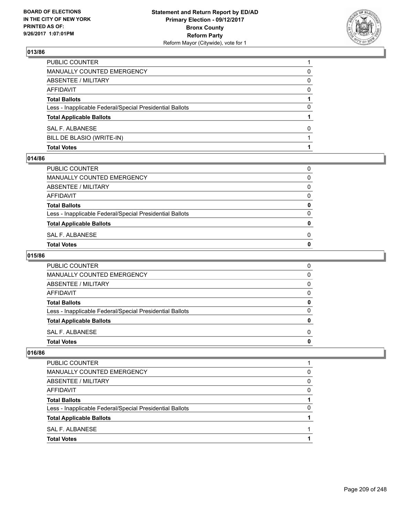

| <b>Total Votes</b>                                       |              |
|----------------------------------------------------------|--------------|
| BILL DE BLASIO (WRITE-IN)                                |              |
| SAL F. ALBANESE                                          | <sup>0</sup> |
| <b>Total Applicable Ballots</b>                          |              |
| Less - Inapplicable Federal/Special Presidential Ballots | 0            |
| <b>Total Ballots</b>                                     |              |
| AFFIDAVIT                                                | <sup>0</sup> |
| <b>ABSENTEE / MILITARY</b>                               | 0            |
| MANUALLY COUNTED EMERGENCY                               | 0            |
| PUBLIC COUNTER                                           |              |

#### **014/86**

| PUBLIC COUNTER                                           | 0            |
|----------------------------------------------------------|--------------|
| MANUALLY COUNTED EMERGENCY                               | 0            |
| ABSENTEE / MILITARY                                      | 0            |
| AFFIDAVIT                                                | 0            |
| <b>Total Ballots</b>                                     | 0            |
| Less - Inapplicable Federal/Special Presidential Ballots | 0            |
| <b>Total Applicable Ballots</b>                          | 0            |
| SAL F. ALBANESE                                          | <sup>0</sup> |
| Total Votes                                              | 0            |
|                                                          |              |

# **015/86**

| <b>PUBLIC COUNTER</b>                                    | 0 |
|----------------------------------------------------------|---|
| <b>MANUALLY COUNTED EMERGENCY</b>                        | 0 |
| ABSENTEE / MILITARY                                      | 0 |
| AFFIDAVIT                                                | 0 |
| <b>Total Ballots</b>                                     | 0 |
| Less - Inapplicable Federal/Special Presidential Ballots | 0 |
| <b>Total Applicable Ballots</b>                          | o |
| SAL F. ALBANESE                                          | 0 |
| <b>Total Votes</b>                                       |   |

| <b>Total Votes</b>                                       |          |
|----------------------------------------------------------|----------|
| SAL F. ALBANESE                                          |          |
| <b>Total Applicable Ballots</b>                          |          |
| Less - Inapplicable Federal/Special Presidential Ballots | 0        |
| <b>Total Ballots</b>                                     |          |
| AFFIDAVIT                                                | $\Omega$ |
| ABSENTEE / MILITARY                                      | 0        |
| MANUALLY COUNTED EMERGENCY                               | 0        |
| PUBLIC COUNTER                                           |          |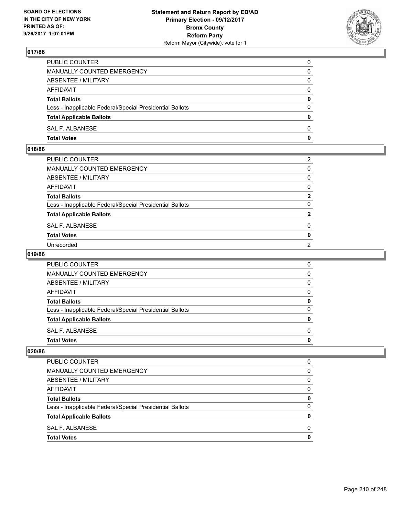

| PUBLIC COUNTER                                           | 0        |
|----------------------------------------------------------|----------|
| MANUALLY COUNTED EMERGENCY                               | 0        |
| ABSENTEE / MILITARY                                      | 0        |
| AFFIDAVIT                                                | 0        |
| <b>Total Ballots</b>                                     | 0        |
| Less - Inapplicable Federal/Special Presidential Ballots | $\Omega$ |
| <b>Total Applicable Ballots</b>                          | 0        |
| SAL F. ALBANESE                                          | 0        |
| <b>Total Votes</b>                                       | 0        |

## **018/86**

| PUBLIC COUNTER                                           | 2              |
|----------------------------------------------------------|----------------|
| MANUALLY COUNTED EMERGENCY                               | 0              |
| ABSENTEE / MILITARY                                      | 0              |
| AFFIDAVIT                                                | 0              |
| Total Ballots                                            | 2              |
| Less - Inapplicable Federal/Special Presidential Ballots | 0              |
| <b>Total Applicable Ballots</b>                          | 2              |
| SAL F. ALBANESE                                          | 0              |
| <b>Total Votes</b>                                       | 0              |
| Unrecorded                                               | $\overline{2}$ |
|                                                          |                |

### **019/86**

| PUBLIC COUNTER                                           | 0 |
|----------------------------------------------------------|---|
| <b>MANUALLY COUNTED EMERGENCY</b>                        | 0 |
| <b>ABSENTEE / MILITARY</b>                               | 0 |
| <b>AFFIDAVIT</b>                                         | O |
| <b>Total Ballots</b>                                     |   |
| Less - Inapplicable Federal/Special Presidential Ballots | 0 |
| <b>Total Applicable Ballots</b>                          |   |
| SAL F. ALBANESE                                          | O |
| <b>Total Votes</b>                                       |   |

| <b>PUBLIC COUNTER</b>                                    | 0        |
|----------------------------------------------------------|----------|
| MANUALLY COUNTED EMERGENCY                               | 0        |
| ABSENTEE / MILITARY                                      | 0        |
| AFFIDAVIT                                                | $\Omega$ |
| <b>Total Ballots</b>                                     | 0        |
| Less - Inapplicable Federal/Special Presidential Ballots | 0        |
| <b>Total Applicable Ballots</b>                          | o        |
| SAL F. ALBANESE                                          | 0        |
| <b>Total Votes</b>                                       |          |
|                                                          |          |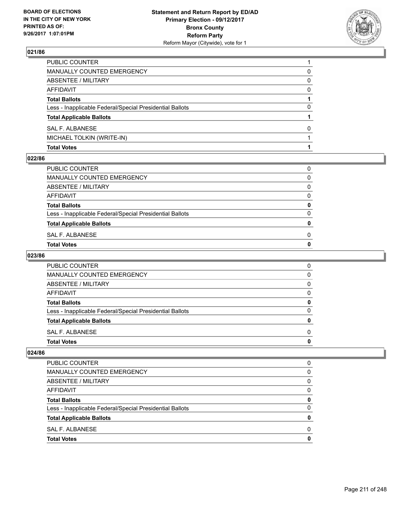

| <b>Total Votes</b>                                       |   |
|----------------------------------------------------------|---|
| MICHAEL TOLKIN (WRITE-IN)                                |   |
| SAL F. ALBANESE                                          | 0 |
| <b>Total Applicable Ballots</b>                          |   |
| Less - Inapplicable Federal/Special Presidential Ballots | 0 |
| <b>Total Ballots</b>                                     |   |
| AFFIDAVIT                                                | 0 |
| <b>ABSENTEE / MILITARY</b>                               | 0 |
| MANUALLY COUNTED EMERGENCY                               | 0 |
| PUBLIC COUNTER                                           |   |

#### **022/86**

| Total Votes                                              | 0 |
|----------------------------------------------------------|---|
| SAL F. ALBANESE                                          | 0 |
| <b>Total Applicable Ballots</b>                          | 0 |
| Less - Inapplicable Federal/Special Presidential Ballots | 0 |
| <b>Total Ballots</b>                                     | 0 |
| AFFIDAVIT                                                | 0 |
| ABSENTEE / MILITARY                                      | 0 |
| MANUALLY COUNTED EMERGENCY                               | 0 |
| PUBLIC COUNTER                                           | 0 |
|                                                          |   |

### **023/86**

| <b>PUBLIC COUNTER</b>                                    | 0 |
|----------------------------------------------------------|---|
| MANUALLY COUNTED EMERGENCY                               | 0 |
| ABSENTEE / MILITARY                                      | 0 |
| AFFIDAVIT                                                | 0 |
| <b>Total Ballots</b>                                     | 0 |
| Less - Inapplicable Federal/Special Presidential Ballots | O |
| <b>Total Applicable Ballots</b>                          | n |
| SAL F. ALBANESE                                          | 0 |
| <b>Total Votes</b>                                       |   |

| <b>Total Votes</b>                                       | 0 |
|----------------------------------------------------------|---|
| SAL F. ALBANESE                                          | 0 |
| <b>Total Applicable Ballots</b>                          | 0 |
| Less - Inapplicable Federal/Special Presidential Ballots | 0 |
| <b>Total Ballots</b>                                     | 0 |
| AFFIDAVIT                                                | 0 |
| ABSENTEE / MILITARY                                      | 0 |
| MANUALLY COUNTED EMERGENCY                               | 0 |
| PUBLIC COUNTER                                           | 0 |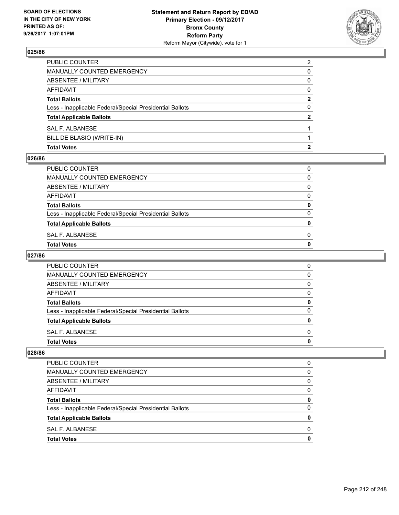

| <b>Total Votes</b>                                       |                |
|----------------------------------------------------------|----------------|
| BILL DE BLASIO (WRITE-IN)                                |                |
| SAL F. ALBANESE                                          |                |
| <b>Total Applicable Ballots</b>                          | 2              |
| Less - Inapplicable Federal/Special Presidential Ballots | 0              |
| <b>Total Ballots</b>                                     | 2              |
| <b>AFFIDAVIT</b>                                         | $\Omega$       |
| <b>ABSENTEE / MILITARY</b>                               | 0              |
| <b>MANUALLY COUNTED EMERGENCY</b>                        | 0              |
| PUBLIC COUNTER                                           | $\overline{2}$ |

#### **026/86**

| SAL F. ALBANESE<br>Total Votes                           | 0 |
|----------------------------------------------------------|---|
| <b>Total Applicable Ballots</b>                          | o |
| Less - Inapplicable Federal/Special Presidential Ballots | 0 |
| <b>Total Ballots</b>                                     | 0 |
| AFFIDAVIT                                                | 0 |
| ABSENTEE / MILITARY                                      | 0 |
| MANUALLY COUNTED EMERGENCY                               | 0 |
| PUBLIC COUNTER                                           | 0 |

# **027/86**

| <b>PUBLIC COUNTER</b>                                    | 0 |
|----------------------------------------------------------|---|
| MANUALLY COUNTED EMERGENCY                               | 0 |
| ABSENTEE / MILITARY                                      | 0 |
| AFFIDAVIT                                                | 0 |
| <b>Total Ballots</b>                                     | 0 |
| Less - Inapplicable Federal/Special Presidential Ballots | O |
| <b>Total Applicable Ballots</b>                          | n |
| SAL F. ALBANESE                                          | 0 |
| <b>Total Votes</b>                                       |   |

| <b>Total Votes</b>                                       | 0 |
|----------------------------------------------------------|---|
| SAL F. ALBANESE                                          | 0 |
| <b>Total Applicable Ballots</b>                          | 0 |
| Less - Inapplicable Federal/Special Presidential Ballots | 0 |
| <b>Total Ballots</b>                                     | 0 |
| AFFIDAVIT                                                | 0 |
| ABSENTEE / MILITARY                                      | 0 |
| MANUALLY COUNTED EMERGENCY                               | 0 |
| PUBLIC COUNTER                                           | 0 |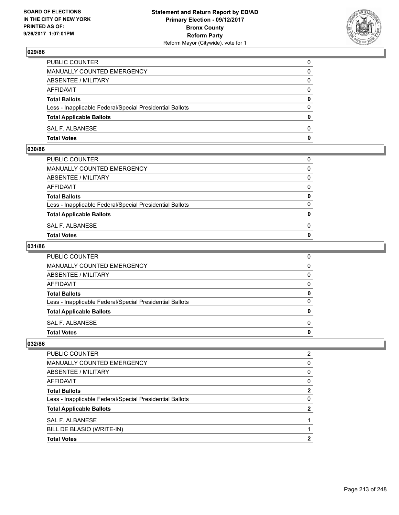

| <b>Total Votes</b>                                       | $\mathbf{0}$ |
|----------------------------------------------------------|--------------|
| SAL F. ALBANESE                                          | 0            |
| <b>Total Applicable Ballots</b>                          | $\mathbf{0}$ |
| Less - Inapplicable Federal/Special Presidential Ballots | $\Omega$     |
| <b>Total Ballots</b>                                     | 0            |
| AFFIDAVIT                                                | $\Omega$     |
| ABSENTEE / MILITARY                                      | 0            |
| <b>MANUALLY COUNTED EMERGENCY</b>                        | 0            |
| PUBLIC COUNTER                                           | 0            |

### **030/86**

| MANUALLY COUNTED EMERGENCY                               |              |
|----------------------------------------------------------|--------------|
| ABSENTEE / MILITARY                                      | $\Omega$     |
| AFFIDAVIT                                                | $\mathbf{0}$ |
| <b>Total Ballots</b>                                     | $\mathbf{0}$ |
| Less - Inapplicable Federal/Special Presidential Ballots | $\Omega$     |
| <b>Total Applicable Ballots</b>                          | $\mathbf{0}$ |
| SAL F. ALBANESE                                          | 0            |
| <b>Total Votes</b>                                       | $\mathbf{0}$ |
|                                                          |              |

### **031/86**

| PUBLIC COUNTER                                           | 0            |
|----------------------------------------------------------|--------------|
| MANUALLY COUNTED EMERGENCY                               | $\mathbf{0}$ |
| ABSENTEE / MILITARY                                      | 0            |
| AFFIDAVIT                                                | $\mathbf{0}$ |
| <b>Total Ballots</b>                                     | 0            |
| Less - Inapplicable Federal/Special Presidential Ballots | $\mathbf{0}$ |
| <b>Total Applicable Ballots</b>                          | $\mathbf{0}$ |
| SAL F. ALBANESE                                          | $\Omega$     |
| <b>Total Votes</b>                                       | $\mathbf{0}$ |
|                                                          |              |

| PUBLIC COUNTER                                           | 2 |
|----------------------------------------------------------|---|
| MANUALLY COUNTED EMERGENCY                               | 0 |
| ABSENTEE / MILITARY                                      | 0 |
| AFFIDAVIT                                                | 0 |
| <b>Total Ballots</b>                                     | 2 |
| Less - Inapplicable Federal/Special Presidential Ballots | 0 |
| <b>Total Applicable Ballots</b>                          | 2 |
| SAL F. ALBANESE                                          |   |
| BILL DE BLASIO (WRITE-IN)                                |   |
| <b>Total Votes</b>                                       | 2 |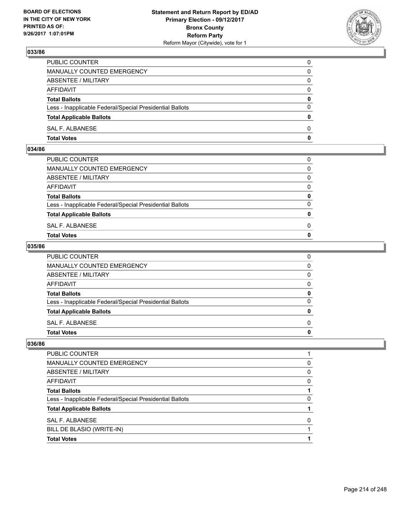

| PUBLIC COUNTER                                           | 0            |
|----------------------------------------------------------|--------------|
| <b>MANUALLY COUNTED EMERGENCY</b>                        | 0            |
| ABSENTEE / MILITARY                                      | 0            |
| AFFIDAVIT                                                | $\Omega$     |
| <b>Total Ballots</b>                                     | $\mathbf{0}$ |
| Less - Inapplicable Federal/Special Presidential Ballots | $\Omega$     |
| <b>Total Applicable Ballots</b>                          | $\Omega$     |
| SAL F. ALBANESE                                          | $\Omega$     |
| <b>Total Votes</b>                                       | 0            |

#### **034/86**

| <b>Total Votes</b>                                       | $\mathbf{0}$ |
|----------------------------------------------------------|--------------|
| SAL F. ALBANESE                                          | 0            |
| <b>Total Applicable Ballots</b>                          | $\mathbf{0}$ |
| Less - Inapplicable Federal/Special Presidential Ballots | $\Omega$     |
| <b>Total Ballots</b>                                     | 0            |
| AFFIDAVIT                                                | $\Omega$     |
| ABSENTEE / MILITARY                                      | $\Omega$     |
| MANUALLY COUNTED EMERGENCY                               | $\Omega$     |
| PUBLIC COUNTER                                           | 0            |
|                                                          |              |

### **035/86**

| <b>Total Votes</b>                                       | 0            |
|----------------------------------------------------------|--------------|
| SAL F. ALBANESE                                          | $\Omega$     |
| <b>Total Applicable Ballots</b>                          | 0            |
| Less - Inapplicable Federal/Special Presidential Ballots | $\Omega$     |
| <b>Total Ballots</b>                                     | 0            |
| <b>AFFIDAVIT</b>                                         | 0            |
| <b>ABSENTEE / MILITARY</b>                               | $\mathbf{0}$ |
| MANUALLY COUNTED EMERGENCY                               | $\mathbf{0}$ |
| PUBLIC COUNTER                                           | 0            |

| PUBLIC COUNTER                                           |   |
|----------------------------------------------------------|---|
| MANUALLY COUNTED EMERGENCY                               | 0 |
| ABSENTEE / MILITARY                                      | 0 |
| AFFIDAVIT                                                | 0 |
| <b>Total Ballots</b>                                     |   |
| Less - Inapplicable Federal/Special Presidential Ballots | 0 |
| <b>Total Applicable Ballots</b>                          |   |
| SAL F. ALBANESE                                          | 0 |
| BILL DE BLASIO (WRITE-IN)                                |   |
| <b>Total Votes</b>                                       |   |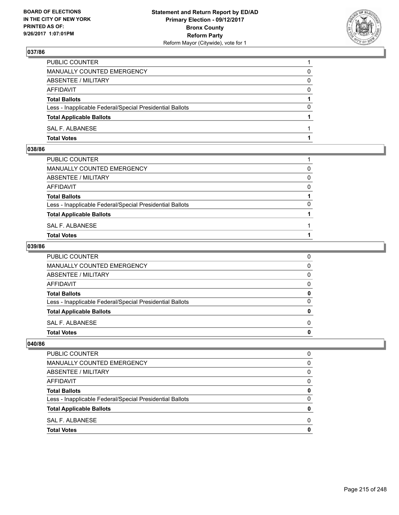

| PUBLIC COUNTER                                           |          |
|----------------------------------------------------------|----------|
| <b>MANUALLY COUNTED EMERGENCY</b>                        | 0        |
| ABSENTEE / MILITARY                                      | 0        |
| AFFIDAVIT                                                | $\Omega$ |
| <b>Total Ballots</b>                                     |          |
| Less - Inapplicable Federal/Special Presidential Ballots | $\Omega$ |
| <b>Total Applicable Ballots</b>                          |          |
| SAL F. ALBANESE                                          |          |
| <b>Total Votes</b>                                       |          |

### **038/86**

| PUBLIC COUNTER                                           |          |
|----------------------------------------------------------|----------|
| MANUALLY COUNTED EMERGENCY                               | $\Omega$ |
| ABSENTEE / MILITARY                                      | $\Omega$ |
| AFFIDAVIT                                                | $\Omega$ |
| <b>Total Ballots</b>                                     |          |
| Less - Inapplicable Federal/Special Presidential Ballots | $\Omega$ |
| <b>Total Applicable Ballots</b>                          |          |
| SAL F. ALBANESE                                          |          |
| <b>Total Votes</b>                                       |          |
|                                                          |          |

### **039/86**

| PUBLIC COUNTER                                           | 0            |
|----------------------------------------------------------|--------------|
| MANUALLY COUNTED EMERGENCY                               | $\mathbf{0}$ |
| ABSENTEE / MILITARY                                      | $\mathbf{0}$ |
| AFFIDAVIT                                                | $\mathbf{0}$ |
| <b>Total Ballots</b>                                     | 0            |
| Less - Inapplicable Federal/Special Presidential Ballots | $\mathbf{0}$ |
| <b>Total Applicable Ballots</b>                          | 0            |
| SAL F. ALBANESE                                          | $\Omega$     |
| <b>Total Votes</b>                                       | 0            |
|                                                          |              |

| <b>PUBLIC COUNTER</b>                                    | O |
|----------------------------------------------------------|---|
| MANUALLY COUNTED EMERGENCY                               | 0 |
| ABSENTEE / MILITARY                                      | 0 |
| <b>AFFIDAVIT</b>                                         | 0 |
| <b>Total Ballots</b>                                     | 0 |
| Less - Inapplicable Federal/Special Presidential Ballots | 0 |
| <b>Total Applicable Ballots</b>                          | o |
| SAL F. ALBANESE                                          | O |
| <b>Total Votes</b>                                       |   |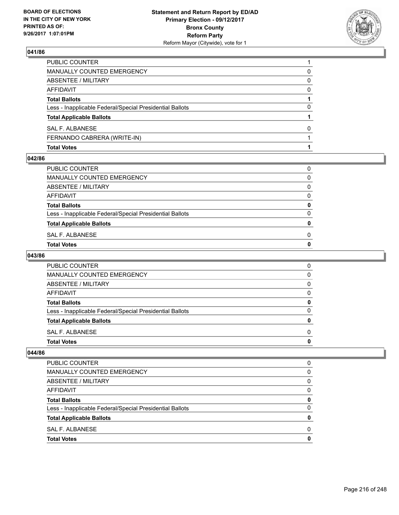

| <b>Total Votes</b>                                       |   |
|----------------------------------------------------------|---|
| FERNANDO CABRERA (WRITE-IN)                              |   |
| SAL F. ALBANESE                                          | 0 |
| <b>Total Applicable Ballots</b>                          |   |
| Less - Inapplicable Federal/Special Presidential Ballots | 0 |
| <b>Total Ballots</b>                                     |   |
| AFFIDAVIT                                                | 0 |
| ABSENTEE / MILITARY                                      | 0 |
| MANUALLY COUNTED EMERGENCY                               | 0 |
| PUBLIC COUNTER                                           |   |

#### **042/86**

| SAL F. ALBANESE                                          | 0 |
|----------------------------------------------------------|---|
| <b>Total Applicable Ballots</b>                          | o |
| Less - Inapplicable Federal/Special Presidential Ballots | 0 |
| <b>Total Ballots</b>                                     | 0 |
| AFFIDAVIT                                                | 0 |
| ABSENTEE / MILITARY                                      | 0 |
| MANUALLY COUNTED EMERGENCY                               | 0 |
| PUBLIC COUNTER                                           | 0 |

## **043/86**

| <b>PUBLIC COUNTER</b>                                    | 0 |
|----------------------------------------------------------|---|
| MANUALLY COUNTED EMERGENCY                               | 0 |
| ABSENTEE / MILITARY                                      | 0 |
| AFFIDAVIT                                                | 0 |
| <b>Total Ballots</b>                                     | 0 |
| Less - Inapplicable Federal/Special Presidential Ballots | O |
| <b>Total Applicable Ballots</b>                          | n |
| SAL F. ALBANESE                                          | 0 |
| <b>Total Votes</b>                                       |   |

| <b>Total Votes</b>                                       | 0 |
|----------------------------------------------------------|---|
| SAL F. ALBANESE                                          | 0 |
| <b>Total Applicable Ballots</b>                          | 0 |
| Less - Inapplicable Federal/Special Presidential Ballots | 0 |
| <b>Total Ballots</b>                                     | 0 |
| AFFIDAVIT                                                | 0 |
| ABSENTEE / MILITARY                                      | 0 |
| MANUALLY COUNTED EMERGENCY                               | 0 |
| PUBLIC COUNTER                                           | 0 |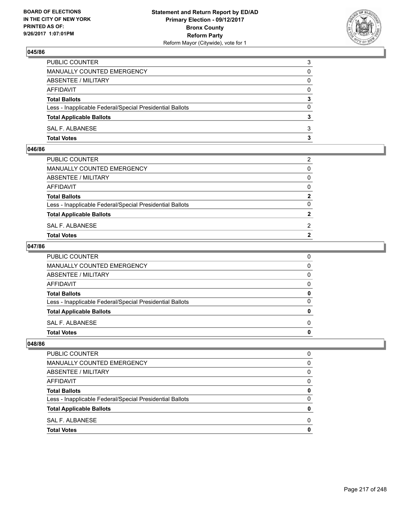

| <b>Total Votes</b>                                       | 3        |
|----------------------------------------------------------|----------|
| SAL F. ALBANESE                                          | 3        |
| <b>Total Applicable Ballots</b>                          | 3        |
| Less - Inapplicable Federal/Special Presidential Ballots | $\Omega$ |
| <b>Total Ballots</b>                                     | 3        |
| <b>AFFIDAVIT</b>                                         | $\Omega$ |
| ABSENTEE / MILITARY                                      | $\Omega$ |
| <b>MANUALLY COUNTED EMERGENCY</b>                        | 0        |
| PUBLIC COUNTER                                           | 3        |

### **046/86**

| PUBLIC COUNTER                                           | 2              |
|----------------------------------------------------------|----------------|
| MANUALLY COUNTED EMERGENCY                               | $\mathbf{0}$   |
| ABSENTEE / MILITARY                                      | $\mathbf{0}$   |
| AFFIDAVIT                                                | $\mathbf{0}$   |
| <b>Total Ballots</b>                                     | $\mathbf{2}$   |
| Less - Inapplicable Federal/Special Presidential Ballots | $\Omega$       |
| <b>Total Applicable Ballots</b>                          | $\mathbf{2}$   |
| SAL F. ALBANESE                                          | 2              |
| Total Votes                                              | $\overline{2}$ |
|                                                          |                |

### **047/86**

| PUBLIC COUNTER                                           | 0            |
|----------------------------------------------------------|--------------|
| MANUALLY COUNTED EMERGENCY                               | $\mathbf{0}$ |
| ABSENTEE / MILITARY                                      | $\mathbf{0}$ |
| AFFIDAVIT                                                | $\mathbf{0}$ |
| <b>Total Ballots</b>                                     | 0            |
| Less - Inapplicable Federal/Special Presidential Ballots | $\mathbf{0}$ |
| <b>Total Applicable Ballots</b>                          | $\mathbf{0}$ |
| SAL F. ALBANESE                                          | $\Omega$     |
| <b>Total Votes</b>                                       | 0            |
|                                                          |              |

| <b>PUBLIC COUNTER</b>                                    |   |
|----------------------------------------------------------|---|
| MANUALLY COUNTED EMERGENCY                               | 0 |
| ABSENTEE / MILITARY                                      | 0 |
| <b>AFFIDAVIT</b>                                         | 0 |
| <b>Total Ballots</b>                                     | o |
| Less - Inapplicable Federal/Special Presidential Ballots | 0 |
| <b>Total Applicable Ballots</b>                          |   |
| SAL F. ALBANESE                                          | n |
| <b>Total Votes</b>                                       |   |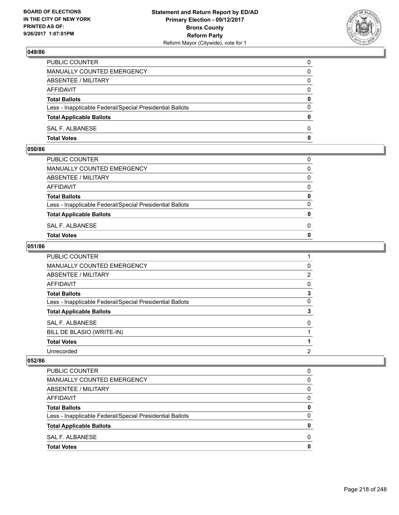

| <b>Total Votes</b>                                       | $\mathbf{0}$ |
|----------------------------------------------------------|--------------|
| SAL F. ALBANESE                                          | 0            |
| <b>Total Applicable Ballots</b>                          | $\mathbf{0}$ |
| Less - Inapplicable Federal/Special Presidential Ballots | $\Omega$     |
| <b>Total Ballots</b>                                     | 0            |
| <b>AFFIDAVIT</b>                                         | $\Omega$     |
| <b>ABSENTEE / MILITARY</b>                               | $\Omega$     |
| <b>MANUALLY COUNTED EMERGENCY</b>                        | 0            |
| PUBLIC COUNTER                                           | $\Omega$     |

### **050/86**

| PUBLIC COUNTER                                           | 0            |
|----------------------------------------------------------|--------------|
| MANUALLY COUNTED EMERGENCY                               | $\Omega$     |
| ABSENTEE / MILITARY                                      | $\Omega$     |
| AFFIDAVIT                                                | $\Omega$     |
| <b>Total Ballots</b>                                     | 0            |
| Less - Inapplicable Federal/Special Presidential Ballots | $\Omega$     |
| <b>Total Applicable Ballots</b>                          | $\mathbf{0}$ |
| SAL F. ALBANESE                                          | 0            |
| <b>Total Votes</b>                                       | $\Omega$     |
|                                                          |              |

### **051/86**

| PUBLIC COUNTER                                           |                |
|----------------------------------------------------------|----------------|
| MANUALLY COUNTED EMERGENCY                               | 0              |
| <b>ABSENTEE / MILITARY</b>                               | $\overline{2}$ |
| <b>AFFIDAVIT</b>                                         | 0              |
| <b>Total Ballots</b>                                     | 3              |
| Less - Inapplicable Federal/Special Presidential Ballots | 0              |
| <b>Total Applicable Ballots</b>                          | 3              |
| <b>SAL F. ALBANESE</b>                                   | 0              |
| BILL DE BLASIO (WRITE-IN)                                |                |
| <b>Total Votes</b>                                       |                |
| Unrecorded                                               | 2              |

| PUBLIC COUNTER                                           | 0        |
|----------------------------------------------------------|----------|
| <b>MANUALLY COUNTED EMERGENCY</b>                        | 0        |
| ABSENTEE / MILITARY                                      | $\Omega$ |
| <b>AFFIDAVIT</b>                                         | 0        |
| <b>Total Ballots</b>                                     | 0        |
| Less - Inapplicable Federal/Special Presidential Ballots | $\Omega$ |
| <b>Total Applicable Ballots</b>                          | 0        |
| SAL F. ALBANESE                                          | 0        |
| <b>Total Votes</b>                                       | 0        |
|                                                          |          |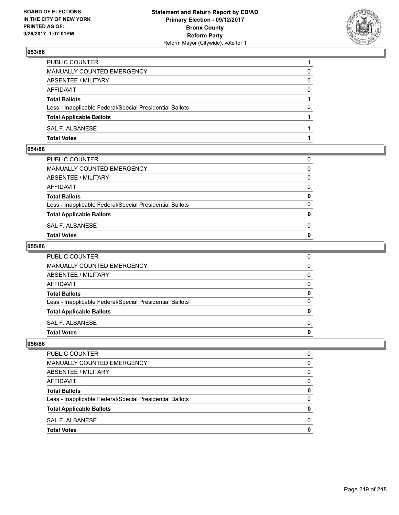

| PUBLIC COUNTER                                           |          |
|----------------------------------------------------------|----------|
| <b>MANUALLY COUNTED EMERGENCY</b>                        | 0        |
| ABSENTEE / MILITARY                                      | 0        |
| AFFIDAVIT                                                | $\Omega$ |
| <b>Total Ballots</b>                                     |          |
| Less - Inapplicable Federal/Special Presidential Ballots | $\Omega$ |
| <b>Total Applicable Ballots</b>                          |          |
| <b>SAL F. ALBANESE</b>                                   |          |
| <b>Total Votes</b>                                       |          |

### **054/86**

| MANUALLY COUNTED EMERGENCY                               |              |
|----------------------------------------------------------|--------------|
| ABSENTEE / MILITARY                                      | $\Omega$     |
| AFFIDAVIT                                                | $\mathbf{0}$ |
| <b>Total Ballots</b>                                     | $\mathbf{0}$ |
| Less - Inapplicable Federal/Special Presidential Ballots | $\Omega$     |
| <b>Total Applicable Ballots</b>                          | $\mathbf{0}$ |
| SAL F. ALBANESE                                          | 0            |
| <b>Total Votes</b>                                       | $\mathbf{0}$ |
|                                                          |              |

### **055/86**

| <b>Total Votes</b>                                       | 0        |
|----------------------------------------------------------|----------|
| SAL F. ALBANESE                                          | 0        |
| <b>Total Applicable Ballots</b>                          | 0        |
| Less - Inapplicable Federal/Special Presidential Ballots | $\Omega$ |
| <b>Total Ballots</b>                                     | 0        |
| AFFIDAVIT                                                | 0        |
| ABSENTEE / MILITARY                                      | 0        |
| MANUALLY COUNTED EMERGENCY                               | 0        |
| <b>PUBLIC COUNTER</b>                                    | 0        |

| <b>PUBLIC COUNTER</b>                                    | n            |
|----------------------------------------------------------|--------------|
| MANUALLY COUNTED EMERGENCY                               | 0            |
| ABSENTEE / MILITARY                                      | 0            |
| <b>AFFIDAVIT</b>                                         | <sup>0</sup> |
| <b>Total Ballots</b>                                     |              |
| Less - Inapplicable Federal/Special Presidential Ballots |              |
| <b>Total Applicable Ballots</b>                          |              |
| SAL F. ALBANESE                                          | n            |
| <b>Total Votes</b>                                       |              |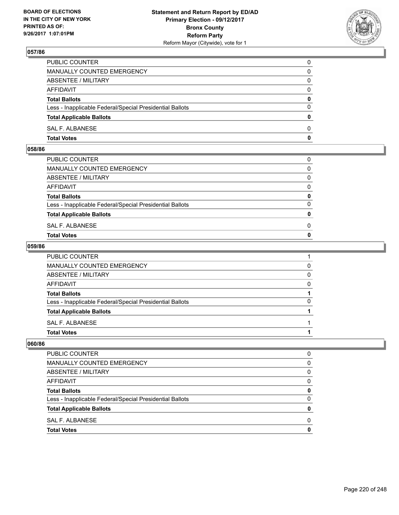

| PUBLIC COUNTER                                           | 0        |
|----------------------------------------------------------|----------|
| MANUALLY COUNTED EMERGENCY                               | 0        |
| ABSENTEE / MILITARY                                      | 0        |
| AFFIDAVIT                                                | $\Omega$ |
| <b>Total Ballots</b>                                     | 0        |
| Less - Inapplicable Federal/Special Presidential Ballots | $\Omega$ |
| <b>Total Applicable Ballots</b>                          | 0        |
| SAL F. ALBANESE                                          | 0        |
| <b>Total Votes</b>                                       | 0        |

#### **058/86**

| <b>Total Votes</b>                                       | $\mathbf{0}$ |
|----------------------------------------------------------|--------------|
| SAL F. ALBANESE                                          | 0            |
| <b>Total Applicable Ballots</b>                          | $\mathbf{0}$ |
| Less - Inapplicable Federal/Special Presidential Ballots | $\Omega$     |
| <b>Total Ballots</b>                                     | 0            |
| AFFIDAVIT                                                | $\Omega$     |
| ABSENTEE / MILITARY                                      | $\Omega$     |
| MANUALLY COUNTED EMERGENCY                               | $\Omega$     |
| PUBLIC COUNTER                                           | 0            |
|                                                          |              |

### **059/86**

| <b>Total Votes</b>                                       |          |
|----------------------------------------------------------|----------|
| SAL F. ALBANESE                                          |          |
| <b>Total Applicable Ballots</b>                          |          |
| Less - Inapplicable Federal/Special Presidential Ballots | 0        |
| <b>Total Ballots</b>                                     |          |
| <b>AFFIDAVIT</b>                                         | $\Omega$ |
| <b>ABSENTEE / MILITARY</b>                               | $\Omega$ |
| <b>MANUALLY COUNTED EMERGENCY</b>                        | 0        |
| PUBLIC COUNTER                                           |          |

| <b>PUBLIC COUNTER</b>                                    | O |
|----------------------------------------------------------|---|
| MANUALLY COUNTED EMERGENCY                               | 0 |
| ABSENTEE / MILITARY                                      | 0 |
| <b>AFFIDAVIT</b>                                         | 0 |
| <b>Total Ballots</b>                                     | 0 |
| Less - Inapplicable Federal/Special Presidential Ballots | 0 |
| <b>Total Applicable Ballots</b>                          | o |
| SAL F. ALBANESE                                          | O |
| <b>Total Votes</b>                                       |   |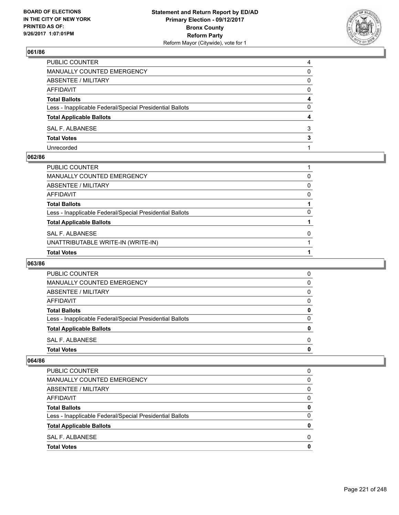

| PUBLIC COUNTER                                           | 4        |
|----------------------------------------------------------|----------|
| MANUALLY COUNTED EMERGENCY                               | 0        |
| <b>ABSENTEE / MILITARY</b>                               | 0        |
| <b>AFFIDAVIT</b>                                         | $\Omega$ |
| <b>Total Ballots</b>                                     | 4        |
| Less - Inapplicable Federal/Special Presidential Ballots | 0        |
| <b>Total Applicable Ballots</b>                          | 4        |
| SAL F. ALBANESE                                          | 3        |
| <b>Total Votes</b>                                       | 3        |
| Unrecorded                                               |          |

### **062/86**

| PUBLIC COUNTER                                           |          |
|----------------------------------------------------------|----------|
| MANUALLY COUNTED EMERGENCY                               | 0        |
| ABSENTEE / MILITARY                                      | 0        |
| AFFIDAVIT                                                | $\Omega$ |
| Total Ballots                                            |          |
| Less - Inapplicable Federal/Special Presidential Ballots | $\Omega$ |
| <b>Total Applicable Ballots</b>                          |          |
| SAL F. ALBANESE                                          | $\Omega$ |
| UNATTRIBUTABLE WRITE-IN (WRITE-IN)                       |          |
| <b>Total Votes</b>                                       |          |

### **063/86**

| <b>PUBLIC COUNTER</b>                                    | 0 |
|----------------------------------------------------------|---|
| MANUALLY COUNTED EMERGENCY                               | 0 |
| ABSENTEE / MILITARY                                      | 0 |
| AFFIDAVIT                                                | 0 |
| <b>Total Ballots</b>                                     | 0 |
| Less - Inapplicable Federal/Special Presidential Ballots | 0 |
| <b>Total Applicable Ballots</b>                          | 0 |
| SAL F. ALBANESE                                          | 0 |
| <b>Total Votes</b>                                       | 0 |

| <b>Total Votes</b>                                       | 0 |
|----------------------------------------------------------|---|
| SAL F. ALBANESE                                          | 0 |
| <b>Total Applicable Ballots</b>                          | 0 |
| Less - Inapplicable Federal/Special Presidential Ballots | 0 |
| <b>Total Ballots</b>                                     | 0 |
| AFFIDAVIT                                                | 0 |
| ABSENTEE / MILITARY                                      | 0 |
| MANUALLY COUNTED EMERGENCY                               | 0 |
| PUBLIC COUNTER                                           | 0 |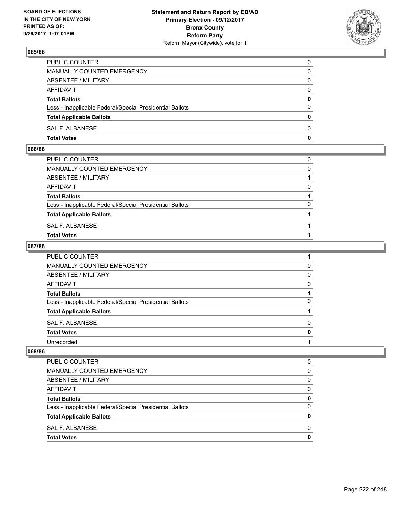

| PUBLIC COUNTER                                           | 0            |
|----------------------------------------------------------|--------------|
| <b>MANUALLY COUNTED EMERGENCY</b>                        | 0            |
| ABSENTEE / MILITARY                                      | 0            |
| AFFIDAVIT                                                | $\Omega$     |
| <b>Total Ballots</b>                                     | $\mathbf{0}$ |
| Less - Inapplicable Federal/Special Presidential Ballots | $\Omega$     |
| <b>Total Applicable Ballots</b>                          | $\Omega$     |
| SAL F. ALBANESE                                          | $\Omega$     |
| <b>Total Votes</b>                                       | 0            |

#### **066/86**

| PUBLIC COUNTER                                           | 0        |
|----------------------------------------------------------|----------|
| MANUALLY COUNTED EMERGENCY                               | $\Omega$ |
| ABSENTEE / MILITARY                                      |          |
| AFFIDAVIT                                                | $\Omega$ |
| <b>Total Ballots</b>                                     |          |
| Less - Inapplicable Federal/Special Presidential Ballots | $\Omega$ |
| <b>Total Applicable Ballots</b>                          |          |
| SAL F. ALBANESE                                          |          |
| <b>Total Votes</b>                                       |          |
|                                                          |          |

### **067/86**

| PUBLIC COUNTER                                           |   |
|----------------------------------------------------------|---|
| MANUALLY COUNTED EMERGENCY                               | 0 |
| ABSENTEE / MILITARY                                      | 0 |
| <b>AFFIDAVIT</b>                                         | 0 |
| <b>Total Ballots</b>                                     |   |
| Less - Inapplicable Federal/Special Presidential Ballots | 0 |
| <b>Total Applicable Ballots</b>                          |   |
| <b>SAL F. ALBANESE</b>                                   | 0 |
| <b>Total Votes</b>                                       | 0 |
| Unrecorded                                               |   |

| PUBLIC COUNTER                                           | 0 |
|----------------------------------------------------------|---|
| MANUALLY COUNTED EMERGENCY                               | 0 |
| ABSENTEE / MILITARY                                      | 0 |
| AFFIDAVIT                                                | 0 |
| <b>Total Ballots</b>                                     | 0 |
| Less - Inapplicable Federal/Special Presidential Ballots | 0 |
| <b>Total Applicable Ballots</b>                          | o |
| SAL F. ALBANESE                                          | 0 |
| <b>Total Votes</b>                                       |   |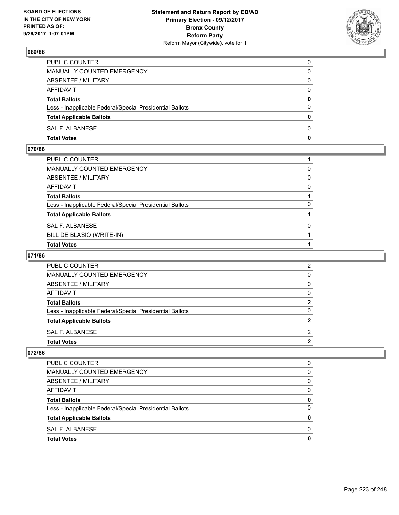

| PUBLIC COUNTER                                           | 0            |
|----------------------------------------------------------|--------------|
| MANUALLY COUNTED EMERGENCY                               | 0            |
| ABSENTEE / MILITARY                                      | 0            |
| AFFIDAVIT                                                | $\Omega$     |
| <b>Total Ballots</b>                                     | $\mathbf{0}$ |
| Less - Inapplicable Federal/Special Presidential Ballots | $\Omega$     |
| <b>Total Applicable Ballots</b>                          | $\mathbf{0}$ |
| <b>SAL F. ALBANESE</b>                                   | 0            |
| <b>Total Votes</b>                                       | 0            |

### **070/86**

| PUBLIC COUNTER                                           |          |
|----------------------------------------------------------|----------|
| MANUALLY COUNTED EMERGENCY                               | 0        |
| ABSENTEE / MILITARY                                      | 0        |
| AFFIDAVIT                                                | 0        |
| <b>Total Ballots</b>                                     |          |
| Less - Inapplicable Federal/Special Presidential Ballots | 0        |
| <b>Total Applicable Ballots</b>                          |          |
| SAL F. ALBANESE                                          | $\Omega$ |
| BILL DE BLASIO (WRITE-IN)                                |          |
| <b>Total Votes</b>                                       |          |

# **071/86**

| <b>PUBLIC COUNTER</b>                                    | ົ |
|----------------------------------------------------------|---|
| <b>MANUALLY COUNTED EMERGENCY</b>                        |   |
| ABSENTEE / MILITARY                                      |   |
| AFFIDAVIT                                                |   |
| <b>Total Ballots</b>                                     | 2 |
| Less - Inapplicable Federal/Special Presidential Ballots | ŋ |
| <b>Total Applicable Ballots</b>                          |   |
| SAL F. ALBANESE                                          | ົ |
| <b>Total Votes</b>                                       |   |

| <b>Total Votes</b>                                       | 0 |
|----------------------------------------------------------|---|
| SAL F. ALBANESE                                          | 0 |
| <b>Total Applicable Ballots</b>                          | 0 |
| Less - Inapplicable Federal/Special Presidential Ballots | 0 |
| <b>Total Ballots</b>                                     | 0 |
| AFFIDAVIT                                                | 0 |
| ABSENTEE / MILITARY                                      | 0 |
| MANUALLY COUNTED EMERGENCY                               | 0 |
| PUBLIC COUNTER                                           | 0 |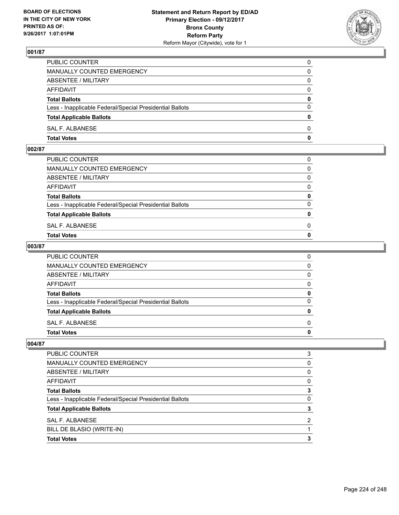

| PUBLIC COUNTER                                           | 0            |
|----------------------------------------------------------|--------------|
| MANUALLY COUNTED EMERGENCY                               | $\Omega$     |
| ABSENTEE / MILITARY                                      | $\mathbf{0}$ |
| AFFIDAVIT                                                | 0            |
| <b>Total Ballots</b>                                     | $\mathbf{0}$ |
| Less - Inapplicable Federal/Special Presidential Ballots | $\Omega$     |
| <b>Total Applicable Ballots</b>                          | $\mathbf{0}$ |
| SAL F. ALBANESE                                          | $\Omega$     |
| <b>Total Votes</b>                                       | $\mathbf{0}$ |

## **002/87**

| PUBLIC COUNTER                                           | 0            |
|----------------------------------------------------------|--------------|
| MANUALLY COUNTED EMERGENCY                               | $\mathbf{0}$ |
| ABSENTEE / MILITARY                                      | $\Omega$     |
| AFFIDAVIT                                                | $\Omega$     |
| <b>Total Ballots</b>                                     | 0            |
| Less - Inapplicable Federal/Special Presidential Ballots | $\Omega$     |
| <b>Total Applicable Ballots</b>                          | $\mathbf{0}$ |
| SAL F. ALBANESE                                          | 0            |
| Total Votes                                              | $\Omega$     |
|                                                          |              |

### **003/87**

| PUBLIC COUNTER                                           | 0            |
|----------------------------------------------------------|--------------|
| MANUALLY COUNTED EMERGENCY                               | $\mathbf{0}$ |
| ABSENTEE / MILITARY                                      | $\mathbf{0}$ |
| AFFIDAVIT                                                | $\mathbf{0}$ |
| <b>Total Ballots</b>                                     | 0            |
| Less - Inapplicable Federal/Special Presidential Ballots | $\mathbf{0}$ |
| <b>Total Applicable Ballots</b>                          | 0            |
| SAL F. ALBANESE                                          | $\Omega$     |
| <b>Total Votes</b>                                       | 0            |
|                                                          |              |

| PUBLIC COUNTER                                           | 3 |
|----------------------------------------------------------|---|
|                                                          |   |
| <b>MANUALLY COUNTED EMERGENCY</b>                        | 0 |
| ABSENTEE / MILITARY                                      | 0 |
| AFFIDAVIT                                                | 0 |
| <b>Total Ballots</b>                                     | 3 |
| Less - Inapplicable Federal/Special Presidential Ballots | 0 |
| <b>Total Applicable Ballots</b>                          | 3 |
| SAL F. ALBANESE                                          | 2 |
| BILL DE BLASIO (WRITE-IN)                                |   |
| <b>Total Votes</b>                                       | з |
|                                                          |   |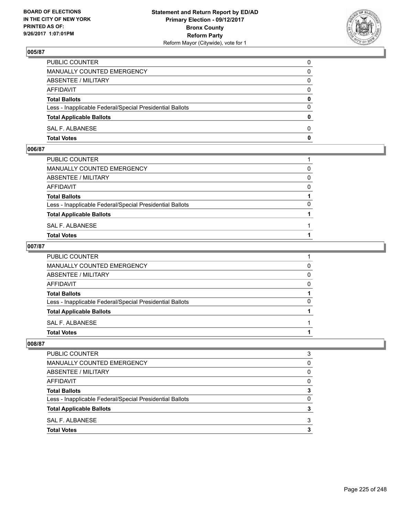

| PUBLIC COUNTER                                           | 0            |
|----------------------------------------------------------|--------------|
| MANUALLY COUNTED EMERGENCY                               | $\mathbf{0}$ |
| ABSENTEE / MILITARY                                      | 0            |
| AFFIDAVIT                                                | 0            |
| <b>Total Ballots</b>                                     | 0            |
| Less - Inapplicable Federal/Special Presidential Ballots | $\mathbf{0}$ |
| <b>Total Applicable Ballots</b>                          | $\mathbf{0}$ |
| SAL F. ALBANESE                                          | $\Omega$     |
| <b>Total Votes</b>                                       | $\mathbf{0}$ |

## **006/87**

| PUBLIC COUNTER                                           |          |
|----------------------------------------------------------|----------|
| MANUALLY COUNTED EMERGENCY                               | $\Omega$ |
| ABSENTEE / MILITARY                                      | 0        |
| AFFIDAVIT                                                | $\Omega$ |
| <b>Total Ballots</b>                                     |          |
| Less - Inapplicable Federal/Special Presidential Ballots | $\Omega$ |
| <b>Total Applicable Ballots</b>                          |          |
| SAL F. ALBANESE                                          |          |
| Total Votes                                              |          |
|                                                          |          |

### **007/87**

| PUBLIC COUNTER                                           |              |
|----------------------------------------------------------|--------------|
| MANUALLY COUNTED EMERGENCY                               | 0            |
| <b>ABSENTEE / MILITARY</b>                               | $\mathbf{0}$ |
| AFFIDAVIT                                                | $\mathbf{0}$ |
| <b>Total Ballots</b>                                     |              |
| Less - Inapplicable Federal/Special Presidential Ballots | 0            |
| <b>Total Applicable Ballots</b>                          |              |
| SAL F. ALBANESE                                          |              |
| <b>Total Votes</b>                                       |              |
|                                                          |              |

| PUBLIC COUNTER                                           | 3 |
|----------------------------------------------------------|---|
| <b>MANUALLY COUNTED EMERGENCY</b>                        | O |
| ABSENTEE / MILITARY                                      | 0 |
| <b>AFFIDAVIT</b>                                         | 0 |
| <b>Total Ballots</b>                                     | 3 |
| Less - Inapplicable Federal/Special Presidential Ballots | 0 |
| <b>Total Applicable Ballots</b>                          |   |
| SAL F. ALBANESE                                          | 3 |
| <b>Total Votes</b>                                       |   |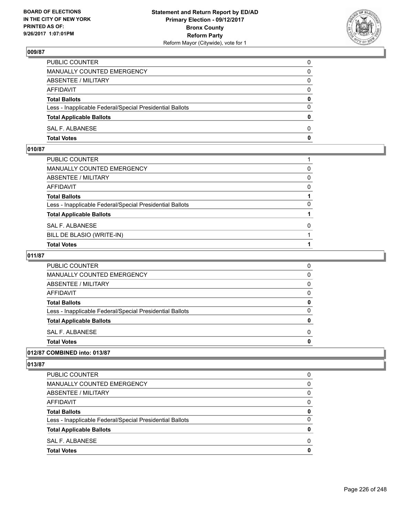

| PUBLIC COUNTER                                           | 0            |
|----------------------------------------------------------|--------------|
| MANUALLY COUNTED EMERGENCY                               | 0            |
| ABSENTEE / MILITARY                                      | 0            |
| AFFIDAVIT                                                | $\mathbf{0}$ |
| <b>Total Ballots</b>                                     | $\mathbf{0}$ |
| Less - Inapplicable Federal/Special Presidential Ballots | $\Omega$     |
| <b>Total Applicable Ballots</b>                          | $\mathbf{0}$ |
| SAL F. ALBANESE                                          | $\Omega$     |
| <b>Total Votes</b>                                       | 0            |

# **010/87**

| PUBLIC COUNTER                                           |   |
|----------------------------------------------------------|---|
| MANUALLY COUNTED EMERGENCY                               | 0 |
| ABSENTEE / MILITARY                                      | 0 |
| AFFIDAVIT                                                | 0 |
| Total Ballots                                            |   |
| Less - Inapplicable Federal/Special Presidential Ballots | 0 |
| <b>Total Applicable Ballots</b>                          |   |
| SAL F. ALBANESE                                          | 0 |
| BILL DE BLASIO (WRITE-IN)                                |   |
| <b>Total Votes</b>                                       |   |

# **011/87**

| <b>Total Votes</b>                                       |  |
|----------------------------------------------------------|--|
| SAL F. ALBANESE                                          |  |
| <b>Total Applicable Ballots</b>                          |  |
| Less - Inapplicable Federal/Special Presidential Ballots |  |
| <b>Total Ballots</b>                                     |  |
| <b>AFFIDAVIT</b>                                         |  |
| ABSENTEE / MILITARY                                      |  |
| <b>MANUALLY COUNTED EMERGENCY</b>                        |  |
| <b>PUBLIC COUNTER</b>                                    |  |

## **012/87 COMBINED into: 013/87**

| <b>Total Votes</b>                                       | 0 |
|----------------------------------------------------------|---|
| SAL F. ALBANESE                                          | 0 |
| <b>Total Applicable Ballots</b>                          | 0 |
| Less - Inapplicable Federal/Special Presidential Ballots | 0 |
| <b>Total Ballots</b>                                     | 0 |
| AFFIDAVIT                                                | 0 |
| ABSENTEE / MILITARY                                      | 0 |
| MANUALLY COUNTED EMERGENCY                               | 0 |
| PUBLIC COUNTER                                           | 0 |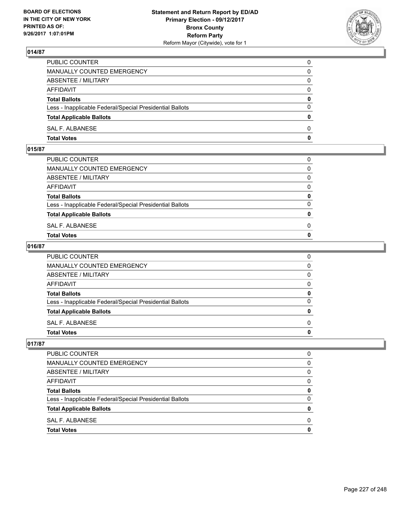

| PUBLIC COUNTER                                           | 0            |
|----------------------------------------------------------|--------------|
| MANUALLY COUNTED EMERGENCY                               | 0            |
| ABSENTEE / MILITARY                                      | 0            |
| AFFIDAVIT                                                | 0            |
| <b>Total Ballots</b>                                     | 0            |
| Less - Inapplicable Federal/Special Presidential Ballots | $\Omega$     |
| <b>Total Applicable Ballots</b>                          | $\mathbf{0}$ |
| SAL F. ALBANESE                                          | $\Omega$     |
| <b>Total Votes</b>                                       | $\mathbf{0}$ |

## **015/87**

| PUBLIC COUNTER                                           | 0            |
|----------------------------------------------------------|--------------|
| MANUALLY COUNTED EMERGENCY                               | $\mathbf{0}$ |
| ABSENTEE / MILITARY                                      | $\Omega$     |
| AFFIDAVIT                                                | $\Omega$     |
| <b>Total Ballots</b>                                     | 0            |
| Less - Inapplicable Federal/Special Presidential Ballots | $\Omega$     |
| <b>Total Applicable Ballots</b>                          | $\mathbf{0}$ |
| SAL F. ALBANESE                                          | 0            |
| Total Votes                                              | $\Omega$     |
|                                                          |              |

### **016/87**

| <b>Total Votes</b>                                       | 0            |
|----------------------------------------------------------|--------------|
| SAL F. ALBANESE                                          | $\Omega$     |
| <b>Total Applicable Ballots</b>                          | $\mathbf{0}$ |
| Less - Inapplicable Federal/Special Presidential Ballots | 0            |
| <b>Total Ballots</b>                                     | 0            |
| <b>AFFIDAVIT</b>                                         | $\Omega$     |
| <b>ABSENTEE / MILITARY</b>                               | $\Omega$     |
| MANUALLY COUNTED EMERGENCY                               | $\Omega$     |
| PUBLIC COUNTER                                           | 0            |

| PUBLIC COUNTER                                           | 0 |
|----------------------------------------------------------|---|
| <b>MANUALLY COUNTED EMERGENCY</b>                        | 0 |
| ABSENTEE / MILITARY                                      | 0 |
| <b>AFFIDAVIT</b>                                         | 0 |
| <b>Total Ballots</b>                                     | 0 |
| Less - Inapplicable Federal/Special Presidential Ballots | 0 |
| <b>Total Applicable Ballots</b>                          | 0 |
| SAL F. ALBANESE                                          | 0 |
| <b>Total Votes</b>                                       |   |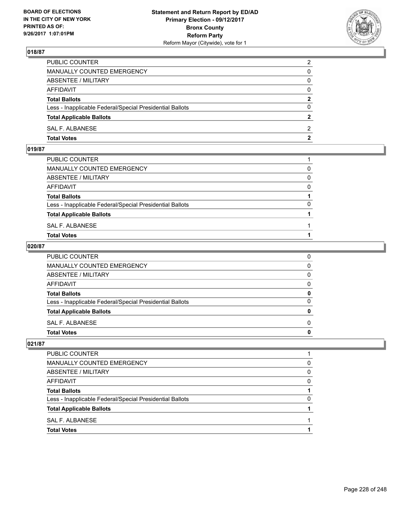

| PUBLIC COUNTER                                           | $\overline{2}$ |
|----------------------------------------------------------|----------------|
| MANUALLY COUNTED EMERGENCY                               | $\mathbf{0}$   |
| ABSENTEE / MILITARY                                      | $\mathbf{0}$   |
| AFFIDAVIT                                                | $\mathbf{0}$   |
| <b>Total Ballots</b>                                     | $\mathbf{2}$   |
| Less - Inapplicable Federal/Special Presidential Ballots | $\Omega$       |
| <b>Total Applicable Ballots</b>                          | $\mathbf{2}$   |
| SAL F. ALBANESE                                          | 2              |
| <b>Total Votes</b>                                       | 2              |

## **019/87**

| PUBLIC COUNTER                                           |          |
|----------------------------------------------------------|----------|
| MANUALLY COUNTED EMERGENCY                               | 0        |
| ABSENTEE / MILITARY                                      | $\Omega$ |
| AFFIDAVIT                                                | $\Omega$ |
| <b>Total Ballots</b>                                     |          |
| Less - Inapplicable Federal/Special Presidential Ballots | 0        |
| <b>Total Applicable Ballots</b>                          |          |
| SAL F. ALBANESE                                          |          |
| <b>Total Votes</b>                                       |          |
|                                                          |          |

### **020/87**

| PUBLIC COUNTER                                           | 0            |
|----------------------------------------------------------|--------------|
| MANUALLY COUNTED EMERGENCY                               | $\mathbf{0}$ |
| ABSENTEE / MILITARY                                      | $\mathbf{0}$ |
| AFFIDAVIT                                                | $\mathbf{0}$ |
| <b>Total Ballots</b>                                     | 0            |
| Less - Inapplicable Federal/Special Presidential Ballots | $\mathbf{0}$ |
| <b>Total Applicable Ballots</b>                          | 0            |
| SAL F. ALBANESE                                          | $\Omega$     |
| <b>Total Votes</b>                                       | 0            |
|                                                          |              |

| PUBLIC COUNTER                                           |   |
|----------------------------------------------------------|---|
| <b>MANUALLY COUNTED EMERGENCY</b>                        | 0 |
| <b>ABSENTEE / MILITARY</b>                               | 0 |
| <b>AFFIDAVIT</b>                                         | O |
| <b>Total Ballots</b>                                     |   |
| Less - Inapplicable Federal/Special Presidential Ballots | 0 |
| <b>Total Applicable Ballots</b>                          |   |
| SAL F. ALBANESE                                          |   |
| <b>Total Votes</b>                                       |   |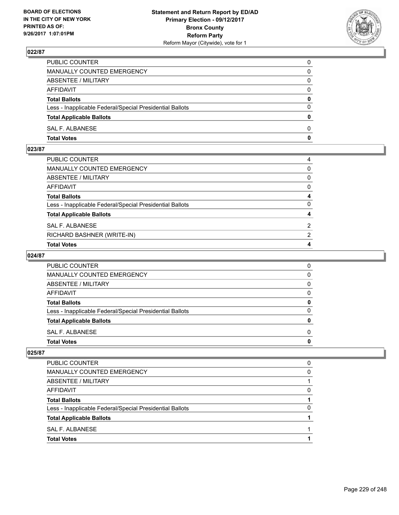

| PUBLIC COUNTER                                           | 0            |
|----------------------------------------------------------|--------------|
| MANUALLY COUNTED EMERGENCY                               | 0            |
| ABSENTEE / MILITARY                                      | 0            |
| AFFIDAVIT                                                | $\Omega$     |
| <b>Total Ballots</b>                                     | 0            |
| Less - Inapplicable Federal/Special Presidential Ballots | $\Omega$     |
| <b>Total Applicable Ballots</b>                          | $\bf{0}$     |
| SAL F. ALBANESE                                          | $\Omega$     |
| <b>Total Votes</b>                                       | $\mathbf{0}$ |

## **023/87**

| PUBLIC COUNTER                                           | 4            |
|----------------------------------------------------------|--------------|
| MANUALLY COUNTED EMERGENCY                               | $\mathbf{0}$ |
| ABSENTEE / MILITARY                                      | $\mathbf{0}$ |
| AFFIDAVIT                                                | $\mathbf{0}$ |
| Total Ballots                                            | 4            |
| Less - Inapplicable Federal/Special Presidential Ballots | $\Omega$     |
| <b>Total Applicable Ballots</b>                          | 4            |
| SAL F. ALBANESE                                          | 2            |
| RICHARD BASHNER (WRITE-IN)                               | 2            |
| <b>Total Votes</b>                                       | 4            |

# **024/87**

| <b>PUBLIC COUNTER</b>                                    |  |
|----------------------------------------------------------|--|
| <b>MANUALLY COUNTED EMERGENCY</b>                        |  |
| ABSENTEE / MILITARY                                      |  |
| AFFIDAVIT                                                |  |
| <b>Total Ballots</b>                                     |  |
| Less - Inapplicable Federal/Special Presidential Ballots |  |
| <b>Total Applicable Ballots</b>                          |  |
| SAL F. ALBANESE                                          |  |
| <b>Total Votes</b>                                       |  |

| <b>Total Votes</b>                                       |   |
|----------------------------------------------------------|---|
| SAL F. ALBANESE                                          |   |
| <b>Total Applicable Ballots</b>                          |   |
| Less - Inapplicable Federal/Special Presidential Ballots | 0 |
| <b>Total Ballots</b>                                     |   |
| AFFIDAVIT                                                | 0 |
| ABSENTEE / MILITARY                                      |   |
| MANUALLY COUNTED EMERGENCY                               | 0 |
| <b>PUBLIC COUNTER</b>                                    | 0 |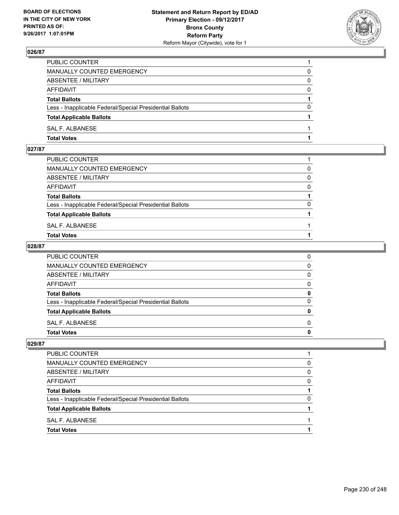

| PUBLIC COUNTER                                           |          |
|----------------------------------------------------------|----------|
| MANUALLY COUNTED EMERGENCY                               | 0        |
| ABSENTEE / MILITARY                                      | 0        |
| <b>AFFIDAVIT</b>                                         | $\Omega$ |
| <b>Total Ballots</b>                                     |          |
| Less - Inapplicable Federal/Special Presidential Ballots | 0        |
| <b>Total Applicable Ballots</b>                          |          |
| SAL F. ALBANESE                                          |          |
| <b>Total Votes</b>                                       |          |

# **027/87**

| PUBLIC COUNTER                                           |          |
|----------------------------------------------------------|----------|
| MANUALLY COUNTED EMERGENCY                               | 0        |
| ABSENTEE / MILITARY                                      | $\Omega$ |
| AFFIDAVIT                                                | $\Omega$ |
| <b>Total Ballots</b>                                     |          |
| Less - Inapplicable Federal/Special Presidential Ballots | $\Omega$ |
| <b>Total Applicable Ballots</b>                          |          |
| SAL F. ALBANESE                                          |          |
| <b>Total Votes</b>                                       |          |
|                                                          |          |

### **028/87**

| <b>Total Votes</b>                                       | 0            |
|----------------------------------------------------------|--------------|
| SAL F. ALBANESE                                          | $\Omega$     |
| <b>Total Applicable Ballots</b>                          | 0            |
| Less - Inapplicable Federal/Special Presidential Ballots | $\mathbf{0}$ |
| <b>Total Ballots</b>                                     | 0            |
| <b>AFFIDAVIT</b>                                         | $\mathbf{0}$ |
| <b>ABSENTEE / MILITARY</b>                               | $\mathbf{0}$ |
| <b>MANUALLY COUNTED EMERGENCY</b>                        | $\mathbf{0}$ |
| PUBLIC COUNTER                                           | 0            |

| PUBLIC COUNTER                                           |   |
|----------------------------------------------------------|---|
| MANUALLY COUNTED EMERGENCY                               | 0 |
| ABSENTEE / MILITARY                                      | 0 |
| AFFIDAVIT                                                | O |
| <b>Total Ballots</b>                                     |   |
| Less - Inapplicable Federal/Special Presidential Ballots | 0 |
| <b>Total Applicable Ballots</b>                          |   |
| SAL F. ALBANESE                                          |   |
| <b>Total Votes</b>                                       |   |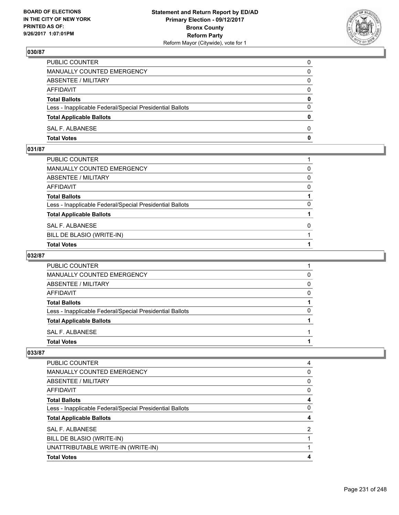

| PUBLIC COUNTER                                           | 0            |
|----------------------------------------------------------|--------------|
| <b>MANUALLY COUNTED EMERGENCY</b>                        | 0            |
| ABSENTEE / MILITARY                                      | 0            |
| AFFIDAVIT                                                | $\Omega$     |
| <b>Total Ballots</b>                                     | $\mathbf{0}$ |
| Less - Inapplicable Federal/Special Presidential Ballots | $\Omega$     |
| <b>Total Applicable Ballots</b>                          | $\Omega$     |
| SAL F. ALBANESE                                          | $\Omega$     |
| <b>Total Votes</b>                                       | 0            |

## **031/87**

| PUBLIC COUNTER                                           |              |
|----------------------------------------------------------|--------------|
| MANUALLY COUNTED EMERGENCY                               | 0            |
| ABSENTEE / MILITARY                                      | $\mathbf{0}$ |
| AFFIDAVIT                                                | 0            |
| Total Ballots                                            |              |
| Less - Inapplicable Federal/Special Presidential Ballots | 0            |
| <b>Total Applicable Ballots</b>                          |              |
| SAL F. ALBANESE                                          | 0            |
| BILL DE BLASIO (WRITE-IN)                                |              |
| <b>Total Votes</b>                                       |              |

# **032/87**

| <b>PUBLIC COUNTER</b>                                    |   |
|----------------------------------------------------------|---|
| MANUALLY COUNTED EMERGENCY                               | 0 |
| ABSENTEE / MILITARY                                      | 0 |
| AFFIDAVIT                                                | O |
| <b>Total Ballots</b>                                     |   |
| Less - Inapplicable Federal/Special Presidential Ballots | O |
| <b>Total Applicable Ballots</b>                          |   |
| SAL F. ALBANESE                                          |   |
| <b>Total Votes</b>                                       |   |

| <b>PUBLIC COUNTER</b>                                    | 4 |
|----------------------------------------------------------|---|
|                                                          |   |
| MANUALLY COUNTED EMERGENCY                               | 0 |
| ABSENTEE / MILITARY                                      | 0 |
| AFFIDAVIT                                                | 0 |
| <b>Total Ballots</b>                                     | 4 |
| Less - Inapplicable Federal/Special Presidential Ballots | 0 |
| <b>Total Applicable Ballots</b>                          | 4 |
| SAL F. ALBANESE                                          | 2 |
| BILL DE BLASIO (WRITE-IN)                                |   |
| UNATTRIBUTABLE WRITE-IN (WRITE-IN)                       |   |
| <b>Total Votes</b>                                       | 4 |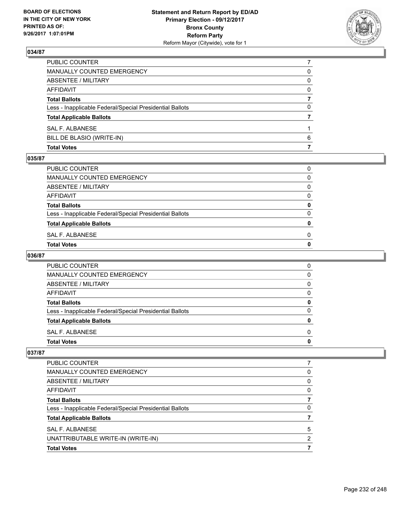

| <b>Total Votes</b>                                       |          |
|----------------------------------------------------------|----------|
| BILL DE BLASIO (WRITE-IN)                                | 6        |
| SAL F. ALBANESE                                          |          |
| <b>Total Applicable Ballots</b>                          |          |
| Less - Inapplicable Federal/Special Presidential Ballots | 0        |
| <b>Total Ballots</b>                                     |          |
| AFFIDAVIT                                                | $\Omega$ |
| ABSENTEE / MILITARY                                      | 0        |
| MANUALLY COUNTED EMERGENCY                               | 0        |
| PUBLIC COUNTER                                           |          |

#### **035/87**

| PUBLIC COUNTER                                           | 0            |
|----------------------------------------------------------|--------------|
| MANUALLY COUNTED EMERGENCY                               | 0            |
| ABSENTEE / MILITARY                                      | 0            |
| AFFIDAVIT                                                | 0            |
| <b>Total Ballots</b>                                     | 0            |
| Less - Inapplicable Federal/Special Presidential Ballots | 0            |
| <b>Total Applicable Ballots</b>                          | $\mathbf{0}$ |
| SAL F. ALBANESE                                          | 0            |
| Total Votes                                              | 0            |
|                                                          |              |

# **036/87**

| <b>PUBLIC COUNTER</b>                                    | 0 |
|----------------------------------------------------------|---|
| MANUALLY COUNTED EMERGENCY                               | 0 |
| ABSENTEE / MILITARY                                      | 0 |
| AFFIDAVIT                                                | 0 |
| <b>Total Ballots</b>                                     | 0 |
| Less - Inapplicable Federal/Special Presidential Ballots | 0 |
| <b>Total Applicable Ballots</b>                          | o |
| SAL F. ALBANESE                                          | 0 |
| <b>Total Votes</b>                                       |   |

| <b>Total Votes</b>                                       |   |
|----------------------------------------------------------|---|
| UNATTRIBUTABLE WRITE-IN (WRITE-IN)                       | 2 |
| SAL F. ALBANESE                                          | 5 |
| <b>Total Applicable Ballots</b>                          |   |
| Less - Inapplicable Federal/Special Presidential Ballots | 0 |
| <b>Total Ballots</b>                                     |   |
| AFFIDAVIT                                                | 0 |
| ABSENTEE / MILITARY                                      | 0 |
| MANUALLY COUNTED EMERGENCY                               | 0 |
| <b>PUBLIC COUNTER</b>                                    |   |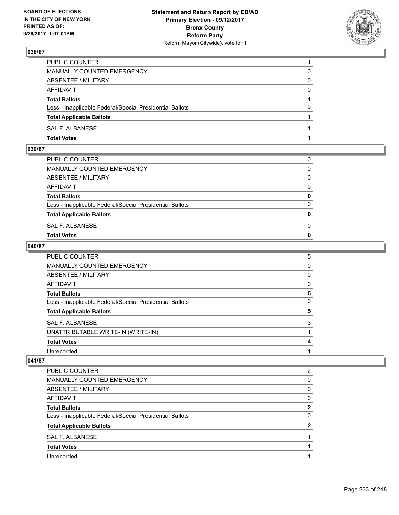

| PUBLIC COUNTER                                           |          |
|----------------------------------------------------------|----------|
| <b>MANUALLY COUNTED EMERGENCY</b>                        | 0        |
| ABSENTEE / MILITARY                                      | 0        |
| AFFIDAVIT                                                | $\Omega$ |
| <b>Total Ballots</b>                                     |          |
| Less - Inapplicable Federal/Special Presidential Ballots | $\Omega$ |
| <b>Total Applicable Ballots</b>                          |          |
| SAL F. ALBANESE                                          |          |
| <b>Total Votes</b>                                       |          |

# **039/87**

| PUBLIC COUNTER                                           | 0            |
|----------------------------------------------------------|--------------|
| MANUALLY COUNTED EMERGENCY                               | $\mathbf{0}$ |
| ABSENTEE / MILITARY                                      | $\Omega$     |
| AFFIDAVIT                                                | $\Omega$     |
| <b>Total Ballots</b>                                     | 0            |
| Less - Inapplicable Federal/Special Presidential Ballots | $\Omega$     |
| <b>Total Applicable Ballots</b>                          | $\mathbf{0}$ |
| SAL F. ALBANESE                                          | 0            |
| Total Votes                                              | $\Omega$     |
|                                                          |              |

### **040/87**

| <b>PUBLIC COUNTER</b>                                    | 5 |
|----------------------------------------------------------|---|
| <b>MANUALLY COUNTED EMERGENCY</b>                        | 0 |
| <b>ABSENTEE / MILITARY</b>                               | 0 |
| AFFIDAVIT                                                | 0 |
| <b>Total Ballots</b>                                     | 5 |
| Less - Inapplicable Federal/Special Presidential Ballots | 0 |
| <b>Total Applicable Ballots</b>                          | 5 |
| <b>SAL F. ALBANESE</b>                                   | 3 |
| UNATTRIBUTABLE WRITE-IN (WRITE-IN)                       |   |
| <b>Total Votes</b>                                       | 4 |
| Unrecorded                                               |   |

| PUBLIC COUNTER                                           | 2        |
|----------------------------------------------------------|----------|
| MANUALLY COUNTED EMERGENCY                               | 0        |
| ABSENTEE / MILITARY                                      | $\Omega$ |
| AFFIDAVIT                                                | 0        |
| <b>Total Ballots</b>                                     | 2        |
| Less - Inapplicable Federal/Special Presidential Ballots | 0        |
| <b>Total Applicable Ballots</b>                          | 2        |
| SAL F. ALBANESE                                          |          |
| <b>Total Votes</b>                                       |          |
| Unrecorded                                               |          |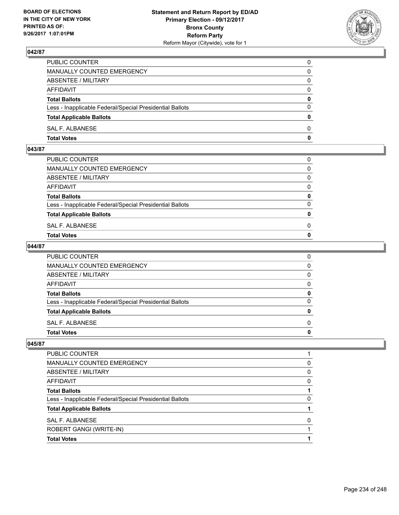

| PUBLIC COUNTER                                           | 0            |
|----------------------------------------------------------|--------------|
| MANUALLY COUNTED EMERGENCY                               | $\Omega$     |
| ABSENTEE / MILITARY                                      | $\mathbf{0}$ |
| AFFIDAVIT                                                | 0            |
| <b>Total Ballots</b>                                     | $\mathbf{0}$ |
| Less - Inapplicable Federal/Special Presidential Ballots | $\Omega$     |
| <b>Total Applicable Ballots</b>                          | $\mathbf{0}$ |
| SAL F. ALBANESE                                          | $\Omega$     |
| <b>Total Votes</b>                                       | $\mathbf{0}$ |

### **043/87**

| PUBLIC COUNTER                                           | 0            |
|----------------------------------------------------------|--------------|
| MANUALLY COUNTED EMERGENCY                               | $\mathbf{0}$ |
| ABSENTEE / MILITARY                                      | $\Omega$     |
| AFFIDAVIT                                                | $\Omega$     |
| <b>Total Ballots</b>                                     | 0            |
| Less - Inapplicable Federal/Special Presidential Ballots | $\Omega$     |
| <b>Total Applicable Ballots</b>                          | $\mathbf{0}$ |
| SAL F. ALBANESE                                          | 0            |
| Total Votes                                              | $\Omega$     |
|                                                          |              |

### **044/87**

| PUBLIC COUNTER                                           | 0            |
|----------------------------------------------------------|--------------|
| MANUALLY COUNTED EMERGENCY                               | $\mathbf{0}$ |
| ABSENTEE / MILITARY                                      | $\mathbf{0}$ |
| AFFIDAVIT                                                | $\mathbf{0}$ |
| <b>Total Ballots</b>                                     | 0            |
| Less - Inapplicable Federal/Special Presidential Ballots | $\mathbf{0}$ |
| <b>Total Applicable Ballots</b>                          | $\mathbf{0}$ |
| SAL F. ALBANESE                                          | $\Omega$     |
| <b>Total Votes</b>                                       | 0            |
|                                                          |              |

| <b>Total Votes</b>                                       |   |
|----------------------------------------------------------|---|
| ROBERT GANGI (WRITE-IN)                                  |   |
| SAL F. ALBANESE                                          | 0 |
| <b>Total Applicable Ballots</b>                          |   |
| Less - Inapplicable Federal/Special Presidential Ballots | O |
| <b>Total Ballots</b>                                     |   |
| AFFIDAVIT                                                | 0 |
| ABSENTEE / MILITARY                                      | 0 |
| MANUALLY COUNTED EMERGENCY                               | 0 |
| PUBLIC COUNTER                                           |   |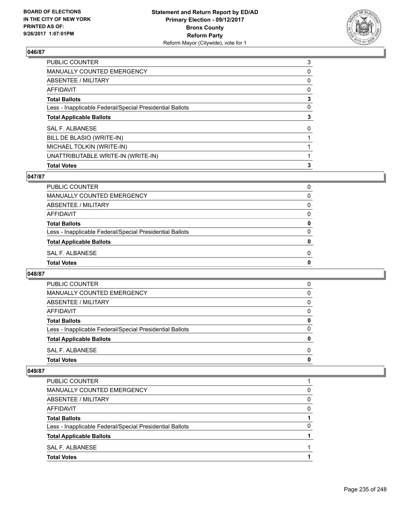

| <b>Total Votes</b>                                       | 3 |
|----------------------------------------------------------|---|
| UNATTRIBUTABLE WRITE-IN (WRITE-IN)                       |   |
| MICHAEL TOLKIN (WRITE-IN)                                |   |
| BILL DE BLASIO (WRITE-IN)                                |   |
| SAL F. ALBANESE                                          | 0 |
| <b>Total Applicable Ballots</b>                          | 3 |
| Less - Inapplicable Federal/Special Presidential Ballots | 0 |
| <b>Total Ballots</b>                                     | 3 |
| AFFIDAVIT                                                | 0 |
| ABSENTEE / MILITARY                                      | 0 |
| <b>MANUALLY COUNTED EMERGENCY</b>                        | 0 |
| PUBLIC COUNTER                                           | 3 |

## **047/87**

| <b>Total Votes</b>                                       |   |
|----------------------------------------------------------|---|
| SAL F. ALBANESE                                          | 0 |
| <b>Total Applicable Ballots</b>                          | 0 |
| Less - Inapplicable Federal/Special Presidential Ballots | 0 |
| <b>Total Ballots</b>                                     | 0 |
| <b>AFFIDAVIT</b>                                         | 0 |
| ABSENTEE / MILITARY                                      | 0 |
| <b>MANUALLY COUNTED EMERGENCY</b>                        | 0 |
| PUBLIC COUNTER                                           | 0 |

### **048/87**

| <b>Total Votes</b>                                       | O        |
|----------------------------------------------------------|----------|
| SAL F. ALBANESE                                          | 0        |
| <b>Total Applicable Ballots</b>                          | 0        |
| Less - Inapplicable Federal/Special Presidential Ballots | $\Omega$ |
| <b>Total Ballots</b>                                     | 0        |
| AFFIDAVIT                                                | 0        |
| ABSENTEE / MILITARY                                      | $\Omega$ |
| MANUALLY COUNTED EMERGENCY                               | 0        |
| PUBLIC COUNTER                                           | 0        |

| MANUALLY COUNTED EMERGENCY                               | O |
|----------------------------------------------------------|---|
| ABSENTEE / MILITARY                                      | O |
| AFFIDAVIT                                                | ŋ |
| <b>Total Ballots</b>                                     |   |
| Less - Inapplicable Federal/Special Presidential Ballots |   |
| <b>Total Applicable Ballots</b>                          |   |
| SAL F. ALBANESE                                          |   |
| <b>Total Votes</b>                                       |   |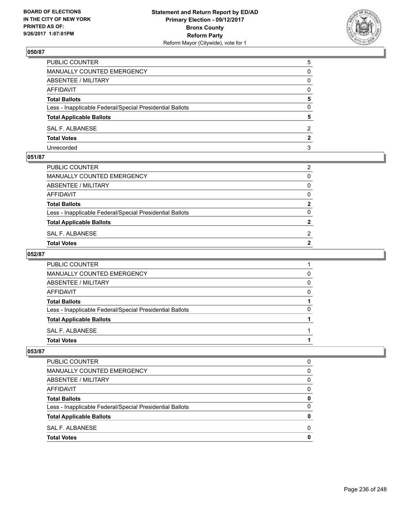

| PUBLIC COUNTER                                           | 5        |
|----------------------------------------------------------|----------|
| <b>MANUALLY COUNTED EMERGENCY</b>                        | 0        |
| <b>ABSENTEE / MILITARY</b>                               | 0        |
| AFFIDAVIT                                                | $\Omega$ |
| <b>Total Ballots</b>                                     | 5        |
| Less - Inapplicable Federal/Special Presidential Ballots | 0        |
| <b>Total Applicable Ballots</b>                          | 5        |
| SAL F. ALBANESE                                          | 2        |
| <b>Total Votes</b>                                       | 2        |
| Unrecorded                                               | 3        |

### **051/87**

| PUBLIC COUNTER                                           | $\overline{2}$ |
|----------------------------------------------------------|----------------|
| MANUALLY COUNTED EMERGENCY                               | $\mathbf{0}$   |
| ABSENTEE / MILITARY                                      | $\Omega$       |
| AFFIDAVIT                                                | $\mathbf{0}$   |
| <b>Total Ballots</b>                                     | $\mathbf{2}$   |
| Less - Inapplicable Federal/Special Presidential Ballots | $\Omega$       |
| <b>Total Applicable Ballots</b>                          | $\mathbf{2}$   |
| SAL F. ALBANESE                                          | 2              |
| Total Votes                                              | 2              |
|                                                          |                |

### **052/87**

| <b>PUBLIC COUNTER</b>                                    |   |
|----------------------------------------------------------|---|
| <b>MANUALLY COUNTED EMERGENCY</b>                        | 0 |
| ABSENTEE / MILITARY                                      | 0 |
| <b>AFFIDAVIT</b>                                         | 0 |
| <b>Total Ballots</b>                                     |   |
| Less - Inapplicable Federal/Special Presidential Ballots | 0 |
| <b>Total Applicable Ballots</b>                          |   |
| SAL F. ALBANESE                                          |   |
| <b>Total Votes</b>                                       |   |

| PUBLIC COUNTER                                           | 0 |
|----------------------------------------------------------|---|
| <b>MANUALLY COUNTED EMERGENCY</b>                        | 0 |
|                                                          |   |
| ABSENTEE / MILITARY                                      | 0 |
| AFFIDAVIT                                                | O |
| <b>Total Ballots</b>                                     | 0 |
| Less - Inapplicable Federal/Special Presidential Ballots | 0 |
| <b>Total Applicable Ballots</b>                          | o |
| SAL F. ALBANESE                                          | O |
| <b>Total Votes</b>                                       | o |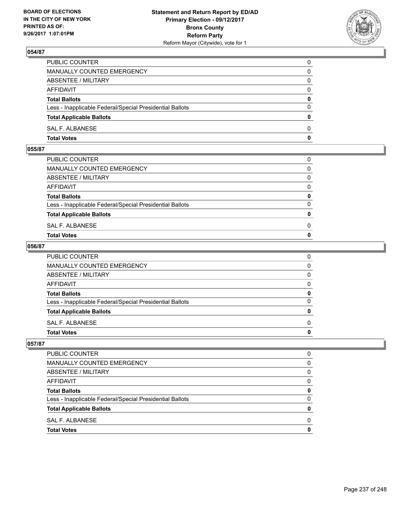

| PUBLIC COUNTER                                           | 0            |
|----------------------------------------------------------|--------------|
| MANUALLY COUNTED EMERGENCY                               | $\Omega$     |
| ABSENTEE / MILITARY                                      | $\mathbf{0}$ |
| AFFIDAVIT                                                | 0            |
| <b>Total Ballots</b>                                     | 0            |
| Less - Inapplicable Federal/Special Presidential Ballots | $\mathbf{0}$ |
| <b>Total Applicable Ballots</b>                          | $\mathbf{0}$ |
| SAL F. ALBANESE                                          | $\Omega$     |
| <b>Total Votes</b>                                       | $\mathbf{0}$ |

### **055/87**

| <b>Total Votes</b>                                       | $\mathbf{0}$ |
|----------------------------------------------------------|--------------|
| SAL F. ALBANESE                                          | 0            |
| <b>Total Applicable Ballots</b>                          | $\mathbf{0}$ |
| Less - Inapplicable Federal/Special Presidential Ballots | $\Omega$     |
| <b>Total Ballots</b>                                     | 0            |
| AFFIDAVIT                                                | $\Omega$     |
| ABSENTEE / MILITARY                                      | $\Omega$     |
| MANUALLY COUNTED EMERGENCY                               | $\Omega$     |
| PUBLIC COUNTER                                           | 0            |
|                                                          |              |

### **056/87**

| <b>Total Votes</b>                                       | 0            |
|----------------------------------------------------------|--------------|
| <b>SAL F. ALBANESE</b>                                   | $\Omega$     |
| <b>Total Applicable Ballots</b>                          | $\mathbf{0}$ |
| Less - Inapplicable Federal/Special Presidential Ballots | $\mathbf{0}$ |
| <b>Total Ballots</b>                                     | 0            |
| <b>AFFIDAVIT</b>                                         | $\Omega$     |
| <b>ABSENTEE / MILITARY</b>                               | $\Omega$     |
| <b>MANUALLY COUNTED EMERGENCY</b>                        | $\Omega$     |
| PUBLIC COUNTER                                           | 0            |

| O |
|---|
| 0 |
| 0 |
| 0 |
| 0 |
| 0 |
| 0 |
| 0 |
| O |
|   |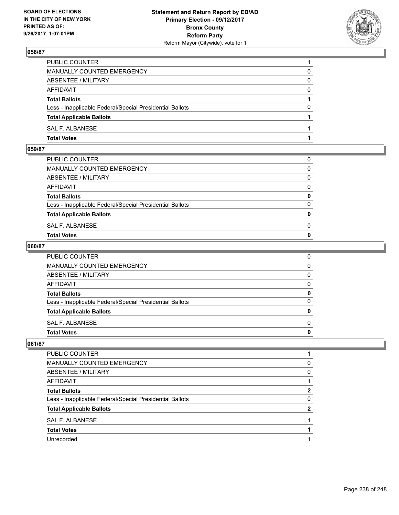

| PUBLIC COUNTER                                           |          |
|----------------------------------------------------------|----------|
| <b>MANUALLY COUNTED EMERGENCY</b>                        | 0        |
| ABSENTEE / MILITARY                                      | 0        |
| AFFIDAVIT                                                | 0        |
| <b>Total Ballots</b>                                     |          |
| Less - Inapplicable Federal/Special Presidential Ballots | $\Omega$ |
| <b>Total Applicable Ballots</b>                          |          |
| <b>SAL F. ALBANESE</b>                                   |          |
| <b>Total Votes</b>                                       |          |

# **059/87**

| PUBLIC COUNTER                                           | 0            |
|----------------------------------------------------------|--------------|
| MANUALLY COUNTED EMERGENCY                               | $\mathbf{0}$ |
| ABSENTEE / MILITARY                                      | $\Omega$     |
| AFFIDAVIT                                                | $\Omega$     |
| <b>Total Ballots</b>                                     | 0            |
| Less - Inapplicable Federal/Special Presidential Ballots | $\Omega$     |
| <b>Total Applicable Ballots</b>                          | $\mathbf{0}$ |
| SAL F. ALBANESE                                          | 0            |
| Total Votes                                              | $\Omega$     |
|                                                          |              |

### **060/87**

| PUBLIC COUNTER                                           | 0            |
|----------------------------------------------------------|--------------|
| MANUALLY COUNTED EMERGENCY                               | $\mathbf{0}$ |
| ABSENTEE / MILITARY                                      | $\mathbf{0}$ |
| AFFIDAVIT                                                | $\mathbf{0}$ |
| <b>Total Ballots</b>                                     | 0            |
| Less - Inapplicable Federal/Special Presidential Ballots | $\mathbf{0}$ |
| <b>Total Applicable Ballots</b>                          | 0            |
| SAL F. ALBANESE                                          | $\Omega$     |
| <b>Total Votes</b>                                       | 0            |
|                                                          |              |

| PUBLIC COUNTER                                           |          |
|----------------------------------------------------------|----------|
| MANUALLY COUNTED EMERGENCY                               | $\Omega$ |
| ABSENTEE / MILITARY                                      | 0        |
| AFFIDAVIT                                                |          |
| <b>Total Ballots</b>                                     |          |
| Less - Inapplicable Federal/Special Presidential Ballots | 0        |
| <b>Total Applicable Ballots</b>                          | 2        |
| SAL F. ALBANESE                                          |          |
| <b>Total Votes</b>                                       |          |
| Unrecorded                                               |          |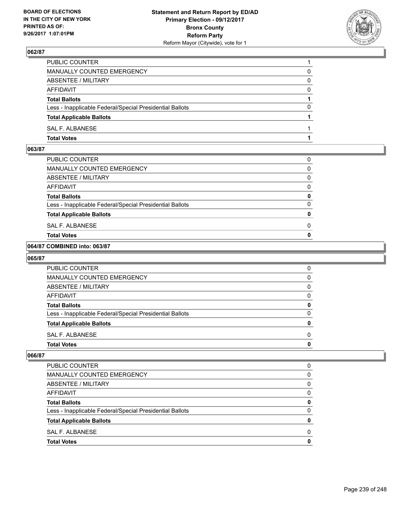

| PUBLIC COUNTER                                           |          |
|----------------------------------------------------------|----------|
| MANUALLY COUNTED EMERGENCY                               | 0        |
| ABSENTEE / MILITARY                                      | 0        |
| AFFIDAVIT                                                | $\Omega$ |
| <b>Total Ballots</b>                                     |          |
| Less - Inapplicable Federal/Special Presidential Ballots | 0        |
| <b>Total Applicable Ballots</b>                          |          |
| SAL F. ALBANESE                                          |          |
| <b>Total Votes</b>                                       |          |

### **063/87**

| Total Votes                                              | Ω |
|----------------------------------------------------------|---|
| SAL F. ALBANESE                                          | 0 |
| <b>Total Applicable Ballots</b>                          | 0 |
| Less - Inapplicable Federal/Special Presidential Ballots | 0 |
| <b>Total Ballots</b>                                     | 0 |
| AFFIDAVIT                                                | 0 |
| ABSENTEE / MILITARY                                      | 0 |
| MANUALLY COUNTED EMERGENCY                               | 0 |
| PUBLIC COUNTER                                           | 0 |

### **064/87 COMBINED into: 063/87**

#### **065/87**

| PUBLIC COUNTER                                           | 0 |
|----------------------------------------------------------|---|
| <b>MANUALLY COUNTED EMERGENCY</b>                        | 0 |
| ABSENTEE / MILITARY                                      | 0 |
| AFFIDAVIT                                                | 0 |
| <b>Total Ballots</b>                                     | o |
| Less - Inapplicable Federal/Special Presidential Ballots |   |
| <b>Total Applicable Ballots</b>                          |   |
| SAL F. ALBANESE                                          | O |
| <b>Total Votes</b>                                       |   |

| 0<br>0 |
|--------|
|        |
|        |
| 0      |
| 0      |
| 0      |
| 0      |
| 0      |
| 0      |
| 0      |
|        |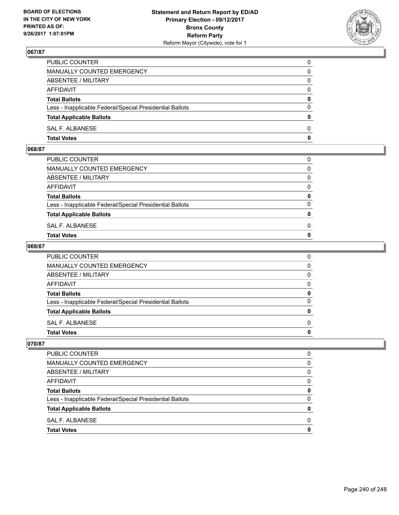

| PUBLIC COUNTER                                           | 0            |
|----------------------------------------------------------|--------------|
| MANUALLY COUNTED EMERGENCY                               | 0            |
| ABSENTEE / MILITARY                                      | 0            |
| AFFIDAVIT                                                | $\Omega$     |
| <b>Total Ballots</b>                                     | $\mathbf{0}$ |
| Less - Inapplicable Federal/Special Presidential Ballots | $\Omega$     |
| <b>Total Applicable Ballots</b>                          | $\mathbf{0}$ |
| <b>SAL F. ALBANESE</b>                                   | 0            |
| <b>Total Votes</b>                                       | 0            |

### **068/87**

| PUBLIC COUNTER                                           | 0            |
|----------------------------------------------------------|--------------|
| MANUALLY COUNTED EMERGENCY                               | $\mathbf{0}$ |
| ABSENTEE / MILITARY                                      | $\Omega$     |
| AFFIDAVIT                                                | $\Omega$     |
| <b>Total Ballots</b>                                     | 0            |
| Less - Inapplicable Federal/Special Presidential Ballots | $\Omega$     |
| <b>Total Applicable Ballots</b>                          | $\mathbf{0}$ |
| SAL F. ALBANESE                                          | 0            |
| Total Votes                                              | $\Omega$     |
|                                                          |              |

### **069/87**

| <b>Total Votes</b>                                       | 0            |
|----------------------------------------------------------|--------------|
| <b>SAL F. ALBANESE</b>                                   | $\Omega$     |
| <b>Total Applicable Ballots</b>                          | $\mathbf{0}$ |
| Less - Inapplicable Federal/Special Presidential Ballots | $\mathbf{0}$ |
| <b>Total Ballots</b>                                     | 0            |
| <b>AFFIDAVIT</b>                                         | $\Omega$     |
| <b>ABSENTEE / MILITARY</b>                               | $\Omega$     |
| <b>MANUALLY COUNTED EMERGENCY</b>                        | $\Omega$     |
| PUBLIC COUNTER                                           | 0            |

| PUBLIC COUNTER                                           | 0 |
|----------------------------------------------------------|---|
| <b>MANUALLY COUNTED EMERGENCY</b>                        | 0 |
| ABSENTEE / MILITARY                                      | 0 |
| AFFIDAVIT                                                | 0 |
| <b>Total Ballots</b>                                     | 0 |
| Less - Inapplicable Federal/Special Presidential Ballots | 0 |
| <b>Total Applicable Ballots</b>                          | 0 |
| SAL F. ALBANESE                                          | 0 |
| <b>Total Votes</b>                                       |   |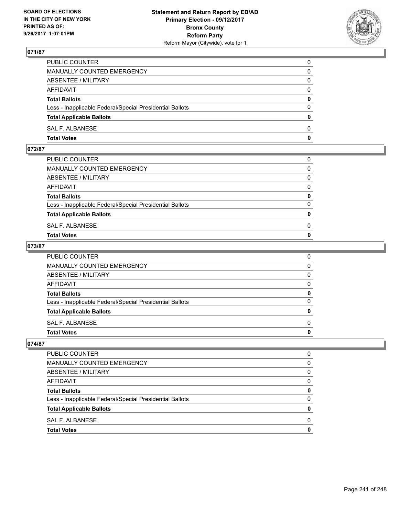

| PUBLIC COUNTER                                           | 0            |
|----------------------------------------------------------|--------------|
| MANUALLY COUNTED EMERGENCY                               | $\Omega$     |
| ABSENTEE / MILITARY                                      | $\mathbf{0}$ |
| AFFIDAVIT                                                | 0            |
| <b>Total Ballots</b>                                     | $\mathbf{0}$ |
| Less - Inapplicable Federal/Special Presidential Ballots | $\Omega$     |
| <b>Total Applicable Ballots</b>                          | $\mathbf{0}$ |
| SAL F. ALBANESE                                          | $\Omega$     |
| <b>Total Votes</b>                                       | $\mathbf{0}$ |

## **072/87**

| PUBLIC COUNTER                                           | 0            |
|----------------------------------------------------------|--------------|
| MANUALLY COUNTED EMERGENCY                               | $\mathbf{0}$ |
| ABSENTEE / MILITARY                                      | $\Omega$     |
| AFFIDAVIT                                                | $\Omega$     |
| <b>Total Ballots</b>                                     | 0            |
| Less - Inapplicable Federal/Special Presidential Ballots | $\Omega$     |
| <b>Total Applicable Ballots</b>                          | $\mathbf{0}$ |
| SAL F. ALBANESE                                          | 0            |
| Total Votes                                              | $\Omega$     |
|                                                          |              |

### **073/87**

| PUBLIC COUNTER                                           | 0            |
|----------------------------------------------------------|--------------|
| MANUALLY COUNTED EMERGENCY                               | $\mathbf{0}$ |
| ABSENTEE / MILITARY                                      | $\mathbf{0}$ |
| AFFIDAVIT                                                | $\mathbf{0}$ |
| <b>Total Ballots</b>                                     | 0            |
| Less - Inapplicable Federal/Special Presidential Ballots | $\mathbf{0}$ |
| <b>Total Applicable Ballots</b>                          | 0            |
| SAL F. ALBANESE                                          | $\Omega$     |
| <b>Total Votes</b>                                       | 0            |
|                                                          |              |

| <b>PUBLIC COUNTER</b>                                    | O |
|----------------------------------------------------------|---|
| <b>MANUALLY COUNTED EMERGENCY</b>                        | 0 |
| ABSENTEE / MILITARY                                      | 0 |
| <b>AFFIDAVIT</b>                                         | 0 |
| <b>Total Ballots</b>                                     | 0 |
| Less - Inapplicable Federal/Special Presidential Ballots | 0 |
| <b>Total Applicable Ballots</b>                          | 0 |
| SAL F. ALBANESE                                          | 0 |
| <b>Total Votes</b>                                       | O |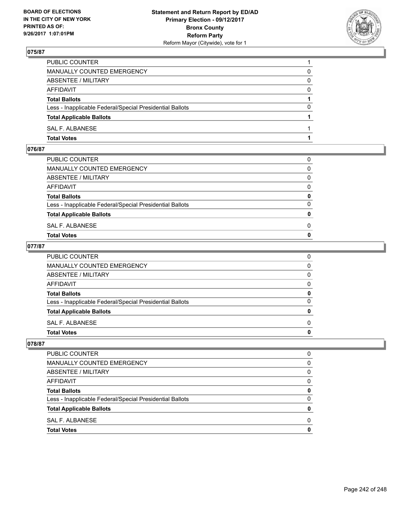

| PUBLIC COUNTER                                           |          |
|----------------------------------------------------------|----------|
| MANUALLY COUNTED EMERGENCY                               | 0        |
| ABSENTEE / MILITARY                                      | 0        |
| AFFIDAVIT                                                | 0        |
| <b>Total Ballots</b>                                     |          |
| Less - Inapplicable Federal/Special Presidential Ballots | $\Omega$ |
| <b>Total Applicable Ballots</b>                          |          |
| SAL F. ALBANESE                                          |          |
| <b>Total Votes</b>                                       |          |

## **076/87**

| PUBLIC COUNTER                                           | 0            |
|----------------------------------------------------------|--------------|
| MANUALLY COUNTED EMERGENCY                               | $\mathbf{0}$ |
| ABSENTEE / MILITARY                                      | $\Omega$     |
| AFFIDAVIT                                                | $\Omega$     |
| <b>Total Ballots</b>                                     | 0            |
| Less - Inapplicable Federal/Special Presidential Ballots | $\Omega$     |
| <b>Total Applicable Ballots</b>                          | $\mathbf{0}$ |
| SAL F. ALBANESE                                          | 0            |
| Total Votes                                              | $\Omega$     |
|                                                          |              |

### **077/87**

| <b>Total Votes</b>                                       | 0            |
|----------------------------------------------------------|--------------|
| <b>SAL F. ALBANESE</b>                                   | $\Omega$     |
| <b>Total Applicable Ballots</b>                          | $\mathbf{0}$ |
| Less - Inapplicable Federal/Special Presidential Ballots | $\mathbf{0}$ |
| <b>Total Ballots</b>                                     | 0            |
| <b>AFFIDAVIT</b>                                         | $\Omega$     |
| <b>ABSENTEE / MILITARY</b>                               | $\Omega$     |
| <b>MANUALLY COUNTED EMERGENCY</b>                        | $\Omega$     |
| PUBLIC COUNTER                                           | 0            |

| <b>PUBLIC COUNTER</b>                                    | O |
|----------------------------------------------------------|---|
| MANUALLY COUNTED EMERGENCY                               | 0 |
| ABSENTEE / MILITARY                                      | 0 |
| <b>AFFIDAVIT</b>                                         | 0 |
| <b>Total Ballots</b>                                     | 0 |
| Less - Inapplicable Federal/Special Presidential Ballots | 0 |
| <b>Total Applicable Ballots</b>                          | o |
| SAL F. ALBANESE                                          | O |
| <b>Total Votes</b>                                       |   |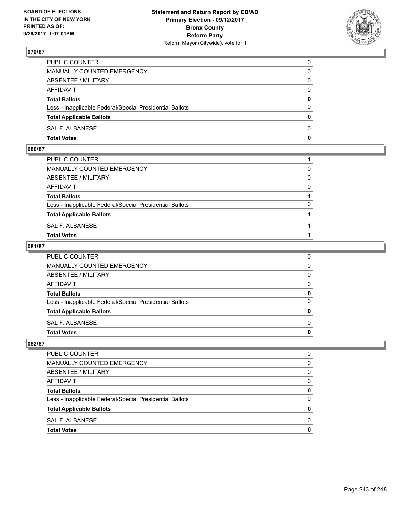

| PUBLIC COUNTER                                           | 0            |
|----------------------------------------------------------|--------------|
| MANUALLY COUNTED EMERGENCY                               | $\Omega$     |
| ABSENTEE / MILITARY                                      | $\mathbf{0}$ |
| AFFIDAVIT                                                | 0            |
| <b>Total Ballots</b>                                     | 0            |
| Less - Inapplicable Federal/Special Presidential Ballots | $\mathbf{0}$ |
| <b>Total Applicable Ballots</b>                          | $\bf{0}$     |
| SAL F. ALBANESE                                          | $\Omega$     |
| <b>Total Votes</b>                                       | $\mathbf{0}$ |

### **080/87**

| PUBLIC COUNTER                                           |          |
|----------------------------------------------------------|----------|
| MANUALLY COUNTED EMERGENCY                               | 0        |
| ABSENTEE / MILITARY                                      | $\Omega$ |
| AFFIDAVIT                                                | $\Omega$ |
| <b>Total Ballots</b>                                     |          |
| Less - Inapplicable Federal/Special Presidential Ballots | 0        |
| <b>Total Applicable Ballots</b>                          |          |
| SAL F. ALBANESE                                          |          |
| <b>Total Votes</b>                                       |          |
|                                                          |          |

### **081/87**

| PUBLIC COUNTER                                           | 0            |
|----------------------------------------------------------|--------------|
| MANUALLY COUNTED EMERGENCY                               | $\mathbf{0}$ |
| ABSENTEE / MILITARY                                      | $\mathbf{0}$ |
| AFFIDAVIT                                                | $\mathbf{0}$ |
| <b>Total Ballots</b>                                     | 0            |
| Less - Inapplicable Federal/Special Presidential Ballots | $\mathbf{0}$ |
| <b>Total Applicable Ballots</b>                          | $\mathbf{0}$ |
| SAL F. ALBANESE                                          | $\Omega$     |
| <b>Total Votes</b>                                       | 0            |
|                                                          |              |

| <b>PUBLIC COUNTER</b>                                    |              |
|----------------------------------------------------------|--------------|
| <b>MANUALLY COUNTED EMERGENCY</b>                        | <sup>0</sup> |
| ABSENTEE / MILITARY                                      | <sup>0</sup> |
| <b>AFFIDAVIT</b>                                         | <sup>0</sup> |
| <b>Total Ballots</b>                                     | o            |
| Less - Inapplicable Federal/Special Presidential Ballots | O            |
| <b>Total Applicable Ballots</b>                          |              |
| SAL F. ALBANESE                                          | <sup>0</sup> |
| <b>Total Votes</b>                                       |              |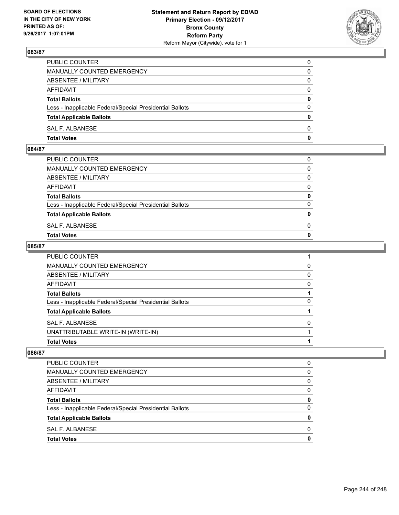

| PUBLIC COUNTER                                           | 0            |
|----------------------------------------------------------|--------------|
| MANUALLY COUNTED EMERGENCY                               | $\Omega$     |
| ABSENTEE / MILITARY                                      | $\mathbf{0}$ |
| AFFIDAVIT                                                | 0            |
| <b>Total Ballots</b>                                     | $\mathbf{0}$ |
| Less - Inapplicable Federal/Special Presidential Ballots | $\Omega$     |
| <b>Total Applicable Ballots</b>                          | $\mathbf{0}$ |
| SAL F. ALBANESE                                          | $\Omega$     |
| <b>Total Votes</b>                                       | $\mathbf{0}$ |

## **084/87**

| PUBLIC COUNTER                                           | 0            |
|----------------------------------------------------------|--------------|
| MANUALLY COUNTED EMERGENCY                               | $\mathbf{0}$ |
| ABSENTEE / MILITARY                                      | $\Omega$     |
| AFFIDAVIT                                                | $\Omega$     |
| <b>Total Ballots</b>                                     | 0            |
| Less - Inapplicable Federal/Special Presidential Ballots | $\Omega$     |
| <b>Total Applicable Ballots</b>                          | $\mathbf{0}$ |
| SAL F. ALBANESE                                          | 0            |
| Total Votes                                              | $\Omega$     |
|                                                          |              |

### **085/87**

| <b>Total Votes</b>                                       |   |
|----------------------------------------------------------|---|
| UNATTRIBUTABLE WRITE-IN (WRITE-IN)                       |   |
| SAL F. ALBANESE                                          | 0 |
| <b>Total Applicable Ballots</b>                          |   |
| Less - Inapplicable Federal/Special Presidential Ballots | 0 |
| <b>Total Ballots</b>                                     |   |
| AFFIDAVIT                                                | 0 |
| <b>ABSENTEE / MILITARY</b>                               | 0 |
| <b>MANUALLY COUNTED EMERGENCY</b>                        | 0 |
| PUBLIC COUNTER                                           |   |

| <b>Total Votes</b>                                       | 0 |
|----------------------------------------------------------|---|
| SAL F. ALBANESE                                          | 0 |
| <b>Total Applicable Ballots</b>                          | 0 |
| Less - Inapplicable Federal/Special Presidential Ballots | 0 |
| <b>Total Ballots</b>                                     | 0 |
| AFFIDAVIT                                                | 0 |
| ABSENTEE / MILITARY                                      | 0 |
| <b>MANUALLY COUNTED EMERGENCY</b>                        | 0 |
| PUBLIC COUNTER                                           | 0 |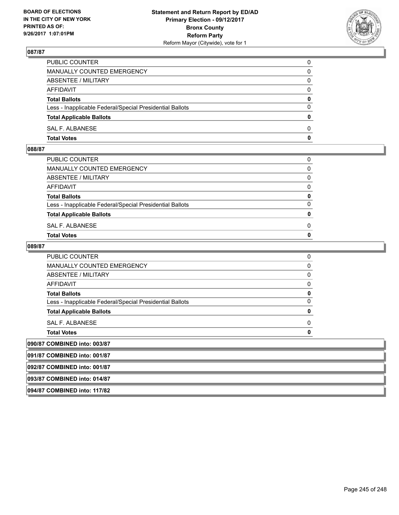

| <b>Total Votes</b>                                       | $\mathbf{0}$ |
|----------------------------------------------------------|--------------|
| SAL F. ALBANESE                                          | 0            |
| <b>Total Applicable Ballots</b>                          | $\mathbf{0}$ |
| Less - Inapplicable Federal/Special Presidential Ballots | $\Omega$     |
| <b>Total Ballots</b>                                     | 0            |
| AFFIDAVIT                                                | $\Omega$     |
| ABSENTEE / MILITARY                                      | 0            |
| <b>MANUALLY COUNTED EMERGENCY</b>                        | 0            |
| PUBLIC COUNTER                                           | 0            |

#### **088/87**

| MANUALLY COUNTED EMERGENCY                               |              |
|----------------------------------------------------------|--------------|
| ABSENTEE / MILITARY                                      | $\Omega$     |
| AFFIDAVIT                                                | $\mathbf{0}$ |
| <b>Total Ballots</b>                                     | $\mathbf{0}$ |
| Less - Inapplicable Federal/Special Presidential Ballots | $\Omega$     |
| <b>Total Applicable Ballots</b>                          | $\mathbf{0}$ |
| SAL F. ALBANESE                                          | 0            |
| <b>Total Votes</b>                                       | $\mathbf{0}$ |
|                                                          |              |

### **089/87**

| <b>PUBLIC COUNTER</b>                                    |  |
|----------------------------------------------------------|--|
| <b>MANUALLY COUNTED EMERGENCY</b>                        |  |
| ABSENTEE / MILITARY                                      |  |
| AFFIDAVIT                                                |  |
| <b>Total Ballots</b>                                     |  |
| Less - Inapplicable Federal/Special Presidential Ballots |  |
| <b>Total Applicable Ballots</b>                          |  |
| <b>SAL F. ALBANESE</b>                                   |  |
| <b>Total Votes</b>                                       |  |
| <b>COMBINED into: 003/87</b>                             |  |

**090/87 091/87 COMBINED into: 001/87 092/87 COMBINED into: 001/87 093/87 COMBINED into: 014/87 094/87 COMBINED into: 117/82**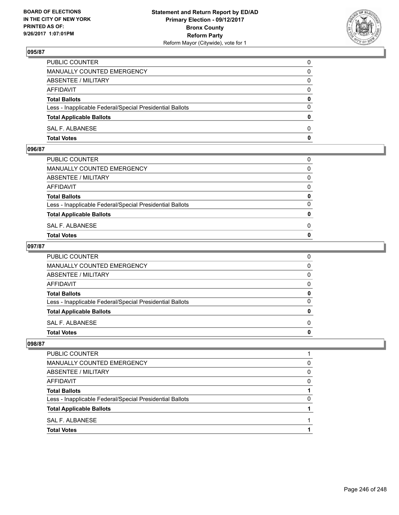

| PUBLIC COUNTER                                           | 0            |
|----------------------------------------------------------|--------------|
| MANUALLY COUNTED EMERGENCY                               | $\mathbf{0}$ |
| ABSENTEE / MILITARY                                      | 0            |
| AFFIDAVIT                                                | 0            |
| <b>Total Ballots</b>                                     | 0            |
| Less - Inapplicable Federal/Special Presidential Ballots | $\mathbf{0}$ |
| <b>Total Applicable Ballots</b>                          | $\mathbf{0}$ |
| SAL F. ALBANESE                                          | $\Omega$     |
| <b>Total Votes</b>                                       | $\mathbf{0}$ |

#### **096/87**

| PUBLIC COUNTER                                           | 0            |
|----------------------------------------------------------|--------------|
| MANUALLY COUNTED EMERGENCY                               | $\mathbf{0}$ |
| ABSENTEE / MILITARY                                      | $\Omega$     |
| AFFIDAVIT                                                | $\Omega$     |
| <b>Total Ballots</b>                                     | 0            |
| Less - Inapplicable Federal/Special Presidential Ballots | $\Omega$     |
| <b>Total Applicable Ballots</b>                          | $\mathbf{0}$ |
| SAL F. ALBANESE                                          | 0            |
| Total Votes                                              | $\Omega$     |
|                                                          |              |

### **097/87**

| PUBLIC COUNTER                                           | 0            |
|----------------------------------------------------------|--------------|
| MANUALLY COUNTED EMERGENCY                               | $\mathbf{0}$ |
| ABSENTEE / MILITARY                                      | $\mathbf{0}$ |
| AFFIDAVIT                                                | $\mathbf{0}$ |
| <b>Total Ballots</b>                                     | 0            |
| Less - Inapplicable Federal/Special Presidential Ballots | $\mathbf{0}$ |
| <b>Total Applicable Ballots</b>                          | 0            |
| SAL F. ALBANESE                                          | $\Omega$     |
| <b>Total Votes</b>                                       | 0            |
|                                                          |              |

| <b>PUBLIC COUNTER</b>                                    |   |
|----------------------------------------------------------|---|
| MANUALLY COUNTED EMERGENCY                               | 0 |
| ABSENTEE / MILITARY                                      | 0 |
| <b>AFFIDAVIT</b>                                         | 0 |
| <b>Total Ballots</b>                                     |   |
| Less - Inapplicable Federal/Special Presidential Ballots | 0 |
| <b>Total Applicable Ballots</b>                          |   |
| SAL F. ALBANESE                                          |   |
| <b>Total Votes</b>                                       |   |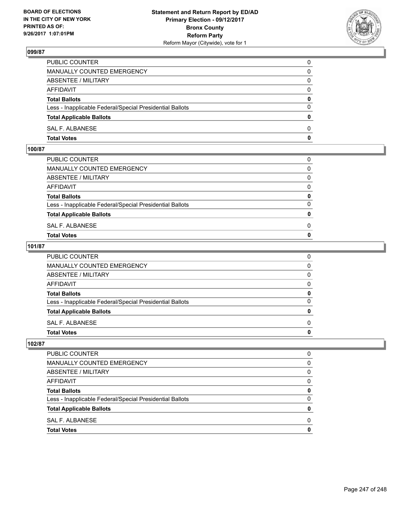

| PUBLIC COUNTER                                           | 0            |
|----------------------------------------------------------|--------------|
| MANUALLY COUNTED EMERGENCY                               | $\mathbf{0}$ |
| ABSENTEE / MILITARY                                      | 0            |
| AFFIDAVIT                                                | 0            |
| <b>Total Ballots</b>                                     | 0            |
| Less - Inapplicable Federal/Special Presidential Ballots | $\mathbf{0}$ |
| <b>Total Applicable Ballots</b>                          | $\mathbf{0}$ |
| SAL F. ALBANESE                                          | $\Omega$     |
| <b>Total Votes</b>                                       | $\mathbf{0}$ |

### **100/87**

| ABSENTEE / MILITARY                                      | $\Omega$     |
|----------------------------------------------------------|--------------|
|                                                          |              |
| AFFIDAVIT                                                | $\mathbf{0}$ |
| <b>Total Ballots</b>                                     | $\mathbf{0}$ |
| Less - Inapplicable Federal/Special Presidential Ballots | $\Omega$     |
| <b>Total Applicable Ballots</b>                          | $\mathbf{0}$ |
| SAL F. ALBANESE                                          | 0            |
| <b>Total Votes</b>                                       | $\mathbf{0}$ |
|                                                          |              |

### **101/87**

| PUBLIC COUNTER                                           | 0            |
|----------------------------------------------------------|--------------|
| MANUALLY COUNTED EMERGENCY                               | $\mathbf{0}$ |
| ABSENTEE / MILITARY                                      | $\mathbf{0}$ |
| AFFIDAVIT                                                | $\mathbf{0}$ |
| <b>Total Ballots</b>                                     | 0            |
| Less - Inapplicable Federal/Special Presidential Ballots | $\mathbf{0}$ |
| <b>Total Applicable Ballots</b>                          | $\mathbf{0}$ |
| SAL F. ALBANESE                                          | $\Omega$     |
| <b>Total Votes</b>                                       | 0            |
|                                                          |              |

| <b>PUBLIC COUNTER</b>                                    | O |
|----------------------------------------------------------|---|
| <b>MANUALLY COUNTED EMERGENCY</b>                        | 0 |
| ABSENTEE / MILITARY                                      | 0 |
| <b>AFFIDAVIT</b>                                         | 0 |
| <b>Total Ballots</b>                                     | 0 |
| Less - Inapplicable Federal/Special Presidential Ballots | 0 |
| <b>Total Applicable Ballots</b>                          | 0 |
| SAL F. ALBANESE                                          | 0 |
| <b>Total Votes</b>                                       | O |